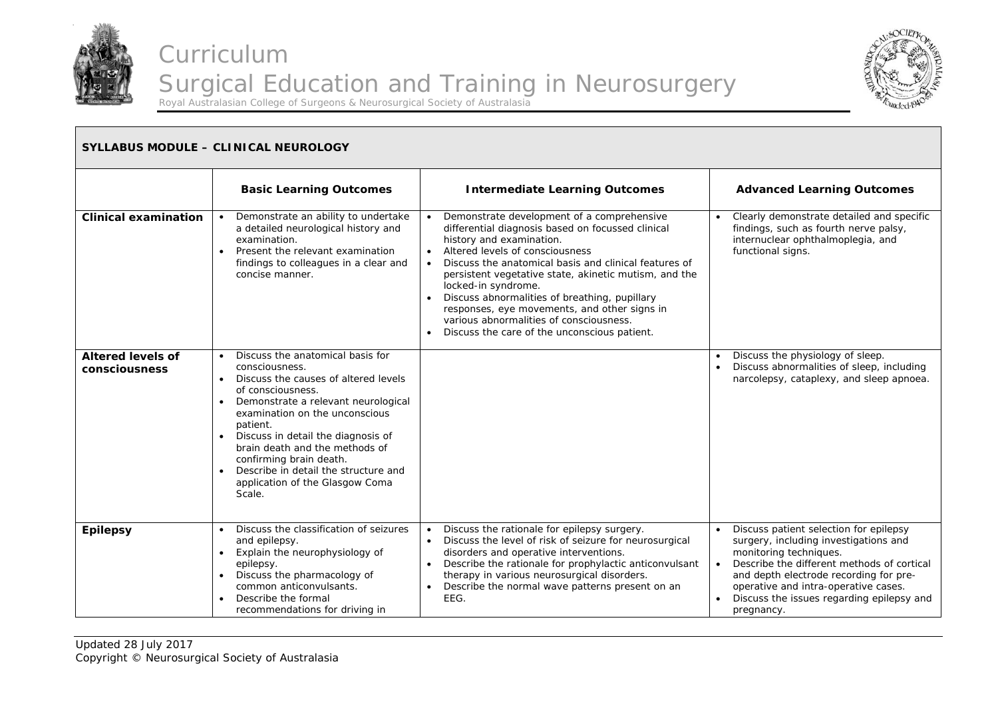



#### **SYLLABUS MODULE – CLINICAL NEUROLOGY Basic Learning Outcomes | Intermediate Learning Outcomes | Advanced Learning Outcomes Clinical examination | •** Demonstrate an ability to undertake a detailed neurological history and examination. • Present the relevant examination findings to colleagues in a clear and concise manner. . Demonstrate development of a comprehensive differential diagnosis based on focussed clinical history and examination. Altered levels of consciousness . Discuss the anatomical basis and clinical features of persistent vegetative state, akinetic mutism, and the locked-in syndrome. . Discuss abnormalities of breathing, pupillary responses, eye movements, and other signs in various abnormalities of consciousness. Discuss the care of the unconscious patient. . Clearly demonstrate detailed and specific findings, such as fourth nerve palsy, internuclear ophthalmoplegia, and functional signs. **Altered levels of consciousness**  $\bullet$  Discuss the anatomical basis for consciousness. . Discuss the causes of altered levels of consciousness. • Demonstrate a relevant neurological examination on the unconscious patient. ۰ Discuss in detail the diagnosis of brain death and the methods of confirming brain death. ٠ Describe in detail the structure and application of the Glasgow Coma Scale. . Discuss the physiology of sleep. . Discuss abnormalities of sleep, including narcolepsy, cataplexy, and sleep apnoea. **Epilepsy** . Discuss the classification of seizures and epilepsy.  $\bullet$  Explain the neurophysiology of epilepsy. ۰ Discuss the pharmacology of common anticonvulsants.  $\bullet$  Describe the formal recommendations for driving in ٠ Discuss the rationale for epilepsy surgery. ٠ Discuss the level of risk of seizure for neurosurgical disorders and operative interventions.  $\bullet$  Describe the rationale for prophylactic anticonvulsant therapy in various neurosurgical disorders.  $\bullet$  Describe the normal wave patterns present on an EEG. ٠ Discuss patient selection for epilepsy surgery, including investigations and monitoring techniques. ۰ Describe the different methods of cortical and depth electrode recording for preoperative and intra-operative cases. ۰ Discuss the issues regarding epilepsy and pregnancy.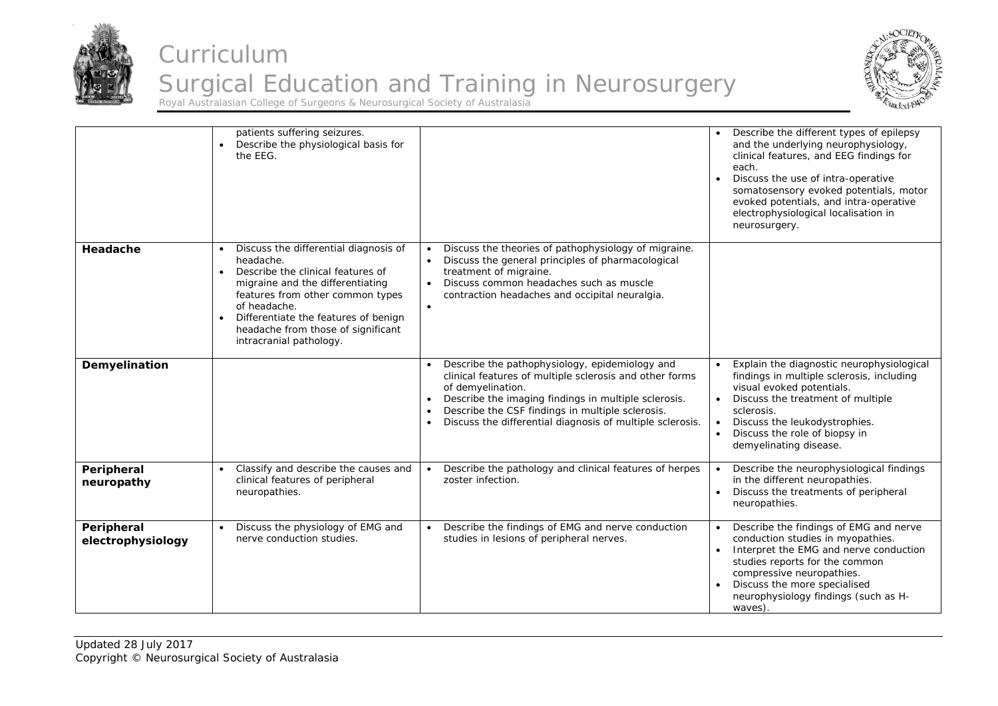



|                                 | patients suffering seizures.<br>Describe the physiological basis for<br>$\bullet$<br>the EEG.                                                                                                                                                                                                                      |                                                                                                                                                                                                                                                                                                                                                | Describe the different types of epilepsy<br>and the underlying neurophysiology,<br>clinical features, and EEG findings for<br>each.<br>Discuss the use of intra-operative<br>somatosensory evoked potentials, motor<br>evoked potentials, and intra-operative<br>electrophysiological localisation in<br>neurosurgery. |
|---------------------------------|--------------------------------------------------------------------------------------------------------------------------------------------------------------------------------------------------------------------------------------------------------------------------------------------------------------------|------------------------------------------------------------------------------------------------------------------------------------------------------------------------------------------------------------------------------------------------------------------------------------------------------------------------------------------------|------------------------------------------------------------------------------------------------------------------------------------------------------------------------------------------------------------------------------------------------------------------------------------------------------------------------|
| Headache                        | Discuss the differential diagnosis of<br>headache.<br>Describe the clinical features of<br>$\bullet$<br>migraine and the differentiating<br>features from other common types<br>of headache.<br>Differentiate the features of benign<br>$\bullet$<br>headache from those of significant<br>intracranial pathology. | Discuss the theories of pathophysiology of migraine.<br>Discuss the general principles of pharmacological<br>$\bullet$<br>treatment of migraine.<br>Discuss common headaches such as muscle<br>$\bullet$<br>contraction headaches and occipital neuralgia.<br>$\bullet$                                                                        |                                                                                                                                                                                                                                                                                                                        |
| Demyelination                   |                                                                                                                                                                                                                                                                                                                    | Describe the pathophysiology, epidemiology and<br>clinical features of multiple sclerosis and other forms<br>of demyelination.<br>Describe the imaging findings in multiple sclerosis.<br>$\bullet$<br>Describe the CSF findings in multiple sclerosis.<br>$\bullet$<br>Discuss the differential diagnosis of multiple sclerosis.<br>$\bullet$ | Explain the diagnostic neurophysiological<br>findings in multiple sclerosis, including<br>visual evoked potentials.<br>Discuss the treatment of multiple<br>sclerosis.<br>Discuss the leukodystrophies.<br>$\bullet$<br>Discuss the role of biopsy in<br>demyelinating disease.                                        |
| Peripheral<br>neuropathy        | Classify and describe the causes and<br>clinical features of peripheral<br>neuropathies.                                                                                                                                                                                                                           | Describe the pathology and clinical features of herpes<br>zoster infection.                                                                                                                                                                                                                                                                    | Describe the neurophysiological findings<br>in the different neuropathies.<br>Discuss the treatments of peripheral<br>neuropathies.                                                                                                                                                                                    |
| Peripheral<br>electrophysiology | Discuss the physiology of EMG and<br>nerve conduction studies.                                                                                                                                                                                                                                                     | Describe the findings of EMG and nerve conduction<br>studies in lesions of peripheral nerves.                                                                                                                                                                                                                                                  | Describe the findings of EMG and nerve<br>conduction studies in myopathies.<br>Interpret the EMG and nerve conduction<br>studies reports for the common<br>compressive neuropathies.<br>Discuss the more specialised<br>neurophysiology findings (such as H-<br>waves).                                                |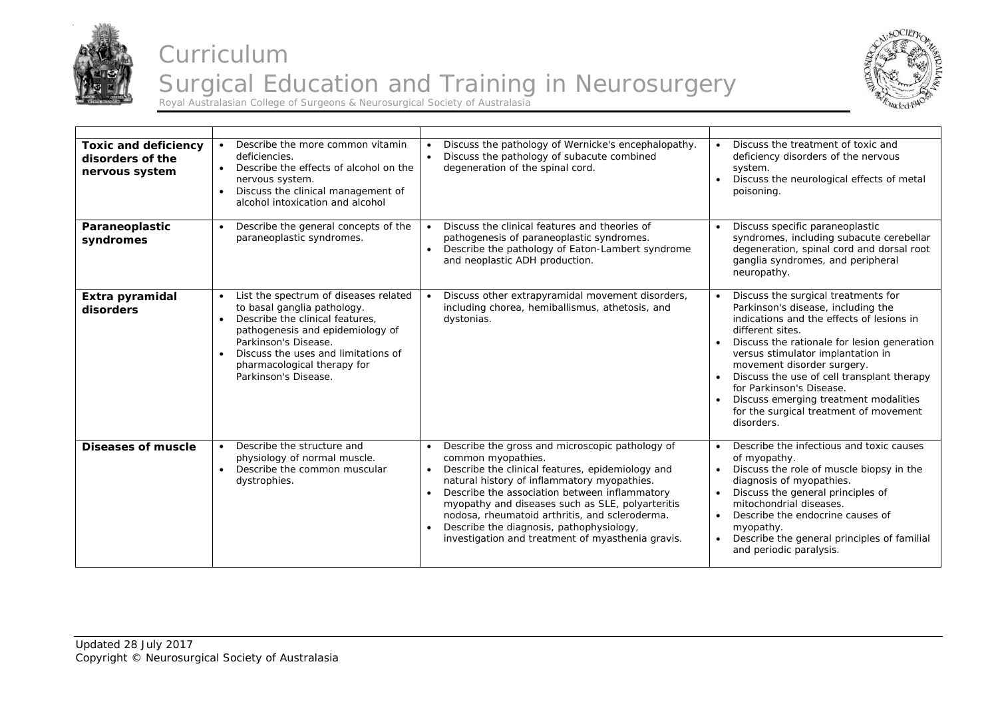



| <b>Toxic and deficiency</b><br>disorders of the<br>nervous system | Describe the more common vitamin<br>deficiencies.<br>Describe the effects of alcohol on the<br>$\bullet$<br>nervous system.<br>Discuss the clinical management of<br>$\bullet$<br>alcohol intoxication and alcohol                                                                          | Discuss the pathology of Wernicke's encephalopathy.<br>Discuss the pathology of subacute combined<br>$\bullet$<br>degeneration of the spinal cord.                                                                                                                                                                                                                                                                                                         | Discuss the treatment of toxic and<br>deficiency disorders of the nervous<br>system.<br>Discuss the neurological effects of metal<br>poisoning.                                                                                                                                                                                                                                                                                                      |
|-------------------------------------------------------------------|---------------------------------------------------------------------------------------------------------------------------------------------------------------------------------------------------------------------------------------------------------------------------------------------|------------------------------------------------------------------------------------------------------------------------------------------------------------------------------------------------------------------------------------------------------------------------------------------------------------------------------------------------------------------------------------------------------------------------------------------------------------|------------------------------------------------------------------------------------------------------------------------------------------------------------------------------------------------------------------------------------------------------------------------------------------------------------------------------------------------------------------------------------------------------------------------------------------------------|
| Paraneoplastic<br>syndromes                                       | Describe the general concepts of the<br>paraneoplastic syndromes.                                                                                                                                                                                                                           | Discuss the clinical features and theories of<br>pathogenesis of paraneoplastic syndromes.<br>Describe the pathology of Eaton-Lambert syndrome<br>$\bullet$<br>and neoplastic ADH production.                                                                                                                                                                                                                                                              | Discuss specific paraneoplastic<br>syndromes, including subacute cerebellar<br>degeneration, spinal cord and dorsal root<br>ganglia syndromes, and peripheral<br>neuropathy.                                                                                                                                                                                                                                                                         |
| Extra pyramidal<br>disorders                                      | List the spectrum of diseases related<br>to basal ganglia pathology.<br>Describe the clinical features.<br>$\bullet$<br>pathogenesis and epidemiology of<br>Parkinson's Disease.<br>Discuss the uses and limitations of<br>$\bullet$<br>pharmacological therapy for<br>Parkinson's Disease. | Discuss other extrapyramidal movement disorders,<br>including chorea, hemiballismus, athetosis, and<br>dystonias.                                                                                                                                                                                                                                                                                                                                          | Discuss the surgical treatments for<br>Parkinson's disease, including the<br>indications and the effects of lesions in<br>different sites.<br>Discuss the rationale for lesion generation<br>versus stimulator implantation in<br>movement disorder surgery.<br>Discuss the use of cell transplant therapy<br>for Parkinson's Disease.<br>Discuss emerging treatment modalities<br>$\bullet$<br>for the surgical treatment of movement<br>disorders. |
| Diseases of muscle                                                | Describe the structure and<br>physiology of normal muscle.<br>Describe the common muscular<br>$\bullet$<br>dystrophies.                                                                                                                                                                     | Describe the gross and microscopic pathology of<br>common myopathies.<br>Describe the clinical features, epidemiology and<br>natural history of inflammatory myopathies.<br>Describe the association between inflammatory<br>$\bullet$<br>myopathy and diseases such as SLE, polyarteritis<br>nodosa, rheumatoid arthritis, and scleroderma.<br>Describe the diagnosis, pathophysiology,<br>$\bullet$<br>investigation and treatment of myasthenia gravis. | Describe the infectious and toxic causes<br>of myopathy.<br>Discuss the role of muscle biopsy in the<br>diagnosis of myopathies.<br>Discuss the general principles of<br>mitochondrial diseases.<br>Describe the endocrine causes of<br>myopathy.<br>Describe the general principles of familial<br>and periodic paralysis.                                                                                                                          |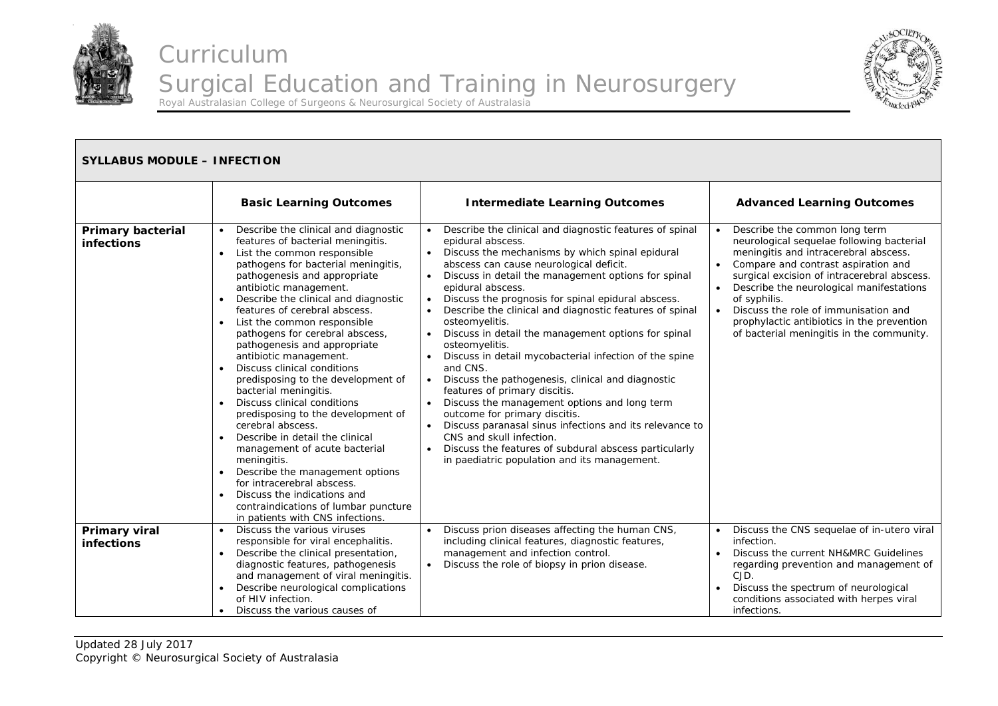



| <b>SYLLABUS MODULE - INFECTION</b>     |                                                                                                                                                                                                                                                                                                                                                                                                                                                                                                                                                                                                                                                                                                                                                                                                                                                                                                                                        |                                                                                                                                                                                                                                                                                                                                                                                                                                                                                                                                                                                                                                                                                                                                                                                                                                                                                                                                                                                               |                                                                                                                                                                                                                                                                                                                                                                                                                       |  |
|----------------------------------------|----------------------------------------------------------------------------------------------------------------------------------------------------------------------------------------------------------------------------------------------------------------------------------------------------------------------------------------------------------------------------------------------------------------------------------------------------------------------------------------------------------------------------------------------------------------------------------------------------------------------------------------------------------------------------------------------------------------------------------------------------------------------------------------------------------------------------------------------------------------------------------------------------------------------------------------|-----------------------------------------------------------------------------------------------------------------------------------------------------------------------------------------------------------------------------------------------------------------------------------------------------------------------------------------------------------------------------------------------------------------------------------------------------------------------------------------------------------------------------------------------------------------------------------------------------------------------------------------------------------------------------------------------------------------------------------------------------------------------------------------------------------------------------------------------------------------------------------------------------------------------------------------------------------------------------------------------|-----------------------------------------------------------------------------------------------------------------------------------------------------------------------------------------------------------------------------------------------------------------------------------------------------------------------------------------------------------------------------------------------------------------------|--|
|                                        | <b>Basic Learning Outcomes</b>                                                                                                                                                                                                                                                                                                                                                                                                                                                                                                                                                                                                                                                                                                                                                                                                                                                                                                         | <b>Intermediate Learning Outcomes</b>                                                                                                                                                                                                                                                                                                                                                                                                                                                                                                                                                                                                                                                                                                                                                                                                                                                                                                                                                         | <b>Advanced Learning Outcomes</b>                                                                                                                                                                                                                                                                                                                                                                                     |  |
| <b>Primary bacterial</b><br>infections | Describe the clinical and diagnostic<br>$\bullet$<br>features of bacterial meningitis.<br>List the common responsible<br>$\bullet$<br>pathogens for bacterial meningitis,<br>pathogenesis and appropriate<br>antibiotic management.<br>Describe the clinical and diagnostic<br>features of cerebral abscess.<br>List the common responsible<br>$\bullet$<br>pathogens for cerebral abscess,<br>pathogenesis and appropriate<br>antibiotic management.<br>Discuss clinical conditions<br>predisposing to the development of<br>bacterial meningitis.<br>Discuss clinical conditions<br>$\bullet$<br>predisposing to the development of<br>cerebral abscess.<br>Describe in detail the clinical<br>$\bullet$<br>management of acute bacterial<br>meningitis.<br>Describe the management options<br>for intracerebral abscess.<br>Discuss the indications and<br>contraindications of lumbar puncture<br>in patients with CNS infections. | Describe the clinical and diagnostic features of spinal<br>$\bullet$<br>epidural abscess.<br>Discuss the mechanisms by which spinal epidural<br>$\bullet$<br>abscess can cause neurological deficit.<br>Discuss in detail the management options for spinal<br>$\bullet$<br>epidural abscess.<br>Discuss the prognosis for spinal epidural abscess.<br>Describe the clinical and diagnostic features of spinal<br>osteomyelitis.<br>Discuss in detail the management options for spinal<br>osteomyelitis.<br>Discuss in detail mycobacterial infection of the spine<br>and CNS.<br>Discuss the pathogenesis, clinical and diagnostic<br>$\bullet$<br>features of primary discitis.<br>Discuss the management options and long term<br>outcome for primary discitis.<br>Discuss paranasal sinus infections and its relevance to<br>$\bullet$<br>CNS and skull infection.<br>Discuss the features of subdural abscess particularly<br>$\bullet$<br>in paediatric population and its management. | Describe the common long term<br>neurological sequelae following bacterial<br>meningitis and intracerebral abscess.<br>Compare and contrast aspiration and<br>surgical excision of intracerebral abscess.<br>Describe the neurological manifestations<br>of syphilis.<br>Discuss the role of immunisation and<br>$\bullet$<br>prophylactic antibiotics in the prevention<br>of bacterial meningitis in the community. |  |
| Primary viral<br>infections            | Discuss the various viruses<br>responsible for viral encephalitis.<br>Describe the clinical presentation,<br>diagnostic features, pathogenesis<br>and management of viral meningitis.<br>Describe neurological complications<br>of HIV infection.<br>Discuss the various causes of<br>$\bullet$                                                                                                                                                                                                                                                                                                                                                                                                                                                                                                                                                                                                                                        | Discuss prion diseases affecting the human CNS,<br>$\bullet$<br>including clinical features, diagnostic features,<br>management and infection control.<br>Discuss the role of biopsy in prion disease.<br>$\bullet$                                                                                                                                                                                                                                                                                                                                                                                                                                                                                                                                                                                                                                                                                                                                                                           | Discuss the CNS sequelae of in-utero viral<br>$\bullet$<br>infection.<br>Discuss the current NH&MRC Guidelines<br>regarding prevention and management of<br>CJD.<br>Discuss the spectrum of neurological<br>conditions associated with herpes viral<br>infections.                                                                                                                                                    |  |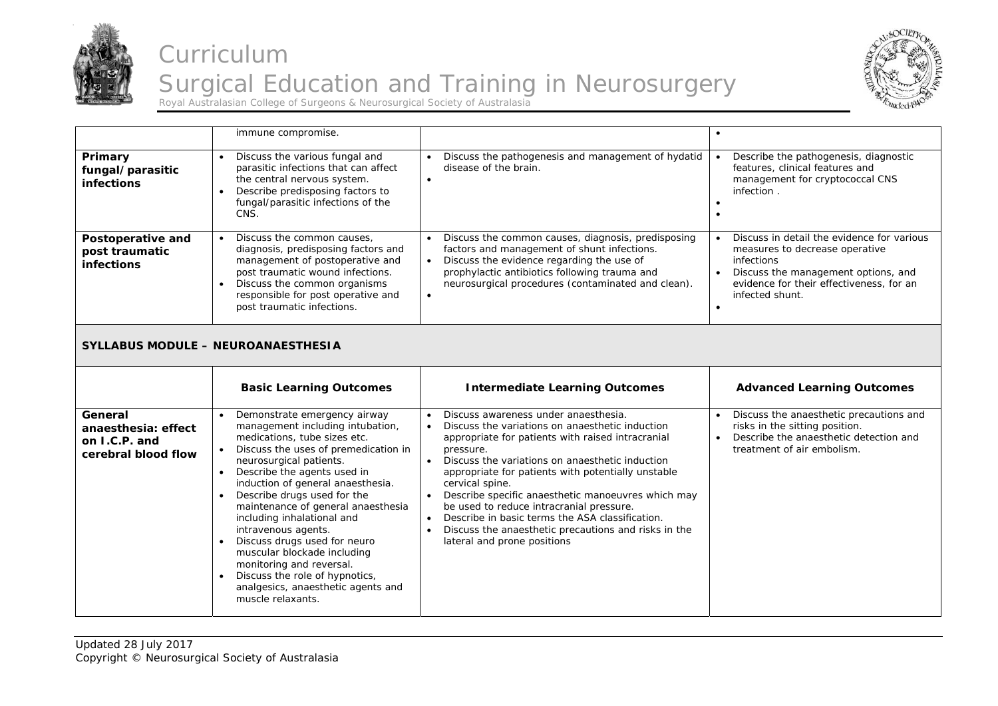



|                                                          | immune compromise.                                                                                                                                                                                                                                                     |                                                                                                                                                                                                                                                                    | $\bullet$                                                                                                                                                                                                     |
|----------------------------------------------------------|------------------------------------------------------------------------------------------------------------------------------------------------------------------------------------------------------------------------------------------------------------------------|--------------------------------------------------------------------------------------------------------------------------------------------------------------------------------------------------------------------------------------------------------------------|---------------------------------------------------------------------------------------------------------------------------------------------------------------------------------------------------------------|
| Primary<br>fungal/parasitic<br>infections                | Discuss the various fungal and<br>parasitic infections that can affect<br>the central nervous system.<br>Describe predisposing factors to<br>$\bullet$<br>fungal/parasitic infections of the<br>CNS.                                                                   | Discuss the pathogenesis and management of hydatid<br>disease of the brain.<br>$\bullet$                                                                                                                                                                           | Describe the pathogenesis, diagnostic<br>features, clinical features and<br>management for cryptococcal CNS<br>infection.<br>$\bullet$                                                                        |
| Postoperative and<br>post traumatic<br><b>infections</b> | Discuss the common causes,<br>$\bullet$<br>diagnosis, predisposing factors and<br>management of postoperative and<br>post traumatic wound infections.<br>Discuss the common organisms<br>$\bullet$<br>responsible for post operative and<br>post traumatic infections. | Discuss the common causes, diagnosis, predisposing<br>factors and management of shunt infections.<br>Discuss the evidence regarding the use of<br>prophylactic antibiotics following trauma and<br>neurosurgical procedures (contaminated and clean).<br>$\bullet$ | Discuss in detail the evidence for various<br>measures to decrease operative<br>infections<br>Discuss the management options, and<br>evidence for their effectiveness, for an<br>infected shunt.<br>$\bullet$ |
|                                                          | SYLLABUS MODULE - NEUROANAESTHESIA                                                                                                                                                                                                                                     |                                                                                                                                                                                                                                                                    |                                                                                                                                                                                                               |
|                                                          |                                                                                                                                                                                                                                                                        |                                                                                                                                                                                                                                                                    |                                                                                                                                                                                                               |
|                                                          | <b>Basic Learning Outcomes</b>                                                                                                                                                                                                                                         | <b>Intermediate Learning Outcomes</b>                                                                                                                                                                                                                              | <b>Advanced Learning Outcomes</b>                                                                                                                                                                             |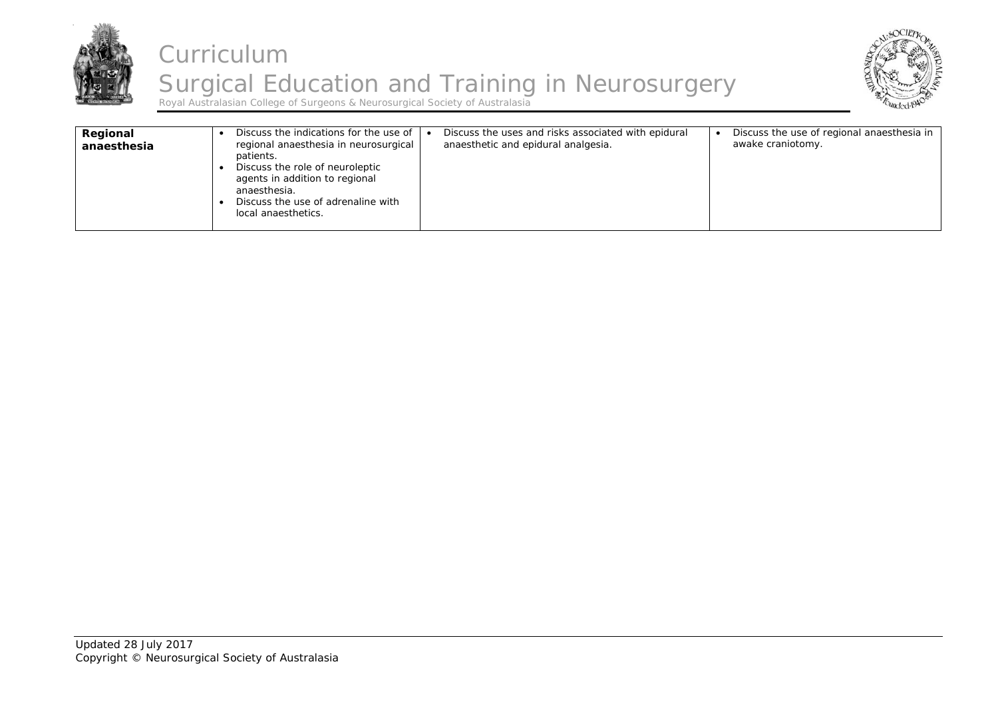



| Regional<br>anaesthesia | Discuss the indications for the use of $\mathsf{I} \bullet$<br>regional anaesthesia in neurosurgical<br>patients.<br>Discuss the role of neuroleptic<br>agents in addition to regional<br>anaesthesia.<br>Discuss the use of adrenaline with<br>local anaesthetics. | Discuss the uses and risks associated with epidural<br>anaesthetic and epidural analgesia. | Discuss the use of regional anaesthesia in<br>awake craniotomy. |
|-------------------------|---------------------------------------------------------------------------------------------------------------------------------------------------------------------------------------------------------------------------------------------------------------------|--------------------------------------------------------------------------------------------|-----------------------------------------------------------------|
|-------------------------|---------------------------------------------------------------------------------------------------------------------------------------------------------------------------------------------------------------------------------------------------------------------|--------------------------------------------------------------------------------------------|-----------------------------------------------------------------|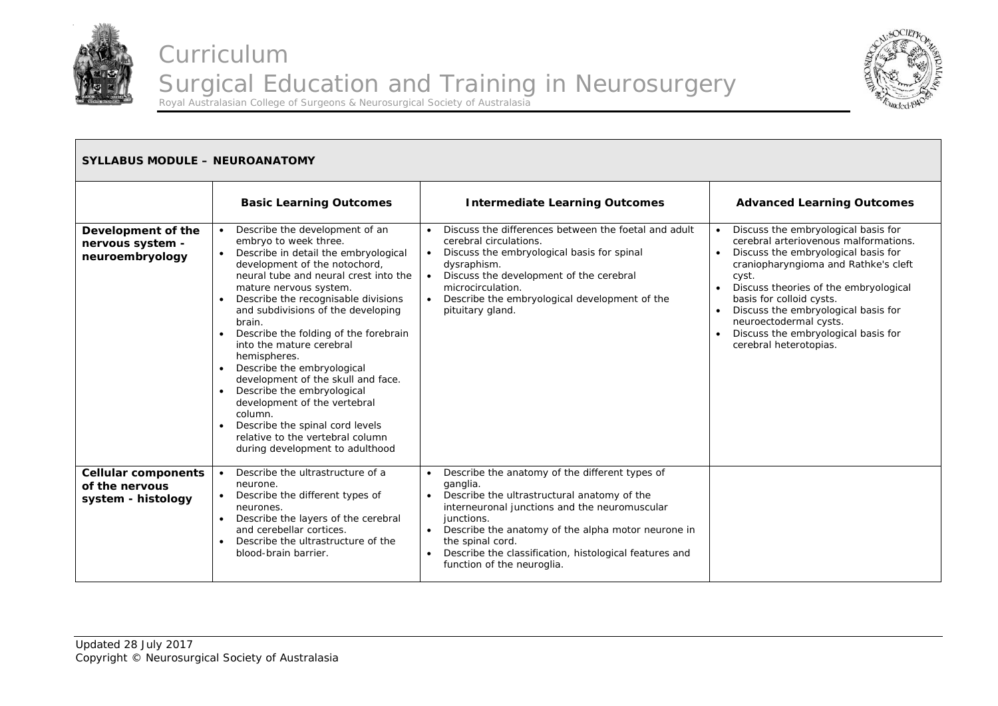



| <b>SYLLABUS MODULE - NEUROANATOMY</b>                              |                                                                                                                                                                                                                                                                                                                                                                                                                                                                                                                                                                                                                                        |                                                                                                                                                                                                                                                                                                                                                                                   |                                                                                                                                                                                                                                                                                                                                                                             |  |
|--------------------------------------------------------------------|----------------------------------------------------------------------------------------------------------------------------------------------------------------------------------------------------------------------------------------------------------------------------------------------------------------------------------------------------------------------------------------------------------------------------------------------------------------------------------------------------------------------------------------------------------------------------------------------------------------------------------------|-----------------------------------------------------------------------------------------------------------------------------------------------------------------------------------------------------------------------------------------------------------------------------------------------------------------------------------------------------------------------------------|-----------------------------------------------------------------------------------------------------------------------------------------------------------------------------------------------------------------------------------------------------------------------------------------------------------------------------------------------------------------------------|--|
|                                                                    | <b>Basic Learning Outcomes</b>                                                                                                                                                                                                                                                                                                                                                                                                                                                                                                                                                                                                         | <b>Intermediate Learning Outcomes</b>                                                                                                                                                                                                                                                                                                                                             | <b>Advanced Learning Outcomes</b>                                                                                                                                                                                                                                                                                                                                           |  |
| Development of the<br>nervous system -<br>neuroembryology          | Describe the development of an<br>embryo to week three.<br>Describe in detail the embryological<br>development of the notochord,<br>neural tube and neural crest into the<br>mature nervous system.<br>Describe the recognisable divisions<br>and subdivisions of the developing<br>brain.<br>Describe the folding of the forebrain<br>into the mature cerebral<br>hemispheres.<br>Describe the embryological<br>development of the skull and face.<br>Describe the embryological<br>development of the vertebral<br>column.<br>Describe the spinal cord levels<br>relative to the vertebral column<br>during development to adulthood | Discuss the differences between the foetal and adult<br>cerebral circulations.<br>Discuss the embryological basis for spinal<br>$\bullet$<br>dysraphism.<br>Discuss the development of the cerebral<br>$\bullet$<br>microcirculation.<br>Describe the embryological development of the<br>$\bullet$<br>pituitary gland.                                                           | Discuss the embryological basis for<br>cerebral arteriovenous malformations.<br>Discuss the embryological basis for<br>craniopharyngioma and Rathke's cleft<br>cyst.<br>Discuss theories of the embryological<br>basis for colloid cysts.<br>Discuss the embryological basis for<br>neuroectodermal cysts.<br>Discuss the embryological basis for<br>cerebral heterotopias. |  |
| <b>Cellular components</b><br>of the nervous<br>system - histology | Describe the ultrastructure of a<br>neurone.<br>Describe the different types of<br>neurones.<br>Describe the layers of the cerebral<br>$\bullet$<br>and cerebellar cortices.<br>Describe the ultrastructure of the<br>blood-brain barrier.                                                                                                                                                                                                                                                                                                                                                                                             | Describe the anatomy of the different types of<br>$\bullet$<br>ganglia.<br>Describe the ultrastructural anatomy of the<br>$\bullet$<br>interneuronal junctions and the neuromuscular<br>junctions.<br>Describe the anatomy of the alpha motor neurone in<br>the spinal cord.<br>Describe the classification, histological features and<br>$\bullet$<br>function of the neuroglia. |                                                                                                                                                                                                                                                                                                                                                                             |  |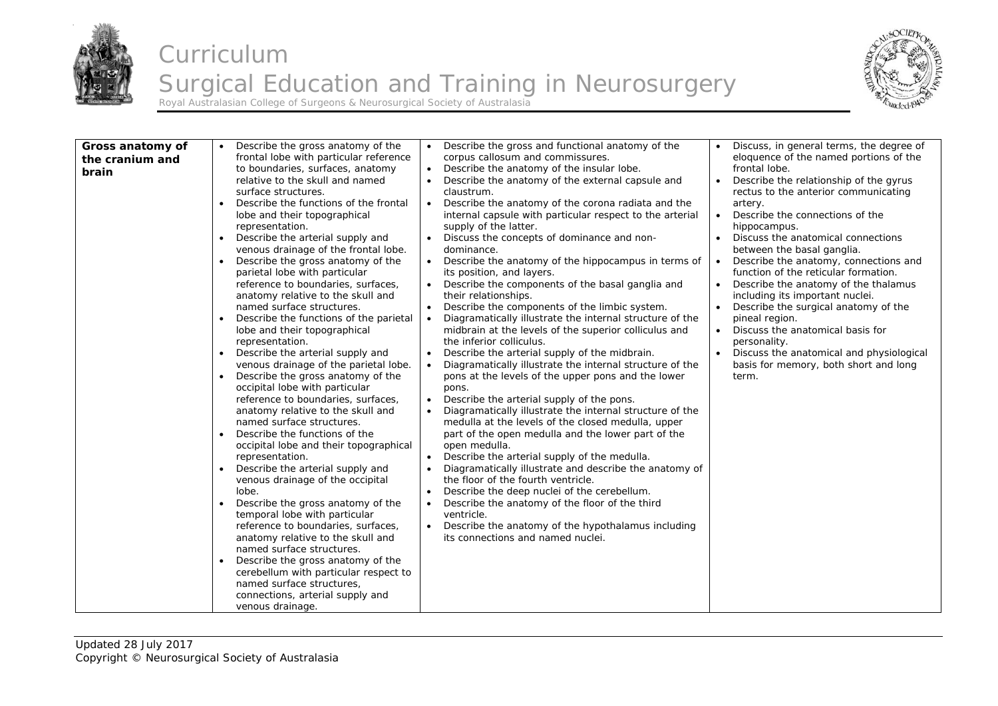



| Gross anatomy of<br>the cranium and<br>brain | Describe the gross anatomy of the<br>frontal lobe with particular reference<br>to boundaries, surfaces, anatomy<br>relative to the skull and named<br>surface structures.<br>Describe the functions of the frontal<br>$\bullet$<br>lobe and their topographical<br>representation.<br>Describe the arterial supply and<br>$\bullet$<br>venous drainage of the frontal lobe.<br>Describe the gross anatomy of the<br>$\bullet$<br>parietal lobe with particular<br>reference to boundaries, surfaces,<br>anatomy relative to the skull and<br>named surface structures.<br>Describe the functions of the parietal<br>lobe and their topographical<br>representation.<br>Describe the arterial supply and<br>venous drainage of the parietal lobe.<br>Describe the gross anatomy of the<br>$\bullet$<br>occipital lobe with particular<br>reference to boundaries, surfaces,<br>anatomy relative to the skull and<br>named surface structures.<br>Describe the functions of the<br>$\bullet$<br>occipital lobe and their topographical<br>representation.<br>Describe the arterial supply and<br>venous drainage of the occipital<br>lobe.<br>Describe the gross anatomy of the<br>$\bullet$<br>temporal lobe with particular<br>reference to boundaries, surfaces,<br>anatomy relative to the skull and<br>named surface structures.<br>Describe the gross anatomy of the<br>$\bullet$<br>cerebellum with particular respect to<br>named surface structures,<br>connections, arterial supply and | Describe the gross and functional anatomy of the<br>$\bullet$<br>corpus callosum and commissures.<br>Describe the anatomy of the insular lobe.<br>$\bullet$<br>Describe the anatomy of the external capsule and<br>$\bullet$<br>claustrum.<br>Describe the anatomy of the corona radiata and the<br>$\bullet$<br>internal capsule with particular respect to the arterial<br>supply of the latter.<br>Discuss the concepts of dominance and non-<br>$\bullet$<br>dominance.<br>$\bullet$<br>Describe the anatomy of the hippocampus in terms of<br>its position, and layers.<br>Describe the components of the basal ganglia and<br>$\bullet$<br>their relationships.<br>Describe the components of the limbic system.<br>$\bullet$<br>Diagramatically illustrate the internal structure of the<br>$\bullet$<br>midbrain at the levels of the superior colliculus and<br>the inferior colliculus.<br>Describe the arterial supply of the midbrain.<br>$\bullet$<br>Diagramatically illustrate the internal structure of the<br>$\bullet$<br>pons at the levels of the upper pons and the lower<br>pons.<br>Describe the arterial supply of the pons.<br>$\bullet$<br>Diagramatically illustrate the internal structure of the<br>$\bullet$<br>medulla at the levels of the closed medulla, upper<br>part of the open medulla and the lower part of the<br>open medulla.<br>Describe the arterial supply of the medulla.<br>$\bullet$<br>Diagramatically illustrate and describe the anatomy of<br>$\bullet$<br>the floor of the fourth ventricle.<br>Describe the deep nuclei of the cerebellum.<br>$\bullet$<br>Describe the anatomy of the floor of the third<br>$\bullet$<br>ventricle.<br>Describe the anatomy of the hypothalamus including<br>$\bullet$<br>its connections and named nuclei. | Discuss, in general terms, the degree of<br>eloquence of the named portions of the<br>frontal lobe.<br>Describe the relationship of the gyrus<br>rectus to the anterior communicating<br>artery.<br>Describe the connections of the<br>$\bullet$<br>hippocampus.<br>Discuss the anatomical connections<br>between the basal ganglia.<br>Describe the anatomy, connections and<br>function of the reticular formation.<br>Describe the anatomy of the thalamus<br>including its important nuclei.<br>Describe the surgical anatomy of the<br>$\bullet$<br>pineal region.<br>Discuss the anatomical basis for<br>personality.<br>Discuss the anatomical and physiological<br>basis for memory, both short and long<br>term. |
|----------------------------------------------|-------------------------------------------------------------------------------------------------------------------------------------------------------------------------------------------------------------------------------------------------------------------------------------------------------------------------------------------------------------------------------------------------------------------------------------------------------------------------------------------------------------------------------------------------------------------------------------------------------------------------------------------------------------------------------------------------------------------------------------------------------------------------------------------------------------------------------------------------------------------------------------------------------------------------------------------------------------------------------------------------------------------------------------------------------------------------------------------------------------------------------------------------------------------------------------------------------------------------------------------------------------------------------------------------------------------------------------------------------------------------------------------------------------------------------------------------------------------------------------------------|----------------------------------------------------------------------------------------------------------------------------------------------------------------------------------------------------------------------------------------------------------------------------------------------------------------------------------------------------------------------------------------------------------------------------------------------------------------------------------------------------------------------------------------------------------------------------------------------------------------------------------------------------------------------------------------------------------------------------------------------------------------------------------------------------------------------------------------------------------------------------------------------------------------------------------------------------------------------------------------------------------------------------------------------------------------------------------------------------------------------------------------------------------------------------------------------------------------------------------------------------------------------------------------------------------------------------------------------------------------------------------------------------------------------------------------------------------------------------------------------------------------------------------------------------------------------------------------------------------------------------------------------------------------------------------------------------------------------------------------------------------------------------------------------------|---------------------------------------------------------------------------------------------------------------------------------------------------------------------------------------------------------------------------------------------------------------------------------------------------------------------------------------------------------------------------------------------------------------------------------------------------------------------------------------------------------------------------------------------------------------------------------------------------------------------------------------------------------------------------------------------------------------------------|
|                                              |                                                                                                                                                                                                                                                                                                                                                                                                                                                                                                                                                                                                                                                                                                                                                                                                                                                                                                                                                                                                                                                                                                                                                                                                                                                                                                                                                                                                                                                                                                 |                                                                                                                                                                                                                                                                                                                                                                                                                                                                                                                                                                                                                                                                                                                                                                                                                                                                                                                                                                                                                                                                                                                                                                                                                                                                                                                                                                                                                                                                                                                                                                                                                                                                                                                                                                                                    |                                                                                                                                                                                                                                                                                                                                                                                                                                                                                                                                                                                                                                                                                                                           |
|                                              | venous drainage.                                                                                                                                                                                                                                                                                                                                                                                                                                                                                                                                                                                                                                                                                                                                                                                                                                                                                                                                                                                                                                                                                                                                                                                                                                                                                                                                                                                                                                                                                |                                                                                                                                                                                                                                                                                                                                                                                                                                                                                                                                                                                                                                                                                                                                                                                                                                                                                                                                                                                                                                                                                                                                                                                                                                                                                                                                                                                                                                                                                                                                                                                                                                                                                                                                                                                                    |                                                                                                                                                                                                                                                                                                                                                                                                                                                                                                                                                                                                                                                                                                                           |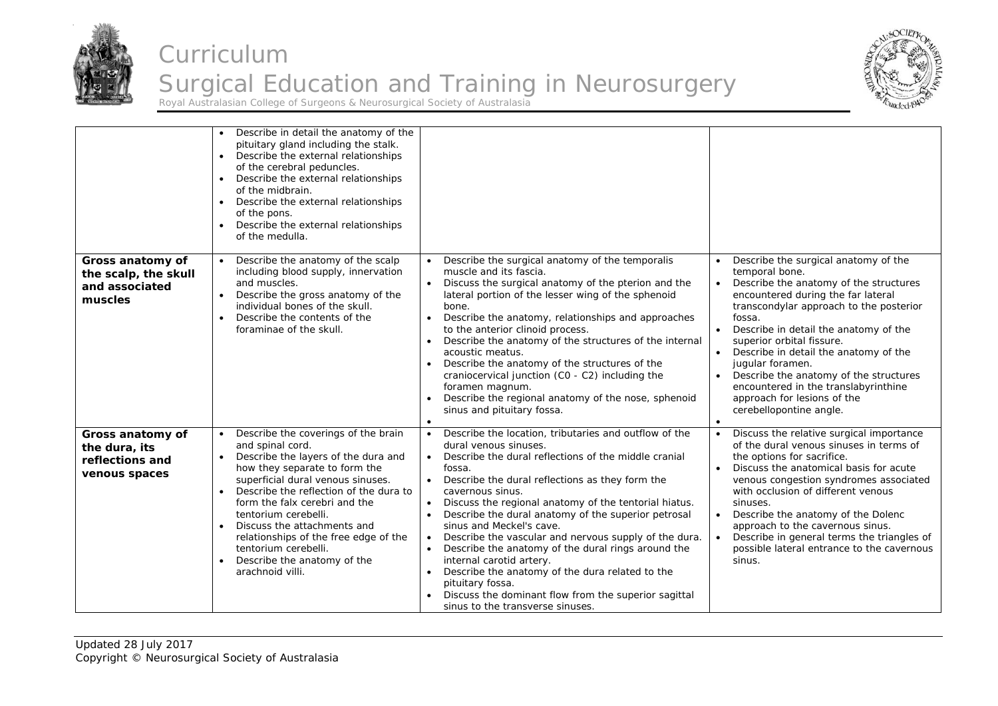



|                                                                       | Describe in detail the anatomy of the<br>pituitary gland including the stalk.<br>Describe the external relationships<br>of the cerebral peduncles.<br>Describe the external relationships<br>of the midbrain.<br>Describe the external relationships<br>of the pons.<br>Describe the external relationships<br>of the medulla.                                                                                                                           |                                                                                                                                                                                                                                                                                                                                                                                                                                                                                                                                                                                                                                                                                                                                                    |                                                                                                                                                                                                                                                                                                                                                                                                                                                                                                                   |
|-----------------------------------------------------------------------|----------------------------------------------------------------------------------------------------------------------------------------------------------------------------------------------------------------------------------------------------------------------------------------------------------------------------------------------------------------------------------------------------------------------------------------------------------|----------------------------------------------------------------------------------------------------------------------------------------------------------------------------------------------------------------------------------------------------------------------------------------------------------------------------------------------------------------------------------------------------------------------------------------------------------------------------------------------------------------------------------------------------------------------------------------------------------------------------------------------------------------------------------------------------------------------------------------------------|-------------------------------------------------------------------------------------------------------------------------------------------------------------------------------------------------------------------------------------------------------------------------------------------------------------------------------------------------------------------------------------------------------------------------------------------------------------------------------------------------------------------|
| Gross anatomy of<br>the scalp, the skull<br>and associated<br>muscles | Describe the anatomy of the scalp<br>including blood supply, innervation<br>and muscles.<br>Describe the gross anatomy of the<br>individual bones of the skull.<br>Describe the contents of the<br>$\bullet$<br>foraminae of the skull.                                                                                                                                                                                                                  | Describe the surgical anatomy of the temporalis<br>muscle and its fascia.<br>Discuss the surgical anatomy of the pterion and the<br>lateral portion of the lesser wing of the sphenoid<br>bone.<br>Describe the anatomy, relationships and approaches<br>$\bullet$<br>to the anterior clinoid process.<br>Describe the anatomy of the structures of the internal<br>acoustic meatus.<br>Describe the anatomy of the structures of the<br>craniocervical junction (CO - C2) including the<br>foramen magnum.<br>Describe the regional anatomy of the nose, sphenoid<br>$\bullet$<br>sinus and pituitary fossa.<br>$\bullet$                                                                                                                         | Describe the surgical anatomy of the<br>temporal bone.<br>Describe the anatomy of the structures<br>encountered during the far lateral<br>transcondylar approach to the posterior<br>fossa.<br>$\bullet$<br>Describe in detail the anatomy of the<br>superior orbital fissure.<br>Describe in detail the anatomy of the<br>$\bullet$<br>jugular foramen.<br>Describe the anatomy of the structures<br>encountered in the translabyrinthine<br>approach for lesions of the<br>cerebellopontine angle.<br>$\bullet$ |
| Gross anatomy of<br>the dura, its<br>reflections and<br>venous spaces | • Describe the coverings of the brain<br>and spinal cord.<br>• Describe the layers of the dura and<br>how they separate to form the<br>superficial dural venous sinuses.<br>Describe the reflection of the dura to<br>$\bullet$<br>form the falx cerebri and the<br>tentorium cerebelli.<br>Discuss the attachments and<br>relationships of the free edge of the<br>tentorium cerebelli.<br>Describe the anatomy of the<br>$\bullet$<br>arachnoid villi. | Describe the location, tributaries and outflow of the<br>$\bullet$<br>dural venous sinuses.<br>Describe the dural reflections of the middle cranial<br>$\bullet$<br>fossa.<br>Describe the dural reflections as they form the<br>cavernous sinus.<br>Discuss the regional anatomy of the tentorial hiatus.<br>$\bullet$<br>Describe the dural anatomy of the superior petrosal<br>sinus and Meckel's cave.<br>Describe the vascular and nervous supply of the dura.<br>$\bullet$<br>Describe the anatomy of the dural rings around the<br>internal carotid artery.<br>Describe the anatomy of the dura related to the<br>$\bullet$<br>pituitary fossa.<br>Discuss the dominant flow from the superior sagittal<br>sinus to the transverse sinuses. | Discuss the relative surgical importance<br>of the dural venous sinuses in terms of<br>the options for sacrifice.<br>Discuss the anatomical basis for acute<br>venous congestion syndromes associated<br>with occlusion of different venous<br>sinuses.<br>Describe the anatomy of the Dolenc<br>$\bullet$<br>approach to the cavernous sinus.<br>Describe in general terms the triangles of<br>$\bullet$<br>possible lateral entrance to the cavernous<br>sinus.                                                 |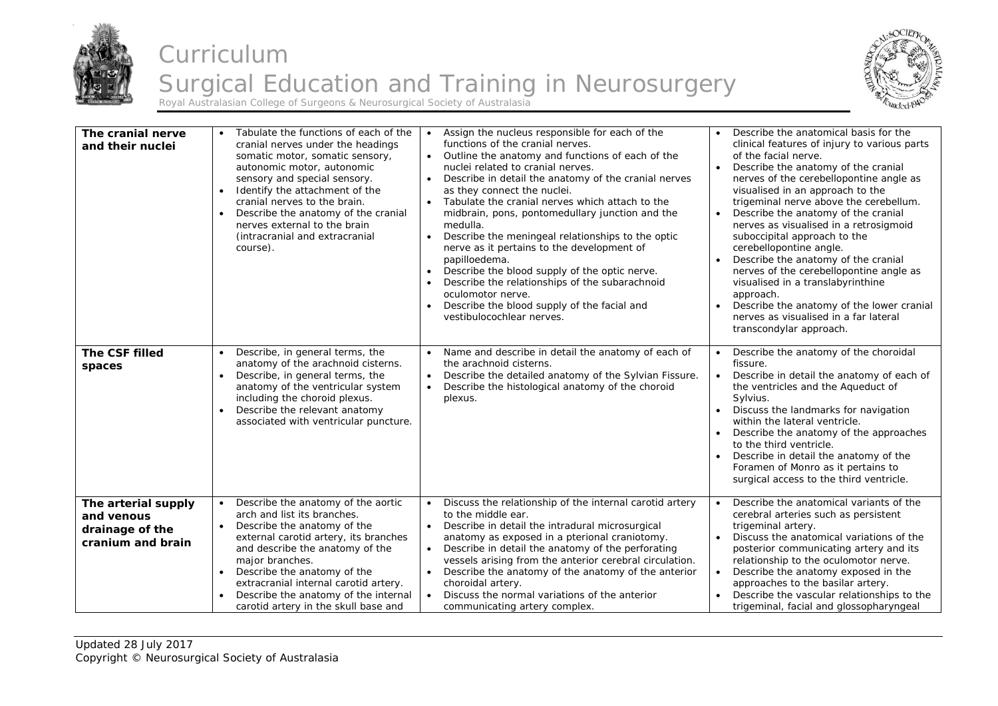



| The cranial nerve<br>and their nuclei                                     | Tabulate the functions of each of the<br>cranial nerves under the headings<br>somatic motor, somatic sensory,<br>autonomic motor, autonomic<br>sensory and special sensory.<br>Identify the attachment of the<br>$\bullet$<br>cranial nerves to the brain.<br>Describe the anatomy of the cranial<br>nerves external to the brain<br>(intracranial and extracranial<br>course). | Assign the nucleus responsible for each of the<br>$\bullet$<br>functions of the cranial nerves.<br>• Outline the anatomy and functions of each of the<br>nuclei related to cranial nerves.<br>Describe in detail the anatomy of the cranial nerves<br>$\bullet$<br>as they connect the nuclei.<br>Tabulate the cranial nerves which attach to the<br>$\bullet$<br>midbrain, pons, pontomedullary junction and the<br>medulla.<br>Describe the meningeal relationships to the optic<br>$\bullet$<br>nerve as it pertains to the development of<br>papilloedema.<br>Describe the blood supply of the optic nerve.<br>$\bullet$<br>Describe the relationships of the subarachnoid<br>$\bullet$<br>oculomotor nerve.<br>Describe the blood supply of the facial and<br>vestibulocochlear nerves. | Describe the anatomical basis for the<br>$\bullet$<br>clinical features of injury to various parts<br>of the facial nerve.<br>Describe the anatomy of the cranial<br>nerves of the cerebellopontine angle as<br>visualised in an approach to the<br>trigeminal nerve above the cerebellum.<br>Describe the anatomy of the cranial<br>nerves as visualised in a retrosigmoid<br>suboccipital approach to the<br>cerebellopontine angle.<br>Describe the anatomy of the cranial<br>nerves of the cerebellopontine angle as<br>visualised in a translabyrinthine<br>approach.<br>Describe the anatomy of the lower cranial<br>nerves as visualised in a far lateral<br>transcondylar approach. |
|---------------------------------------------------------------------------|---------------------------------------------------------------------------------------------------------------------------------------------------------------------------------------------------------------------------------------------------------------------------------------------------------------------------------------------------------------------------------|----------------------------------------------------------------------------------------------------------------------------------------------------------------------------------------------------------------------------------------------------------------------------------------------------------------------------------------------------------------------------------------------------------------------------------------------------------------------------------------------------------------------------------------------------------------------------------------------------------------------------------------------------------------------------------------------------------------------------------------------------------------------------------------------|---------------------------------------------------------------------------------------------------------------------------------------------------------------------------------------------------------------------------------------------------------------------------------------------------------------------------------------------------------------------------------------------------------------------------------------------------------------------------------------------------------------------------------------------------------------------------------------------------------------------------------------------------------------------------------------------|
| The CSF filled<br>spaces                                                  | Describe, in general terms, the<br>anatomy of the arachnoid cisterns.<br>Describe, in general terms, the<br>$\bullet$<br>anatomy of the ventricular system<br>including the choroid plexus.<br>Describe the relevant anatomy<br>$\bullet$<br>associated with ventricular puncture.                                                                                              | Name and describe in detail the anatomy of each of<br>the arachnoid cisterns.<br>Describe the detailed anatomy of the Sylvian Fissure.<br>$\bullet$<br>Describe the histological anatomy of the choroid<br>$\bullet$<br>plexus.                                                                                                                                                                                                                                                                                                                                                                                                                                                                                                                                                              | Describe the anatomy of the choroidal<br>fissure.<br>Describe in detail the anatomy of each of<br>$\bullet$<br>the ventricles and the Aqueduct of<br>Sylvius.<br>Discuss the landmarks for navigation<br>$\bullet$<br>within the lateral ventricle.<br>Describe the anatomy of the approaches<br>to the third ventricle.<br>Describe in detail the anatomy of the<br>Foramen of Monro as it pertains to<br>surgical access to the third ventricle.                                                                                                                                                                                                                                          |
| The arterial supply<br>and venous<br>drainage of the<br>cranium and brain | Describe the anatomy of the aortic<br>arch and list its branches.<br>Describe the anatomy of the<br>$\bullet$<br>external carotid artery, its branches<br>and describe the anatomy of the<br>major branches.<br>Describe the anatomy of the<br>extracranial internal carotid artery.<br>Describe the anatomy of the internal<br>carotid artery in the skull base and            | Discuss the relationship of the internal carotid artery<br>$\bullet$<br>to the middle ear.<br>Describe in detail the intradural microsurgical<br>$\bullet$<br>anatomy as exposed in a pterional craniotomy.<br>Describe in detail the anatomy of the perforating<br>$\bullet$<br>vessels arising from the anterior cerebral circulation.<br>Describe the anatomy of the anatomy of the anterior<br>$\bullet$<br>choroidal artery.<br>Discuss the normal variations of the anterior<br>$\bullet$<br>communicating artery complex.                                                                                                                                                                                                                                                             | Describe the anatomical variants of the<br>$\bullet$<br>cerebral arteries such as persistent<br>trigeminal artery.<br>Discuss the anatomical variations of the<br>posterior communicating artery and its<br>relationship to the oculomotor nerve.<br>Describe the anatomy exposed in the<br>approaches to the basilar artery.<br>Describe the vascular relationships to the<br>trigeminal, facial and glossopharyngeal                                                                                                                                                                                                                                                                      |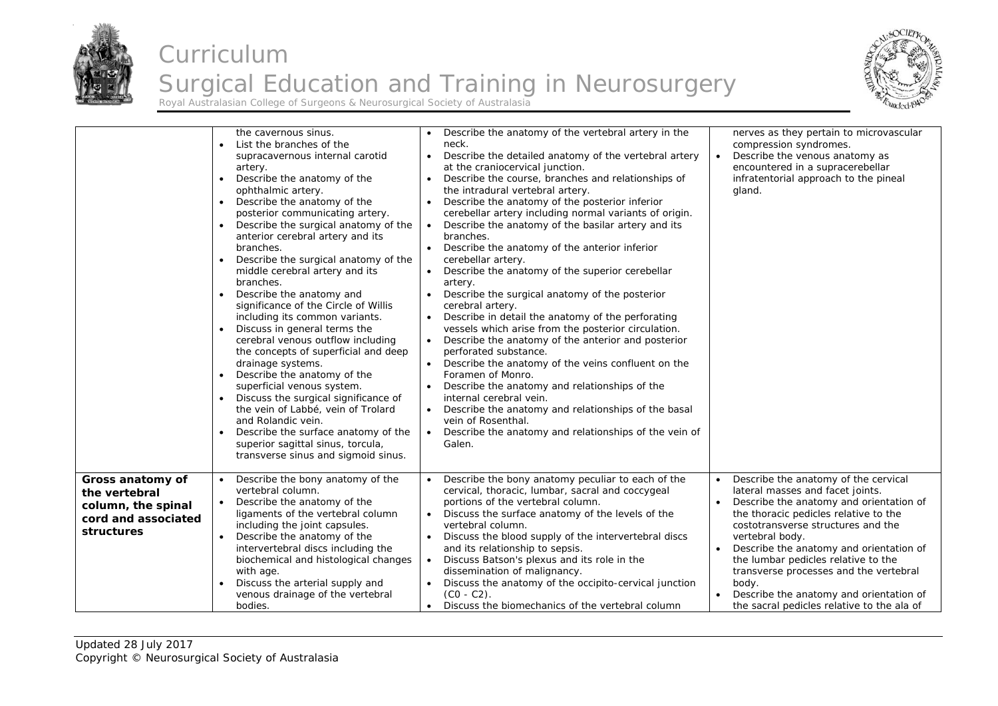



|                                                                                              | the cavernous sinus.<br>List the branches of the<br>$\bullet$<br>supracavernous internal carotid<br>artery.<br>Describe the anatomy of the<br>$\bullet$<br>ophthalmic artery.<br>Describe the anatomy of the<br>$\bullet$<br>posterior communicating artery.<br>Describe the surgical anatomy of the<br>anterior cerebral artery and its<br>branches.<br>Describe the surgical anatomy of the<br>middle cerebral artery and its<br>branches.<br>Describe the anatomy and<br>significance of the Circle of Willis<br>including its common variants.<br>Discuss in general terms the<br>cerebral venous outflow including<br>the concepts of superficial and deep<br>drainage systems.<br>Describe the anatomy of the<br>$\bullet$<br>superficial venous system.<br>• Discuss the surgical significance of<br>the vein of Labbé, vein of Trolard<br>and Rolandic vein.<br>Describe the surface anatomy of the<br>superior sagittal sinus, torcula,<br>transverse sinus and sigmoid sinus. | Describe the anatomy of the vertebral artery in the<br>neck.<br>Describe the detailed anatomy of the vertebral artery<br>$\bullet$<br>at the craniocervical junction.<br>Describe the course, branches and relationships of<br>$\bullet$<br>the intradural vertebral artery.<br>Describe the anatomy of the posterior inferior<br>$\bullet$<br>cerebellar artery including normal variants of origin.<br>Describe the anatomy of the basilar artery and its<br>$\bullet$<br>branches.<br>Describe the anatomy of the anterior inferior<br>cerebellar artery.<br>Describe the anatomy of the superior cerebellar<br>$\bullet$<br>artery.<br>Describe the surgical anatomy of the posterior<br>cerebral artery.<br>Describe in detail the anatomy of the perforating<br>vessels which arise from the posterior circulation.<br>Describe the anatomy of the anterior and posterior<br>$\bullet$<br>perforated substance.<br>Describe the anatomy of the veins confluent on the<br>Foramen of Monro.<br>Describe the anatomy and relationships of the<br>internal cerebral vein.<br>Describe the anatomy and relationships of the basal<br>$\bullet$<br>vein of Rosenthal.<br>Describe the anatomy and relationships of the vein of<br>$\bullet$<br>Galen. | nerves as they pertain to microvascular<br>compression syndromes.<br>Describe the venous anatomy as<br>$\bullet$<br>encountered in a supracerebellar<br>infratentorial approach to the pineal<br>gland.                                                                                                                                                                                                                                             |
|----------------------------------------------------------------------------------------------|-----------------------------------------------------------------------------------------------------------------------------------------------------------------------------------------------------------------------------------------------------------------------------------------------------------------------------------------------------------------------------------------------------------------------------------------------------------------------------------------------------------------------------------------------------------------------------------------------------------------------------------------------------------------------------------------------------------------------------------------------------------------------------------------------------------------------------------------------------------------------------------------------------------------------------------------------------------------------------------------|--------------------------------------------------------------------------------------------------------------------------------------------------------------------------------------------------------------------------------------------------------------------------------------------------------------------------------------------------------------------------------------------------------------------------------------------------------------------------------------------------------------------------------------------------------------------------------------------------------------------------------------------------------------------------------------------------------------------------------------------------------------------------------------------------------------------------------------------------------------------------------------------------------------------------------------------------------------------------------------------------------------------------------------------------------------------------------------------------------------------------------------------------------------------------------------------------------------------------------------------------------|-----------------------------------------------------------------------------------------------------------------------------------------------------------------------------------------------------------------------------------------------------------------------------------------------------------------------------------------------------------------------------------------------------------------------------------------------------|
| Gross anatomy of<br>the vertebral<br>column, the spinal<br>cord and associated<br>structures | Describe the bony anatomy of the<br>vertebral column.<br>• Describe the anatomy of the<br>ligaments of the vertebral column<br>including the joint capsules.<br>Describe the anatomy of the<br>$\bullet$<br>intervertebral discs including the<br>biochemical and histological changes<br>with age.<br>Discuss the arterial supply and<br>venous drainage of the vertebral<br>bodies.                                                                                                                                                                                                                                                                                                                                                                                                                                                                                                                                                                                                   | Describe the bony anatomy peculiar to each of the<br>cervical, thoracic, lumbar, sacral and coccygeal<br>portions of the vertebral column.<br>Discuss the surface anatomy of the levels of the<br>$\bullet$<br>vertebral column.<br>Discuss the blood supply of the intervertebral discs<br>$\bullet$<br>and its relationship to sepsis.<br>Discuss Batson's plexus and its role in the<br>$\bullet$<br>dissemination of malignancy.<br>Discuss the anatomy of the occipito-cervical junction<br>$\bullet$<br>$(C0 - C2)$ .<br>Discuss the biomechanics of the vertebral column<br>$\bullet$                                                                                                                                                                                                                                                                                                                                                                                                                                                                                                                                                                                                                                                           | Describe the anatomy of the cervical<br>lateral masses and facet joints.<br>Describe the anatomy and orientation of<br>the thoracic pedicles relative to the<br>costotransverse structures and the<br>vertebral body.<br>Describe the anatomy and orientation of<br>the lumbar pedicles relative to the<br>transverse processes and the vertebral<br>body.<br>Describe the anatomy and orientation of<br>the sacral pedicles relative to the ala of |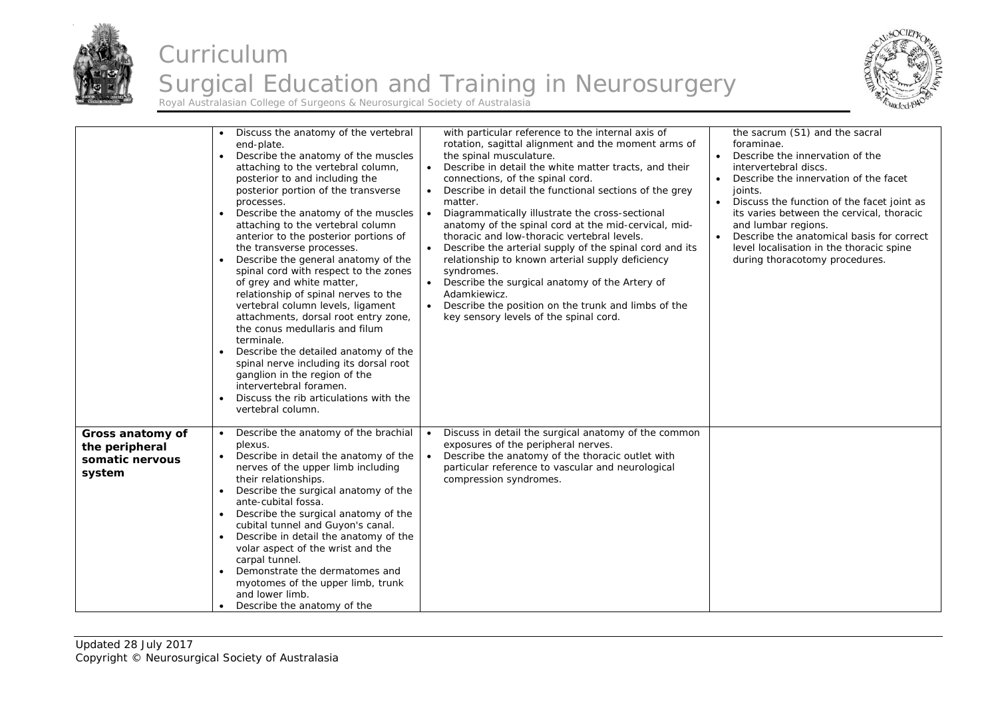



|                                                                 | Discuss the anatomy of the vertebral<br>end-plate.<br>Describe the anatomy of the muscles<br>attaching to the vertebral column,<br>posterior to and including the<br>posterior portion of the transverse<br>processes.<br>Describe the anatomy of the muscles<br>attaching to the vertebral column<br>anterior to the posterior portions of<br>the transverse processes.<br>Describe the general anatomy of the<br>spinal cord with respect to the zones<br>of grey and white matter,<br>relationship of spinal nerves to the<br>vertebral column levels, ligament<br>attachments, dorsal root entry zone,<br>the conus medullaris and filum<br>terminale.<br>Describe the detailed anatomy of the<br>spinal nerve including its dorsal root<br>ganglion in the region of the<br>intervertebral foramen.<br>Discuss the rib articulations with the<br>vertebral column. | with particular reference to the internal axis of<br>rotation, sagittal alignment and the moment arms of<br>the spinal musculature.<br>Describe in detail the white matter tracts, and their<br>connections, of the spinal cord.<br>Describe in detail the functional sections of the grey<br>matter.<br>Diagrammatically illustrate the cross-sectional<br>$\bullet$<br>anatomy of the spinal cord at the mid-cervical, mid-<br>thoracic and low-thoracic vertebral levels.<br>Describe the arterial supply of the spinal cord and its<br>$\bullet$<br>relationship to known arterial supply deficiency<br>syndromes.<br>Describe the surgical anatomy of the Artery of<br>$\bullet$<br>Adamkiewicz.<br>Describe the position on the trunk and limbs of the<br>$\bullet$<br>key sensory levels of the spinal cord. | the sacrum (S1) and the sacral<br>foraminae.<br>Describe the innervation of the<br>intervertebral discs.<br>Describe the innervation of the facet<br>joints.<br>Discuss the function of the facet joint as<br>its varies between the cervical, thoracic<br>and lumbar regions.<br>Describe the anatomical basis for correct<br>level localisation in the thoracic spine<br>during thoracotomy procedures. |
|-----------------------------------------------------------------|-------------------------------------------------------------------------------------------------------------------------------------------------------------------------------------------------------------------------------------------------------------------------------------------------------------------------------------------------------------------------------------------------------------------------------------------------------------------------------------------------------------------------------------------------------------------------------------------------------------------------------------------------------------------------------------------------------------------------------------------------------------------------------------------------------------------------------------------------------------------------|---------------------------------------------------------------------------------------------------------------------------------------------------------------------------------------------------------------------------------------------------------------------------------------------------------------------------------------------------------------------------------------------------------------------------------------------------------------------------------------------------------------------------------------------------------------------------------------------------------------------------------------------------------------------------------------------------------------------------------------------------------------------------------------------------------------------|-----------------------------------------------------------------------------------------------------------------------------------------------------------------------------------------------------------------------------------------------------------------------------------------------------------------------------------------------------------------------------------------------------------|
| Gross anatomy of<br>the peripheral<br>somatic nervous<br>system | Describe the anatomy of the brachial<br>$\bullet$<br>plexus.<br>Describe in detail the anatomy of the<br>nerves of the upper limb including<br>their relationships.<br>Describe the surgical anatomy of the<br>ante-cubital fossa.<br>Describe the surgical anatomy of the<br>cubital tunnel and Guyon's canal.<br>Describe in detail the anatomy of the<br>volar aspect of the wrist and the<br>carpal tunnel.<br>Demonstrate the dermatomes and<br>myotomes of the upper limb, trunk<br>and lower limb.<br>Describe the anatomy of the                                                                                                                                                                                                                                                                                                                                | Discuss in detail the surgical anatomy of the common<br>$\bullet$<br>exposures of the peripheral nerves.<br>Describe the anatomy of the thoracic outlet with<br>$\bullet$<br>particular reference to vascular and neurological<br>compression syndromes.                                                                                                                                                                                                                                                                                                                                                                                                                                                                                                                                                            |                                                                                                                                                                                                                                                                                                                                                                                                           |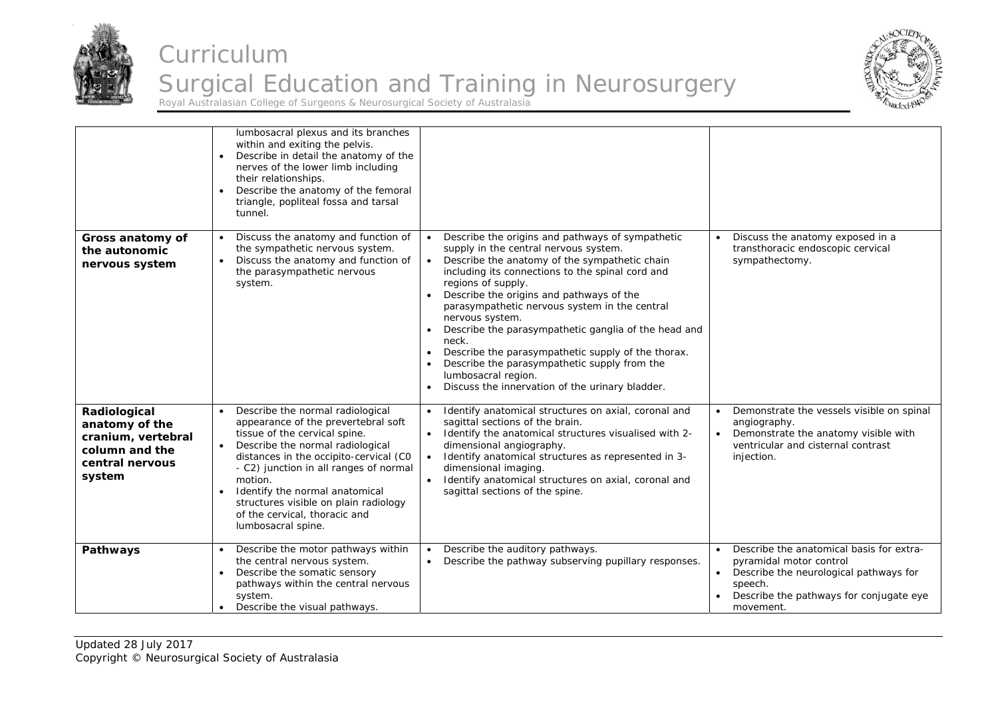



|                                                                                                     | lumbosacral plexus and its branches<br>within and exiting the pelvis.<br>Describe in detail the anatomy of the<br>nerves of the lower limb including<br>their relationships.<br>Describe the anatomy of the femoral<br>$\bullet$<br>triangle, popliteal fossa and tarsal<br>tunnel.                                                                                           |                                                                                                                                                                                                                                                                                                                                                                                                                                                                                                                                                                                                                                           |                                                                                                                                                                                  |
|-----------------------------------------------------------------------------------------------------|-------------------------------------------------------------------------------------------------------------------------------------------------------------------------------------------------------------------------------------------------------------------------------------------------------------------------------------------------------------------------------|-------------------------------------------------------------------------------------------------------------------------------------------------------------------------------------------------------------------------------------------------------------------------------------------------------------------------------------------------------------------------------------------------------------------------------------------------------------------------------------------------------------------------------------------------------------------------------------------------------------------------------------------|----------------------------------------------------------------------------------------------------------------------------------------------------------------------------------|
| Gross anatomy of<br>the autonomic<br>nervous system                                                 | Discuss the anatomy and function of<br>$\bullet$<br>the sympathetic nervous system.<br>Discuss the anatomy and function of<br>$\bullet$<br>the parasympathetic nervous<br>system.                                                                                                                                                                                             | Describe the origins and pathways of sympathetic<br>$\bullet$<br>supply in the central nervous system.<br>Describe the anatomy of the sympathetic chain<br>$\bullet$<br>including its connections to the spinal cord and<br>regions of supply.<br>Describe the origins and pathways of the<br>parasympathetic nervous system in the central<br>nervous system.<br>Describe the parasympathetic ganglia of the head and<br>$\bullet$<br>neck.<br>Describe the parasympathetic supply of the thorax.<br>$\bullet$<br>Describe the parasympathetic supply from the<br>lumbosacral region.<br>Discuss the innervation of the urinary bladder. | Discuss the anatomy exposed in a<br>transthoracic endoscopic cervical<br>sympathectomy.                                                                                          |
| Radiological<br>anatomy of the<br>cranium, vertebral<br>column and the<br>central nervous<br>system | Describe the normal radiological<br>appearance of the prevertebral soft<br>tissue of the cervical spine.<br>Describe the normal radiological<br>distances in the occipito-cervical (CO<br>- C2) junction in all ranges of normal<br>motion.<br>Identify the normal anatomical<br>structures visible on plain radiology<br>of the cervical, thoracic and<br>lumbosacral spine. | Identify anatomical structures on axial, coronal and<br>$\bullet$<br>sagittal sections of the brain.<br>Identify the anatomical structures visualised with 2-<br>$\bullet$<br>dimensional angiography.<br>Identify anatomical structures as represented in 3-<br>$\bullet$<br>dimensional imaging.<br>Identify anatomical structures on axial, coronal and<br>sagittal sections of the spine.                                                                                                                                                                                                                                             | Demonstrate the vessels visible on spinal<br>$\bullet$<br>angiography.<br>Demonstrate the anatomy visible with<br>$\bullet$<br>ventricular and cisternal contrast<br>injection.  |
| Pathways                                                                                            | Describe the motor pathways within<br>the central nervous system.<br>Describe the somatic sensory<br>pathways within the central nervous<br>system.<br>Describe the visual pathways.                                                                                                                                                                                          | Describe the auditory pathways.<br>Describe the pathway subserving pupillary responses.<br>$\bullet$                                                                                                                                                                                                                                                                                                                                                                                                                                                                                                                                      | Describe the anatomical basis for extra-<br>pyramidal motor control<br>Describe the neurological pathways for<br>speech.<br>Describe the pathways for conjugate eye<br>movement. |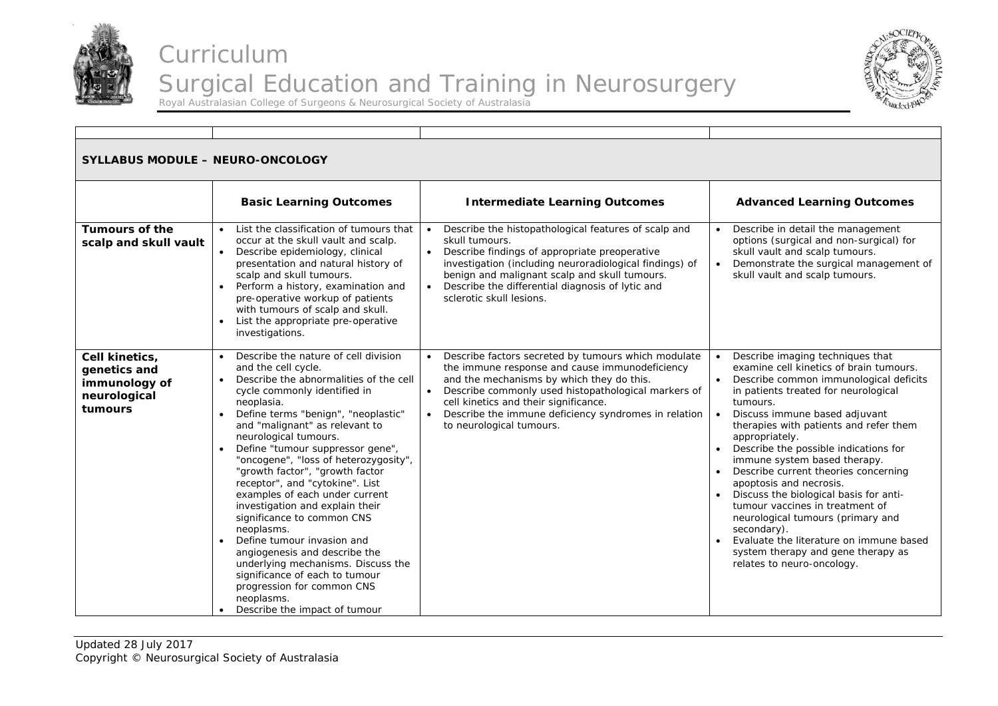



| <b>SYLLABUS MODULE - NEURO-ONCOLOGY</b>                                    |                                                                                                                                                                                                                                                                                                                                                                                                                                                                                                                                                                                                                                                                                                                                                 |                                                                                                                                                                                                                                                                                                                                                       |                                                                                                                                                                                                                                                                                                                                                                                                                                                                                                                                                                                                                                                                                                               |  |
|----------------------------------------------------------------------------|-------------------------------------------------------------------------------------------------------------------------------------------------------------------------------------------------------------------------------------------------------------------------------------------------------------------------------------------------------------------------------------------------------------------------------------------------------------------------------------------------------------------------------------------------------------------------------------------------------------------------------------------------------------------------------------------------------------------------------------------------|-------------------------------------------------------------------------------------------------------------------------------------------------------------------------------------------------------------------------------------------------------------------------------------------------------------------------------------------------------|---------------------------------------------------------------------------------------------------------------------------------------------------------------------------------------------------------------------------------------------------------------------------------------------------------------------------------------------------------------------------------------------------------------------------------------------------------------------------------------------------------------------------------------------------------------------------------------------------------------------------------------------------------------------------------------------------------------|--|
|                                                                            | <b>Basic Learning Outcomes</b>                                                                                                                                                                                                                                                                                                                                                                                                                                                                                                                                                                                                                                                                                                                  | <b>Intermediate Learning Outcomes</b>                                                                                                                                                                                                                                                                                                                 | <b>Advanced Learning Outcomes</b>                                                                                                                                                                                                                                                                                                                                                                                                                                                                                                                                                                                                                                                                             |  |
| <b>Tumours of the</b><br>scalp and skull vault                             | • List the classification of tumours that<br>occur at the skull vault and scalp.<br>• Describe epidemiology, clinical<br>presentation and natural history of<br>scalp and skull tumours.<br>Perform a history, examination and<br>pre-operative workup of patients<br>with tumours of scalp and skull.<br>List the appropriate pre-operative<br>$\bullet$<br>investigations.                                                                                                                                                                                                                                                                                                                                                                    | • Describe the histopathological features of scalp and<br>skull tumours.<br>• Describe findings of appropriate preoperative<br>investigation (including neuroradiological findings) of<br>benign and malignant scalp and skull tumours.<br>Describe the differential diagnosis of lytic and<br>sclerotic skull lesions.                               | Describe in detail the management<br>options (surgical and non-surgical) for<br>skull vault and scalp tumours.<br>• Demonstrate the surgical management of<br>skull vault and scalp tumours.                                                                                                                                                                                                                                                                                                                                                                                                                                                                                                                  |  |
| Cell kinetics,<br>genetics and<br>immunology of<br>neurological<br>tumours | Describe the nature of cell division<br>and the cell cycle.<br>Describe the abnormalities of the cell<br>cycle commonly identified in<br>neoplasia.<br>Define terms "benign", "neoplastic"<br>and "malignant" as relevant to<br>neurological tumours.<br>Define "tumour suppressor gene",<br>"oncogene", "loss of heterozygosity",<br>"growth factor", "growth factor<br>receptor", and "cytokine". List<br>examples of each under current<br>investigation and explain their<br>significance to common CNS<br>neoplasms.<br>Define tumour invasion and<br>angiogenesis and describe the<br>underlying mechanisms. Discuss the<br>significance of each to tumour<br>progression for common CNS<br>neoplasms.<br>• Describe the impact of tumour | Describe factors secreted by tumours which modulate<br>the immune response and cause immunodeficiency<br>and the mechanisms by which they do this.<br>Describe commonly used histopathological markers of<br>$\bullet$<br>cell kinetics and their significance.<br>• Describe the immune deficiency syndromes in relation<br>to neurological tumours. | Describe imaging techniques that<br>$\bullet$<br>examine cell kinetics of brain tumours.<br>Describe common immunological deficits<br>$\bullet$<br>in patients treated for neurological<br>tumours.<br>Discuss immune based adjuvant<br>$\bullet$<br>therapies with patients and refer them<br>appropriately.<br>Describe the possible indications for<br>immune system based therapy.<br>• Describe current theories concerning<br>apoptosis and necrosis.<br>• Discuss the biological basis for anti-<br>tumour vaccines in treatment of<br>neurological tumours (primary and<br>secondary).<br>Evaluate the literature on immune based<br>system therapy and gene therapy as<br>relates to neuro-oncology. |  |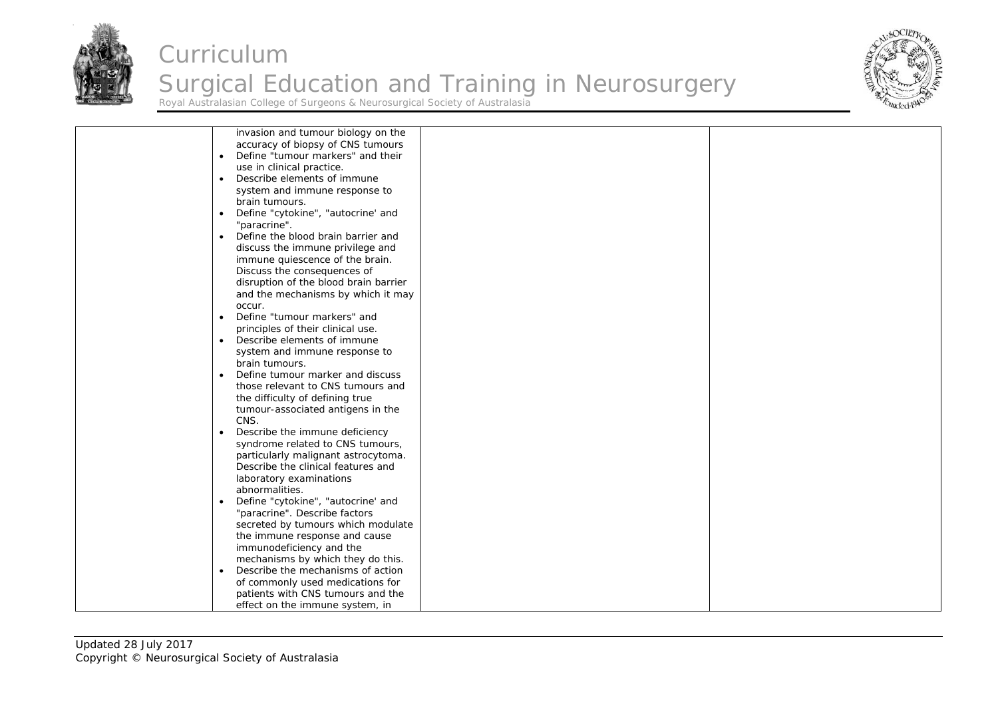



| invasion and tumour biology on the              |  |
|-------------------------------------------------|--|
| accuracy of biopsy of CNS tumours               |  |
| Define "tumour markers" and their<br>$\bullet$  |  |
|                                                 |  |
| use in clinical practice.                       |  |
| Describe elements of immune<br>$\bullet$        |  |
| system and immune response to                   |  |
| brain tumours.                                  |  |
|                                                 |  |
| Define "cytokine", "autocrine' and<br>$\bullet$ |  |
| "paracrine".                                    |  |
| Define the blood brain barrier and<br>$\bullet$ |  |
| discuss the immune privilege and                |  |
| immune quiescence of the brain.                 |  |
|                                                 |  |
| Discuss the consequences of                     |  |
| disruption of the blood brain barrier           |  |
| and the mechanisms by which it may              |  |
| occur.                                          |  |
| Define "tumour markers" and<br>$\bullet$        |  |
|                                                 |  |
| principles of their clinical use.               |  |
| Describe elements of immune<br>$\bullet$        |  |
| system and immune response to                   |  |
| brain tumours.                                  |  |
| Define tumour marker and discuss<br>$\bullet$   |  |
| those relevant to CNS tumours and               |  |
|                                                 |  |
| the difficulty of defining true                 |  |
| tumour-associated antigens in the               |  |
| CNS.                                            |  |
| Describe the immune deficiency<br>$\bullet$     |  |
| syndrome related to CNS tumours,                |  |
|                                                 |  |
| particularly malignant astrocytoma.             |  |
| Describe the clinical features and              |  |
| laboratory examinations                         |  |
| abnormalities.                                  |  |
| Define "cytokine", "autocrine' and<br>$\bullet$ |  |
|                                                 |  |
| "paracrine". Describe factors                   |  |
| secreted by tumours which modulate              |  |
| the immune response and cause                   |  |
| immunodeficiency and the                        |  |
| mechanisms by which they do this.               |  |
| Describe the mechanisms of action<br>$\bullet$  |  |
|                                                 |  |
| of commonly used medications for                |  |
| patients with CNS tumours and the               |  |
| effect on the immune system, in                 |  |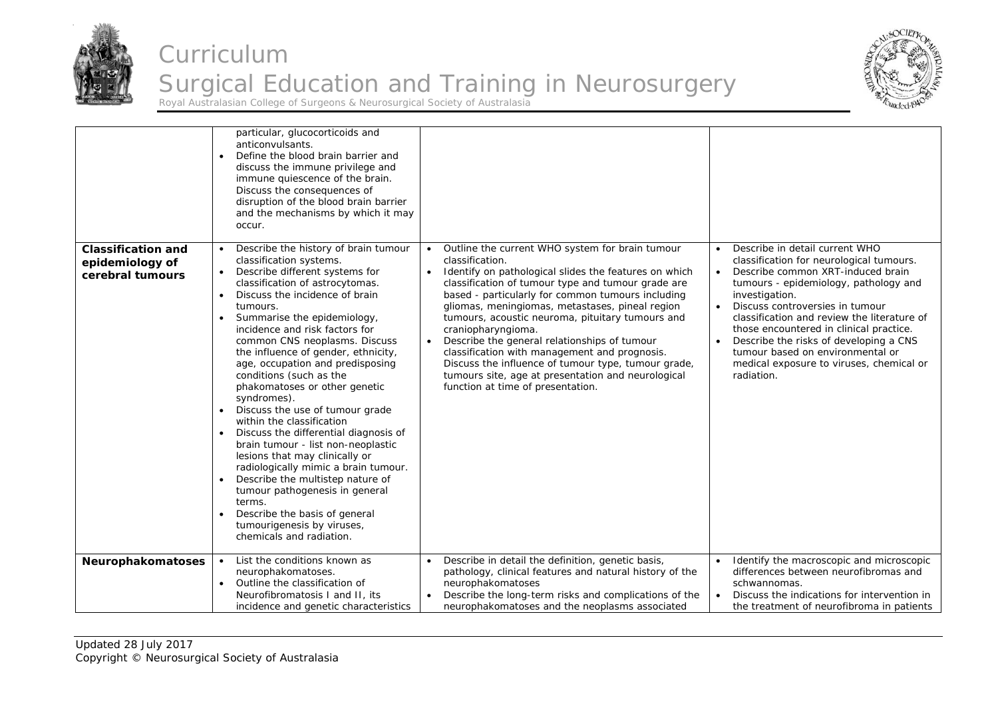



|                                                                  | particular, glucocorticoids and<br>anticonvulsants.<br>Define the blood brain barrier and<br>$\bullet$<br>discuss the immune privilege and<br>immune quiescence of the brain.<br>Discuss the consequences of<br>disruption of the blood brain barrier<br>and the mechanisms by which it may<br>occur.                                                                                                                                                                                                                                                                                                                                                                                                                                                                                                                                                                                                                                     |                                                                                                                                                                                                                                                                                                                                                                                                                                                                                                                                                                                                                                                               |                                                                                                                                                                                                                                                                                                                                                                                                                                                 |
|------------------------------------------------------------------|-------------------------------------------------------------------------------------------------------------------------------------------------------------------------------------------------------------------------------------------------------------------------------------------------------------------------------------------------------------------------------------------------------------------------------------------------------------------------------------------------------------------------------------------------------------------------------------------------------------------------------------------------------------------------------------------------------------------------------------------------------------------------------------------------------------------------------------------------------------------------------------------------------------------------------------------|---------------------------------------------------------------------------------------------------------------------------------------------------------------------------------------------------------------------------------------------------------------------------------------------------------------------------------------------------------------------------------------------------------------------------------------------------------------------------------------------------------------------------------------------------------------------------------------------------------------------------------------------------------------|-------------------------------------------------------------------------------------------------------------------------------------------------------------------------------------------------------------------------------------------------------------------------------------------------------------------------------------------------------------------------------------------------------------------------------------------------|
| <b>Classification and</b><br>epidemiology of<br>cerebral tumours | Describe the history of brain tumour<br>classification systems.<br>Describe different systems for<br>$\bullet$<br>classification of astrocytomas.<br>Discuss the incidence of brain<br>$\bullet$<br>tumours.<br>Summarise the epidemiology,<br>$\bullet$<br>incidence and risk factors for<br>common CNS neoplasms. Discuss<br>the influence of gender, ethnicity,<br>age, occupation and predisposing<br>conditions (such as the<br>phakomatoses or other genetic<br>syndromes).<br>Discuss the use of tumour grade<br>$\bullet$<br>within the classification<br>Discuss the differential diagnosis of<br>$\bullet$<br>brain tumour - list non-neoplastic<br>lesions that may clinically or<br>radiologically mimic a brain tumour.<br>Describe the multistep nature of<br>$\bullet$<br>tumour pathogenesis in general<br>terms.<br>Describe the basis of general<br>$\bullet$<br>tumourigenesis by viruses,<br>chemicals and radiation. | Outline the current WHO system for brain tumour<br>$\bullet$<br>classification.<br>Identify on pathological slides the features on which<br>$\bullet$<br>classification of tumour type and tumour grade are<br>based - particularly for common tumours including<br>gliomas, meningiomas, metastases, pineal region<br>tumours, acoustic neuroma, pituitary tumours and<br>craniopharyngioma.<br>Describe the general relationships of tumour<br>$\bullet$<br>classification with management and prognosis.<br>Discuss the influence of tumour type, tumour grade,<br>tumours site, age at presentation and neurological<br>function at time of presentation. | Describe in detail current WHO<br>classification for neurological tumours.<br>Describe common XRT-induced brain<br>tumours - epidemiology, pathology and<br>investigation.<br>Discuss controversies in tumour<br>classification and review the literature of<br>those encountered in clinical practice.<br>Describe the risks of developing a CNS<br>tumour based on environmental or<br>medical exposure to viruses, chemical or<br>radiation. |
| Neurophakomatoses                                                | List the conditions known as<br>$\bullet$<br>neurophakomatoses.<br>Outline the classification of<br>$\bullet$<br>Neurofibromatosis I and II, its<br>incidence and genetic characteristics                                                                                                                                                                                                                                                                                                                                                                                                                                                                                                                                                                                                                                                                                                                                                 | Describe in detail the definition, genetic basis,<br>$\bullet$<br>pathology, clinical features and natural history of the<br>neurophakomatoses<br>Describe the long-term risks and complications of the<br>neurophakomatoses and the neoplasms associated                                                                                                                                                                                                                                                                                                                                                                                                     | Identify the macroscopic and microscopic<br>differences between neurofibromas and<br>schwannomas.<br>Discuss the indications for intervention in<br>the treatment of neurofibroma in patients                                                                                                                                                                                                                                                   |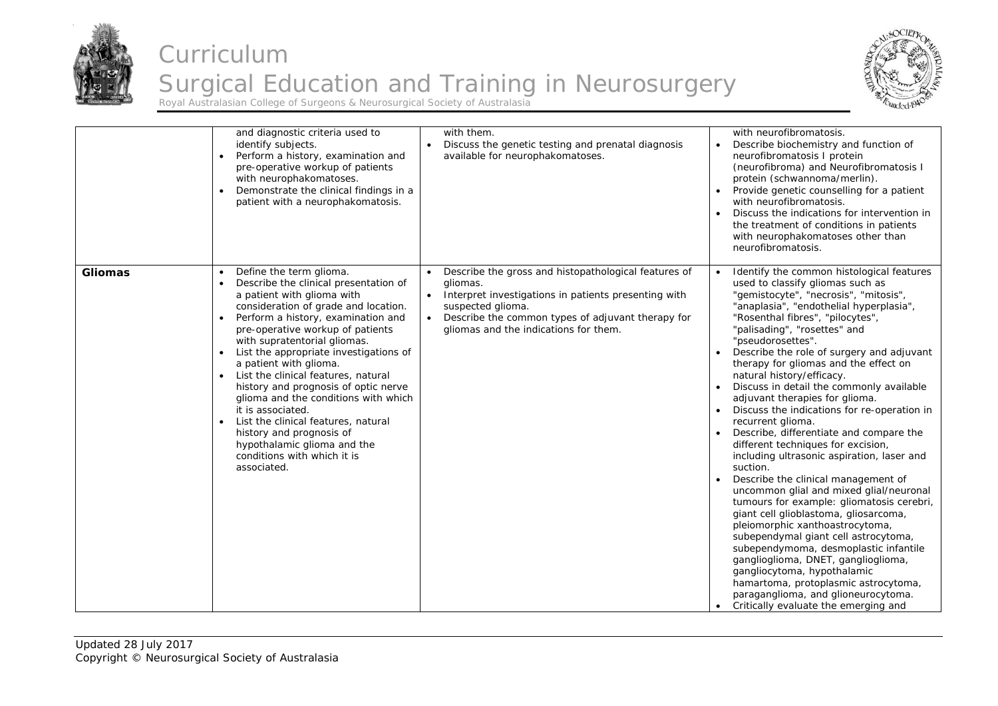



|                | and diagnostic criteria used to<br>identify subjects.<br>Perform a history, examination and<br>$\bullet$<br>pre-operative workup of patients<br>with neurophakomatoses.<br>Demonstrate the clinical findings in a<br>patient with a neurophakomatosis.                                                                                                                                                                                                                                                                                                                                                                                                  | with them.<br>Discuss the genetic testing and prenatal diagnosis<br>available for neurophakomatoses.                                                                                                                                        | with neurofibromatosis.<br>Describe biochemistry and function of<br>neurofibromatosis I protein<br>(neurofibroma) and Neurofibromatosis I<br>protein (schwannoma/merlin).<br>Provide genetic counselling for a patient<br>with neurofibromatosis.<br>Discuss the indications for intervention in<br>the treatment of conditions in patients<br>with neurophakomatoses other than<br>neurofibromatosis.                                                                                                                                                                                                                                                                                                                                                                                                                                                                                                                                                                                                                                                                                                                                                              |
|----------------|---------------------------------------------------------------------------------------------------------------------------------------------------------------------------------------------------------------------------------------------------------------------------------------------------------------------------------------------------------------------------------------------------------------------------------------------------------------------------------------------------------------------------------------------------------------------------------------------------------------------------------------------------------|---------------------------------------------------------------------------------------------------------------------------------------------------------------------------------------------------------------------------------------------|---------------------------------------------------------------------------------------------------------------------------------------------------------------------------------------------------------------------------------------------------------------------------------------------------------------------------------------------------------------------------------------------------------------------------------------------------------------------------------------------------------------------------------------------------------------------------------------------------------------------------------------------------------------------------------------------------------------------------------------------------------------------------------------------------------------------------------------------------------------------------------------------------------------------------------------------------------------------------------------------------------------------------------------------------------------------------------------------------------------------------------------------------------------------|
| <b>Gliomas</b> | Define the term glioma.<br>$\bullet$<br>Describe the clinical presentation of<br>a patient with glioma with<br>consideration of grade and location.<br>Perform a history, examination and<br>$\bullet$<br>pre-operative workup of patients<br>with supratentorial gliomas.<br>List the appropriate investigations of<br>a patient with glioma.<br>List the clinical features, natural<br>history and prognosis of optic nerve<br>glioma and the conditions with which<br>it is associated.<br>List the clinical features, natural<br>$\bullet$<br>history and prognosis of<br>hypothalamic glioma and the<br>conditions with which it is<br>associated. | Describe the gross and histopathological features of<br>gliomas.<br>Interpret investigations in patients presenting with<br>suspected glioma.<br>Describe the common types of adjuvant therapy for<br>gliomas and the indications for them. | Identify the common histological features<br>used to classify gliomas such as<br>"gemistocyte", "necrosis", "mitosis",<br>"anaplasia", "endothelial hyperplasia",<br>"Rosenthal fibres", "pilocytes",<br>"palisading", "rosettes" and<br>"pseudorosettes".<br>Describe the role of surgery and adjuvant<br>therapy for gliomas and the effect on<br>natural history/efficacy.<br>Discuss in detail the commonly available<br>adjuvant therapies for glioma.<br>Discuss the indications for re-operation in<br>recurrent glioma.<br>Describe, differentiate and compare the<br>different techniques for excision,<br>including ultrasonic aspiration, laser and<br>suction.<br>Describe the clinical management of<br>uncommon glial and mixed glial/neuronal<br>tumours for example: gliomatosis cerebri,<br>giant cell glioblastoma, gliosarcoma,<br>pleiomorphic xanthoastrocytoma,<br>subependymal giant cell astrocytoma,<br>subependymoma, desmoplastic infantile<br>ganglioglioma, DNET, ganglioglioma,<br>gangliocytoma, hypothalamic<br>hamartoma, protoplasmic astrocytoma,<br>paraganglioma, and glioneurocytoma.<br>Critically evaluate the emerging and |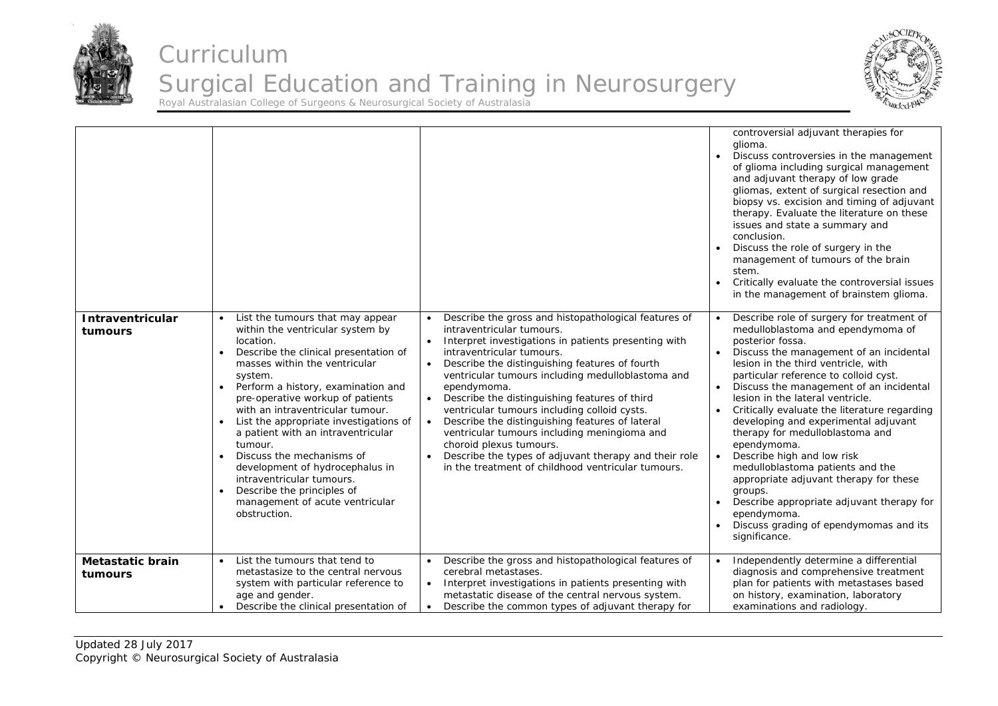



|                                    |                                                                                                                                                                                                                                                                                                                                                                                                                                                                                                                                                               |                                                                                                                                                                                                                                                                                                                                                                                                                                                                                                                                                                                                                                                                                                | controversial adjuvant therapies for<br>glioma.<br>Discuss controversies in the management<br>of glioma including surgical management<br>and adjuvant therapy of low grade<br>gliomas, extent of surgical resection and<br>biopsy vs. excision and timing of adjuvant<br>therapy. Evaluate the literature on these<br>issues and state a summary and<br>conclusion.<br>Discuss the role of surgery in the<br>management of tumours of the brain<br>stem.<br>Critically evaluate the controversial issues<br>in the management of brainstem glioma.                                                                                                                                                   |
|------------------------------------|---------------------------------------------------------------------------------------------------------------------------------------------------------------------------------------------------------------------------------------------------------------------------------------------------------------------------------------------------------------------------------------------------------------------------------------------------------------------------------------------------------------------------------------------------------------|------------------------------------------------------------------------------------------------------------------------------------------------------------------------------------------------------------------------------------------------------------------------------------------------------------------------------------------------------------------------------------------------------------------------------------------------------------------------------------------------------------------------------------------------------------------------------------------------------------------------------------------------------------------------------------------------|------------------------------------------------------------------------------------------------------------------------------------------------------------------------------------------------------------------------------------------------------------------------------------------------------------------------------------------------------------------------------------------------------------------------------------------------------------------------------------------------------------------------------------------------------------------------------------------------------------------------------------------------------------------------------------------------------|
| <b>Intraventricular</b><br>tumours | List the tumours that may appear<br>within the ventricular system by<br>location.<br>Describe the clinical presentation of<br>masses within the ventricular<br>system.<br>Perform a history, examination and<br>pre-operative workup of patients<br>with an intraventricular tumour.<br>List the appropriate investigations of<br>a patient with an intraventricular<br>tumour.<br>Discuss the mechanisms of<br>development of hydrocephalus in<br>intraventricular tumours.<br>Describe the principles of<br>management of acute ventricular<br>obstruction. | Describe the gross and histopathological features of<br>$\bullet$<br>intraventricular tumours.<br>Interpret investigations in patients presenting with<br>$\bullet$<br>intraventricular tumours.<br>Describe the distinguishing features of fourth<br>$\bullet$<br>ventricular tumours including medulloblastoma and<br>ependymoma.<br>Describe the distinguishing features of third<br>$\bullet$<br>ventricular tumours including colloid cysts.<br>Describe the distinguishing features of lateral<br>ventricular tumours including meningioma and<br>choroid plexus tumours.<br>Describe the types of adjuvant therapy and their role<br>in the treatment of childhood ventricular tumours. | Describe role of surgery for treatment of<br>medulloblastoma and ependymoma of<br>posterior fossa.<br>Discuss the management of an incidental<br>lesion in the third ventricle, with<br>particular reference to colloid cyst.<br>Discuss the management of an incidental<br>lesion in the lateral ventricle.<br>Critically evaluate the literature regarding<br>developing and experimental adjuvant<br>therapy for medulloblastoma and<br>ependymoma.<br>Describe high and low risk<br>medulloblastoma patients and the<br>appropriate adjuvant therapy for these<br>groups.<br>Describe appropriate adjuvant therapy for<br>ependymoma.<br>Discuss grading of ependymomas and its<br>significance. |
| Metastatic brain<br>tumours        | List the tumours that tend to<br>metastasize to the central nervous<br>system with particular reference to<br>age and gender.<br>Describe the clinical presentation of                                                                                                                                                                                                                                                                                                                                                                                        | Describe the gross and histopathological features of<br>$\bullet$<br>cerebral metastases.<br>Interpret investigations in patients presenting with<br>$\bullet$<br>metastatic disease of the central nervous system.<br>Describe the common types of adjuvant therapy for                                                                                                                                                                                                                                                                                                                                                                                                                       | Independently determine a differential<br>diagnosis and comprehensive treatment<br>plan for patients with metastases based<br>on history, examination, laboratory<br>examinations and radiology.                                                                                                                                                                                                                                                                                                                                                                                                                                                                                                     |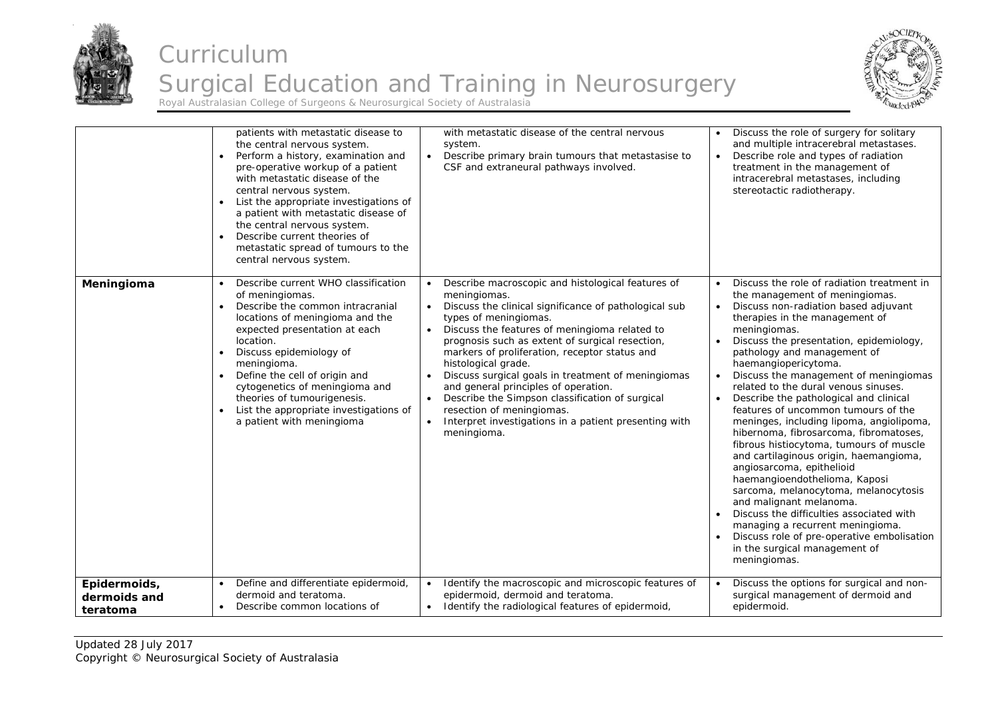



|                                          | patients with metastatic disease to<br>the central nervous system.<br>Perform a history, examination and<br>pre-operative workup of a patient<br>with metastatic disease of the<br>central nervous system.<br>List the appropriate investigations of<br>a patient with metastatic disease of<br>the central nervous system.<br>Describe current theories of<br>$\bullet$<br>metastatic spread of tumours to the<br>central nervous system.         | with metastatic disease of the central nervous<br>system.<br>$\bullet$<br>Describe primary brain tumours that metastasise to<br>CSF and extraneural pathways involved.                                                                                                                                                                                                                                                                                                                                                                                                                                                                                              | Discuss the role of surgery for solitary<br>and multiple intracerebral metastases.<br>Describe role and types of radiation<br>treatment in the management of<br>intracerebral metastases, including<br>stereotactic radiotherapy.                                                                                                                                                                                                                                                                                                                                                                                                                                                                                                                                                                                                                                                                                                     |
|------------------------------------------|----------------------------------------------------------------------------------------------------------------------------------------------------------------------------------------------------------------------------------------------------------------------------------------------------------------------------------------------------------------------------------------------------------------------------------------------------|---------------------------------------------------------------------------------------------------------------------------------------------------------------------------------------------------------------------------------------------------------------------------------------------------------------------------------------------------------------------------------------------------------------------------------------------------------------------------------------------------------------------------------------------------------------------------------------------------------------------------------------------------------------------|---------------------------------------------------------------------------------------------------------------------------------------------------------------------------------------------------------------------------------------------------------------------------------------------------------------------------------------------------------------------------------------------------------------------------------------------------------------------------------------------------------------------------------------------------------------------------------------------------------------------------------------------------------------------------------------------------------------------------------------------------------------------------------------------------------------------------------------------------------------------------------------------------------------------------------------|
| Meningioma                               | Describe current WHO classification<br>of meningiomas.<br>Describe the common intracranial<br>$\bullet$<br>locations of meningioma and the<br>expected presentation at each<br>location.<br>Discuss epidemiology of<br>$\bullet$<br>meningioma.<br>Define the cell of origin and<br>$\bullet$<br>cytogenetics of meningioma and<br>theories of tumourigenesis.<br>List the appropriate investigations of<br>$\bullet$<br>a patient with meningioma | Describe macroscopic and histological features of<br>$\bullet$<br>meningiomas.<br>Discuss the clinical significance of pathological sub<br>$\bullet$<br>types of meningiomas.<br>Discuss the features of meningioma related to<br>$\bullet$<br>prognosis such as extent of surgical resection,<br>markers of proliferation, receptor status and<br>histological grade.<br>Discuss surgical goals in treatment of meningiomas<br>$\bullet$<br>and general principles of operation.<br>Describe the Simpson classification of surgical<br>$\bullet$<br>resection of meningiomas.<br>Interpret investigations in a patient presenting with<br>$\bullet$<br>meningioma. | Discuss the role of radiation treatment in<br>the management of meningiomas.<br>Discuss non-radiation based adjuvant<br>therapies in the management of<br>meningiomas.<br>Discuss the presentation, epidemiology,<br>pathology and management of<br>haemangiopericytoma.<br>Discuss the management of meningiomas<br>related to the dural venous sinuses.<br>Describe the pathological and clinical<br>features of uncommon tumours of the<br>meninges, including lipoma, angiolipoma,<br>hibernoma, fibrosarcoma, fibromatoses,<br>fibrous histiocytoma, tumours of muscle<br>and cartilaginous origin, haemangioma,<br>angiosarcoma, epithelioid<br>haemangioendothelioma, Kaposi<br>sarcoma, melanocytoma, melanocytosis<br>and malignant melanoma.<br>Discuss the difficulties associated with<br>managing a recurrent meningioma.<br>Discuss role of pre-operative embolisation<br>in the surgical management of<br>meningiomas. |
| Epidermoids,<br>dermoids and<br>teratoma | Define and differentiate epidermoid,<br>dermoid and teratoma.<br>Describe common locations of<br>$\bullet$                                                                                                                                                                                                                                                                                                                                         | Identify the macroscopic and microscopic features of<br>$\bullet$<br>epidermoid, dermoid and teratoma.<br>• Identify the radiological features of epidermoid,                                                                                                                                                                                                                                                                                                                                                                                                                                                                                                       | Discuss the options for surgical and non-<br>surgical management of dermoid and<br>epidermoid.                                                                                                                                                                                                                                                                                                                                                                                                                                                                                                                                                                                                                                                                                                                                                                                                                                        |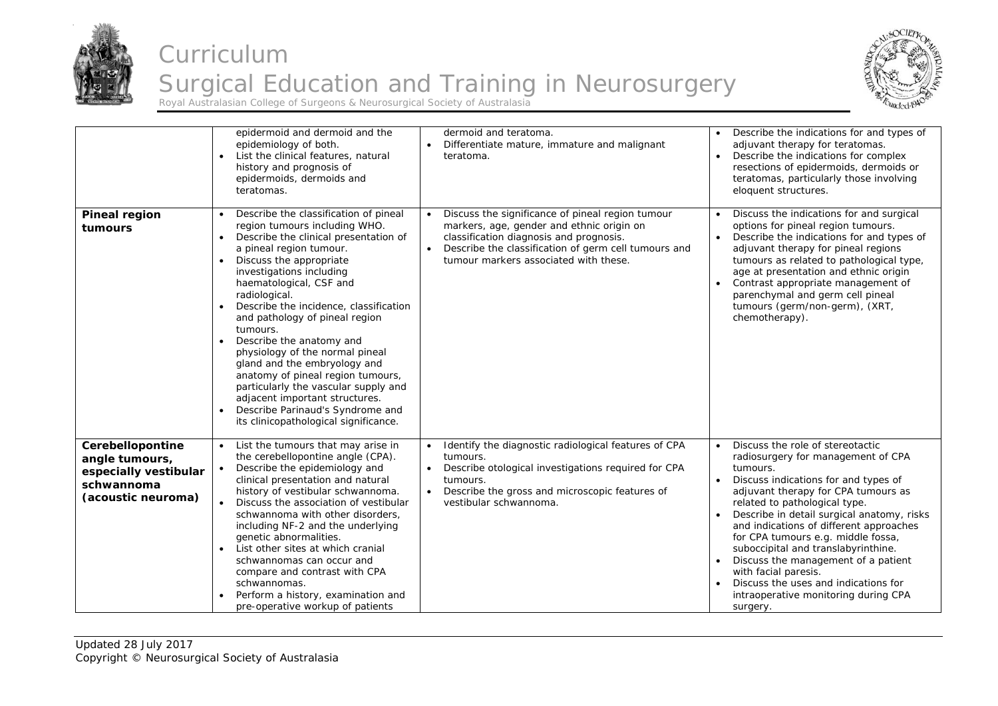



|                                                                                                 | epidermoid and dermoid and the<br>epidemiology of both.<br>List the clinical features, natural<br>history and prognosis of<br>epidermoids, dermoids and<br>teratomas.                                                                                                                                                                                                                                                                                                                                                                                                                                                            | dermoid and teratoma.<br>Differentiate mature, immature and malignant<br>teratoma.                                                                                                                                                                     | Describe the indications for and types of<br>adjuvant therapy for teratomas.<br>Describe the indications for complex<br>resections of epidermoids, dermoids or<br>teratomas, particularly those involving<br>eloquent structures.                                                                                                                                                                                                                                                                                                   |
|-------------------------------------------------------------------------------------------------|----------------------------------------------------------------------------------------------------------------------------------------------------------------------------------------------------------------------------------------------------------------------------------------------------------------------------------------------------------------------------------------------------------------------------------------------------------------------------------------------------------------------------------------------------------------------------------------------------------------------------------|--------------------------------------------------------------------------------------------------------------------------------------------------------------------------------------------------------------------------------------------------------|-------------------------------------------------------------------------------------------------------------------------------------------------------------------------------------------------------------------------------------------------------------------------------------------------------------------------------------------------------------------------------------------------------------------------------------------------------------------------------------------------------------------------------------|
| <b>Pineal region</b><br>tumours                                                                 | Describe the classification of pineal<br>region tumours including WHO.<br>Describe the clinical presentation of<br>a pineal region tumour.<br>Discuss the appropriate<br>investigations including<br>haematological, CSF and<br>radiological.<br>Describe the incidence, classification<br>and pathology of pineal region<br>tumours.<br>Describe the anatomy and<br>physiology of the normal pineal<br>gland and the embryology and<br>anatomy of pineal region tumours,<br>particularly the vascular supply and<br>adjacent important structures.<br>Describe Parinaud's Syndrome and<br>its clinicopathological significance. | Discuss the significance of pineal region tumour<br>markers, age, gender and ethnic origin on<br>classification diagnosis and prognosis.<br>Describe the classification of germ cell tumours and<br>$\bullet$<br>tumour markers associated with these. | Discuss the indications for and surgical<br>options for pineal region tumours.<br>Describe the indications for and types of<br>adjuvant therapy for pineal regions<br>tumours as related to pathological type,<br>age at presentation and ethnic origin<br>Contrast appropriate management of<br>parenchymal and germ cell pineal<br>tumours (germ/non-germ), (XRT,<br>chemotherapy).                                                                                                                                               |
| Cerebellopontine<br>angle tumours,<br>especially vestibular<br>schwannoma<br>(acoustic neuroma) | • List the tumours that may arise in<br>the cerebellopontine angle (CPA).<br>Describe the epidemiology and<br>clinical presentation and natural<br>history of vestibular schwannoma.<br>Discuss the association of vestibular<br>schwannoma with other disorders,<br>including NF-2 and the underlying<br>genetic abnormalities.<br>List other sites at which cranial<br>schwannomas can occur and<br>compare and contrast with CPA<br>schwannomas.<br>Perform a history, examination and<br>pre-operative workup of patients                                                                                                    | Identify the diagnostic radiological features of CPA<br>$\bullet$<br>tumours.<br>Describe otological investigations required for CPA<br>tumours.<br>Describe the gross and microscopic features of<br>vestibular schwannoma.                           | Discuss the role of stereotactic<br>radiosurgery for management of CPA<br>tumours.<br>Discuss indications for and types of<br>adjuvant therapy for CPA tumours as<br>related to pathological type.<br>Describe in detail surgical anatomy, risks<br>and indications of different approaches<br>for CPA tumours e.g. middle fossa,<br>suboccipital and translabyrinthine.<br>Discuss the management of a patient<br>with facial paresis.<br>Discuss the uses and indications for<br>intraoperative monitoring during CPA<br>surgery. |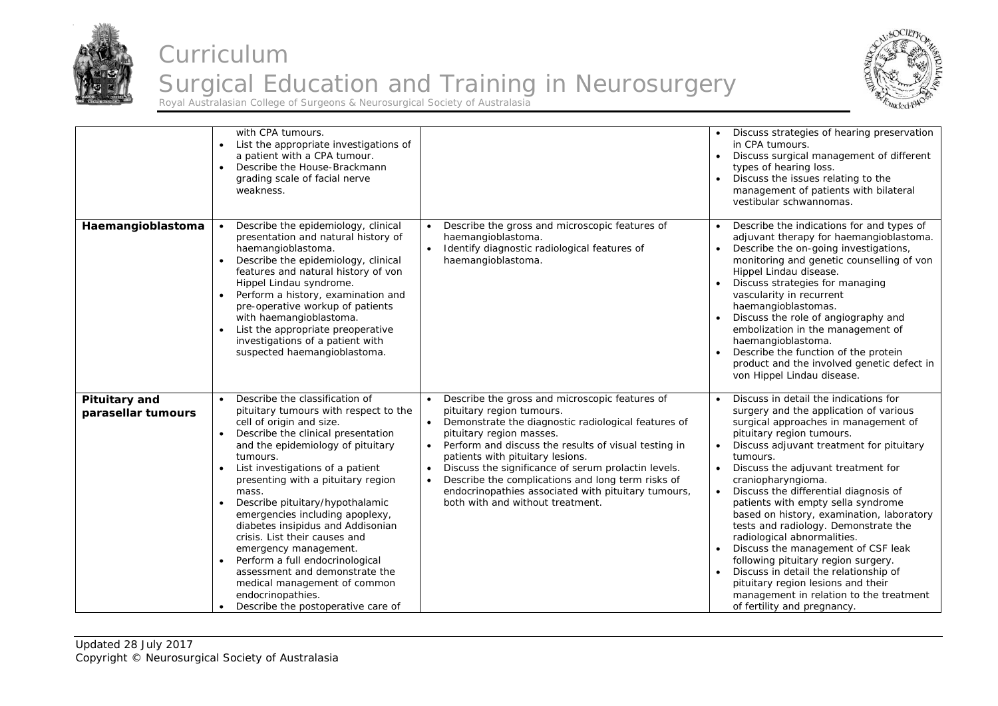



|                                            | with CPA tumours.<br>List the appropriate investigations of<br>a patient with a CPA tumour.<br>Describe the House-Brackmann<br>grading scale of facial nerve<br>weakness.                                                                                                                                                                                                                                                                                                                                                                                                                                                                                 |                                                                                                                                                                                                                                                                                                                                                                                                                                                                                                                                    | Discuss strategies of hearing preservation<br>in CPA tumours.<br>Discuss surgical management of different<br>types of hearing loss.<br>Discuss the issues relating to the<br>management of patients with bilateral<br>vestibular schwannomas.                                                                                                                                                                                                                                                                                                                                                                                                                                                                     |
|--------------------------------------------|-----------------------------------------------------------------------------------------------------------------------------------------------------------------------------------------------------------------------------------------------------------------------------------------------------------------------------------------------------------------------------------------------------------------------------------------------------------------------------------------------------------------------------------------------------------------------------------------------------------------------------------------------------------|------------------------------------------------------------------------------------------------------------------------------------------------------------------------------------------------------------------------------------------------------------------------------------------------------------------------------------------------------------------------------------------------------------------------------------------------------------------------------------------------------------------------------------|-------------------------------------------------------------------------------------------------------------------------------------------------------------------------------------------------------------------------------------------------------------------------------------------------------------------------------------------------------------------------------------------------------------------------------------------------------------------------------------------------------------------------------------------------------------------------------------------------------------------------------------------------------------------------------------------------------------------|
| Haemangioblastoma                          | Describe the epidemiology, clinical<br>presentation and natural history of<br>haemangioblastoma.<br>Describe the epidemiology, clinical<br>$\bullet$<br>features and natural history of von<br>Hippel Lindau syndrome.<br>Perform a history, examination and<br>pre-operative workup of patients<br>with haemangioblastoma.<br>List the appropriate preoperative<br>investigations of a patient with<br>suspected haemangioblastoma.                                                                                                                                                                                                                      | Describe the gross and microscopic features of<br>$\bullet$<br>haemangioblastoma.<br>Identify diagnostic radiological features of<br>$\bullet$<br>haemangioblastoma.                                                                                                                                                                                                                                                                                                                                                               | Describe the indications for and types of<br>adjuvant therapy for haemangioblastoma.<br>Describe the on-going investigations,<br>monitoring and genetic counselling of von<br>Hippel Lindau disease.<br>Discuss strategies for managing<br>vascularity in recurrent<br>haemangioblastomas.<br>Discuss the role of angiography and<br>embolization in the management of<br>haemangioblastoma.<br>Describe the function of the protein<br>product and the involved genetic defect in<br>von Hippel Lindau disease.                                                                                                                                                                                                  |
| <b>Pituitary and</b><br>parasellar tumours | Describe the classification of<br>$\bullet$<br>pituitary tumours with respect to the<br>cell of origin and size.<br>Describe the clinical presentation<br>$\bullet$<br>and the epidemiology of pituitary<br>tumours.<br>List investigations of a patient<br>presenting with a pituitary region<br>mass.<br>Describe pituitary/hypothalamic<br>emergencies including apoplexy,<br>diabetes insipidus and Addisonian<br>crisis. List their causes and<br>emergency management.<br>Perform a full endocrinological<br>$\bullet$<br>assessment and demonstrate the<br>medical management of common<br>endocrinopathies.<br>Describe the postoperative care of | Describe the gross and microscopic features of<br>$\bullet$<br>pituitary region tumours.<br>Demonstrate the diagnostic radiological features of<br>$\bullet$<br>pituitary region masses.<br>Perform and discuss the results of visual testing in<br>$\bullet$<br>patients with pituitary lesions.<br>Discuss the significance of serum prolactin levels.<br>$\bullet$<br>Describe the complications and long term risks of<br>$\bullet$<br>endocrinopathies associated with pituitary tumours,<br>both with and without treatment. | Discuss in detail the indications for<br>surgery and the application of various<br>surgical approaches in management of<br>pituitary region tumours.<br>Discuss adjuvant treatment for pituitary<br>tumours.<br>Discuss the adjuvant treatment for<br>craniopharyngioma.<br>Discuss the differential diagnosis of<br>patients with empty sella syndrome<br>based on history, examination, laboratory<br>tests and radiology. Demonstrate the<br>radiological abnormalities.<br>Discuss the management of CSF leak<br>following pituitary region surgery.<br>Discuss in detail the relationship of<br>pituitary region lesions and their<br>management in relation to the treatment<br>of fertility and pregnancy. |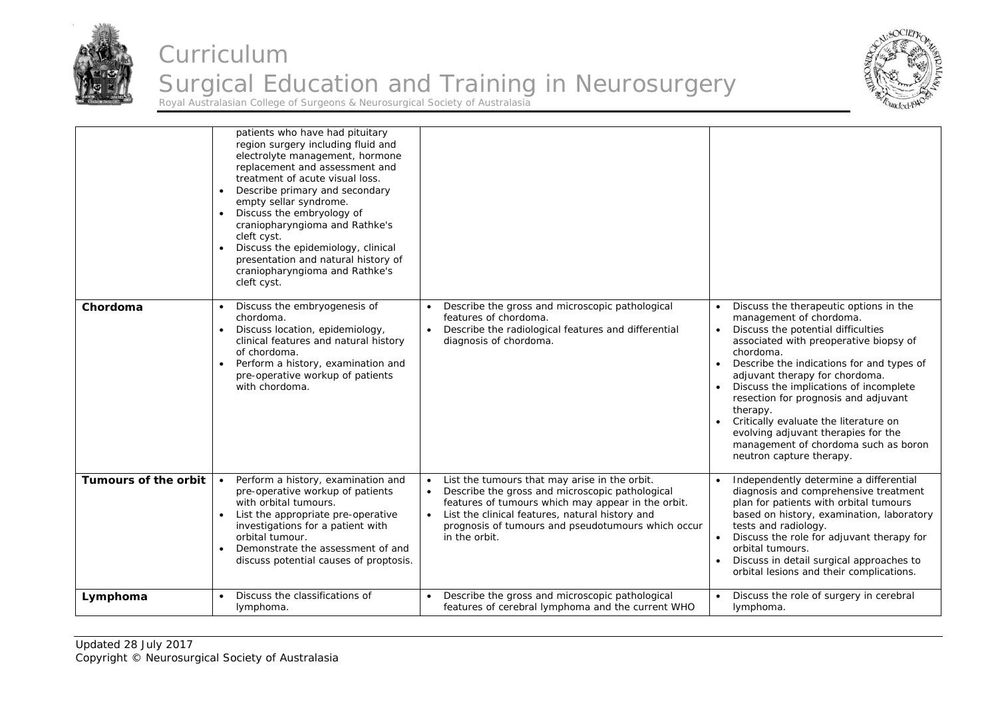



|                      | patients who have had pituitary<br>region surgery including fluid and<br>electrolyte management, hormone<br>replacement and assessment and<br>treatment of acute visual loss.<br>Describe primary and secondary<br>$\bullet$<br>empty sellar syndrome.<br>Discuss the embryology of<br>craniopharyngioma and Rathke's<br>cleft cyst.<br>Discuss the epidemiology, clinical<br>presentation and natural history of<br>craniopharyngioma and Rathke's<br>cleft cyst. |                                                                                                                                                                                                                                                                                                                         |                                                                                                                                                                                                                                                                                                                                                                                                                                                                                                 |
|----------------------|--------------------------------------------------------------------------------------------------------------------------------------------------------------------------------------------------------------------------------------------------------------------------------------------------------------------------------------------------------------------------------------------------------------------------------------------------------------------|-------------------------------------------------------------------------------------------------------------------------------------------------------------------------------------------------------------------------------------------------------------------------------------------------------------------------|-------------------------------------------------------------------------------------------------------------------------------------------------------------------------------------------------------------------------------------------------------------------------------------------------------------------------------------------------------------------------------------------------------------------------------------------------------------------------------------------------|
| Chordoma             | Discuss the embryogenesis of<br>$\bullet$<br>chordoma.<br>Discuss location, epidemiology,<br>$\bullet$<br>clinical features and natural history<br>of chordoma.<br>Perform a history, examination and<br>$\bullet$<br>pre-operative workup of patients<br>with chordoma.                                                                                                                                                                                           | Describe the gross and microscopic pathological<br>$\bullet$<br>features of chordoma.<br>Describe the radiological features and differential<br>$\bullet$<br>diagnosis of chordoma.                                                                                                                                     | Discuss the therapeutic options in the<br>management of chordoma.<br>Discuss the potential difficulties<br>associated with preoperative biopsy of<br>chordoma.<br>Describe the indications for and types of<br>adjuvant therapy for chordoma.<br>Discuss the implications of incomplete<br>resection for prognosis and adjuvant<br>therapy.<br>Critically evaluate the literature on<br>evolving adjuvant therapies for the<br>management of chordoma such as boron<br>neutron capture therapy. |
| Tumours of the orbit | Perform a history, examination and<br>pre-operative workup of patients<br>with orbital tumours.<br>List the appropriate pre-operative<br>$\bullet$<br>investigations for a patient with<br>orbital tumour.<br>Demonstrate the assessment of and<br>$\bullet$<br>discuss potential causes of proptosis.                                                                                                                                                             | List the tumours that may arise in the orbit.<br>$\bullet$<br>Describe the gross and microscopic pathological<br>$\bullet$<br>features of tumours which may appear in the orbit.<br>List the clinical features, natural history and<br>$\bullet$<br>prognosis of tumours and pseudotumours which occur<br>in the orbit. | Independently determine a differential<br>diagnosis and comprehensive treatment<br>plan for patients with orbital tumours<br>based on history, examination, laboratory<br>tests and radiology.<br>Discuss the role for adjuvant therapy for<br>orbital tumours.<br>Discuss in detail surgical approaches to<br>orbital lesions and their complications.                                                                                                                                         |
| Lymphoma             | Discuss the classifications of<br>$\bullet$<br>lymphoma.                                                                                                                                                                                                                                                                                                                                                                                                           | Describe the gross and microscopic pathological<br>features of cerebral lymphoma and the current WHO                                                                                                                                                                                                                    | Discuss the role of surgery in cerebral<br>lymphoma.                                                                                                                                                                                                                                                                                                                                                                                                                                            |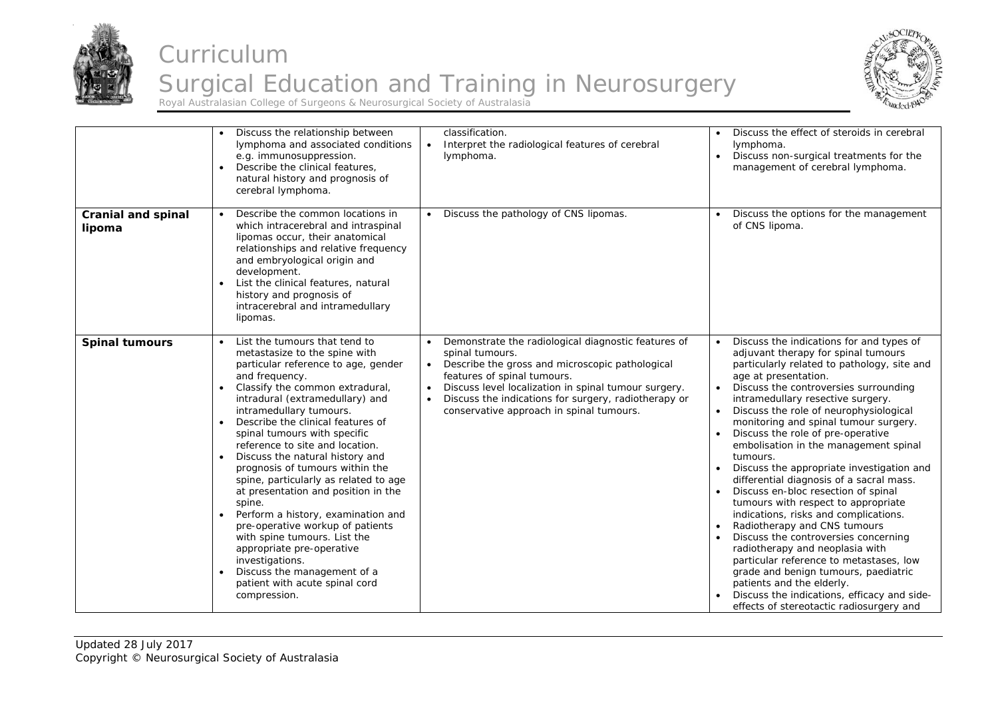



| <b>Cranial and spinal</b><br>lipoma | Discuss the relationship between<br>lymphoma and associated conditions<br>e.g. immunosuppression.<br>Describe the clinical features,<br>$\bullet$<br>natural history and prognosis of<br>cerebral lymphoma.<br>Describe the common locations in<br>$\bullet$<br>which intracerebral and intraspinal<br>lipomas occur, their anatomical<br>relationships and relative frequency<br>and embryological origin and<br>development.                                                                                                                                                                                                                                                                                                                           | classification.<br>Interpret the radiological features of cerebral<br>$\bullet$<br>lymphoma.<br>Discuss the pathology of CNS lipomas.<br>$\bullet$                                                                                                                                                                                                                       | Discuss the effect of steroids in cerebral<br>lymphoma.<br>Discuss non-surgical treatments for the<br>management of cerebral lymphoma.<br>Discuss the options for the management<br>of CNS lipoma.                                                                                                                                                                                                                                                                                                                                                                                                                                                                                                                                                                                                                                                                                                                                                      |
|-------------------------------------|----------------------------------------------------------------------------------------------------------------------------------------------------------------------------------------------------------------------------------------------------------------------------------------------------------------------------------------------------------------------------------------------------------------------------------------------------------------------------------------------------------------------------------------------------------------------------------------------------------------------------------------------------------------------------------------------------------------------------------------------------------|--------------------------------------------------------------------------------------------------------------------------------------------------------------------------------------------------------------------------------------------------------------------------------------------------------------------------------------------------------------------------|---------------------------------------------------------------------------------------------------------------------------------------------------------------------------------------------------------------------------------------------------------------------------------------------------------------------------------------------------------------------------------------------------------------------------------------------------------------------------------------------------------------------------------------------------------------------------------------------------------------------------------------------------------------------------------------------------------------------------------------------------------------------------------------------------------------------------------------------------------------------------------------------------------------------------------------------------------|
|                                     | List the clinical features, natural<br>history and prognosis of<br>intracerebral and intramedullary<br>lipomas.                                                                                                                                                                                                                                                                                                                                                                                                                                                                                                                                                                                                                                          |                                                                                                                                                                                                                                                                                                                                                                          |                                                                                                                                                                                                                                                                                                                                                                                                                                                                                                                                                                                                                                                                                                                                                                                                                                                                                                                                                         |
| <b>Spinal tumours</b>               | List the tumours that tend to<br>metastasize to the spine with<br>particular reference to age, gender<br>and frequency.<br>Classify the common extradural,<br>intradural (extramedullary) and<br>intramedullary tumours.<br>Describe the clinical features of<br>spinal tumours with specific<br>reference to site and location.<br>Discuss the natural history and<br>$\bullet$<br>prognosis of tumours within the<br>spine, particularly as related to age<br>at presentation and position in the<br>spine.<br>Perform a history, examination and<br>pre-operative workup of patients<br>with spine tumours. List the<br>appropriate pre-operative<br>investigations.<br>Discuss the management of a<br>patient with acute spinal cord<br>compression. | Demonstrate the radiological diagnostic features of<br>$\bullet$<br>spinal tumours.<br>Describe the gross and microscopic pathological<br>$\bullet$<br>features of spinal tumours.<br>Discuss level localization in spinal tumour surgery.<br>$\bullet$<br>Discuss the indications for surgery, radiotherapy or<br>$\bullet$<br>conservative approach in spinal tumours. | Discuss the indications for and types of<br>adjuvant therapy for spinal tumours<br>particularly related to pathology, site and<br>age at presentation.<br>Discuss the controversies surrounding<br>intramedullary resective surgery.<br>Discuss the role of neurophysiological<br>monitoring and spinal tumour surgery.<br>Discuss the role of pre-operative<br>embolisation in the management spinal<br>tumours.<br>Discuss the appropriate investigation and<br>differential diagnosis of a sacral mass.<br>Discuss en-bloc resection of spinal<br>tumours with respect to appropriate<br>indications, risks and complications.<br>Radiotherapy and CNS tumours<br>Discuss the controversies concerning<br>radiotherapy and neoplasia with<br>particular reference to metastases, low<br>grade and benign tumours, paediatric<br>patients and the elderly.<br>Discuss the indications, efficacy and side-<br>effects of stereotactic radiosurgery and |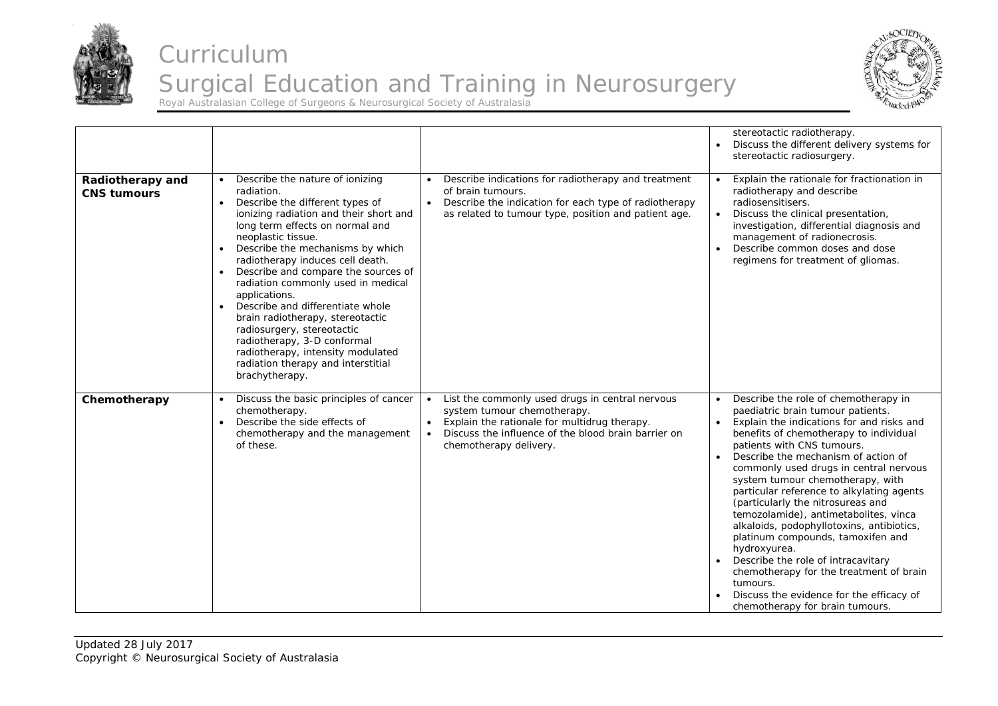



|                                        |                                                                                                                                                                                                                                                                                                                                                                                                                                                                                                                                                                                                                       |                                                                                                                                                                                                                                           | stereotactic radiotherapy.<br>Discuss the different delivery systems for<br>stereotactic radiosurgery.                                                                                                                                                                                                                                                                                                                                                                                                                                                                                                                                                                                                                       |
|----------------------------------------|-----------------------------------------------------------------------------------------------------------------------------------------------------------------------------------------------------------------------------------------------------------------------------------------------------------------------------------------------------------------------------------------------------------------------------------------------------------------------------------------------------------------------------------------------------------------------------------------------------------------------|-------------------------------------------------------------------------------------------------------------------------------------------------------------------------------------------------------------------------------------------|------------------------------------------------------------------------------------------------------------------------------------------------------------------------------------------------------------------------------------------------------------------------------------------------------------------------------------------------------------------------------------------------------------------------------------------------------------------------------------------------------------------------------------------------------------------------------------------------------------------------------------------------------------------------------------------------------------------------------|
| Radiotherapy and<br><b>CNS tumours</b> | Describe the nature of ionizing<br>radiation.<br>Describe the different types of<br>$\bullet$<br>ionizing radiation and their short and<br>long term effects on normal and<br>neoplastic tissue.<br>Describe the mechanisms by which<br>radiotherapy induces cell death.<br>Describe and compare the sources of<br>$\bullet$<br>radiation commonly used in medical<br>applications.<br>Describe and differentiate whole<br>brain radiotherapy, stereotactic<br>radiosurgery, stereotactic<br>radiotherapy, 3-D conformal<br>radiotherapy, intensity modulated<br>radiation therapy and interstitial<br>brachytherapy. | Describe indications for radiotherapy and treatment<br>of brain tumours.<br>Describe the indication for each type of radiotherapy<br>$\bullet$<br>as related to tumour type, position and patient age.                                    | Explain the rationale for fractionation in<br>radiotherapy and describe<br>radiosensitisers.<br>Discuss the clinical presentation,<br>investigation, differential diagnosis and<br>management of radionecrosis.<br>Describe common doses and dose<br>regimens for treatment of gliomas.                                                                                                                                                                                                                                                                                                                                                                                                                                      |
| Chemotherapy                           | Discuss the basic principles of cancer<br>chemotherapy.<br>Describe the side effects of<br>chemotherapy and the management<br>of these.                                                                                                                                                                                                                                                                                                                                                                                                                                                                               | List the commonly used drugs in central nervous<br>system tumour chemotherapy.<br>Explain the rationale for multidrug therapy.<br>$\bullet$<br>Discuss the influence of the blood brain barrier on<br>$\bullet$<br>chemotherapy delivery. | Describe the role of chemotherapy in<br>paediatric brain tumour patients.<br>Explain the indications for and risks and<br>benefits of chemotherapy to individual<br>patients with CNS tumours.<br>Describe the mechanism of action of<br>commonly used drugs in central nervous<br>system tumour chemotherapy, with<br>particular reference to alkylating agents<br>(particularly the nitrosureas and<br>temozolamide), antimetabolites, vinca<br>alkaloids, podophyllotoxins, antibiotics,<br>platinum compounds, tamoxifen and<br>hydroxyurea.<br>Describe the role of intracavitary<br>chemotherapy for the treatment of brain<br>tumours.<br>Discuss the evidence for the efficacy of<br>chemotherapy for brain tumours. |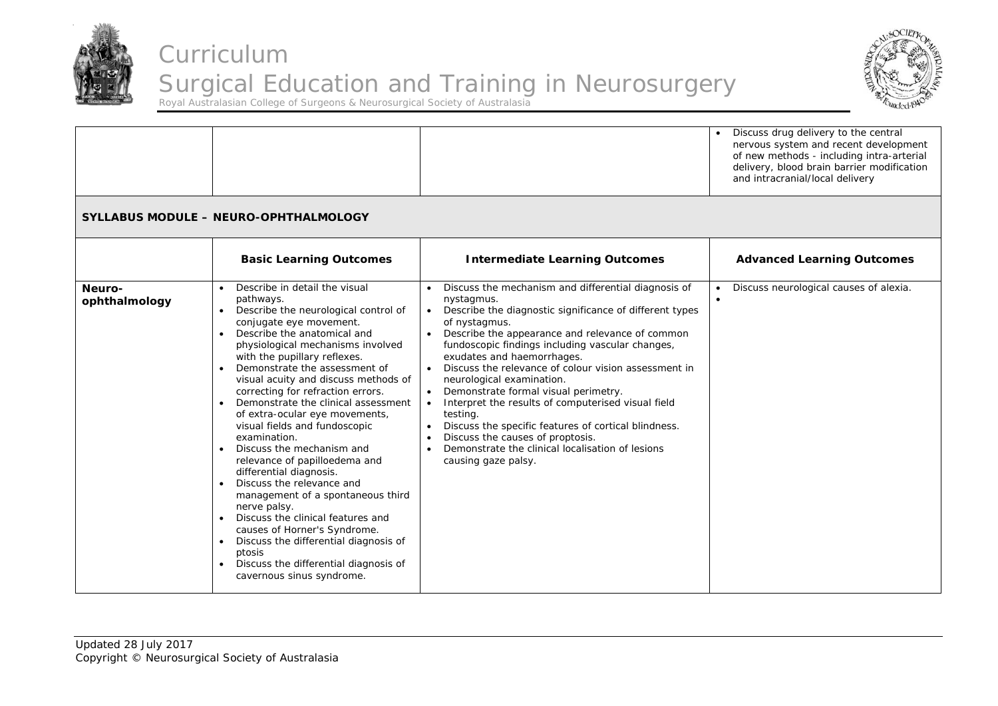



|                         |                                                                                                                                                                                                                                                                                                                                                                                                                                                                                                                                                                                                                                                                                                                                                                                                                                                                           |                                                                                                                                                                                                                                                                                                                                                                                                                                                                                                                                                                                                                                                                                                                                                                  | Discuss drug delivery to the central<br>nervous system and recent development<br>of new methods - including intra-arterial<br>delivery, blood brain barrier modification<br>and intracranial/local delivery |
|-------------------------|---------------------------------------------------------------------------------------------------------------------------------------------------------------------------------------------------------------------------------------------------------------------------------------------------------------------------------------------------------------------------------------------------------------------------------------------------------------------------------------------------------------------------------------------------------------------------------------------------------------------------------------------------------------------------------------------------------------------------------------------------------------------------------------------------------------------------------------------------------------------------|------------------------------------------------------------------------------------------------------------------------------------------------------------------------------------------------------------------------------------------------------------------------------------------------------------------------------------------------------------------------------------------------------------------------------------------------------------------------------------------------------------------------------------------------------------------------------------------------------------------------------------------------------------------------------------------------------------------------------------------------------------------|-------------------------------------------------------------------------------------------------------------------------------------------------------------------------------------------------------------|
|                         | <b>SYLLABUS MODULE - NEURO-OPHTHALMOLOGY</b>                                                                                                                                                                                                                                                                                                                                                                                                                                                                                                                                                                                                                                                                                                                                                                                                                              |                                                                                                                                                                                                                                                                                                                                                                                                                                                                                                                                                                                                                                                                                                                                                                  |                                                                                                                                                                                                             |
|                         | <b>Basic Learning Outcomes</b>                                                                                                                                                                                                                                                                                                                                                                                                                                                                                                                                                                                                                                                                                                                                                                                                                                            | <b>Intermediate Learning Outcomes</b>                                                                                                                                                                                                                                                                                                                                                                                                                                                                                                                                                                                                                                                                                                                            | <b>Advanced Learning Outcomes</b>                                                                                                                                                                           |
| Neuro-<br>ophthalmology | Describe in detail the visual<br>pathways.<br>Describe the neurological control of<br>$\bullet$<br>conjugate eye movement.<br>Describe the anatomical and<br>physiological mechanisms involved<br>with the pupillary reflexes.<br>Demonstrate the assessment of<br>visual acuity and discuss methods of<br>correcting for refraction errors.<br>Demonstrate the clinical assessment<br>of extra-ocular eye movements,<br>visual fields and fundoscopic<br>examination.<br>Discuss the mechanism and<br>relevance of papilloedema and<br>differential diagnosis.<br>Discuss the relevance and<br>$\bullet$<br>management of a spontaneous third<br>nerve palsy.<br>Discuss the clinical features and<br>$\bullet$<br>causes of Horner's Syndrome.<br>Discuss the differential diagnosis of<br>ptosis<br>Discuss the differential diagnosis of<br>cavernous sinus syndrome. | Discuss the mechanism and differential diagnosis of<br>nystagmus.<br>Describe the diagnostic significance of different types<br>$\bullet$<br>of nystagmus.<br>Describe the appearance and relevance of common<br>$\bullet$<br>fundoscopic findings including vascular changes,<br>exudates and haemorrhages.<br>Discuss the relevance of colour vision assessment in<br>$\bullet$<br>neurological examination.<br>Demonstrate formal visual perimetry.<br>$\bullet$<br>Interpret the results of computerised visual field<br>$\bullet$<br>testing.<br>Discuss the specific features of cortical blindness.<br>$\bullet$<br>Discuss the causes of proptosis.<br>$\bullet$<br>Demonstrate the clinical localisation of lesions<br>$\bullet$<br>causing gaze palsy. | Discuss neurological causes of alexia.                                                                                                                                                                      |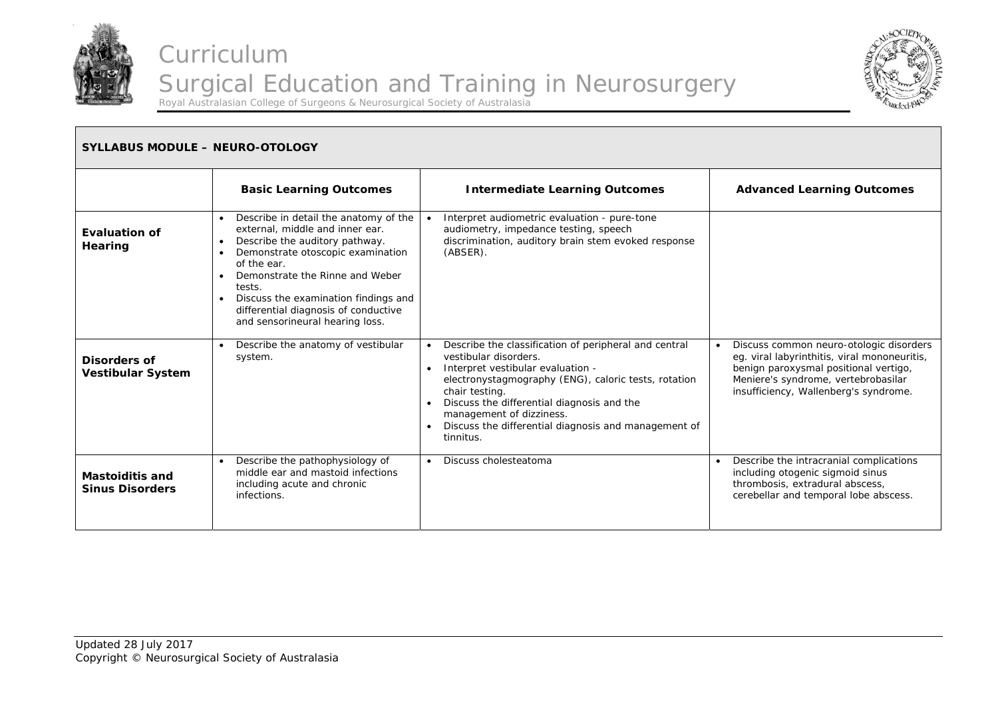



#### **SYLLABUS MODULE – NEURO-OTOLOGY Basic Learning Outcomes | Intermediate Learning Outcomes | Advanced Learning Outcomes Evaluation of Hearing**   $\bullet$  Describe in detail the anatomy of the external, middle and inner ear. • Describe the auditory pathway.  $\bullet$  Demonstrate otoscopic examination of the ear. • Demonstrate the Rinne and Weber tests.  $\bullet$  Discuss the examination findings and differential diagnosis of conductive and sensorineural hearing loss. . Interpret audiometric evaluation - pure-tone audiometry, impedance testing, speech discrimination, auditory brain stem evoked response (ABSER). **Disorders of Vestibular System**   $\bullet$  Describe the anatomy of vestibular system.  $\bullet$  Describe the classification of peripheral and central vestibular disorders. . Interpret vestibular evaluation electronystagmography (ENG), caloric tests, rotation chair testing.  $\bullet$  Discuss the differential diagnosis and the management of dizziness. Discuss the differential diagnosis and management of tinnitus. ۰ Discuss common neuro-otologic disorders eg. viral labyrinthitis, viral mononeuritis, benign paroxysmal positional vertigo, Meniere's syndrome, vertebrobasilar insufficiency, Wallenberg's syndrome. **Mastoiditis and Sinus Disorders**  $\bullet$  Describe the pathophysiology of middle ear and mastoid infections including acute and chronic infections. ۰ Discuss cholesteatoma **Discuss** cholesteatoma **Discuss** cholesteatoma **Discuss** cholesteatoma **Discuss** cholesteatoma **Discuss Discuss** cholesteatoma **Discuss Discuss Discuss Discuss Discuss Discuss Discuss** including otogenic sigmoid sinus thrombosis, extradural abscess, cerebellar and temporal lobe abscess.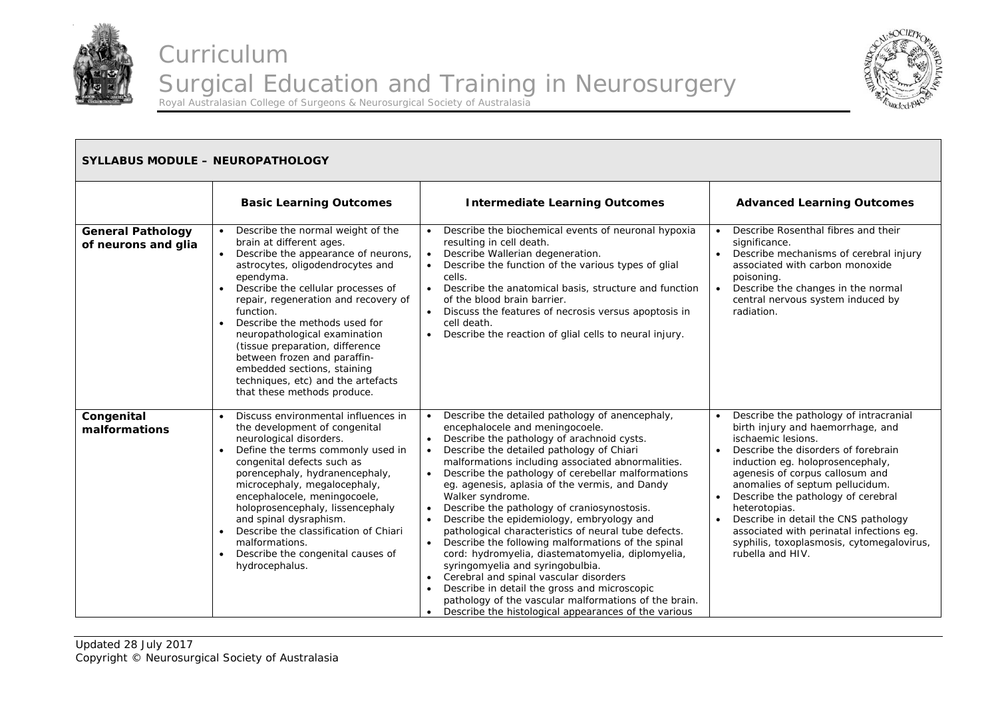



| <b>SYLLABUS MODULE - NEUROPATHOLOGY</b>         |                                                                                                                                                                                                                                                                                                                                                                                                                                                                                                        |                                                                                                                                                                                                                                                                                                                                                                                                                                                                                                                                                                                                                                                                                                                                                                                                                                                                                                                                                            |                                                                                                                                                                                                                                                                                                                                                                                                                                                                |
|-------------------------------------------------|--------------------------------------------------------------------------------------------------------------------------------------------------------------------------------------------------------------------------------------------------------------------------------------------------------------------------------------------------------------------------------------------------------------------------------------------------------------------------------------------------------|------------------------------------------------------------------------------------------------------------------------------------------------------------------------------------------------------------------------------------------------------------------------------------------------------------------------------------------------------------------------------------------------------------------------------------------------------------------------------------------------------------------------------------------------------------------------------------------------------------------------------------------------------------------------------------------------------------------------------------------------------------------------------------------------------------------------------------------------------------------------------------------------------------------------------------------------------------|----------------------------------------------------------------------------------------------------------------------------------------------------------------------------------------------------------------------------------------------------------------------------------------------------------------------------------------------------------------------------------------------------------------------------------------------------------------|
|                                                 | <b>Basic Learning Outcomes</b>                                                                                                                                                                                                                                                                                                                                                                                                                                                                         | <b>Intermediate Learning Outcomes</b>                                                                                                                                                                                                                                                                                                                                                                                                                                                                                                                                                                                                                                                                                                                                                                                                                                                                                                                      | <b>Advanced Learning Outcomes</b>                                                                                                                                                                                                                                                                                                                                                                                                                              |
| <b>General Pathology</b><br>of neurons and glia | Describe the normal weight of the<br>brain at different ages.<br>Describe the appearance of neurons,<br>astrocytes, oligodendrocytes and<br>ependyma.<br>Describe the cellular processes of<br>repair, regeneration and recovery of<br>function.<br>Describe the methods used for<br>$\bullet$<br>neuropathological examination<br>(tissue preparation, difference<br>between frozen and paraffin-<br>embedded sections, staining<br>techniques, etc) and the artefacts<br>that these methods produce. | Describe the biochemical events of neuronal hypoxia<br>resulting in cell death.<br>Describe Wallerian degeneration.<br>Describe the function of the various types of glial<br>$\bullet$<br>cells.<br>Describe the anatomical basis, structure and function<br>$\bullet$<br>of the blood brain barrier.<br>Discuss the features of necrosis versus apoptosis in<br>cell death.<br>Describe the reaction of glial cells to neural injury.                                                                                                                                                                                                                                                                                                                                                                                                                                                                                                                    | Describe Rosenthal fibres and their<br>significance.<br>Describe mechanisms of cerebral injury<br>associated with carbon monoxide<br>poisoning.<br>Describe the changes in the normal<br>$\bullet$<br>central nervous system induced by<br>radiation.                                                                                                                                                                                                          |
| Congenital<br>malformations                     | Discuss environmental influences in<br>the development of congenital<br>neurological disorders.<br>Define the terms commonly used in<br>$\bullet$<br>congenital defects such as<br>porencephaly, hydranencephaly,<br>microcephaly, megalocephaly,<br>encephalocele, meningocoele,<br>holoprosencephaly, lissencephaly<br>and spinal dysraphism.<br>Describe the classification of Chiari<br>$\bullet$<br>malformations.<br>Describe the congenital causes of<br>hydrocephalus.                         | Describe the detailed pathology of anencephaly,<br>$\bullet$<br>encephalocele and meningocoele.<br>Describe the pathology of arachnoid cysts.<br>Describe the detailed pathology of Chiari<br>$\bullet$<br>malformations including associated abnormalities.<br>Describe the pathology of cerebellar malformations<br>eg. agenesis, aplasia of the vermis, and Dandy<br>Walker syndrome.<br>Describe the pathology of craniosynostosis.<br>$\bullet$<br>Describe the epidemiology, embryology and<br>$\bullet$<br>pathological characteristics of neural tube defects.<br>Describe the following malformations of the spinal<br>cord: hydromyelia, diastematomyelia, diplomyelia,<br>syringomyelia and syringobulbia.<br>Cerebral and spinal vascular disorders<br>$\bullet$<br>Describe in detail the gross and microscopic<br>pathology of the vascular malformations of the brain.<br>Describe the histological appearances of the various<br>$\bullet$ | Describe the pathology of intracranial<br>birth injury and haemorrhage, and<br>ischaemic lesions.<br>Describe the disorders of forebrain<br>induction eg. holoprosencephaly,<br>agenesis of corpus callosum and<br>anomalies of septum pellucidum.<br>Describe the pathology of cerebral<br>heterotopias.<br>Describe in detail the CNS pathology<br>associated with perinatal infections eg.<br>syphilis, toxoplasmosis, cytomegalovirus,<br>rubella and HIV. |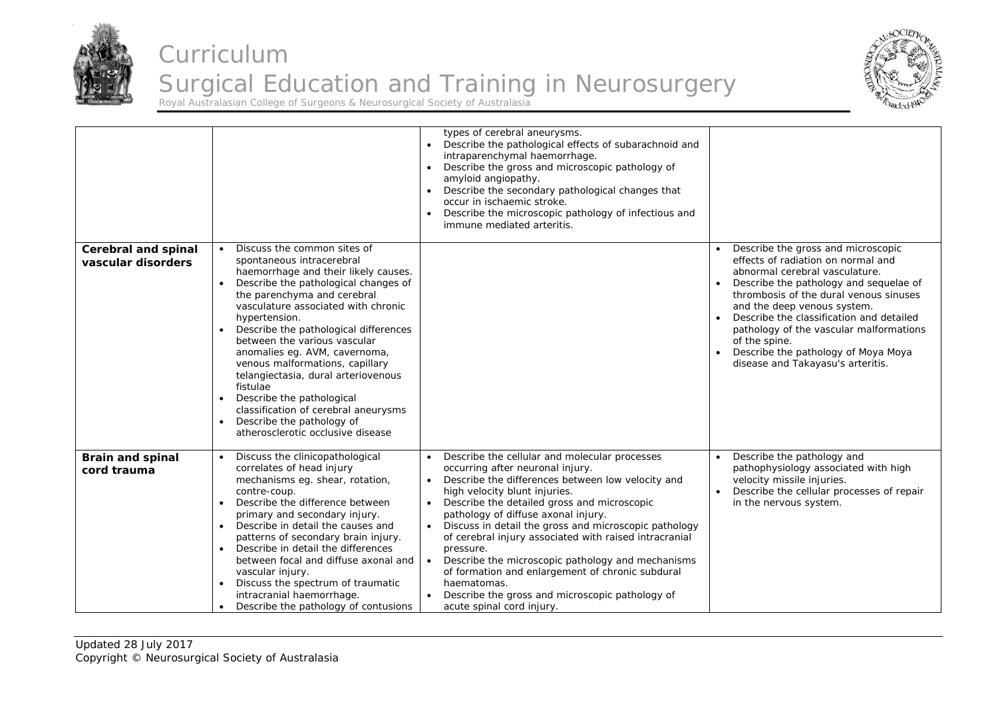



|                                                  |                                                                                                                                                                                                                                                                                                                                                                                                                                                                                                                                                                                                    | types of cerebral aneurysms.<br>Describe the pathological effects of subarachnoid and<br>intraparenchymal haemorrhage.<br>Describe the gross and microscopic pathology of<br>$\bullet$<br>amyloid angiopathy.<br>Describe the secondary pathological changes that<br>occur in ischaemic stroke.<br>Describe the microscopic pathology of infectious and<br>immune mediated arteritis.                                                                                                                                                                                                                                           |                                                                                                                                                                                                                                                                                                                                                                                                                   |
|--------------------------------------------------|----------------------------------------------------------------------------------------------------------------------------------------------------------------------------------------------------------------------------------------------------------------------------------------------------------------------------------------------------------------------------------------------------------------------------------------------------------------------------------------------------------------------------------------------------------------------------------------------------|---------------------------------------------------------------------------------------------------------------------------------------------------------------------------------------------------------------------------------------------------------------------------------------------------------------------------------------------------------------------------------------------------------------------------------------------------------------------------------------------------------------------------------------------------------------------------------------------------------------------------------|-------------------------------------------------------------------------------------------------------------------------------------------------------------------------------------------------------------------------------------------------------------------------------------------------------------------------------------------------------------------------------------------------------------------|
| <b>Cerebral and spinal</b><br>vascular disorders | • Discuss the common sites of<br>spontaneous intracerebral<br>haemorrhage and their likely causes.<br>Describe the pathological changes of<br>$\bullet$<br>the parenchyma and cerebral<br>vasculature associated with chronic<br>hypertension.<br>Describe the pathological differences<br>between the various vascular<br>anomalies eg. AVM, cavernoma,<br>venous malformations, capillary<br>telangiectasia, dural arteriovenous<br>fistulae<br>Describe the pathological<br>classification of cerebral aneurysms<br>Describe the pathology of<br>$\bullet$<br>atherosclerotic occlusive disease |                                                                                                                                                                                                                                                                                                                                                                                                                                                                                                                                                                                                                                 | Describe the gross and microscopic<br>effects of radiation on normal and<br>abnormal cerebral vasculature.<br>Describe the pathology and sequelae of<br>thrombosis of the dural venous sinuses<br>and the deep venous system.<br>Describe the classification and detailed<br>pathology of the vascular malformations<br>of the spine.<br>Describe the pathology of Moya Moya<br>disease and Takayasu's arteritis. |
| <b>Brain and spinal</b><br>cord trauma           | Discuss the clinicopathological<br>correlates of head injury<br>mechanisms eg. shear, rotation,<br>contre-coup.<br>Describe the difference between<br>primary and secondary injury.<br>Describe in detail the causes and<br>patterns of secondary brain injury.<br>Describe in detail the differences<br>between focal and diffuse axonal and<br>vascular injury.<br>Discuss the spectrum of traumatic<br>$\bullet$<br>intracranial haemorrhage.<br>Describe the pathology of contusions                                                                                                           | Describe the cellular and molecular processes<br>occurring after neuronal injury.<br>Describe the differences between low velocity and<br>high velocity blunt injuries.<br>Describe the detailed gross and microscopic<br>$\bullet$<br>pathology of diffuse axonal injury.<br>Discuss in detail the gross and microscopic pathology<br>of cerebral injury associated with raised intracranial<br>pressure.<br>Describe the microscopic pathology and mechanisms<br>$\bullet$<br>of formation and enlargement of chronic subdural<br>haematomas.<br>Describe the gross and microscopic pathology of<br>acute spinal cord injury. | Describe the pathology and<br>pathophysiology associated with high<br>velocity missile injuries.<br>Describe the cellular processes of repair<br>in the nervous system.                                                                                                                                                                                                                                           |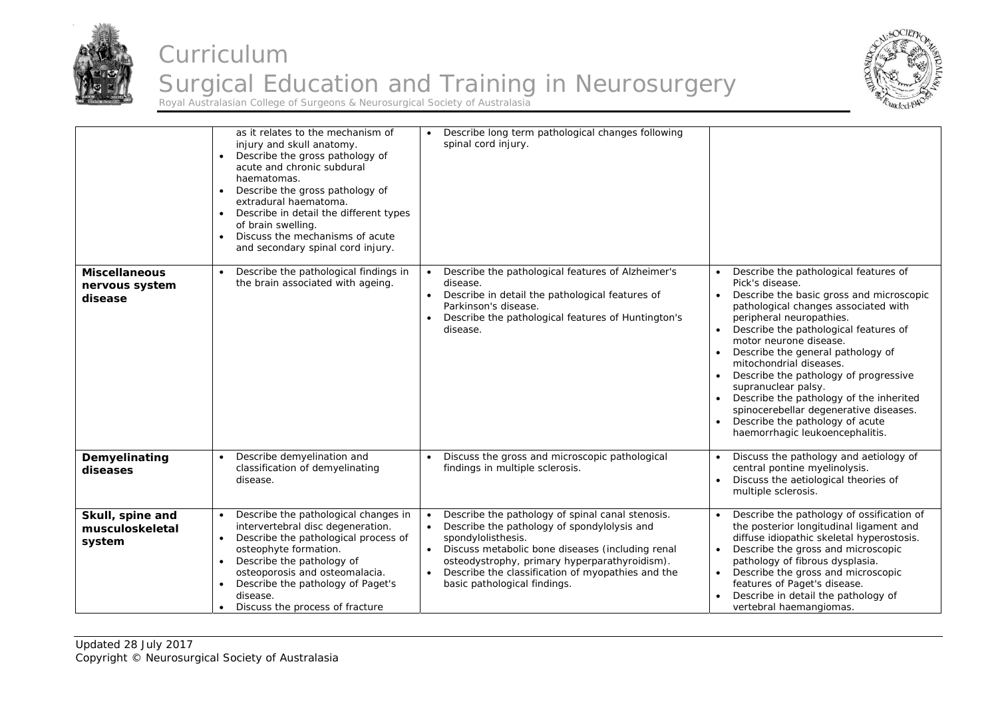



|                                                   | as it relates to the mechanism of<br>injury and skull anatomy.<br>Describe the gross pathology of<br>$\bullet$<br>acute and chronic subdural<br>haematomas.<br>Describe the gross pathology of<br>$\bullet$<br>extradural haematoma.<br>Describe in detail the different types<br>$\bullet$<br>of brain swelling.<br>Discuss the mechanisms of acute<br>$\bullet$<br>and secondary spinal cord injury. | Describe long term pathological changes following<br>spinal cord injury.                                                                                                                                                                                                                                                     |                                                                                                                                                                                                                                                                                                                                                                                                                                                                                                                                                                  |
|---------------------------------------------------|--------------------------------------------------------------------------------------------------------------------------------------------------------------------------------------------------------------------------------------------------------------------------------------------------------------------------------------------------------------------------------------------------------|------------------------------------------------------------------------------------------------------------------------------------------------------------------------------------------------------------------------------------------------------------------------------------------------------------------------------|------------------------------------------------------------------------------------------------------------------------------------------------------------------------------------------------------------------------------------------------------------------------------------------------------------------------------------------------------------------------------------------------------------------------------------------------------------------------------------------------------------------------------------------------------------------|
| <b>Miscellaneous</b><br>nervous system<br>disease | Describe the pathological findings in<br>the brain associated with ageing.                                                                                                                                                                                                                                                                                                                             | Describe the pathological features of Alzheimer's<br>disease.<br>Describe in detail the pathological features of<br>$\bullet$<br>Parkinson's disease.<br>Describe the pathological features of Huntington's<br>disease.                                                                                                      | Describe the pathological features of<br>Pick's disease.<br>Describe the basic gross and microscopic<br>$\bullet$<br>pathological changes associated with<br>peripheral neuropathies.<br>Describe the pathological features of<br>$\bullet$<br>motor neurone disease.<br>Describe the general pathology of<br>mitochondrial diseases.<br>Describe the pathology of progressive<br>supranuclear palsy.<br>Describe the pathology of the inherited<br>spinocerebellar degenerative diseases.<br>Describe the pathology of acute<br>haemorrhagic leukoencephalitis. |
| Demyelinating<br>diseases                         | Describe demyelination and<br>classification of demyelinating<br>disease.                                                                                                                                                                                                                                                                                                                              | Discuss the gross and microscopic pathological<br>findings in multiple sclerosis.                                                                                                                                                                                                                                            | Discuss the pathology and aetiology of<br>$\bullet$<br>central pontine myelinolysis.<br>Discuss the aetiological theories of<br>multiple sclerosis.                                                                                                                                                                                                                                                                                                                                                                                                              |
| Skull, spine and<br>musculoskeletal<br>system     | Describe the pathological changes in<br>$\bullet$<br>intervertebral disc degeneration.<br>Describe the pathological process of<br>$\bullet$<br>osteophyte formation.<br>Describe the pathology of<br>$\bullet$<br>osteoporosis and osteomalacia.<br>Describe the pathology of Paget's<br>disease.<br>Discuss the process of fracture                                                                   | Describe the pathology of spinal canal stenosis.<br>$\bullet$<br>Describe the pathology of spondylolysis and<br>spondylolisthesis.<br>Discuss metabolic bone diseases (including renal<br>osteodystrophy, primary hyperparathyroidism).<br>Describe the classification of myopathies and the<br>basic pathological findings. | Describe the pathology of ossification of<br>the posterior longitudinal ligament and<br>diffuse idiopathic skeletal hyperostosis.<br>Describe the gross and microscopic<br>pathology of fibrous dysplasia.<br>Describe the gross and microscopic<br>features of Paget's disease.<br>Describe in detail the pathology of<br>vertebral haemangiomas.                                                                                                                                                                                                               |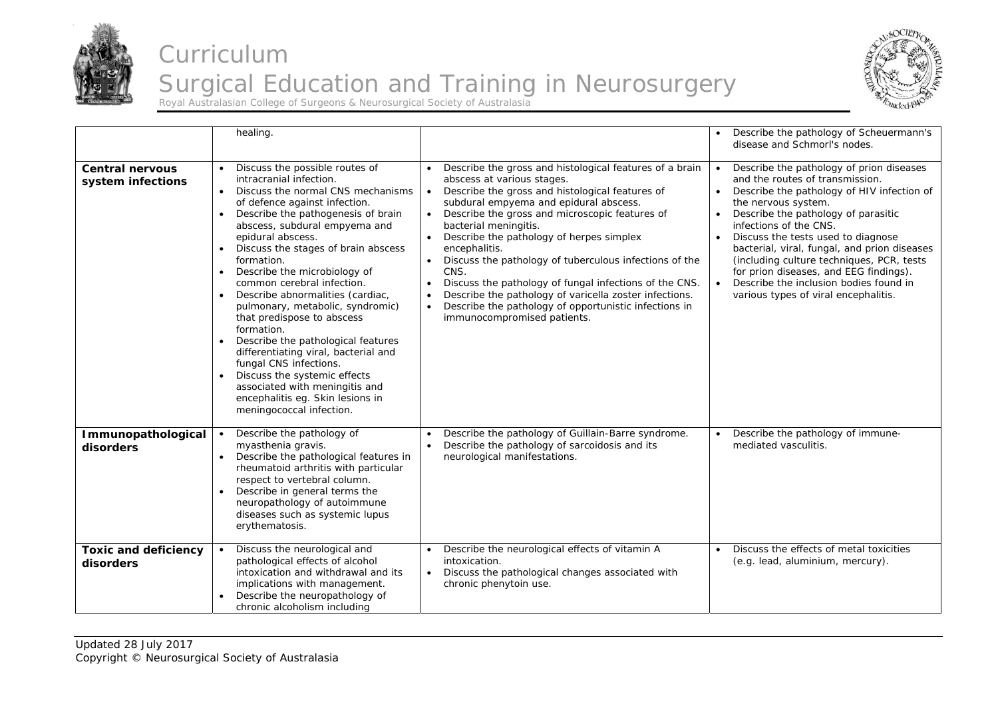



|                                             | healing.                                                                                                                                                                                                                                                                                                                                                                                                                                                                                                                                                                                                                                                                                                                                            |                                                                                                                                                                                                                                                                                                                                                                                                                                                                                                                                                                                                                                                                           | Describe the pathology of Scheuermann's<br>disease and Schmorl's nodes.                                                                                                                                                                                                                                                                                                                                                                                                          |
|---------------------------------------------|-----------------------------------------------------------------------------------------------------------------------------------------------------------------------------------------------------------------------------------------------------------------------------------------------------------------------------------------------------------------------------------------------------------------------------------------------------------------------------------------------------------------------------------------------------------------------------------------------------------------------------------------------------------------------------------------------------------------------------------------------------|---------------------------------------------------------------------------------------------------------------------------------------------------------------------------------------------------------------------------------------------------------------------------------------------------------------------------------------------------------------------------------------------------------------------------------------------------------------------------------------------------------------------------------------------------------------------------------------------------------------------------------------------------------------------------|----------------------------------------------------------------------------------------------------------------------------------------------------------------------------------------------------------------------------------------------------------------------------------------------------------------------------------------------------------------------------------------------------------------------------------------------------------------------------------|
| <b>Central nervous</b><br>system infections | Discuss the possible routes of<br>intracranial infection.<br>Discuss the normal CNS mechanisms<br>$\bullet$<br>of defence against infection.<br>Describe the pathogenesis of brain<br>$\bullet$<br>abscess, subdural empyema and<br>epidural abscess.<br>Discuss the stages of brain abscess<br>formation.<br>Describe the microbiology of<br>common cerebral infection.<br>Describe abnormalities (cardiac,<br>pulmonary, metabolic, syndromic)<br>that predispose to abscess<br>formation.<br>Describe the pathological features<br>differentiating viral, bacterial and<br>fungal CNS infections.<br>Discuss the systemic effects<br>$\bullet$<br>associated with meningitis and<br>encephalitis eg. Skin lesions in<br>meningococcal infection. | Describe the gross and histological features of a brain<br>abscess at various stages.<br>Describe the gross and histological features of<br>$\bullet$<br>subdural empyema and epidural abscess.<br>Describe the gross and microscopic features of<br>$\bullet$<br>bacterial meningitis.<br>Describe the pathology of herpes simplex<br>$\bullet$<br>encephalitis.<br>Discuss the pathology of tuberculous infections of the<br>CNS.<br>Discuss the pathology of fungal infections of the CNS.<br>$\bullet$<br>Describe the pathology of varicella zoster infections.<br>Describe the pathology of opportunistic infections in<br>$\bullet$<br>immunocompromised patients. | Describe the pathology of prion diseases<br>and the routes of transmission.<br>Describe the pathology of HIV infection of<br>the nervous system.<br>Describe the pathology of parasitic<br>infections of the CNS.<br>Discuss the tests used to diagnose<br>bacterial, viral, fungal, and prion diseases<br>(including culture techniques, PCR, tests<br>for prion diseases, and EEG findings).<br>Describe the inclusion bodies found in<br>various types of viral encephalitis. |
| Immunopathological<br>disorders             | Describe the pathology of<br>$\bullet$<br>myasthenia gravis.<br>Describe the pathological features in<br>$\bullet$<br>rheumatoid arthritis with particular<br>respect to vertebral column.<br>Describe in general terms the<br>neuropathology of autoimmune<br>diseases such as systemic lupus<br>erythematosis.                                                                                                                                                                                                                                                                                                                                                                                                                                    | Describe the pathology of Guillain-Barre syndrome.<br>$\bullet$<br>Describe the pathology of sarcoidosis and its<br>$\bullet$<br>neurological manifestations.                                                                                                                                                                                                                                                                                                                                                                                                                                                                                                             | Describe the pathology of immune-<br>mediated vasculitis.                                                                                                                                                                                                                                                                                                                                                                                                                        |
| <b>Toxic and deficiency</b><br>disorders    | Discuss the neurological and<br>pathological effects of alcohol<br>intoxication and withdrawal and its<br>implications with management.<br>Describe the neuropathology of<br>chronic alcoholism including                                                                                                                                                                                                                                                                                                                                                                                                                                                                                                                                           | Describe the neurological effects of vitamin A<br>intoxication.<br>Discuss the pathological changes associated with<br>chronic phenytoin use.                                                                                                                                                                                                                                                                                                                                                                                                                                                                                                                             | Discuss the effects of metal toxicities<br>(e.g. lead, aluminium, mercury).                                                                                                                                                                                                                                                                                                                                                                                                      |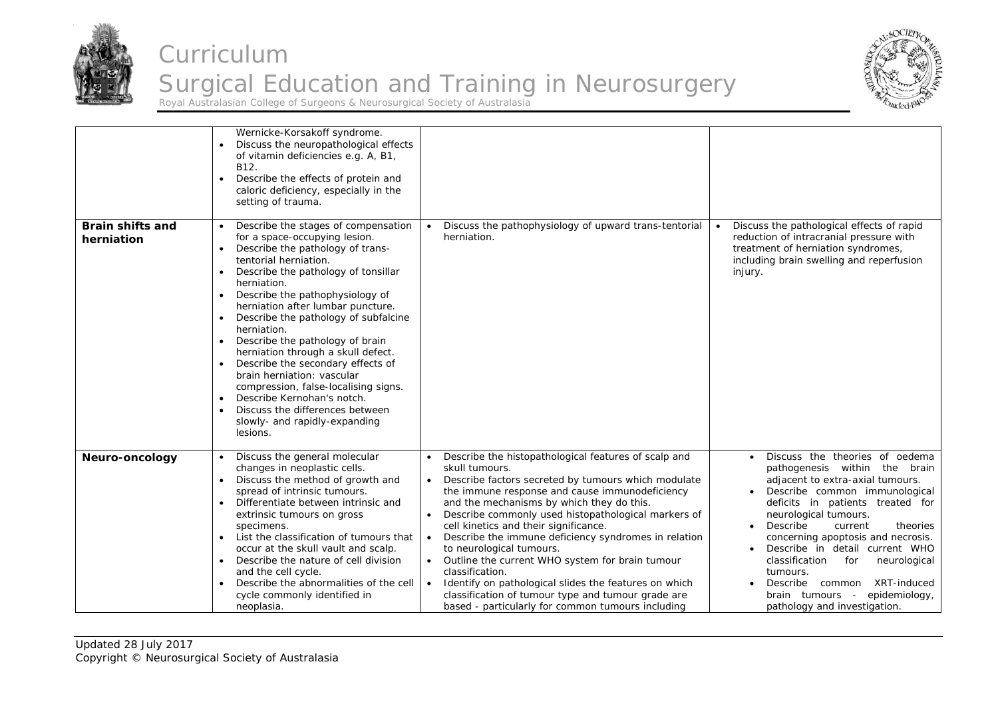



|                                       | Wernicke-Korsakoff syndrome.<br>Discuss the neuropathological effects<br>of vitamin deficiencies e.g. A, B1,<br>B12.<br>Describe the effects of protein and<br>caloric deficiency, especially in the<br>setting of trauma.                                                                                                                                                                                                                                                                                                                                                                                                                                      |                                                                                                                                                                                                                                                                                                                                                                                                                                                                                                                                                                                                                                                                                                                |                                                                                                                                                                                                                                                                                                                                                                                                                                                                                      |
|---------------------------------------|-----------------------------------------------------------------------------------------------------------------------------------------------------------------------------------------------------------------------------------------------------------------------------------------------------------------------------------------------------------------------------------------------------------------------------------------------------------------------------------------------------------------------------------------------------------------------------------------------------------------------------------------------------------------|----------------------------------------------------------------------------------------------------------------------------------------------------------------------------------------------------------------------------------------------------------------------------------------------------------------------------------------------------------------------------------------------------------------------------------------------------------------------------------------------------------------------------------------------------------------------------------------------------------------------------------------------------------------------------------------------------------------|--------------------------------------------------------------------------------------------------------------------------------------------------------------------------------------------------------------------------------------------------------------------------------------------------------------------------------------------------------------------------------------------------------------------------------------------------------------------------------------|
| <b>Brain shifts and</b><br>herniation | Describe the stages of compensation<br>for a space-occupying lesion.<br>Describe the pathology of trans-<br>tentorial herniation.<br>Describe the pathology of tonsillar<br>herniation.<br>Describe the pathophysiology of<br>herniation after lumbar puncture.<br>Describe the pathology of subfalcine<br>$\bullet$<br>herniation.<br>Describe the pathology of brain<br>$\bullet$<br>herniation through a skull defect.<br>Describe the secondary effects of<br>$\bullet$<br>brain herniation: vascular<br>compression, false-localising signs.<br>Describe Kernohan's notch.<br>Discuss the differences between<br>slowly- and rapidly-expanding<br>lesions. | Discuss the pathophysiology of upward trans-tentorial<br>herniation.                                                                                                                                                                                                                                                                                                                                                                                                                                                                                                                                                                                                                                           | Discuss the pathological effects of rapid<br>reduction of intracranial pressure with<br>treatment of herniation syndromes,<br>including brain swelling and reperfusion<br>injury.                                                                                                                                                                                                                                                                                                    |
| Neuro-oncology                        | Discuss the general molecular<br>changes in neoplastic cells.<br>Discuss the method of growth and<br>spread of intrinsic tumours.<br>Differentiate between intrinsic and<br>extrinsic tumours on gross<br>specimens.<br>List the classification of tumours that<br>occur at the skull vault and scalp.<br>Describe the nature of cell division<br>$\bullet$<br>and the cell cycle.<br>Describe the abnormalities of the cell<br>cycle commonly identified in<br>neoplasia.                                                                                                                                                                                      | Describe the histopathological features of scalp and<br>skull tumours.<br>Describe factors secreted by tumours which modulate<br>$\bullet$<br>the immune response and cause immunodeficiency<br>and the mechanisms by which they do this.<br>Describe commonly used histopathological markers of<br>cell kinetics and their significance.<br>Describe the immune deficiency syndromes in relation<br>$\bullet$<br>to neurological tumours.<br>Outline the current WHO system for brain tumour<br>$\bullet$<br>classification.<br>Identify on pathological slides the features on which<br>$\bullet$<br>classification of tumour type and tumour grade are<br>based - particularly for common tumours including | Discuss the theories of oedema<br>pathogenesis within the brain<br>adjacent to extra-axial tumours.<br>Describe common immunological<br>deficits in patients treated for<br>neurological tumours.<br>Describe<br>current<br>theories<br>$\bullet$<br>concerning apoptosis and necrosis.<br>Describe in detail current WHO<br>classification<br>for<br>neurological<br>tumours.<br>XRT-induced<br>Describe common<br>brain tumours -<br>epidemiology,<br>pathology and investigation. |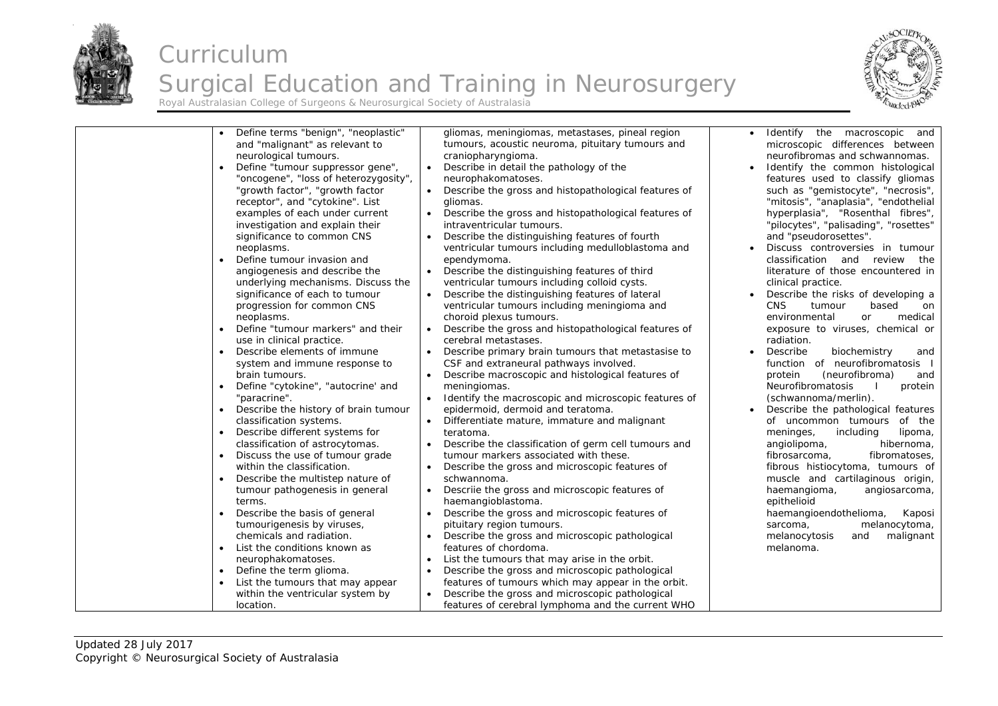

#### Curriculum Surgical Education and Training in Neurosurgery Royal Australasian College of Surgeons & Neurosurgical Society of Australasia



| Define terms "benign", "neoplastic"<br>and "malignant" as relevant to<br>neurological tumours.<br>Define "tumour suppressor gene",<br>"oncogene", "loss of heterozygosity",<br>"growth factor", "growth factor<br>receptor", and "cytokine". List<br>examples of each under current<br>investigation and explain their<br>significance to common CNS<br>neoplasms.<br>Define tumour invasion and<br>angiogenesis and describe the<br>underlying mechanisms. Discuss the<br>significance of each to tumour<br>progression for common CNS<br>neoplasms.<br>Define "tumour markers" and their<br>use in clinical practice.<br>Describe elements of immune<br>$\bullet$<br>system and immune response to<br>brain tumours.<br>Define "cytokine", "autocrine' and<br>$\bullet$<br>"paracrine".<br>Describe the history of brain tumour<br>classification systems.<br>Describe different systems for<br>classification of astrocytomas.<br>Discuss the use of tumour grade<br>$\bullet$<br>within the classification.<br>Describe the multistep nature of<br>$\bullet$<br>tumour pathogenesis in general<br>terms.<br>Describe the basis of general<br>tumourigenesis by viruses,<br>chemicals and radiation.<br>List the conditions known as<br>$\bullet$<br>neurophakomatoses.<br>Define the term glioma.<br>List the tumours that may appear<br>within the ventricular system by | gliomas, meningiomas, metastases, pineal region<br>tumours, acoustic neuroma, pituitary tumours and<br>craniopharyngioma.<br>Describe in detail the pathology of the<br>$\bullet$<br>neurophakomatoses.<br>Describe the gross and histopathological features of<br>gliomas.<br>Describe the gross and histopathological features of<br>intraventricular tumours.<br>Describe the distinguishing features of fourth<br>$\bullet$<br>ventricular tumours including medulloblastoma and<br>ependymoma.<br>Describe the distinguishing features of third<br>$\bullet$<br>ventricular tumours including colloid cysts.<br>Describe the distinguishing features of lateral<br>$\bullet$<br>ventricular tumours including meningioma and<br>choroid plexus tumours.<br>Describe the gross and histopathological features of<br>$\bullet$<br>cerebral metastases.<br>Describe primary brain tumours that metastasise to<br>$\bullet$<br>CSF and extraneural pathways involved.<br>Describe macroscopic and histological features of<br>$\bullet$<br>meningiomas.<br>Identify the macroscopic and microscopic features of<br>epidermoid, dermoid and teratoma.<br>Differentiate mature, immature and malignant<br>teratoma.<br>Describe the classification of germ cell tumours and<br>tumour markers associated with these.<br>Describe the gross and microscopic features of<br>schwannoma.<br>Descriie the gross and microscopic features of<br>$\bullet$<br>haemangioblastoma.<br>Describe the gross and microscopic features of<br>pituitary region tumours.<br>Describe the gross and microscopic pathological<br>features of chordoma.<br>List the tumours that may arise in the orbit.<br>$\bullet$<br>Describe the gross and microscopic pathological<br>$\bullet$<br>features of tumours which may appear in the orbit.<br>Describe the gross and microscopic pathological | Identify the macroscopic and<br>microscopic differences between<br>neurofibromas and schwannomas.<br>Identify the common histological<br>features used to classify gliomas<br>such as "gemistocyte", "necrosis",<br>"mitosis", "anaplasia", "endothelial<br>hyperplasia", "Rosenthal fibres",<br>"pilocytes", "palisading", "rosettes"<br>and "pseudorosettes".<br>Discuss controversies in tumour<br>classification and review the<br>literature of those encountered in<br>clinical practice.<br>Describe the risks of developing a<br><b>CNS</b><br>tumour<br>based<br>on<br>environmental<br><b>or</b><br>medical<br>exposure to viruses, chemical or<br>radiation.<br>Describe<br>biochemistry<br>and<br>function of neurofibromatosis<br>(neurofibroma)<br>protein<br>and<br>Neurofibromatosis<br>protein<br>(schwannoma/merlin).<br>Describe the pathological features<br>of uncommon tumours of the<br>including<br>meninges,<br>lipoma,<br>angiolipoma,<br>hibernoma,<br>fibrosarcoma,<br>fibromatoses,<br>fibrous histiocytoma, tumours of<br>muscle and cartilaginous origin,<br>haemangioma,<br>angiosarcoma,<br>epithelioid<br>haemangioendothelioma,<br>Kaposi<br>melanocytoma,<br>sarcoma,<br>melanocytosis<br>malignant<br>and<br>melanoma. |
|-------------------------------------------------------------------------------------------------------------------------------------------------------------------------------------------------------------------------------------------------------------------------------------------------------------------------------------------------------------------------------------------------------------------------------------------------------------------------------------------------------------------------------------------------------------------------------------------------------------------------------------------------------------------------------------------------------------------------------------------------------------------------------------------------------------------------------------------------------------------------------------------------------------------------------------------------------------------------------------------------------------------------------------------------------------------------------------------------------------------------------------------------------------------------------------------------------------------------------------------------------------------------------------------------------------------------------------------------------------------------------|-----------------------------------------------------------------------------------------------------------------------------------------------------------------------------------------------------------------------------------------------------------------------------------------------------------------------------------------------------------------------------------------------------------------------------------------------------------------------------------------------------------------------------------------------------------------------------------------------------------------------------------------------------------------------------------------------------------------------------------------------------------------------------------------------------------------------------------------------------------------------------------------------------------------------------------------------------------------------------------------------------------------------------------------------------------------------------------------------------------------------------------------------------------------------------------------------------------------------------------------------------------------------------------------------------------------------------------------------------------------------------------------------------------------------------------------------------------------------------------------------------------------------------------------------------------------------------------------------------------------------------------------------------------------------------------------------------------------------------------------------------------------------------------------------------------------------------------------------------------------------------|-------------------------------------------------------------------------------------------------------------------------------------------------------------------------------------------------------------------------------------------------------------------------------------------------------------------------------------------------------------------------------------------------------------------------------------------------------------------------------------------------------------------------------------------------------------------------------------------------------------------------------------------------------------------------------------------------------------------------------------------------------------------------------------------------------------------------------------------------------------------------------------------------------------------------------------------------------------------------------------------------------------------------------------------------------------------------------------------------------------------------------------------------------------------------------------------------------------------------------------------------------------|
| location.                                                                                                                                                                                                                                                                                                                                                                                                                                                                                                                                                                                                                                                                                                                                                                                                                                                                                                                                                                                                                                                                                                                                                                                                                                                                                                                                                                     | features of cerebral lymphoma and the current WHO                                                                                                                                                                                                                                                                                                                                                                                                                                                                                                                                                                                                                                                                                                                                                                                                                                                                                                                                                                                                                                                                                                                                                                                                                                                                                                                                                                                                                                                                                                                                                                                                                                                                                                                                                                                                                           |                                                                                                                                                                                                                                                                                                                                                                                                                                                                                                                                                                                                                                                                                                                                                                                                                                                                                                                                                                                                                                                                                                                                                                                                                                                             |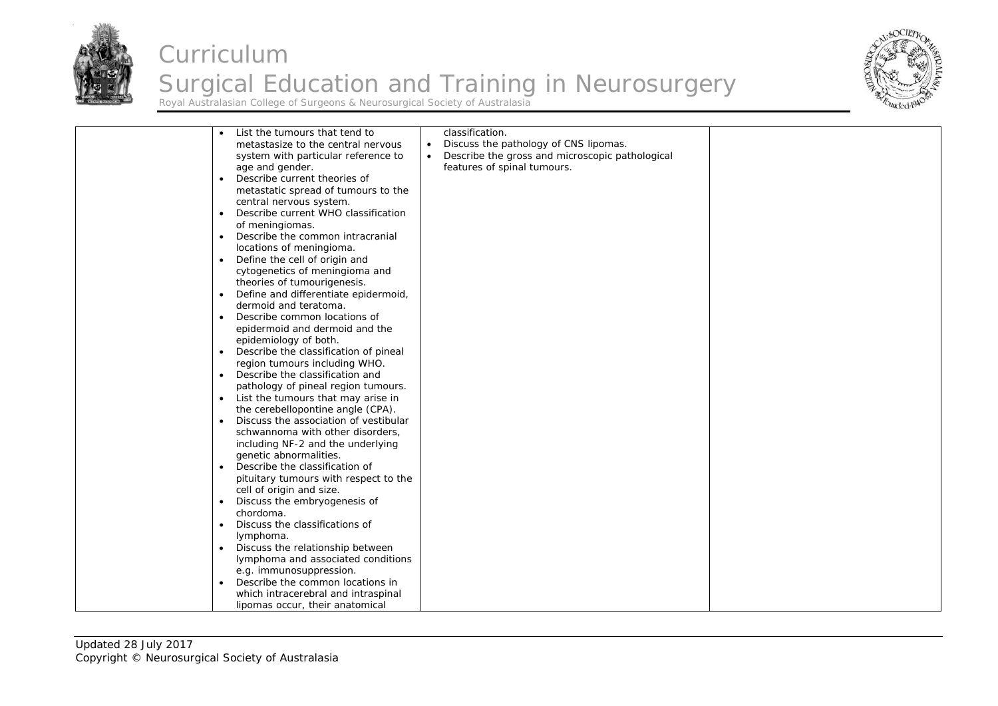



| List the tumours that tend to<br>$\bullet$<br>metastasize to the central nervous<br>system with particular reference to<br>age and gender.<br>Describe current theories of<br>$\bullet$<br>metastatic spread of tumours to the<br>central nervous system.<br>Describe current WHO classification<br>$\bullet$<br>of meningiomas.<br>Describe the common intracranial<br>$\bullet$<br>locations of meningioma.<br>Define the cell of origin and<br>$\bullet$<br>cytogenetics of meningioma and<br>theories of tumourigenesis.<br>Define and differentiate epidermoid,<br>$\bullet$<br>dermoid and teratoma.<br>Describe common locations of<br>$\bullet$<br>epidermoid and dermoid and the<br>epidemiology of both.<br>Describe the classification of pineal<br>$\bullet$<br>region tumours including WHO.<br>Describe the classification and<br>$\bullet$<br>pathology of pineal region tumours.<br>List the tumours that may arise in<br>the cerebellopontine angle (CPA).<br>Discuss the association of vestibular<br>$\bullet$<br>schwannoma with other disorders,<br>including NF-2 and the underlying<br>genetic abnormalities.<br>Describe the classification of<br>$\bullet$<br>pituitary tumours with respect to the | classification.<br>Discuss the pathology of CNS lipomas.<br>$\bullet$<br>Describe the gross and microscopic pathological<br>features of spinal tumours. |
|------------------------------------------------------------------------------------------------------------------------------------------------------------------------------------------------------------------------------------------------------------------------------------------------------------------------------------------------------------------------------------------------------------------------------------------------------------------------------------------------------------------------------------------------------------------------------------------------------------------------------------------------------------------------------------------------------------------------------------------------------------------------------------------------------------------------------------------------------------------------------------------------------------------------------------------------------------------------------------------------------------------------------------------------------------------------------------------------------------------------------------------------------------------------------------------------------------------------------|---------------------------------------------------------------------------------------------------------------------------------------------------------|
| cell of origin and size.                                                                                                                                                                                                                                                                                                                                                                                                                                                                                                                                                                                                                                                                                                                                                                                                                                                                                                                                                                                                                                                                                                                                                                                                     |                                                                                                                                                         |
| Discuss the embryogenesis of<br>$\bullet$<br>chordoma.<br>Discuss the classifications of<br>$\bullet$                                                                                                                                                                                                                                                                                                                                                                                                                                                                                                                                                                                                                                                                                                                                                                                                                                                                                                                                                                                                                                                                                                                        |                                                                                                                                                         |
| Iymphoma.<br>Discuss the relationship between<br>$\bullet$<br>lymphoma and associated conditions<br>e.g. immunosuppression.                                                                                                                                                                                                                                                                                                                                                                                                                                                                                                                                                                                                                                                                                                                                                                                                                                                                                                                                                                                                                                                                                                  |                                                                                                                                                         |
| Describe the common locations in<br>$\bullet$<br>which intracerebral and intraspinal<br>lipomas occur, their anatomical                                                                                                                                                                                                                                                                                                                                                                                                                                                                                                                                                                                                                                                                                                                                                                                                                                                                                                                                                                                                                                                                                                      |                                                                                                                                                         |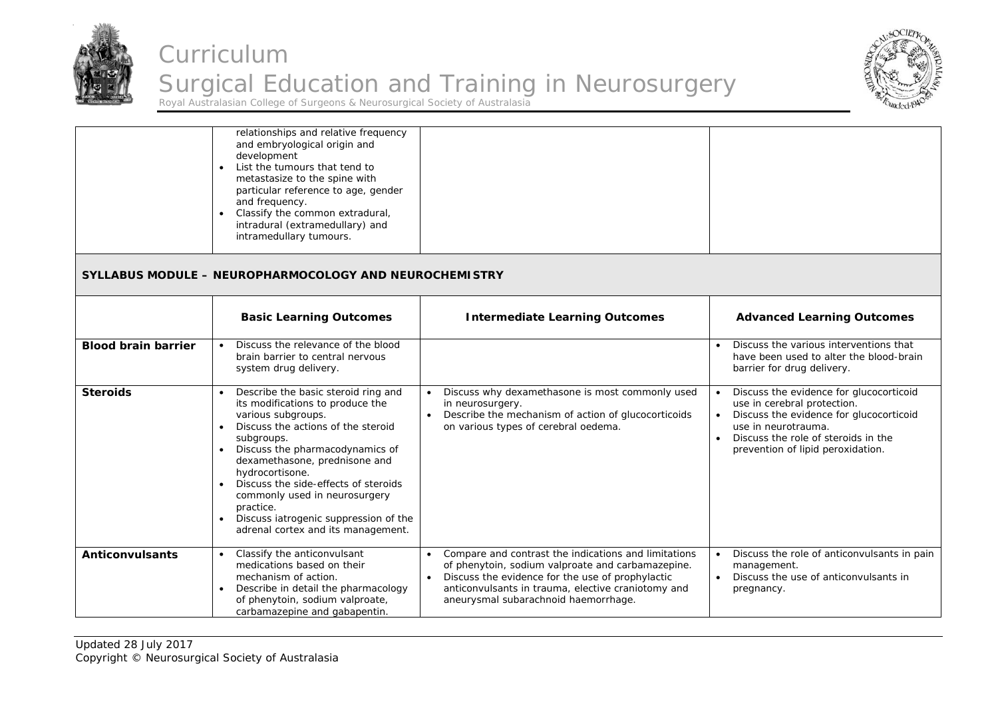



|                            | relationships and relative frequency<br>and embryological origin and<br>development<br>List the tumours that tend to<br>$\bullet$<br>metastasize to the spine with<br>particular reference to age, gender<br>and frequency.<br>Classify the common extradural,<br>$\bullet$<br>intradural (extramedullary) and<br>intramedullary tumours.                                                                                                                                      |                                                                                                                                                                                                                                                                          |                                                                                                                                                                                                                      |
|----------------------------|--------------------------------------------------------------------------------------------------------------------------------------------------------------------------------------------------------------------------------------------------------------------------------------------------------------------------------------------------------------------------------------------------------------------------------------------------------------------------------|--------------------------------------------------------------------------------------------------------------------------------------------------------------------------------------------------------------------------------------------------------------------------|----------------------------------------------------------------------------------------------------------------------------------------------------------------------------------------------------------------------|
|                            | <b>SYLLABUS MODULE - NEUROPHARMOCOLOGY AND NEUROCHEMISTRY</b>                                                                                                                                                                                                                                                                                                                                                                                                                  |                                                                                                                                                                                                                                                                          |                                                                                                                                                                                                                      |
|                            | <b>Basic Learning Outcomes</b>                                                                                                                                                                                                                                                                                                                                                                                                                                                 | <b>Intermediate Learning Outcomes</b>                                                                                                                                                                                                                                    | <b>Advanced Learning Outcomes</b>                                                                                                                                                                                    |
| <b>Blood brain barrier</b> | Discuss the relevance of the blood<br>$\bullet$<br>brain barrier to central nervous<br>system drug delivery.                                                                                                                                                                                                                                                                                                                                                                   |                                                                                                                                                                                                                                                                          | Discuss the various interventions that<br>have been used to alter the blood-brain<br>barrier for drug delivery.                                                                                                      |
| <b>Steroids</b>            | Describe the basic steroid ring and<br>$\bullet$<br>its modifications to produce the<br>various subgroups.<br>Discuss the actions of the steroid<br>$\bullet$<br>subgroups.<br>Discuss the pharmacodynamics of<br>$\bullet$<br>dexamethasone, prednisone and<br>hydrocortisone.<br>Discuss the side-effects of steroids<br>$\bullet$<br>commonly used in neurosurgery<br>practice.<br>Discuss iatrogenic suppression of the<br>$\bullet$<br>adrenal cortex and its management. | Discuss why dexamethasone is most commonly used<br>$\bullet$<br>in neurosurgery.<br>Describe the mechanism of action of glucocorticoids<br>on various types of cerebral oedema.                                                                                          | Discuss the evidence for glucocorticoid<br>use in cerebral protection.<br>Discuss the evidence for glucocorticoid<br>use in neurotrauma.<br>Discuss the role of steroids in the<br>prevention of lipid peroxidation. |
| <b>Anticonvulsants</b>     | Classify the anticonvulsant<br>$\bullet$<br>medications based on their<br>mechanism of action.<br>Describe in detail the pharmacology<br>$\bullet$<br>of phenytoin, sodium valproate,<br>carbamazepine and gabapentin.                                                                                                                                                                                                                                                         | Compare and contrast the indications and limitations<br>$\bullet$<br>of phenytoin, sodium valproate and carbamazepine.<br>Discuss the evidence for the use of prophylactic<br>anticonvulsants in trauma, elective craniotomy and<br>aneurysmal subarachnoid haemorrhage. | Discuss the role of anticonvulsants in pain<br>management.<br>Discuss the use of anticonvulsants in<br>pregnancy.                                                                                                    |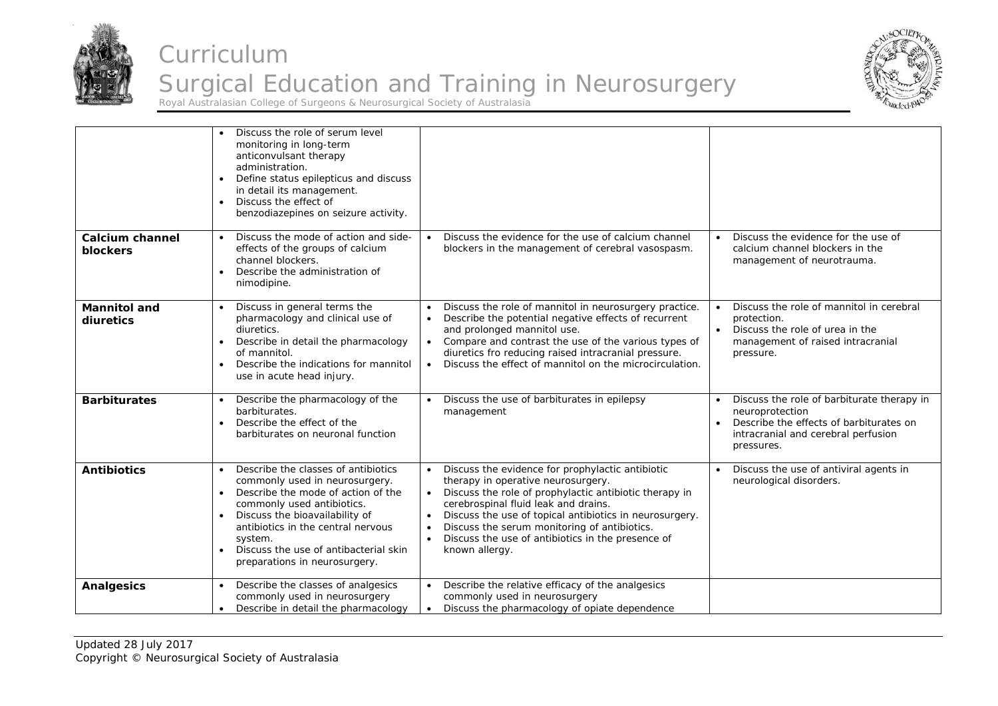



|                                    | Discuss the role of serum level<br>monitoring in long-term<br>anticonvulsant therapy<br>administration.<br>Define status epilepticus and discuss<br>$\bullet$<br>in detail its management.<br>Discuss the effect of<br>benzodiazepines on seizure activity.                                                         |                                                                                                                                                                                                                                                                                                                                                                                                                                |                                                                                                                                                               |
|------------------------------------|---------------------------------------------------------------------------------------------------------------------------------------------------------------------------------------------------------------------------------------------------------------------------------------------------------------------|--------------------------------------------------------------------------------------------------------------------------------------------------------------------------------------------------------------------------------------------------------------------------------------------------------------------------------------------------------------------------------------------------------------------------------|---------------------------------------------------------------------------------------------------------------------------------------------------------------|
| <b>Calcium channel</b><br>blockers | Discuss the mode of action and side-<br>$\bullet$<br>effects of the groups of calcium<br>channel blockers.<br>Describe the administration of<br>$\bullet$<br>nimodipine.                                                                                                                                            | Discuss the evidence for the use of calcium channel<br>$\bullet$<br>blockers in the management of cerebral vasospasm.                                                                                                                                                                                                                                                                                                          | Discuss the evidence for the use of<br>calcium channel blockers in the<br>management of neurotrauma.                                                          |
| <b>Mannitol and</b><br>diuretics   | Discuss in general terms the<br>pharmacology and clinical use of<br>diuretics.<br>Describe in detail the pharmacology<br>of mannitol.<br>Describe the indications for mannitol<br>$\bullet$<br>use in acute head injury.                                                                                            | Discuss the role of mannitol in neurosurgery practice.<br>Describe the potential negative effects of recurrent<br>$\bullet$<br>and prolonged mannitol use.<br>Compare and contrast the use of the various types of<br>$\bullet$<br>diuretics fro reducing raised intracranial pressure.<br>Discuss the effect of mannitol on the microcirculation.<br>$\bullet$                                                                | Discuss the role of mannitol in cerebral<br>protection.<br>Discuss the role of urea in the<br>management of raised intracranial<br>pressure.                  |
| <b>Barbiturates</b>                | Describe the pharmacology of the<br>barbiturates.<br>Describe the effect of the<br>$\bullet$<br>barbiturates on neuronal function                                                                                                                                                                                   | Discuss the use of barbiturates in epilepsy<br>management                                                                                                                                                                                                                                                                                                                                                                      | Discuss the role of barbiturate therapy in<br>neuroprotection<br>Describe the effects of barbiturates on<br>intracranial and cerebral perfusion<br>pressures. |
| <b>Antibiotics</b>                 | Describe the classes of antibiotics<br>commonly used in neurosurgery.<br>Describe the mode of action of the<br>commonly used antibiotics.<br>Discuss the bioavailability of<br>antibiotics in the central nervous<br>system.<br>Discuss the use of antibacterial skin<br>$\bullet$<br>preparations in neurosurgery. | Discuss the evidence for prophylactic antibiotic<br>therapy in operative neurosurgery.<br>Discuss the role of prophylactic antibiotic therapy in<br>$\bullet$<br>cerebrospinal fluid leak and drains.<br>Discuss the use of topical antibiotics in neurosurgery.<br>$\bullet$<br>Discuss the serum monitoring of antibiotics.<br>$\bullet$<br>Discuss the use of antibiotics in the presence of<br>$\bullet$<br>known allergy. | Discuss the use of antiviral agents in<br>neurological disorders.                                                                                             |
| <b>Analgesics</b>                  | Describe the classes of analgesics<br>commonly used in neurosurgery<br>Describe in detail the pharmacology                                                                                                                                                                                                          | Describe the relative efficacy of the analgesics<br>commonly used in neurosurgery<br>Discuss the pharmacology of opiate dependence<br>$\bullet$                                                                                                                                                                                                                                                                                |                                                                                                                                                               |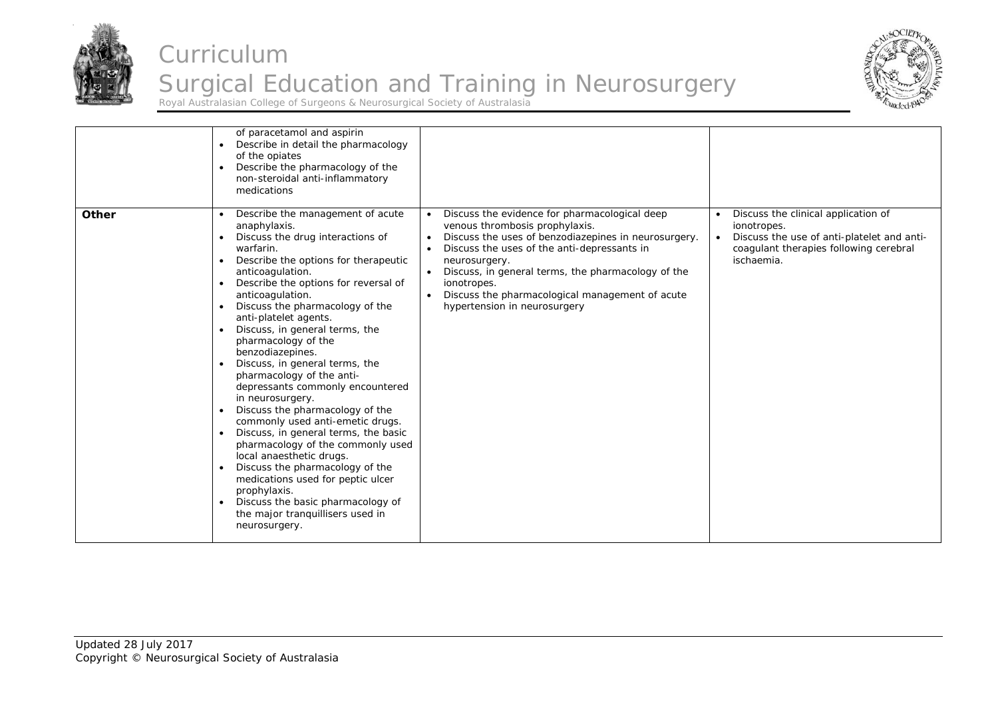



|       | of paracetamol and aspirin<br>Describe in detail the pharmacology<br>of the opiates<br>Describe the pharmacology of the<br>non-steroidal anti-inflammatory<br>medications                                                                                                                                                                                                                                                                                                                                                                                                                                                                                                                                                                                                                                                                                   |                                                                                                                                                                                                                                                                                                                                                                              |                                                                                                                                                                       |
|-------|-------------------------------------------------------------------------------------------------------------------------------------------------------------------------------------------------------------------------------------------------------------------------------------------------------------------------------------------------------------------------------------------------------------------------------------------------------------------------------------------------------------------------------------------------------------------------------------------------------------------------------------------------------------------------------------------------------------------------------------------------------------------------------------------------------------------------------------------------------------|------------------------------------------------------------------------------------------------------------------------------------------------------------------------------------------------------------------------------------------------------------------------------------------------------------------------------------------------------------------------------|-----------------------------------------------------------------------------------------------------------------------------------------------------------------------|
| Other | Describe the management of acute<br>anaphylaxis.<br>Discuss the drug interactions of<br>warfarin.<br>Describe the options for therapeutic<br>anticoagulation.<br>Describe the options for reversal of<br>anticoagulation.<br>Discuss the pharmacology of the<br>anti-platelet agents.<br>Discuss, in general terms, the<br>pharmacology of the<br>benzodiazepines.<br>Discuss, in general terms, the<br>pharmacology of the anti-<br>depressants commonly encountered<br>in neurosurgery.<br>Discuss the pharmacology of the<br>commonly used anti-emetic drugs.<br>Discuss, in general terms, the basic<br>pharmacology of the commonly used<br>local anaesthetic drugs.<br>Discuss the pharmacology of the<br>medications used for peptic ulcer<br>prophylaxis.<br>Discuss the basic pharmacology of<br>the major tranquillisers used in<br>neurosurgery. | Discuss the evidence for pharmacological deep<br>venous thrombosis prophylaxis.<br>Discuss the uses of benzodiazepines in neurosurgery.<br>$\bullet$<br>Discuss the uses of the anti-depressants in<br>neurosurgery.<br>Discuss, in general terms, the pharmacology of the<br>ionotropes.<br>Discuss the pharmacological management of acute<br>hypertension in neurosurgery | Discuss the clinical application of<br>ionotropes.<br>Discuss the use of anti-platelet and anti-<br>$\bullet$<br>coagulant therapies following cerebral<br>ischaemia. |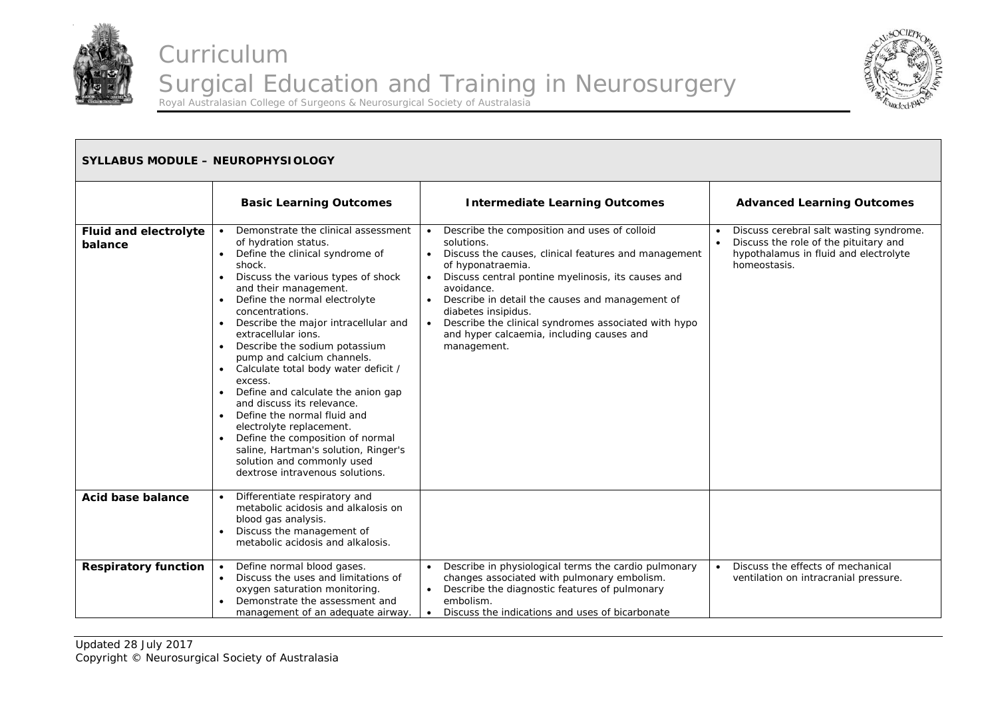



| <b>SYLLABUS MODULE - NEUROPHYSIOLOGY</b> |                                                                                                                                                                                                                                                                                                                                                                                                                                                                                                                                                                                                                                                                                                       |                                                                                                                                                                                                                                                                                                                                                                                                                                                                            |                                                                                                                                           |
|------------------------------------------|-------------------------------------------------------------------------------------------------------------------------------------------------------------------------------------------------------------------------------------------------------------------------------------------------------------------------------------------------------------------------------------------------------------------------------------------------------------------------------------------------------------------------------------------------------------------------------------------------------------------------------------------------------------------------------------------------------|----------------------------------------------------------------------------------------------------------------------------------------------------------------------------------------------------------------------------------------------------------------------------------------------------------------------------------------------------------------------------------------------------------------------------------------------------------------------------|-------------------------------------------------------------------------------------------------------------------------------------------|
|                                          | <b>Basic Learning Outcomes</b>                                                                                                                                                                                                                                                                                                                                                                                                                                                                                                                                                                                                                                                                        | <b>Intermediate Learning Outcomes</b>                                                                                                                                                                                                                                                                                                                                                                                                                                      | <b>Advanced Learning Outcomes</b>                                                                                                         |
| <b>Fluid and electrolyte</b><br>balance  | Demonstrate the clinical assessment<br>of hydration status.<br>Define the clinical syndrome of<br>shock.<br>Discuss the various types of shock<br>$\bullet$<br>and their management.<br>Define the normal electrolyte<br>concentrations.<br>Describe the major intracellular and<br>extracellular ions.<br>Describe the sodium potassium<br>pump and calcium channels.<br>Calculate total body water deficit /<br>excess.<br>Define and calculate the anion gap<br>and discuss its relevance.<br>Define the normal fluid and<br>electrolyte replacement.<br>Define the composition of normal<br>saline, Hartman's solution, Ringer's<br>solution and commonly used<br>dextrose intravenous solutions. | Describe the composition and uses of colloid<br>$\bullet$<br>solutions.<br>Discuss the causes, clinical features and management<br>$\bullet$<br>of hyponatraemia.<br>Discuss central pontine myelinosis, its causes and<br>$\bullet$<br>avoidance.<br>Describe in detail the causes and management of<br>$\bullet$<br>diabetes insipidus.<br>Describe the clinical syndromes associated with hypo<br>$\bullet$<br>and hyper calcaemia, including causes and<br>management. | Discuss cerebral salt wasting syndrome.<br>Discuss the role of the pituitary and<br>hypothalamus in fluid and electrolyte<br>homeostasis. |
| Acid base balance                        | Differentiate respiratory and<br>metabolic acidosis and alkalosis on<br>blood gas analysis.<br>Discuss the management of<br>$\bullet$<br>metabolic acidosis and alkalosis.                                                                                                                                                                                                                                                                                                                                                                                                                                                                                                                            |                                                                                                                                                                                                                                                                                                                                                                                                                                                                            |                                                                                                                                           |
| <b>Respiratory function</b>              | Define normal blood gases.<br>Discuss the uses and limitations of<br>$\bullet$<br>oxygen saturation monitoring.<br>Demonstrate the assessment and<br>management of an adequate airway.                                                                                                                                                                                                                                                                                                                                                                                                                                                                                                                | Describe in physiological terms the cardio pulmonary<br>changes associated with pulmonary embolism.<br>Describe the diagnostic features of pulmonary<br>embolism.<br>Discuss the indications and uses of bicarbonate<br>$\bullet$                                                                                                                                                                                                                                          | Discuss the effects of mechanical<br>$\bullet$<br>ventilation on intracranial pressure.                                                   |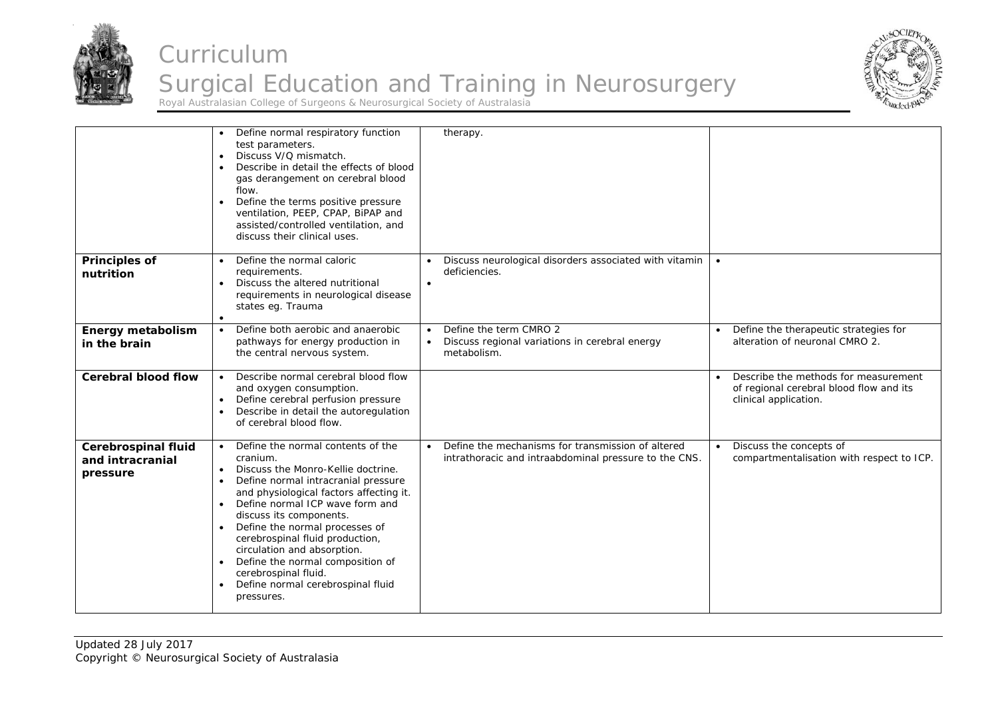



|                                                            | Define normal respiratory function<br>test parameters.<br>Discuss V/Q mismatch.<br>$\bullet$<br>Describe in detail the effects of blood<br>$\bullet$<br>gas derangement on cerebral blood<br>flow.<br>Define the terms positive pressure<br>$\bullet$<br>ventilation, PEEP, CPAP, BiPAP and<br>assisted/controlled ventilation, and<br>discuss their clinical uses.                                                                                                                                                                  | therapy.                                                                                                                |                                                                                                          |
|------------------------------------------------------------|--------------------------------------------------------------------------------------------------------------------------------------------------------------------------------------------------------------------------------------------------------------------------------------------------------------------------------------------------------------------------------------------------------------------------------------------------------------------------------------------------------------------------------------|-------------------------------------------------------------------------------------------------------------------------|----------------------------------------------------------------------------------------------------------|
| <b>Principles of</b><br>nutrition                          | Define the normal caloric<br>$\bullet$<br>requirements.<br>Discuss the altered nutritional<br>$\bullet$<br>requirements in neurological disease<br>states eg. Trauma<br>$\bullet$                                                                                                                                                                                                                                                                                                                                                    | Discuss neurological disorders associated with vitamin<br>deficiencies.<br>$\bullet$                                    | $\bullet$                                                                                                |
| <b>Energy metabolism</b><br>in the brain                   | Define both aerobic and anaerobic<br>$\bullet$<br>pathways for energy production in<br>the central nervous system.                                                                                                                                                                                                                                                                                                                                                                                                                   | Define the term CMRO 2<br>$\bullet$<br>Discuss regional variations in cerebral energy<br>$\bullet$<br>metabolism.       | Define the therapeutic strategies for<br>alteration of neuronal CMRO 2.                                  |
| <b>Cerebral blood flow</b>                                 | Describe normal cerebral blood flow<br>and oxygen consumption.<br>Define cerebral perfusion pressure<br>$\bullet$<br>Describe in detail the autoregulation<br>$\bullet$<br>of cerebral blood flow.                                                                                                                                                                                                                                                                                                                                   |                                                                                                                         | Describe the methods for measurement<br>of regional cerebral blood flow and its<br>clinical application. |
| <b>Cerebrospinal fluid</b><br>and intracranial<br>pressure | Define the normal contents of the<br>$\bullet$<br>cranium.<br>Discuss the Monro-Kellie doctrine.<br>$\bullet$<br>Define normal intracranial pressure<br>$\bullet$<br>and physiological factors affecting it.<br>Define normal ICP wave form and<br>$\bullet$<br>discuss its components.<br>Define the normal processes of<br>$\bullet$<br>cerebrospinal fluid production,<br>circulation and absorption.<br>Define the normal composition of<br>$\bullet$<br>cerebrospinal fluid.<br>Define normal cerebrospinal fluid<br>pressures. | Define the mechanisms for transmission of altered<br>$\bullet$<br>intrathoracic and intraabdominal pressure to the CNS. | Discuss the concepts of<br>compartmentalisation with respect to ICP.                                     |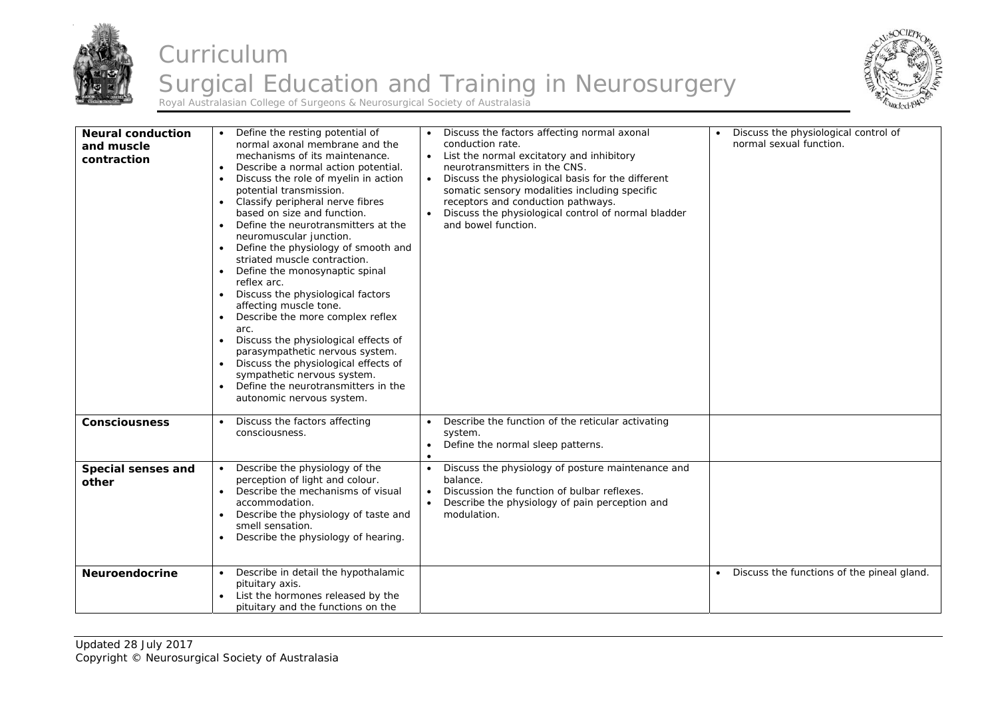



| <b>Neural conduction</b><br>and muscle<br>contraction | Define the resting potential of<br>normal axonal membrane and the<br>mechanisms of its maintenance.<br>Describe a normal action potential.<br>Discuss the role of myelin in action<br>$\bullet$<br>potential transmission.<br>Classify peripheral nerve fibres<br>$\bullet$<br>based on size and function.<br>Define the neurotransmitters at the<br>$\bullet$<br>neuromuscular junction.<br>Define the physiology of smooth and<br>$\bullet$<br>striated muscle contraction.<br>Define the monosynaptic spinal<br>$\bullet$<br>reflex arc.<br>Discuss the physiological factors<br>$\bullet$<br>affecting muscle tone.<br>Describe the more complex reflex<br>$\bullet$<br>arc.<br>Discuss the physiological effects of<br>$\bullet$<br>parasympathetic nervous system.<br>Discuss the physiological effects of<br>$\bullet$<br>sympathetic nervous system.<br>Define the neurotransmitters in the<br>$\bullet$<br>autonomic nervous system. | Discuss the factors affecting normal axonal<br>conduction rate.<br>List the normal excitatory and inhibitory<br>$\bullet$<br>neurotransmitters in the CNS.<br>Discuss the physiological basis for the different<br>$\bullet$<br>somatic sensory modalities including specific<br>receptors and conduction pathways.<br>Discuss the physiological control of normal bladder<br>and bowel function. | Discuss the physiological control of<br>normal sexual function. |
|-------------------------------------------------------|-----------------------------------------------------------------------------------------------------------------------------------------------------------------------------------------------------------------------------------------------------------------------------------------------------------------------------------------------------------------------------------------------------------------------------------------------------------------------------------------------------------------------------------------------------------------------------------------------------------------------------------------------------------------------------------------------------------------------------------------------------------------------------------------------------------------------------------------------------------------------------------------------------------------------------------------------|---------------------------------------------------------------------------------------------------------------------------------------------------------------------------------------------------------------------------------------------------------------------------------------------------------------------------------------------------------------------------------------------------|-----------------------------------------------------------------|
| <b>Consciousness</b>                                  | Discuss the factors affecting<br>consciousness.                                                                                                                                                                                                                                                                                                                                                                                                                                                                                                                                                                                                                                                                                                                                                                                                                                                                                               | Describe the function of the reticular activating<br>$\bullet$<br>system.<br>Define the normal sleep patterns.<br>$\bullet$<br>$\bullet$                                                                                                                                                                                                                                                          |                                                                 |
| Special senses and<br>other                           | Describe the physiology of the<br>$\bullet$<br>perception of light and colour.<br>Describe the mechanisms of visual<br>$\bullet$<br>accommodation.<br>Describe the physiology of taste and<br>$\bullet$<br>smell sensation.<br>Describe the physiology of hearing.<br>$\bullet$                                                                                                                                                                                                                                                                                                                                                                                                                                                                                                                                                                                                                                                               | Discuss the physiology of posture maintenance and<br>$\bullet$<br>balance.<br>Discussion the function of bulbar reflexes.<br>$\bullet$<br>Describe the physiology of pain perception and<br>$\bullet$<br>modulation.                                                                                                                                                                              |                                                                 |
| <b>Neuroendocrine</b>                                 | Describe in detail the hypothalamic<br>$\bullet$<br>pituitary axis.<br>List the hormones released by the<br>pituitary and the functions on the                                                                                                                                                                                                                                                                                                                                                                                                                                                                                                                                                                                                                                                                                                                                                                                                |                                                                                                                                                                                                                                                                                                                                                                                                   | Discuss the functions of the pineal gland.                      |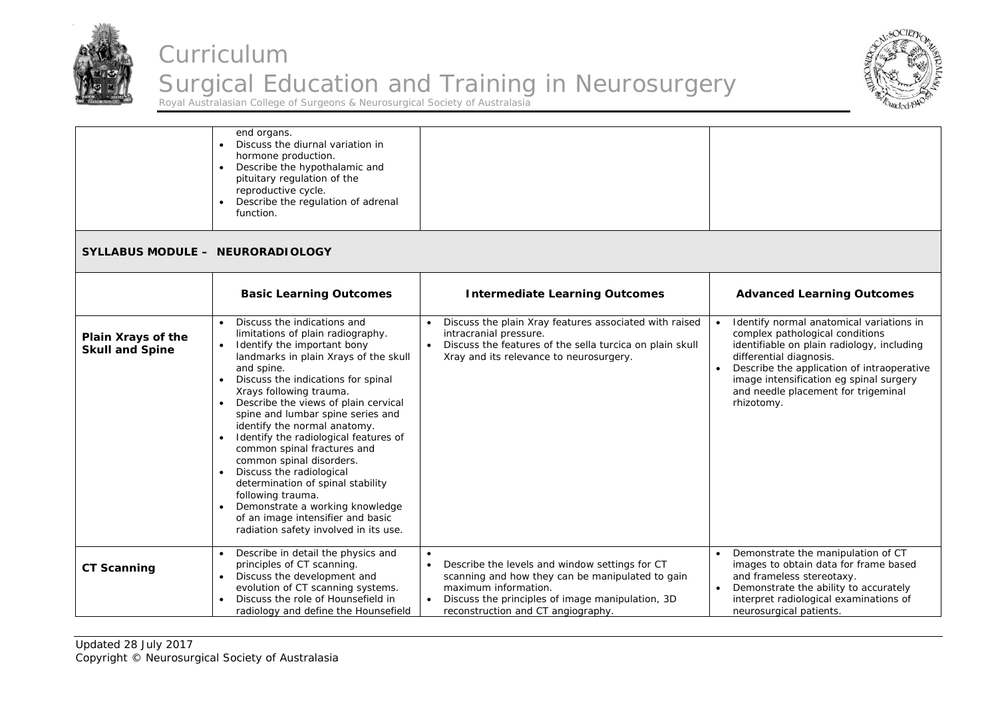



|                                              | end organs.<br>Discuss the diurnal variation in<br>hormone production.<br>Describe the hypothalamic and<br>$\bullet$<br>pituitary regulation of the<br>reproductive cycle.<br>Describe the regulation of adrenal<br>function.                                                                                                                                                                                                                                                                                                                                                                                                                                                          |                                                                                                                                                                                                                                                |                                                                                                                                                                                                                                                                                                    |
|----------------------------------------------|----------------------------------------------------------------------------------------------------------------------------------------------------------------------------------------------------------------------------------------------------------------------------------------------------------------------------------------------------------------------------------------------------------------------------------------------------------------------------------------------------------------------------------------------------------------------------------------------------------------------------------------------------------------------------------------|------------------------------------------------------------------------------------------------------------------------------------------------------------------------------------------------------------------------------------------------|----------------------------------------------------------------------------------------------------------------------------------------------------------------------------------------------------------------------------------------------------------------------------------------------------|
| SYLLABUS MODULE - NEURORADIOLOGY             |                                                                                                                                                                                                                                                                                                                                                                                                                                                                                                                                                                                                                                                                                        |                                                                                                                                                                                                                                                |                                                                                                                                                                                                                                                                                                    |
|                                              | <b>Basic Learning Outcomes</b>                                                                                                                                                                                                                                                                                                                                                                                                                                                                                                                                                                                                                                                         | <b>Intermediate Learning Outcomes</b>                                                                                                                                                                                                          | <b>Advanced Learning Outcomes</b>                                                                                                                                                                                                                                                                  |
| Plain Xrays of the<br><b>Skull and Spine</b> | Discuss the indications and<br>limitations of plain radiography.<br>Identify the important bony<br>$\bullet$<br>landmarks in plain Xrays of the skull<br>and spine.<br>Discuss the indications for spinal<br>$\bullet$<br>Xrays following trauma.<br>Describe the views of plain cervical<br>spine and lumbar spine series and<br>identify the normal anatomy.<br>Identify the radiological features of<br>common spinal fractures and<br>common spinal disorders.<br>Discuss the radiological<br>$\bullet$<br>determination of spinal stability<br>following trauma.<br>Demonstrate a working knowledge<br>of an image intensifier and basic<br>radiation safety involved in its use. | Discuss the plain Xray features associated with raised<br>intracranial pressure.<br>Discuss the features of the sella turcica on plain skull<br>Xray and its relevance to neurosurgery.                                                        | Identify normal anatomical variations in<br>complex pathological conditions<br>identifiable on plain radiology, including<br>differential diagnosis.<br>Describe the application of intraoperative<br>image intensification eg spinal surgery<br>and needle placement for trigeminal<br>rhizotomy. |
| <b>CT Scanning</b>                           | Describe in detail the physics and<br>principles of CT scanning.<br>Discuss the development and<br>$\bullet$<br>evolution of CT scanning systems.<br>Discuss the role of Hounsefield in<br>radiology and define the Hounsefield                                                                                                                                                                                                                                                                                                                                                                                                                                                        | $\bullet$<br>Describe the levels and window settings for CT<br>$\bullet$<br>scanning and how they can be manipulated to gain<br>maximum information.<br>Discuss the principles of image manipulation, 3D<br>reconstruction and CT angiography. | Demonstrate the manipulation of CT<br>images to obtain data for frame based<br>and frameless stereotaxy.<br>Demonstrate the ability to accurately<br>interpret radiological examinations of<br>neurosurgical patients.                                                                             |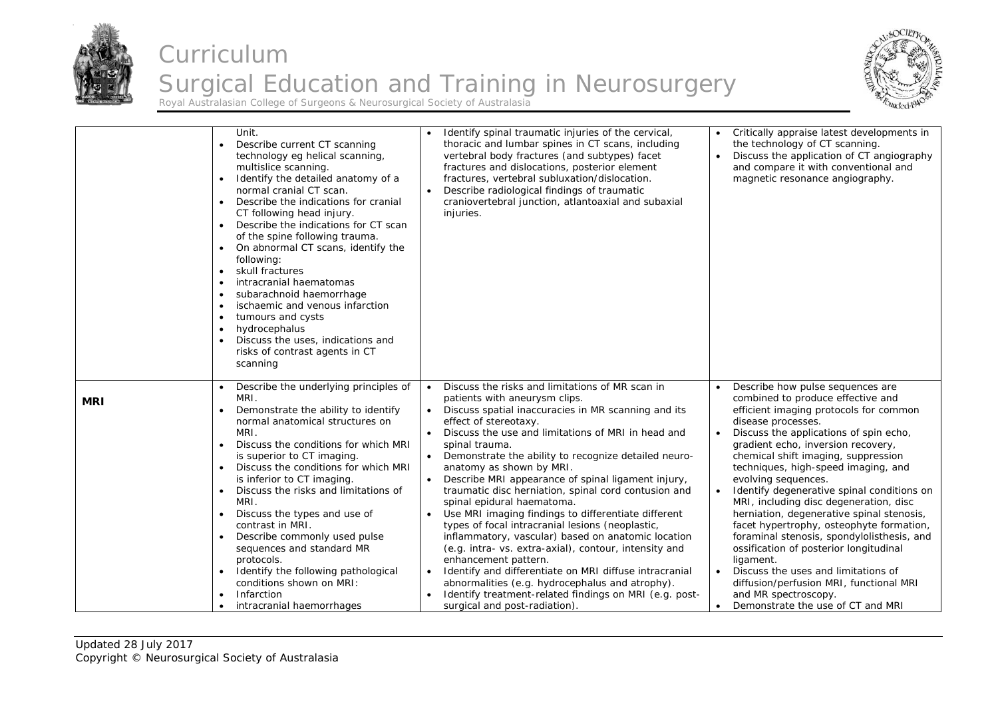



|            | Unit.<br>Describe current CT scanning<br>$\bullet$<br>technology eg helical scanning,<br>multislice scanning.<br>Identify the detailed anatomy of a<br>$\bullet$<br>normal cranial CT scan.<br>Describe the indications for cranial<br>$\bullet$<br>CT following head injury.<br>Describe the indications for CT scan<br>$\bullet$<br>of the spine following trauma.<br>On abnormal CT scans, identify the<br>$\bullet$<br>following:<br>skull fractures<br>$\bullet$<br>intracranial haematomas<br>$\bullet$<br>subarachnoid haemorrhage<br>$\bullet$<br>ischaemic and venous infarction<br>$\bullet$<br>tumours and cysts<br>$\bullet$<br>hydrocephalus<br>$\bullet$<br>Discuss the uses, indications and<br>$\bullet$<br>risks of contrast agents in CT<br>scanning | Identify spinal traumatic injuries of the cervical,<br>thoracic and lumbar spines in CT scans, including<br>vertebral body fractures (and subtypes) facet<br>fractures and dislocations, posterior element<br>fractures, vertebral subluxation/dislocation.<br>Describe radiological findings of traumatic<br>$\bullet$<br>craniovertebral junction, atlantoaxial and subaxial<br>injuries.                                                                                                                                                                                                                                                                                                                                                                                                                                                                                                                                                                                                                     | Critically appraise latest developments in<br>the technology of CT scanning.<br>Discuss the application of CT angiography<br>and compare it with conventional and<br>magnetic resonance angiography.                                                                                                                                                                                                                                                                                                                                                                                                                                                                                                                                                            |
|------------|------------------------------------------------------------------------------------------------------------------------------------------------------------------------------------------------------------------------------------------------------------------------------------------------------------------------------------------------------------------------------------------------------------------------------------------------------------------------------------------------------------------------------------------------------------------------------------------------------------------------------------------------------------------------------------------------------------------------------------------------------------------------|-----------------------------------------------------------------------------------------------------------------------------------------------------------------------------------------------------------------------------------------------------------------------------------------------------------------------------------------------------------------------------------------------------------------------------------------------------------------------------------------------------------------------------------------------------------------------------------------------------------------------------------------------------------------------------------------------------------------------------------------------------------------------------------------------------------------------------------------------------------------------------------------------------------------------------------------------------------------------------------------------------------------|-----------------------------------------------------------------------------------------------------------------------------------------------------------------------------------------------------------------------------------------------------------------------------------------------------------------------------------------------------------------------------------------------------------------------------------------------------------------------------------------------------------------------------------------------------------------------------------------------------------------------------------------------------------------------------------------------------------------------------------------------------------------|
| <b>MRI</b> | Describe the underlying principles of<br>$\bullet$<br>MRI.<br>Demonstrate the ability to identify<br>normal anatomical structures on<br>MRI.<br>Discuss the conditions for which MRI<br>$\bullet$<br>is superior to CT imaging.<br>Discuss the conditions for which MRI<br>$\bullet$<br>is inferior to CT imaging.<br>Discuss the risks and limitations of<br>$\bullet$<br>MRI.<br>Discuss the types and use of<br>$\bullet$<br>contrast in MRI.<br>Describe commonly used pulse<br>$\bullet$<br>sequences and standard MR<br>protocols.<br>Identify the following pathological<br>$\bullet$<br>conditions shown on MRI:<br>Infarction<br>$\bullet$<br>intracranial haemorrhages                                                                                       | Discuss the risks and limitations of MR scan in<br>$\bullet$<br>patients with aneurysm clips.<br>Discuss spatial inaccuracies in MR scanning and its<br>$\bullet$<br>effect of stereotaxy.<br>Discuss the use and limitations of MRI in head and<br>$\bullet$<br>spinal trauma.<br>Demonstrate the ability to recognize detailed neuro-<br>$\bullet$<br>anatomy as shown by MRI.<br>Describe MRI appearance of spinal ligament injury,<br>traumatic disc herniation, spinal cord contusion and<br>spinal epidural haematoma.<br>Use MRI imaging findings to differentiate different<br>$\bullet$<br>types of focal intracranial lesions (neoplastic,<br>inflammatory, vascular) based on anatomic location<br>(e.g. intra- vs. extra-axial), contour, intensity and<br>enhancement pattern.<br>Identify and differentiate on MRI diffuse intracranial<br>$\bullet$<br>abnormalities (e.g. hydrocephalus and atrophy).<br>Identify treatment-related findings on MRI (e.g. post-<br>surgical and post-radiation) | Describe how pulse sequences are<br>combined to produce effective and<br>efficient imaging protocols for common<br>disease processes.<br>Discuss the applications of spin echo,<br>gradient echo, inversion recovery,<br>chemical shift imaging, suppression<br>techniques, high-speed imaging, and<br>evolving sequences.<br>Identify degenerative spinal conditions on<br>MRI, including disc degeneration, disc<br>herniation, degenerative spinal stenosis,<br>facet hypertrophy, osteophyte formation,<br>foraminal stenosis, spondylolisthesis, and<br>ossification of posterior longitudinal<br>ligament.<br>Discuss the uses and limitations of<br>diffusion/perfusion MRI, functional MRI<br>and MR spectroscopy.<br>Demonstrate the use of CT and MRI |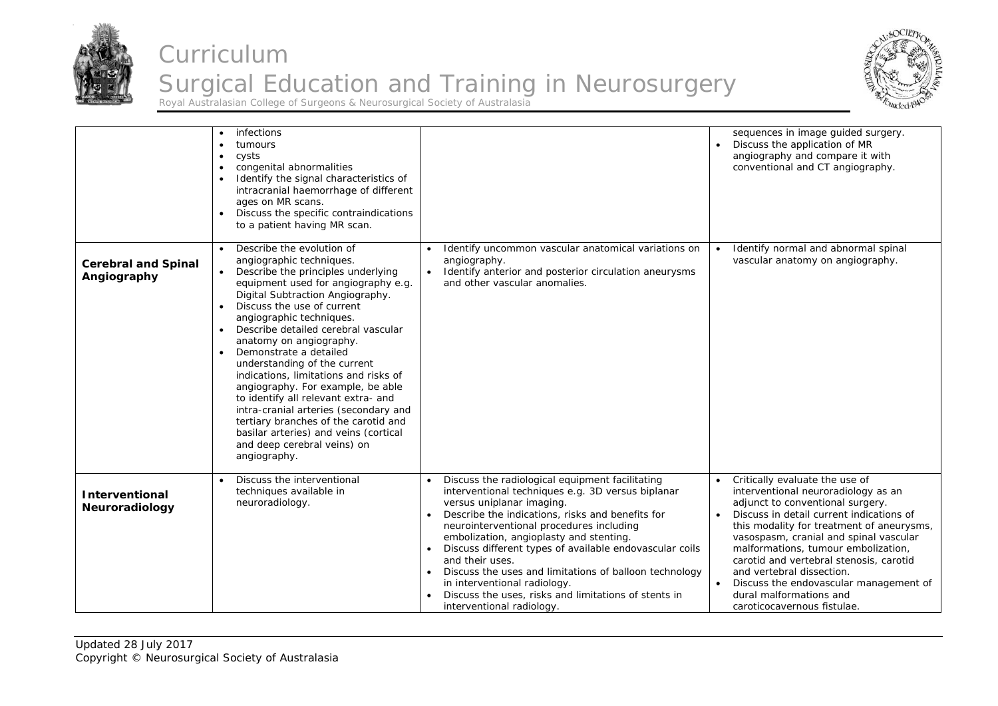



|                                           | infections<br>tumours<br>cysts<br>٠<br>congenital abnormalities<br>$\bullet$<br>Identify the signal characteristics of<br>$\bullet$<br>intracranial haemorrhage of different<br>ages on MR scans.<br>Discuss the specific contraindications<br>$\bullet$<br>to a patient having MR scan.                                                                                                                                                                                                                                                                                                                                                                                               |                                                                                                                                                                                                                                                                                                                                                                                                                                                                                                                                                                                               | sequences in image guided surgery.<br>Discuss the application of MR<br>angiography and compare it with<br>conventional and CT angiography.                                                                                                                                                                                                                                                                                                                                   |
|-------------------------------------------|----------------------------------------------------------------------------------------------------------------------------------------------------------------------------------------------------------------------------------------------------------------------------------------------------------------------------------------------------------------------------------------------------------------------------------------------------------------------------------------------------------------------------------------------------------------------------------------------------------------------------------------------------------------------------------------|-----------------------------------------------------------------------------------------------------------------------------------------------------------------------------------------------------------------------------------------------------------------------------------------------------------------------------------------------------------------------------------------------------------------------------------------------------------------------------------------------------------------------------------------------------------------------------------------------|------------------------------------------------------------------------------------------------------------------------------------------------------------------------------------------------------------------------------------------------------------------------------------------------------------------------------------------------------------------------------------------------------------------------------------------------------------------------------|
| <b>Cerebral and Spinal</b><br>Angiography | Describe the evolution of<br>angiographic techniques.<br>• Describe the principles underlying<br>equipment used for angiography e.g.<br>Digital Subtraction Angiography.<br>Discuss the use of current<br>angiographic techniques.<br>Describe detailed cerebral vascular<br>$\bullet$<br>anatomy on angiography.<br>Demonstrate a detailed<br>$\bullet$<br>understanding of the current<br>indications, limitations and risks of<br>angiography. For example, be able<br>to identify all relevant extra- and<br>intra-cranial arteries (secondary and<br>tertiary branches of the carotid and<br>basilar arteries) and veins (cortical<br>and deep cerebral veins) on<br>angiography. | Identify uncommon vascular anatomical variations on<br>angiography.<br>Identify anterior and posterior circulation aneurysms<br>and other vascular anomalies.                                                                                                                                                                                                                                                                                                                                                                                                                                 | Identify normal and abnormal spinal<br>vascular anatomy on angiography.                                                                                                                                                                                                                                                                                                                                                                                                      |
| <b>Interventional</b><br>Neuroradiology   | Discuss the interventional<br>techniques available in<br>neuroradiology.                                                                                                                                                                                                                                                                                                                                                                                                                                                                                                                                                                                                               | Discuss the radiological equipment facilitating<br>$\bullet$<br>interventional techniques e.g. 3D versus biplanar<br>versus uniplanar imaging.<br>Describe the indications, risks and benefits for<br>$\bullet$<br>neurointerventional procedures including<br>embolization, angioplasty and stenting.<br>Discuss different types of available endovascular coils<br>$\bullet$<br>and their uses.<br>Discuss the uses and limitations of balloon technology<br>$\bullet$<br>in interventional radiology.<br>Discuss the uses, risks and limitations of stents in<br>interventional radiology. | Critically evaluate the use of<br>$\bullet$<br>interventional neuroradiology as an<br>adjunct to conventional surgery.<br>Discuss in detail current indications of<br>this modality for treatment of aneurysms,<br>vasospasm, cranial and spinal vascular<br>malformations, tumour embolization,<br>carotid and vertebral stenosis, carotid<br>and vertebral dissection.<br>Discuss the endovascular management of<br>dural malformations and<br>caroticocavernous fistulae. |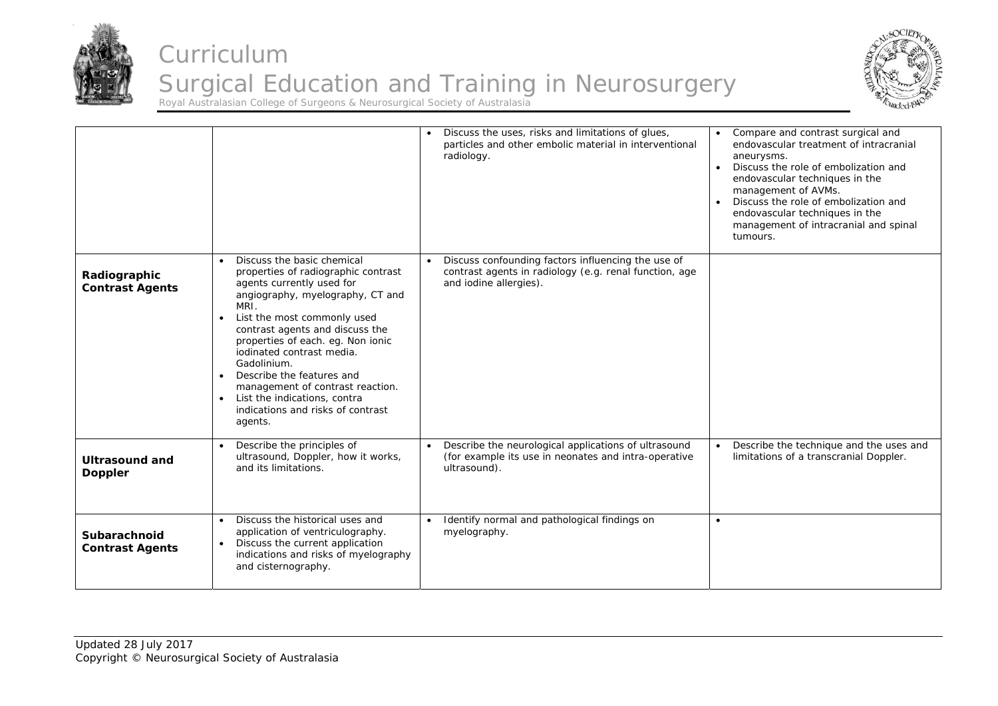



|                                         |                                                                                                                                                                                                                                                                                                                                                                                                                                                                                                    | Discuss the uses, risks and limitations of glues,<br>particles and other embolic material in interventional<br>radiology.                 | Compare and contrast surgical and<br>endovascular treatment of intracranial<br>aneurysms.<br>Discuss the role of embolization and<br>endovascular techniques in the<br>management of AVMs.<br>Discuss the role of embolization and<br>endovascular techniques in the<br>management of intracranial and spinal<br>tumours. |
|-----------------------------------------|----------------------------------------------------------------------------------------------------------------------------------------------------------------------------------------------------------------------------------------------------------------------------------------------------------------------------------------------------------------------------------------------------------------------------------------------------------------------------------------------------|-------------------------------------------------------------------------------------------------------------------------------------------|---------------------------------------------------------------------------------------------------------------------------------------------------------------------------------------------------------------------------------------------------------------------------------------------------------------------------|
| Radiographic<br><b>Contrast Agents</b>  | Discuss the basic chemical<br>$\bullet$<br>properties of radiographic contrast<br>agents currently used for<br>angiography, myelography, CT and<br>MRI.<br>List the most commonly used<br>$\bullet$<br>contrast agents and discuss the<br>properties of each. eg. Non ionic<br>iodinated contrast media.<br>Gadolinium.<br>Describe the features and<br>$\bullet$<br>management of contrast reaction.<br>List the indications, contra<br>$\bullet$<br>indications and risks of contrast<br>agents. | Discuss confounding factors influencing the use of<br>contrast agents in radiology (e.g. renal function, age<br>and iodine allergies).    |                                                                                                                                                                                                                                                                                                                           |
| <b>Ultrasound and</b><br><b>Doppler</b> | Describe the principles of<br>$\bullet$<br>ultrasound, Doppler, how it works,<br>and its limitations.                                                                                                                                                                                                                                                                                                                                                                                              | Describe the neurological applications of ultrasound<br>$\bullet$<br>(for example its use in neonates and intra-operative<br>ultrasound). | Describe the technique and the uses and<br>limitations of a transcranial Doppler.                                                                                                                                                                                                                                         |
| Subarachnoid<br><b>Contrast Agents</b>  | Discuss the historical uses and<br>$\bullet$<br>application of ventriculography.<br>Discuss the current application<br>$\bullet$<br>indications and risks of myelography<br>and cisternography.                                                                                                                                                                                                                                                                                                    | Identify normal and pathological findings on<br>myelography.                                                                              | $\bullet$                                                                                                                                                                                                                                                                                                                 |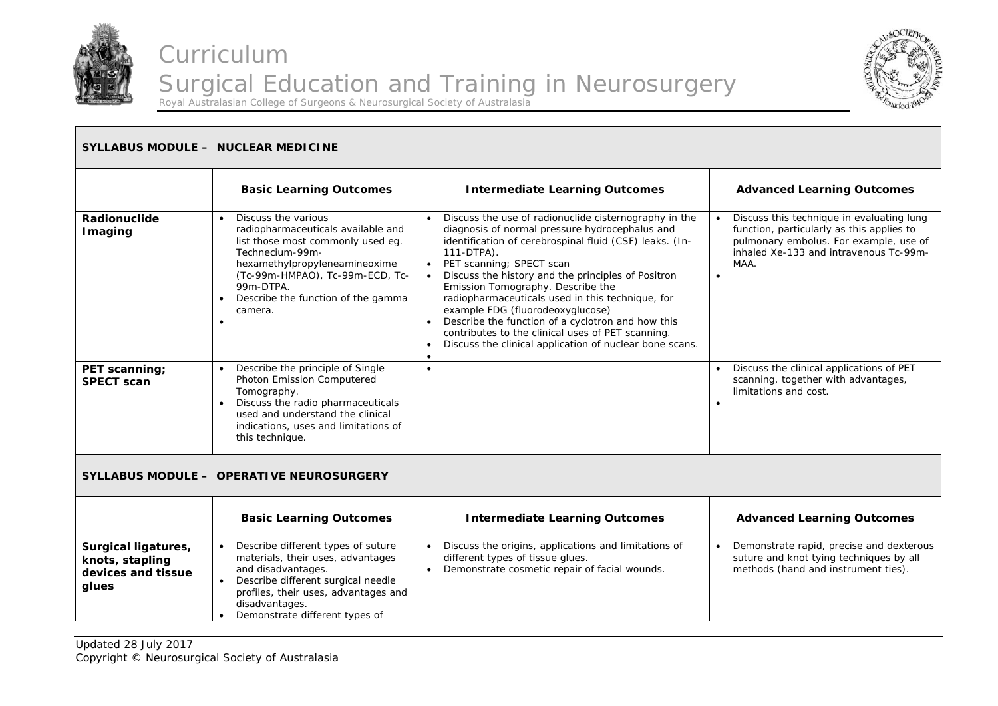



#### **SYLLABUS MODULE – NUCLEAR MEDICINE Basic Learning Outcomes | Intermediate Learning Outcomes | Advanced Learning Outcomes Radionuclide Imaging**   $\bullet$  Discuss the various radiopharmaceuticals available and list those most commonly used eg. Technecium-99mhexamethylpropyleneamineoxime (Tc-99m-HMPAO), Tc-99m-ECD, Tc-99m-DTPA. ۰ Describe the function of the gamma camera. . . Discuss the use of radionuclide cisternography in the diagnosis of normal pressure hydrocephalus and identification of cerebrospinal fluid (CSF) leaks. (In-111-DTPA). ۰ PET scanning; SPECT scan Discuss the history and the principles of Positron Emission Tomography. Describe the radiopharmaceuticals used in this technique, for example FDG (fluorodeoxyglucose) . Describe the function of a cyclotron and how this contributes to the clinical uses of PET scanning. . Discuss the clinical application of nuclear bone scans. . . Discuss this technique in evaluating lung function, particularly as this applies to pulmonary embolus. For example, use of inhaled Xe-133 and intravenous Tc-99m-MAA. ۰ **PET scanning; SPECT scan**  $\bullet$  Describe the principle of Single Photon Emission Computered Tomography.  $\bullet$  Discuss the radio pharmaceuticals used and understand the clinical indications, uses and limitations of this technique.  $\bullet$  Discuss the clinical applications of PET scanning, together with advantages, limitations and cost. . **SYLLABUS MODULE – OPERATIVE NEUROSURGERY Basic Learning Outcomes | Intermediate Learning Outcomes | Advanced Learning Outcomes Surgical ligatures, knots, stapling devices and tissue glues**  ٠ Describe different types of suture materials, their uses, advantages and disadvantages. Describe different surgical needle profiles, their uses, advantages and disadvantages. • Demonstrate different types of ٠ Discuss the origins, applications and limitations of different types of tissue glues.  $\bullet$  Demonstrate cosmetic repair of facial wounds. ٠ Demonstrate rapid, precise and dexterous suture and knot tying techniques by all methods (hand and instrument ties).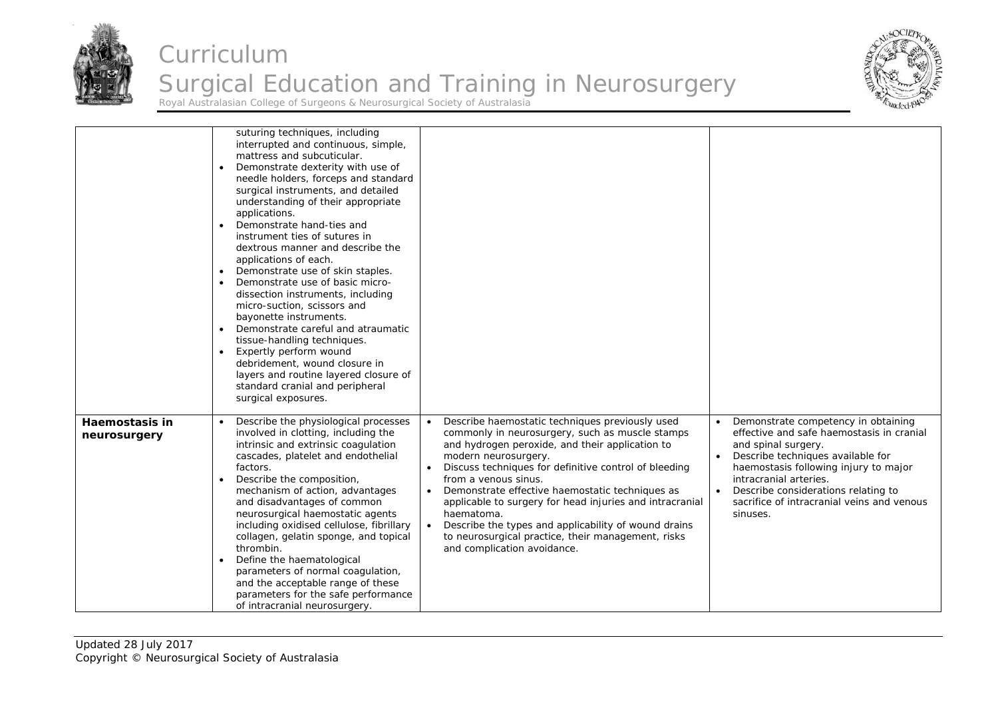



|                                | suturing techniques, including<br>interrupted and continuous, simple,<br>mattress and subcuticular.<br>Demonstrate dexterity with use of<br>$\bullet$<br>needle holders, forceps and standard<br>surgical instruments, and detailed<br>understanding of their appropriate<br>applications.<br>Demonstrate hand-ties and<br>instrument ties of sutures in<br>dextrous manner and describe the<br>applications of each.<br>Demonstrate use of skin staples.<br>Demonstrate use of basic micro-<br>dissection instruments, including<br>micro-suction, scissors and<br>bayonette instruments.<br>Demonstrate careful and atraumatic<br>tissue-handling techniques.<br>Expertly perform wound<br>debridement, wound closure in<br>layers and routine layered closure of<br>standard cranial and peripheral<br>surgical exposures. |                                                                                                                                                                                                                                                                                                                                                                                                                                                                                                                                                                    |                                                                                                                                                                                                                                                                                                                  |
|--------------------------------|-------------------------------------------------------------------------------------------------------------------------------------------------------------------------------------------------------------------------------------------------------------------------------------------------------------------------------------------------------------------------------------------------------------------------------------------------------------------------------------------------------------------------------------------------------------------------------------------------------------------------------------------------------------------------------------------------------------------------------------------------------------------------------------------------------------------------------|--------------------------------------------------------------------------------------------------------------------------------------------------------------------------------------------------------------------------------------------------------------------------------------------------------------------------------------------------------------------------------------------------------------------------------------------------------------------------------------------------------------------------------------------------------------------|------------------------------------------------------------------------------------------------------------------------------------------------------------------------------------------------------------------------------------------------------------------------------------------------------------------|
| Haemostasis in<br>neurosurgery | Describe the physiological processes<br>involved in clotting, including the<br>intrinsic and extrinsic coagulation<br>cascades, platelet and endothelial<br>factors.<br>Describe the composition,<br>mechanism of action, advantages<br>and disadvantages of common<br>neurosurgical haemostatic agents<br>including oxidised cellulose, fibrillary<br>collagen, gelatin sponge, and topical<br>thrombin.<br>Define the haematological<br>parameters of normal coagulation,<br>and the acceptable range of these<br>parameters for the safe performance<br>of intracranial neurosurgery.                                                                                                                                                                                                                                      | Describe haemostatic techniques previously used<br>$\bullet$<br>commonly in neurosurgery, such as muscle stamps<br>and hydrogen peroxide, and their application to<br>modern neurosurgery.<br>Discuss techniques for definitive control of bleeding<br>from a venous sinus.<br>Demonstrate effective haemostatic techniques as<br>applicable to surgery for head injuries and intracranial<br>haematoma.<br>Describe the types and applicability of wound drains<br>$\bullet$<br>to neurosurgical practice, their management, risks<br>and complication avoidance. | Demonstrate competency in obtaining<br>effective and safe haemostasis in cranial<br>and spinal surgery.<br>Describe techniques available for<br>haemostasis following injury to major<br>intracranial arteries.<br>Describe considerations relating to<br>sacrifice of intracranial veins and venous<br>sinuses. |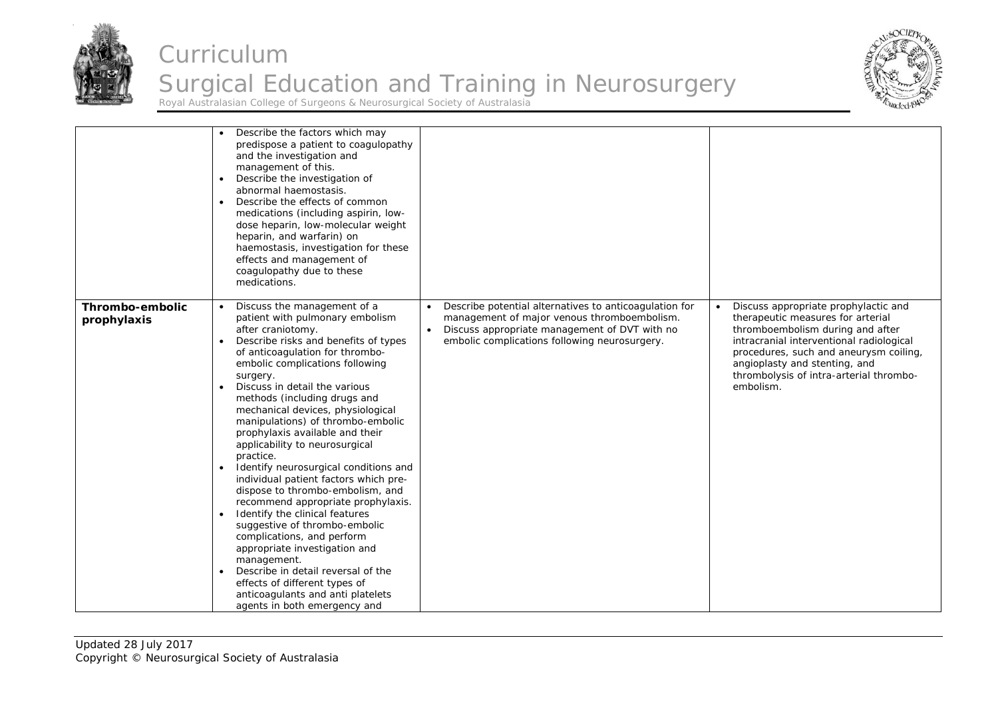



|                                | Describe the factors which may<br>predispose a patient to coagulopathy<br>and the investigation and<br>management of this.<br>Describe the investigation of<br>abnormal haemostasis.<br>Describe the effects of common<br>medications (including aspirin, low-<br>dose heparin, low-molecular weight<br>heparin, and warfarin) on<br>haemostasis, investigation for these<br>effects and management of<br>coagulopathy due to these<br>medications.                                                                                                                                                                                                                                                                                                                                                                                                                                                 |                                                                                                                                                                                                                                   |                                                                                                                                                                                                                                                                                                           |
|--------------------------------|-----------------------------------------------------------------------------------------------------------------------------------------------------------------------------------------------------------------------------------------------------------------------------------------------------------------------------------------------------------------------------------------------------------------------------------------------------------------------------------------------------------------------------------------------------------------------------------------------------------------------------------------------------------------------------------------------------------------------------------------------------------------------------------------------------------------------------------------------------------------------------------------------------|-----------------------------------------------------------------------------------------------------------------------------------------------------------------------------------------------------------------------------------|-----------------------------------------------------------------------------------------------------------------------------------------------------------------------------------------------------------------------------------------------------------------------------------------------------------|
| Thrombo-embolic<br>prophylaxis | Discuss the management of a<br>patient with pulmonary embolism<br>after craniotomy.<br>Describe risks and benefits of types<br>of anticoagulation for thrombo-<br>embolic complications following<br>surgery.<br>Discuss in detail the various<br>methods (including drugs and<br>mechanical devices, physiological<br>manipulations) of thrombo-embolic<br>prophylaxis available and their<br>applicability to neurosurgical<br>practice.<br>Identify neurosurgical conditions and<br>individual patient factors which pre-<br>dispose to thrombo-embolism, and<br>recommend appropriate prophylaxis.<br>Identify the clinical features<br>suggestive of thrombo-embolic<br>complications, and perform<br>appropriate investigation and<br>management.<br>Describe in detail reversal of the<br>effects of different types of<br>anticoagulants and anti platelets<br>agents in both emergency and | Describe potential alternatives to anticoagulation for<br>$\bullet$<br>management of major venous thromboembolism.<br>Discuss appropriate management of DVT with no<br>$\bullet$<br>embolic complications following neurosurgery. | Discuss appropriate prophylactic and<br>$\bullet$<br>therapeutic measures for arterial<br>thromboembolism during and after<br>intracranial interventional radiological<br>procedures, such and aneurysm coiling,<br>angioplasty and stenting, and<br>thrombolysis of intra-arterial thrombo-<br>embolism. |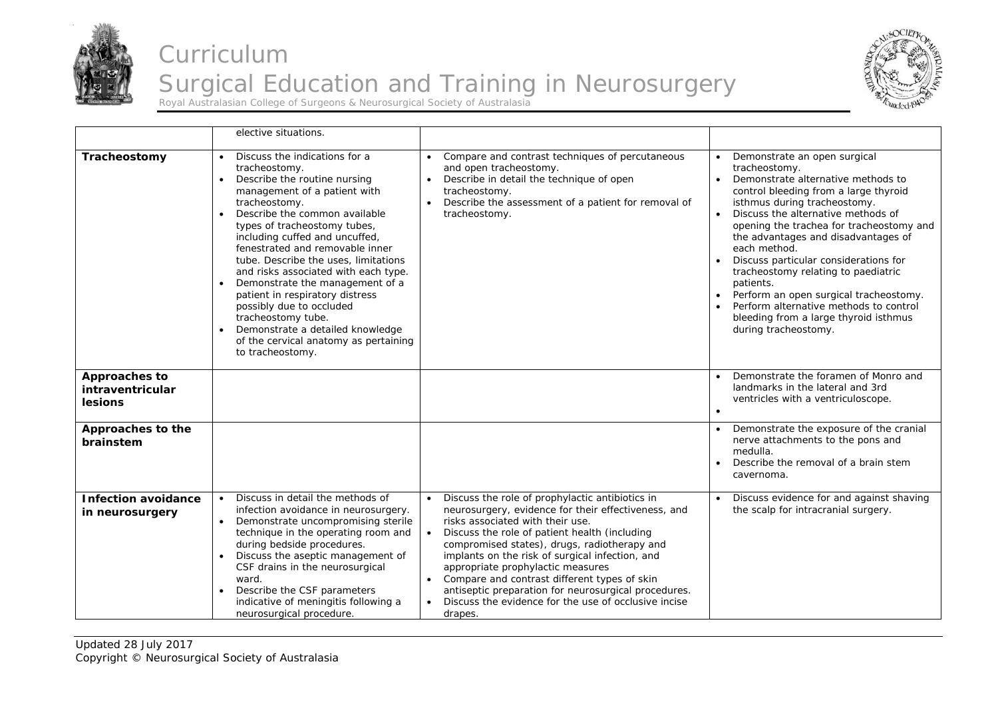



|                                                     | elective situations.                                                                                                                                                                                                                                                                                                                                                                                                                                                                                                                                                                                                  |                                                                                                                                                                                                                                                                                                                                                                                                                                                                                                                                                       |                                                                                                                                                                                                                                                                                                                                                                                                                                                                                                                                                                      |
|-----------------------------------------------------|-----------------------------------------------------------------------------------------------------------------------------------------------------------------------------------------------------------------------------------------------------------------------------------------------------------------------------------------------------------------------------------------------------------------------------------------------------------------------------------------------------------------------------------------------------------------------------------------------------------------------|-------------------------------------------------------------------------------------------------------------------------------------------------------------------------------------------------------------------------------------------------------------------------------------------------------------------------------------------------------------------------------------------------------------------------------------------------------------------------------------------------------------------------------------------------------|----------------------------------------------------------------------------------------------------------------------------------------------------------------------------------------------------------------------------------------------------------------------------------------------------------------------------------------------------------------------------------------------------------------------------------------------------------------------------------------------------------------------------------------------------------------------|
| Tracheostomy                                        | Discuss the indications for a<br>$\bullet$<br>tracheostomy.<br>Describe the routine nursing<br>$\bullet$<br>management of a patient with<br>tracheostomy.<br>Describe the common available<br>$\bullet$<br>types of tracheostomy tubes,<br>including cuffed and uncuffed,<br>fenestrated and removable inner<br>tube. Describe the uses, limitations<br>and risks associated with each type.<br>Demonstrate the management of a<br>patient in respiratory distress<br>possibly due to occluded<br>tracheostomy tube.<br>Demonstrate a detailed knowledge<br>of the cervical anatomy as pertaining<br>to tracheostomy. | Compare and contrast techniques of percutaneous<br>and open tracheostomy.<br>Describe in detail the technique of open<br>$\bullet$<br>tracheostomy.<br>Describe the assessment of a patient for removal of<br>$\bullet$<br>tracheostomy.                                                                                                                                                                                                                                                                                                              | Demonstrate an open surgical<br>tracheostomy.<br>Demonstrate alternative methods to<br>$\bullet$<br>control bleeding from a large thyroid<br>isthmus during tracheostomy.<br>Discuss the alternative methods of<br>opening the trachea for tracheostomy and<br>the advantages and disadvantages of<br>each method.<br>Discuss particular considerations for<br>tracheostomy relating to paediatric<br>patients.<br>Perform an open surgical tracheostomy.<br>Perform alternative methods to control<br>bleeding from a large thyroid isthmus<br>during tracheostomy. |
| Approaches to<br>intraventricular<br><b>lesions</b> |                                                                                                                                                                                                                                                                                                                                                                                                                                                                                                                                                                                                                       |                                                                                                                                                                                                                                                                                                                                                                                                                                                                                                                                                       | Demonstrate the foramen of Monro and<br>landmarks in the lateral and 3rd<br>ventricles with a ventriculoscope.<br>$\bullet$                                                                                                                                                                                                                                                                                                                                                                                                                                          |
| Approaches to the<br>brainstem                      |                                                                                                                                                                                                                                                                                                                                                                                                                                                                                                                                                                                                                       |                                                                                                                                                                                                                                                                                                                                                                                                                                                                                                                                                       | Demonstrate the exposure of the cranial<br>nerve attachments to the pons and<br>medulla.<br>Describe the removal of a brain stem<br>$\bullet$<br>cavernoma.                                                                                                                                                                                                                                                                                                                                                                                                          |
| <b>Infection avoidance</b><br>in neurosurgery       | Discuss in detail the methods of<br>infection avoidance in neurosurgery.<br>Demonstrate uncompromising sterile<br>technique in the operating room and<br>during bedside procedures.<br>Discuss the aseptic management of<br>CSF drains in the neurosurgical<br>ward.<br>Describe the CSF parameters<br>$\bullet$<br>indicative of meningitis following a<br>neurosurgical procedure.                                                                                                                                                                                                                                  | Discuss the role of prophylactic antibiotics in<br>neurosurgery, evidence for their effectiveness, and<br>risks associated with their use.<br>$\bullet$<br>Discuss the role of patient health (including<br>compromised states), drugs, radiotherapy and<br>implants on the risk of surgical infection, and<br>appropriate prophylactic measures<br>Compare and contrast different types of skin<br>$\bullet$<br>antiseptic preparation for neurosurgical procedures.<br>Discuss the evidence for the use of occlusive incise<br>$\bullet$<br>drapes. | Discuss evidence for and against shaving<br>the scalp for intracranial surgery.                                                                                                                                                                                                                                                                                                                                                                                                                                                                                      |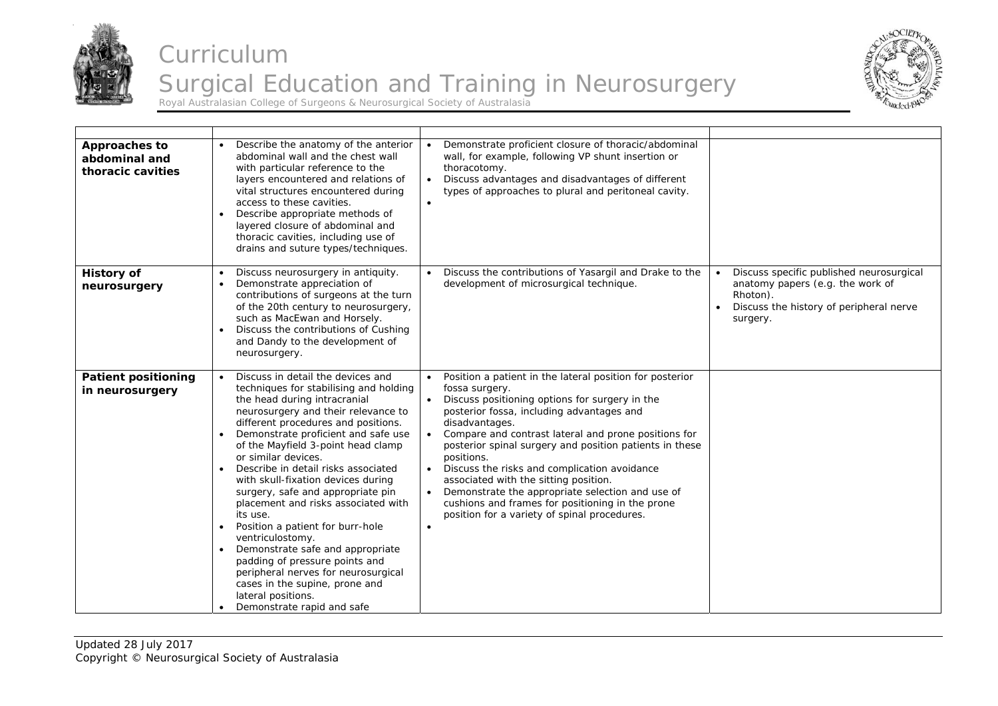



| <b>Approaches to</b><br>abdominal and<br>thoracic cavities | Describe the anatomy of the anterior<br>abdominal wall and the chest wall<br>with particular reference to the<br>layers encountered and relations of<br>vital structures encountered during<br>access to these cavities.<br>Describe appropriate methods of<br>layered closure of abdominal and<br>thoracic cavities, including use of<br>drains and suture types/techniques.                                                                                                                                                                                                                                                                                                                                                                           | Demonstrate proficient closure of thoracic/abdominal<br>$\bullet$<br>wall, for example, following VP shunt insertion or<br>thoracotomy.<br>Discuss advantages and disadvantages of different<br>types of approaches to plural and peritoneal cavity.<br>$\bullet$                                                                                                                                                                                                                                                                                                                                                      |                                                                                                                                                 |
|------------------------------------------------------------|---------------------------------------------------------------------------------------------------------------------------------------------------------------------------------------------------------------------------------------------------------------------------------------------------------------------------------------------------------------------------------------------------------------------------------------------------------------------------------------------------------------------------------------------------------------------------------------------------------------------------------------------------------------------------------------------------------------------------------------------------------|------------------------------------------------------------------------------------------------------------------------------------------------------------------------------------------------------------------------------------------------------------------------------------------------------------------------------------------------------------------------------------------------------------------------------------------------------------------------------------------------------------------------------------------------------------------------------------------------------------------------|-------------------------------------------------------------------------------------------------------------------------------------------------|
| <b>History of</b><br>neurosurgery                          | Discuss neurosurgery in antiquity.<br>Demonstrate appreciation of<br>contributions of surgeons at the turn<br>of the 20th century to neurosurgery,<br>such as MacEwan and Horsely.<br>Discuss the contributions of Cushing<br>and Dandy to the development of<br>neurosurgery.                                                                                                                                                                                                                                                                                                                                                                                                                                                                          | Discuss the contributions of Yasargil and Drake to the<br>development of microsurgical technique.                                                                                                                                                                                                                                                                                                                                                                                                                                                                                                                      | Discuss specific published neurosurgical<br>anatomy papers (e.g. the work of<br>Rhoton).<br>Discuss the history of peripheral nerve<br>surgery. |
| <b>Patient positioning</b><br>in neurosurgery              | Discuss in detail the devices and<br>techniques for stabilising and holding<br>the head during intracranial<br>neurosurgery and their relevance to<br>different procedures and positions.<br>Demonstrate proficient and safe use<br>of the Mayfield 3-point head clamp<br>or similar devices.<br>Describe in detail risks associated<br>with skull-fixation devices during<br>surgery, safe and appropriate pin<br>placement and risks associated with<br>its use.<br>Position a patient for burr-hole<br>$\bullet$<br>ventriculostomy.<br>Demonstrate safe and appropriate<br>$\bullet$<br>padding of pressure points and<br>peripheral nerves for neurosurgical<br>cases in the supine, prone and<br>lateral positions.<br>Demonstrate rapid and safe | Position a patient in the lateral position for posterior<br>fossa surgery.<br>Discuss positioning options for surgery in the<br>posterior fossa, including advantages and<br>disadvantages.<br>Compare and contrast lateral and prone positions for<br>$\bullet$<br>posterior spinal surgery and position patients in these<br>positions.<br>• Discuss the risks and complication avoidance<br>associated with the sitting position.<br>Demonstrate the appropriate selection and use of<br>$\bullet$<br>cushions and frames for positioning in the prone<br>position for a variety of spinal procedures.<br>$\bullet$ |                                                                                                                                                 |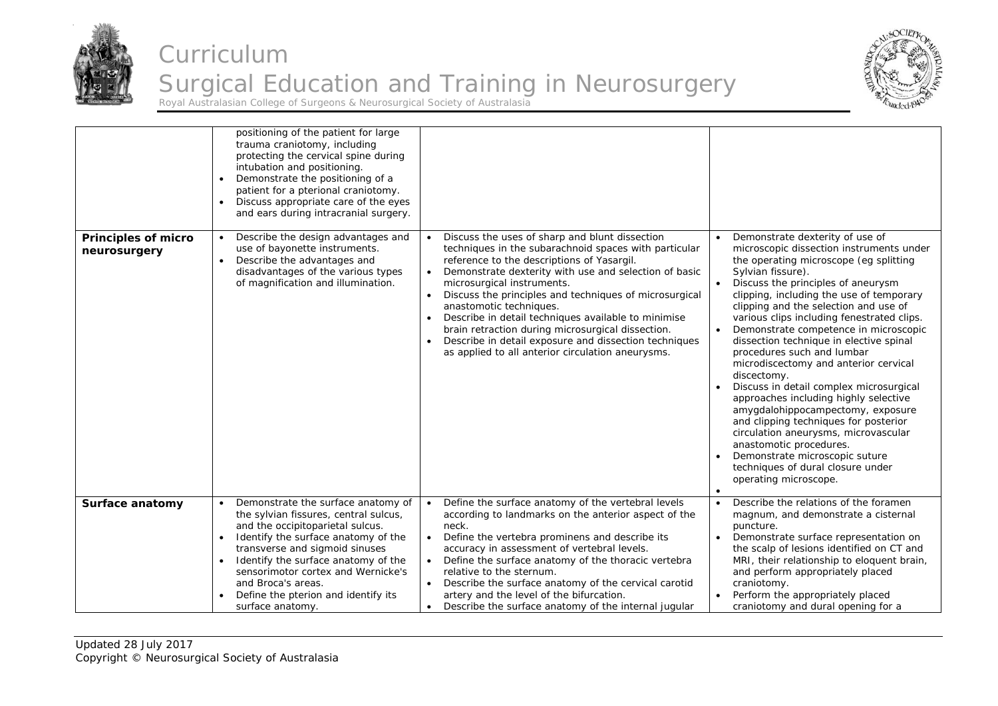



|                                            | positioning of the patient for large<br>trauma craniotomy, including<br>protecting the cervical spine during<br>intubation and positioning.<br>Demonstrate the positioning of a<br>patient for a pterional craniotomy.<br>Discuss appropriate care of the eyes<br>and ears during intracranial surgery.                                                |                                                                                                                                                                                                                                                                                                                                                                                                                                                                                                                                                                                       |                                                                                                                                                                                                                                                                                                                                                                                                                                                                                                                                                                                                                                                                                                                                                                                                                                    |
|--------------------------------------------|--------------------------------------------------------------------------------------------------------------------------------------------------------------------------------------------------------------------------------------------------------------------------------------------------------------------------------------------------------|---------------------------------------------------------------------------------------------------------------------------------------------------------------------------------------------------------------------------------------------------------------------------------------------------------------------------------------------------------------------------------------------------------------------------------------------------------------------------------------------------------------------------------------------------------------------------------------|------------------------------------------------------------------------------------------------------------------------------------------------------------------------------------------------------------------------------------------------------------------------------------------------------------------------------------------------------------------------------------------------------------------------------------------------------------------------------------------------------------------------------------------------------------------------------------------------------------------------------------------------------------------------------------------------------------------------------------------------------------------------------------------------------------------------------------|
| <b>Principles of micro</b><br>neurosurgery | Describe the design advantages and<br>$\bullet$<br>use of bayonette instruments.<br>Describe the advantages and<br>$\bullet$<br>disadvantages of the various types<br>of magnification and illumination.                                                                                                                                               | Discuss the uses of sharp and blunt dissection<br>$\bullet$<br>techniques in the subarachnoid spaces with particular<br>reference to the descriptions of Yasargil.<br>Demonstrate dexterity with use and selection of basic<br>$\bullet$<br>microsurgical instruments.<br>Discuss the principles and techniques of microsurgical<br>anastomotic techniques.<br>Describe in detail techniques available to minimise<br>brain retraction during microsurgical dissection.<br>Describe in detail exposure and dissection techniques<br>as applied to all anterior circulation aneurysms. | Demonstrate dexterity of use of<br>microscopic dissection instruments under<br>the operating microscope (eg splitting<br>Sylvian fissure).<br>Discuss the principles of aneurysm<br>clipping, including the use of temporary<br>clipping and the selection and use of<br>various clips including fenestrated clips.<br>Demonstrate competence in microscopic<br>dissection technique in elective spinal<br>procedures such and lumbar<br>microdiscectomy and anterior cervical<br>discectomy.<br>Discuss in detail complex microsurgical<br>approaches including highly selective<br>amygdalohippocampectomy, exposure<br>and clipping techniques for posterior<br>circulation aneurysms, microvascular<br>anastomotic procedures.<br>Demonstrate microscopic suture<br>techniques of dural closure under<br>operating microscope. |
| Surface anatomy                            | Demonstrate the surface anatomy of<br>the sylvian fissures, central sulcus,<br>and the occipitoparietal sulcus.<br>Identify the surface anatomy of the<br>transverse and sigmoid sinuses<br>Identify the surface anatomy of the<br>sensorimotor cortex and Wernicke's<br>and Broca's areas.<br>Define the pterion and identify its<br>surface anatomy. | Define the surface anatomy of the vertebral levels<br>$\bullet$<br>according to landmarks on the anterior aspect of the<br>neck.<br>Define the vertebra prominens and describe its<br>$\bullet$<br>accuracy in assessment of vertebral levels.<br>Define the surface anatomy of the thoracic vertebra<br>$\bullet$<br>relative to the sternum.<br>Describe the surface anatomy of the cervical carotid<br>artery and the level of the bifurcation.<br>Describe the surface anatomy of the internal jugular                                                                            | Describe the relations of the foramen<br>magnum, and demonstrate a cisternal<br>puncture.<br>Demonstrate surface representation on<br>the scalp of lesions identified on CT and<br>MRI, their relationship to eloquent brain,<br>and perform appropriately placed<br>craniotomy.<br>Perform the appropriately placed<br>craniotomy and dural opening for a                                                                                                                                                                                                                                                                                                                                                                                                                                                                         |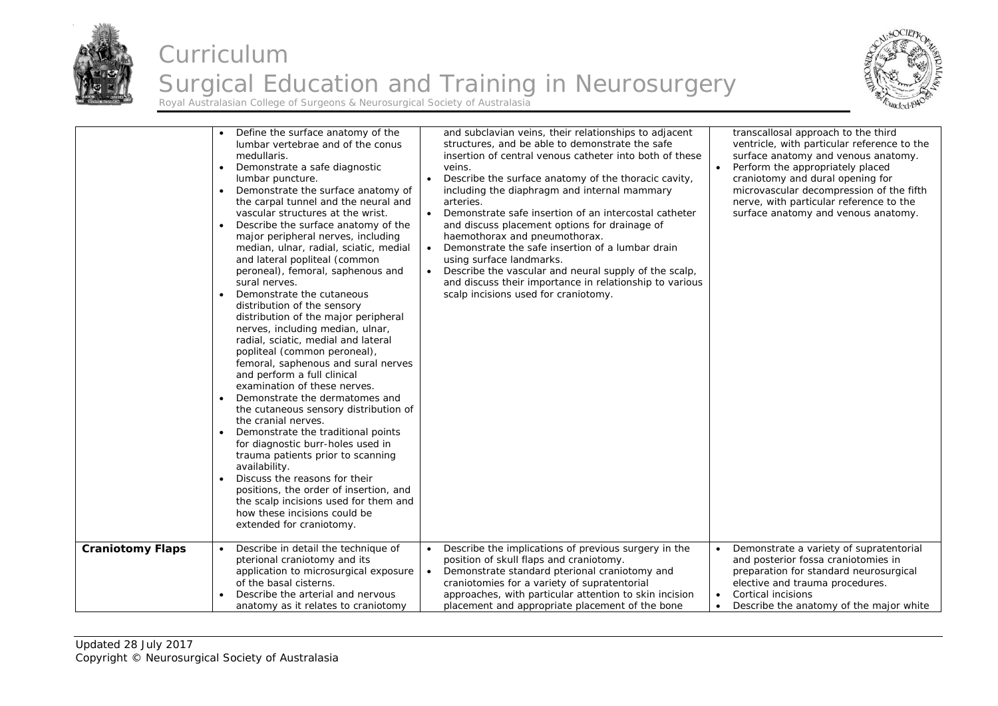



|                         | Define the surface anatomy of the<br>$\bullet$<br>lumbar vertebrae and of the conus<br>medullaris.<br>Demonstrate a safe diagnostic<br>$\bullet$<br>lumbar puncture.<br>Demonstrate the surface anatomy of<br>$\bullet$<br>the carpal tunnel and the neural and<br>vascular structures at the wrist.<br>Describe the surface anatomy of the<br>$\bullet$<br>major peripheral nerves, including<br>median, ulnar, radial, sciatic, medial<br>and lateral popliteal (common<br>peroneal), femoral, saphenous and<br>sural nerves.<br>Demonstrate the cutaneous<br>distribution of the sensory<br>distribution of the major peripheral<br>nerves, including median, ulnar,<br>radial, sciatic, medial and lateral<br>popliteal (common peroneal),<br>femoral, saphenous and sural nerves<br>and perform a full clinical<br>examination of these nerves.<br>Demonstrate the dermatomes and<br>the cutaneous sensory distribution of<br>the cranial nerves.<br>Demonstrate the traditional points<br>$\bullet$<br>for diagnostic burr-holes used in<br>trauma patients prior to scanning<br>availability.<br>Discuss the reasons for their<br>positions, the order of insertion, and<br>the scalp incisions used for them and<br>how these incisions could be<br>extended for craniotomy. | and subclavian veins, their relationships to adjacent<br>structures, and be able to demonstrate the safe<br>insertion of central venous catheter into both of these<br>veins.<br>Describe the surface anatomy of the thoracic cavity,<br>including the diaphragm and internal mammary<br>arteries.<br>Demonstrate safe insertion of an intercostal catheter<br>$\bullet$<br>and discuss placement options for drainage of<br>haemothorax and pneumothorax.<br>Demonstrate the safe insertion of a lumbar drain<br>$\bullet$<br>using surface landmarks.<br>Describe the vascular and neural supply of the scalp,<br>and discuss their importance in relationship to various<br>scalp incisions used for craniotomy. | transcallosal approach to the third<br>ventricle, with particular reference to the<br>surface anatomy and venous anatomy.<br>Perform the appropriately placed<br>craniotomy and dural opening for<br>microvascular decompression of the fifth<br>nerve, with particular reference to the<br>surface anatomy and venous anatomy. |
|-------------------------|--------------------------------------------------------------------------------------------------------------------------------------------------------------------------------------------------------------------------------------------------------------------------------------------------------------------------------------------------------------------------------------------------------------------------------------------------------------------------------------------------------------------------------------------------------------------------------------------------------------------------------------------------------------------------------------------------------------------------------------------------------------------------------------------------------------------------------------------------------------------------------------------------------------------------------------------------------------------------------------------------------------------------------------------------------------------------------------------------------------------------------------------------------------------------------------------------------------------------------------------------------------------------------------|---------------------------------------------------------------------------------------------------------------------------------------------------------------------------------------------------------------------------------------------------------------------------------------------------------------------------------------------------------------------------------------------------------------------------------------------------------------------------------------------------------------------------------------------------------------------------------------------------------------------------------------------------------------------------------------------------------------------|---------------------------------------------------------------------------------------------------------------------------------------------------------------------------------------------------------------------------------------------------------------------------------------------------------------------------------|
| <b>Craniotomy Flaps</b> | Describe in detail the technique of                                                                                                                                                                                                                                                                                                                                                                                                                                                                                                                                                                                                                                                                                                                                                                                                                                                                                                                                                                                                                                                                                                                                                                                                                                                  | Describe the implications of previous surgery in the                                                                                                                                                                                                                                                                                                                                                                                                                                                                                                                                                                                                                                                                | Demonstrate a variety of supratentorial                                                                                                                                                                                                                                                                                         |
|                         | $\bullet$                                                                                                                                                                                                                                                                                                                                                                                                                                                                                                                                                                                                                                                                                                                                                                                                                                                                                                                                                                                                                                                                                                                                                                                                                                                                            | $\bullet$                                                                                                                                                                                                                                                                                                                                                                                                                                                                                                                                                                                                                                                                                                           | and posterior fossa craniotomies in                                                                                                                                                                                                                                                                                             |
|                         | pterional craniotomy and its                                                                                                                                                                                                                                                                                                                                                                                                                                                                                                                                                                                                                                                                                                                                                                                                                                                                                                                                                                                                                                                                                                                                                                                                                                                         | position of skull flaps and craniotomy.                                                                                                                                                                                                                                                                                                                                                                                                                                                                                                                                                                                                                                                                             | preparation for standard neurosurgical                                                                                                                                                                                                                                                                                          |
|                         | application to microsurgical exposure                                                                                                                                                                                                                                                                                                                                                                                                                                                                                                                                                                                                                                                                                                                                                                                                                                                                                                                                                                                                                                                                                                                                                                                                                                                | Demonstrate standard pterional craniotomy and                                                                                                                                                                                                                                                                                                                                                                                                                                                                                                                                                                                                                                                                       | elective and trauma procedures.                                                                                                                                                                                                                                                                                                 |
|                         | of the basal cisterns.                                                                                                                                                                                                                                                                                                                                                                                                                                                                                                                                                                                                                                                                                                                                                                                                                                                                                                                                                                                                                                                                                                                                                                                                                                                               | craniotomies for a variety of supratentorial                                                                                                                                                                                                                                                                                                                                                                                                                                                                                                                                                                                                                                                                        | Cortical incisions                                                                                                                                                                                                                                                                                                              |
|                         | Describe the arterial and nervous                                                                                                                                                                                                                                                                                                                                                                                                                                                                                                                                                                                                                                                                                                                                                                                                                                                                                                                                                                                                                                                                                                                                                                                                                                                    | approaches, with particular attention to skin incision                                                                                                                                                                                                                                                                                                                                                                                                                                                                                                                                                                                                                                                              | $\bullet$                                                                                                                                                                                                                                                                                                                       |
|                         | anatomy as it relates to craniotomy                                                                                                                                                                                                                                                                                                                                                                                                                                                                                                                                                                                                                                                                                                                                                                                                                                                                                                                                                                                                                                                                                                                                                                                                                                                  | placement and appropriate placement of the bone                                                                                                                                                                                                                                                                                                                                                                                                                                                                                                                                                                                                                                                                     | Describe the anatomy of the major white                                                                                                                                                                                                                                                                                         |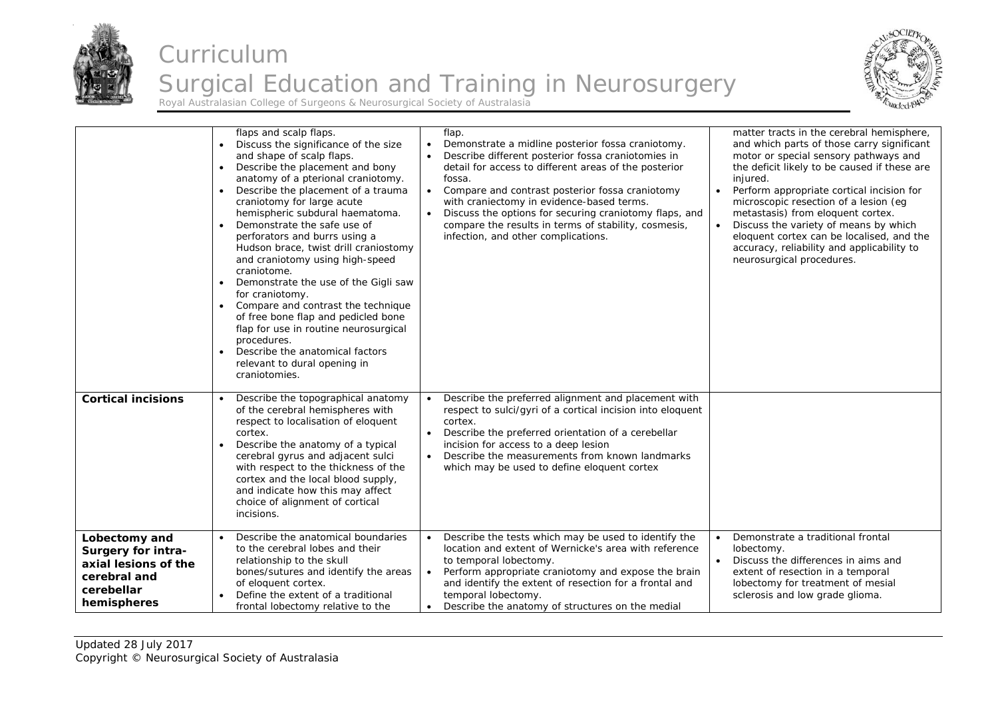



|                                                                                                          | flaps and scalp flaps.<br>Discuss the significance of the size<br>and shape of scalp flaps.<br>Describe the placement and bony<br>$\bullet$<br>anatomy of a pterional craniotomy.<br>Describe the placement of a trauma<br>$\bullet$<br>craniotomy for large acute<br>hemispheric subdural haematoma.<br>Demonstrate the safe use of<br>perforators and burrs using a<br>Hudson brace, twist drill craniostomy<br>and craniotomy using high-speed<br>craniotome.<br>Demonstrate the use of the Gigli saw<br>for craniotomy.<br>Compare and contrast the technique<br>of free bone flap and pedicled bone<br>flap for use in routine neurosurgical<br>procedures.<br>Describe the anatomical factors<br>relevant to dural opening in<br>craniotomies. | flap.<br>Demonstrate a midline posterior fossa craniotomy.<br>$\bullet$<br>Describe different posterior fossa craniotomies in<br>detail for access to different areas of the posterior<br>fossa.<br>Compare and contrast posterior fossa craniotomy<br>$\bullet$<br>with craniectomy in evidence-based terms.<br>Discuss the options for securing craniotomy flaps, and<br>$\bullet$<br>compare the results in terms of stability, cosmesis,<br>infection, and other complications. | matter tracts in the cerebral hemisphere,<br>and which parts of those carry significant<br>motor or special sensory pathways and<br>the deficit likely to be caused if these are<br>injured.<br>Perform appropriate cortical incision for<br>$\bullet$<br>microscopic resection of a lesion (eq.<br>metastasis) from eloquent cortex.<br>Discuss the variety of means by which<br>eloquent cortex can be localised, and the<br>accuracy, reliability and applicability to<br>neurosurgical procedures. |
|----------------------------------------------------------------------------------------------------------|------------------------------------------------------------------------------------------------------------------------------------------------------------------------------------------------------------------------------------------------------------------------------------------------------------------------------------------------------------------------------------------------------------------------------------------------------------------------------------------------------------------------------------------------------------------------------------------------------------------------------------------------------------------------------------------------------------------------------------------------------|-------------------------------------------------------------------------------------------------------------------------------------------------------------------------------------------------------------------------------------------------------------------------------------------------------------------------------------------------------------------------------------------------------------------------------------------------------------------------------------|--------------------------------------------------------------------------------------------------------------------------------------------------------------------------------------------------------------------------------------------------------------------------------------------------------------------------------------------------------------------------------------------------------------------------------------------------------------------------------------------------------|
| <b>Cortical incisions</b>                                                                                | Describe the topographical anatomy<br>of the cerebral hemispheres with<br>respect to localisation of eloquent<br>cortex.<br>Describe the anatomy of a typical<br>cerebral gyrus and adjacent sulci<br>with respect to the thickness of the<br>cortex and the local blood supply,<br>and indicate how this may affect<br>choice of alignment of cortical<br>incisions.                                                                                                                                                                                                                                                                                                                                                                                | Describe the preferred alignment and placement with<br>respect to sulci/qyri of a cortical incision into eloquent<br>cortex.<br>Describe the preferred orientation of a cerebellar<br>$\bullet$<br>incision for access to a deep lesion<br>Describe the measurements from known landmarks<br>$\bullet$<br>which may be used to define eloquent cortex                                                                                                                               |                                                                                                                                                                                                                                                                                                                                                                                                                                                                                                        |
| Lobectomy and<br>Surgery for intra-<br>axial lesions of the<br>cerebral and<br>cerebellar<br>hemispheres | Describe the anatomical boundaries<br>to the cerebral lobes and their<br>relationship to the skull<br>bones/sutures and identify the areas<br>of eloquent cortex.<br>Define the extent of a traditional<br>frontal lobectomy relative to the                                                                                                                                                                                                                                                                                                                                                                                                                                                                                                         | Describe the tests which may be used to identify the<br>$\bullet$<br>location and extent of Wernicke's area with reference<br>to temporal lobectomy.<br>Perform appropriate craniotomy and expose the brain<br>$\bullet$<br>and identify the extent of resection for a frontal and<br>temporal lobectomy.<br>Describe the anatomy of structures on the medial<br>$\bullet$                                                                                                          | Demonstrate a traditional frontal<br>$\bullet$<br>lobectomy.<br>Discuss the differences in aims and<br>extent of resection in a temporal<br>lobectomy for treatment of mesial<br>sclerosis and low grade glioma.                                                                                                                                                                                                                                                                                       |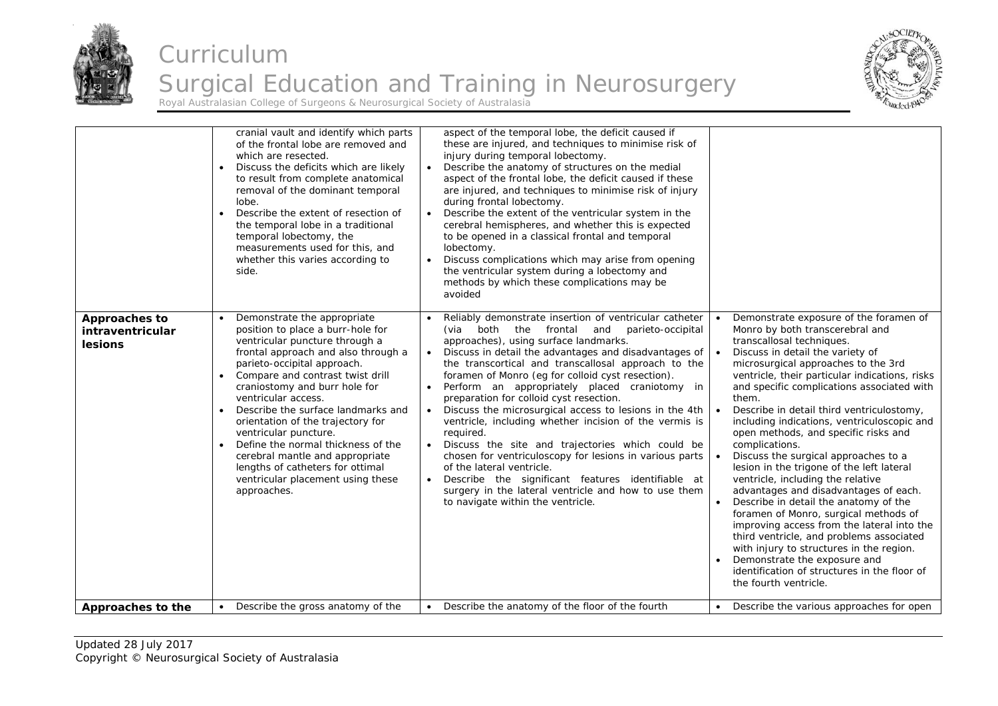

#### Curriculum Surgical Education and Training in Neurosurgery Royal Australasian College of Surgeons & Neurosurgical Society of Australasia



cranial vault and identify which parts of the frontal lobe are removed and which are resected. . Discuss the deficits which are likely to result from complete anatomical removal of the dominant temporal lobe. . Describe the extent of resection of the temporal lobe in a traditional temporal lobectomy, the measurements used for this, and whether this varies according to side. aspect of the temporal lobe, the deficit caused if these are injured, and techniques to minimise risk of injury during temporal lobectomy. Describe the anatomy of structures on the medial aspect of the frontal lobe, the deficit caused if these are injured, and techniques to minimise risk of injury during frontal lobectomy.  $\bullet$  Describe the extent of the ventricular system in the cerebral hemispheres, and whether this is expected to be opened in a classical frontal and temporal lobectomy.  $\bullet$  Discuss complications which may arise from opening the ventricular system during a lobectomy and methods by which these complications may be avoided **Approaches to intraventricular lesions**  $\ddot{\phantom{a}}$  Demonstrate the appropriate position to place a burr-hole for ventricular puncture through a frontal approach and also through a parieto-occipital approach. ۰ Compare and contrast twist drill craniostomy and burr hole for ventricular access.  $\bullet$  Describe the surface landmarks and orientation of the trajectory for ventricular puncture. • Define the normal thickness of the cerebral mantle and appropriate lengths of catheters for ottimal ventricular placement using these approaches. . Reliably demonstrate insertion of ventricular catheter (via both the frontal and parieto-occipital approaches), using surface landmarks.  $\bullet$  Discuss in detail the advantages and disadvantages of the transcortical and transcallosal approach to the foramen of Monro (eg for colloid cyst resection). . Perform an appropriately placed craniotomy in preparation for colloid cyst resection. . Discuss the microsurgical access to lesions in the 4th ventricle, including whether incision of the vermis is required.  $\bullet$  Discuss the site and trajectories which could be chosen for ventriculoscopy for lesions in various parts of the lateral ventricle.  $\bullet$ Describe the significant features identifiable at surgery in the lateral ventricle and how to use them to navigate within the ventricle. ۰ Demonstrate exposure of the foramen of Monro by both transcerebral and transcallosal techniques.  $\bullet$  Discuss in detail the variety of microsurgical approaches to the 3rd ventricle, their particular indications, risks and specific complications associated with them. . Describe in detail third ventriculostomy, including indications, ventriculoscopic and open methods, and specific risks and complications. ۰ Discuss the surgical approaches to a lesion in the trigone of the left lateral ventricle, including the relative advantages and disadvantages of each.  $\bullet$  Describe in detail the anatomy of the foramen of Monro, surgical methods of improving access from the lateral into the third ventricle, and problems associated with injury to structures in the region. ٠ Demonstrate the exposure and identification of structures in the floor of the fourth ventricle. **Approaches to the**  $\cdot$  Describe the gross anatomy of the  $\cdot$  Describe the anatomy of the floor of the fourth  $\cdot$  Describe the various approaches for open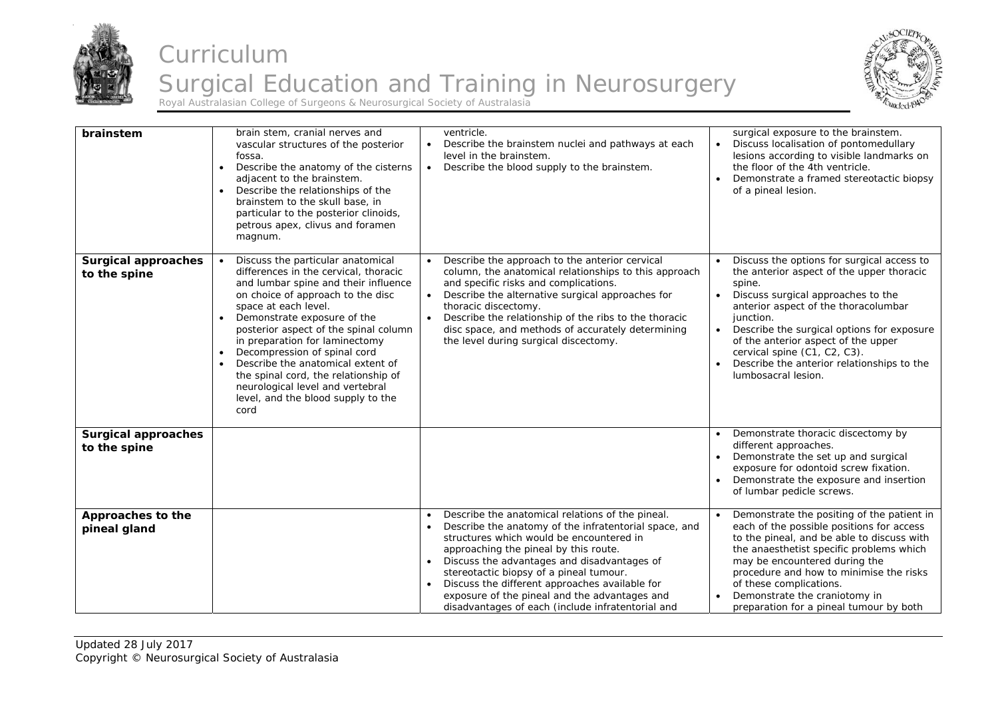



| brainstem                                  | brain stem, cranial nerves and<br>vascular structures of the posterior<br>fossa.<br>Describe the anatomy of the cisterns<br>$\bullet$<br>adjacent to the brainstem.<br>Describe the relationships of the<br>$\bullet$<br>brainstem to the skull base, in<br>particular to the posterior clinoids,<br>petrous apex, clivus and foramen<br>magnum.                                                                                                                                                                                             | ventricle.<br>Describe the brainstem nuclei and pathways at each<br>$\bullet$<br>level in the brainstem.<br>Describe the blood supply to the brainstem.<br>$\bullet$                                                                                                                                                                                                                                                                             | surgical exposure to the brainstem.<br>Discuss localisation of pontomedullary<br>lesions according to visible landmarks on<br>the floor of the 4th ventricle.<br>Demonstrate a framed stereotactic biopsy<br>of a pineal lesion.                                                                                                                                                       |
|--------------------------------------------|----------------------------------------------------------------------------------------------------------------------------------------------------------------------------------------------------------------------------------------------------------------------------------------------------------------------------------------------------------------------------------------------------------------------------------------------------------------------------------------------------------------------------------------------|--------------------------------------------------------------------------------------------------------------------------------------------------------------------------------------------------------------------------------------------------------------------------------------------------------------------------------------------------------------------------------------------------------------------------------------------------|----------------------------------------------------------------------------------------------------------------------------------------------------------------------------------------------------------------------------------------------------------------------------------------------------------------------------------------------------------------------------------------|
| <b>Surgical approaches</b><br>to the spine | Discuss the particular anatomical<br>$\bullet$<br>differences in the cervical, thoracic<br>and lumbar spine and their influence<br>on choice of approach to the disc<br>space at each level.<br>Demonstrate exposure of the<br>$\bullet$<br>posterior aspect of the spinal column<br>in preparation for laminectomy<br>Decompression of spinal cord<br>$\bullet$<br>Describe the anatomical extent of<br>$\bullet$<br>the spinal cord, the relationship of<br>neurological level and vertebral<br>level, and the blood supply to the<br>cord | Describe the approach to the anterior cervical<br>$\bullet$<br>column, the anatomical relationships to this approach<br>and specific risks and complications.<br>Describe the alternative surgical approaches for<br>$\bullet$<br>thoracic discectomy.<br>Describe the relationship of the ribs to the thoracic<br>$\bullet$<br>disc space, and methods of accurately determining<br>the level during surgical discectomy.                       | Discuss the options for surgical access to<br>the anterior aspect of the upper thoracic<br>spine.<br>Discuss surgical approaches to the<br>anterior aspect of the thoracolumbar<br>junction.<br>Describe the surgical options for exposure<br>of the anterior aspect of the upper<br>cervical spine (C1, C2, C3).<br>Describe the anterior relationships to the<br>lumbosacral lesion. |
| <b>Surgical approaches</b><br>to the spine |                                                                                                                                                                                                                                                                                                                                                                                                                                                                                                                                              |                                                                                                                                                                                                                                                                                                                                                                                                                                                  | Demonstrate thoracic discectomy by<br>different approaches.<br>Demonstrate the set up and surgical<br>exposure for odontoid screw fixation.<br>Demonstrate the exposure and insertion<br>of lumbar pedicle screws.                                                                                                                                                                     |
| Approaches to the<br>pineal gland          |                                                                                                                                                                                                                                                                                                                                                                                                                                                                                                                                              | Describe the anatomical relations of the pineal.<br>Describe the anatomy of the infratentorial space, and<br>structures which would be encountered in<br>approaching the pineal by this route.<br>Discuss the advantages and disadvantages of<br>stereotactic biopsy of a pineal tumour.<br>Discuss the different approaches available for<br>exposure of the pineal and the advantages and<br>disadvantages of each (include infratentorial and | Demonstrate the positing of the patient in<br>each of the possible positions for access<br>to the pineal, and be able to discuss with<br>the anaesthetist specific problems which<br>may be encountered during the<br>procedure and how to minimise the risks<br>of these complications.<br>Demonstrate the craniotomy in<br>preparation for a pineal tumour by both                   |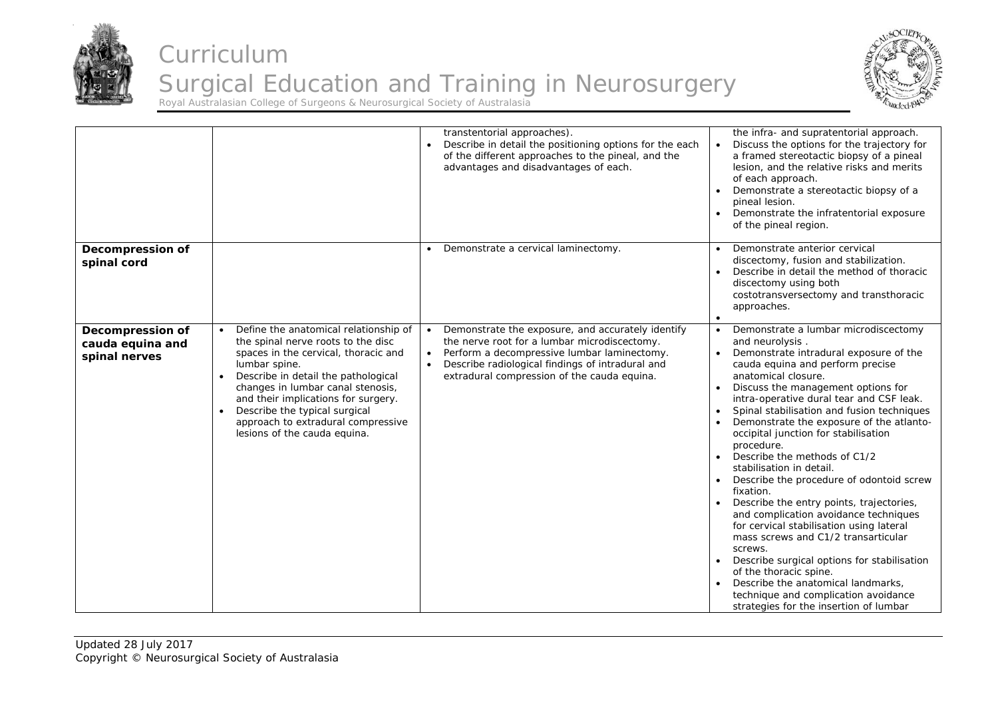



|                                                              |                                                                                                                                                                                                                                                                                                                                                                                          | transtentorial approaches).<br>Describe in detail the positioning options for the each<br>of the different approaches to the pineal, and the<br>advantages and disadvantages of each.                                                                                                      | the infra- and supratentorial approach.<br>Discuss the options for the trajectory for<br>a framed stereotactic biopsy of a pineal<br>lesion, and the relative risks and merits<br>of each approach.<br>Demonstrate a stereotactic biopsy of a<br>pineal lesion.<br>Demonstrate the infratentorial exposure<br>of the pineal region.                                                                                                                                                                                                                                                                                                                                                                                                                                                                                                                                                                                  |
|--------------------------------------------------------------|------------------------------------------------------------------------------------------------------------------------------------------------------------------------------------------------------------------------------------------------------------------------------------------------------------------------------------------------------------------------------------------|--------------------------------------------------------------------------------------------------------------------------------------------------------------------------------------------------------------------------------------------------------------------------------------------|----------------------------------------------------------------------------------------------------------------------------------------------------------------------------------------------------------------------------------------------------------------------------------------------------------------------------------------------------------------------------------------------------------------------------------------------------------------------------------------------------------------------------------------------------------------------------------------------------------------------------------------------------------------------------------------------------------------------------------------------------------------------------------------------------------------------------------------------------------------------------------------------------------------------|
| <b>Decompression of</b><br>spinal cord                       |                                                                                                                                                                                                                                                                                                                                                                                          | Demonstrate a cervical laminectomy.<br>$\bullet$                                                                                                                                                                                                                                           | Demonstrate anterior cervical<br>discectomy, fusion and stabilization.<br>Describe in detail the method of thoracic<br>discectomy using both<br>costotransversectomy and transthoracic<br>approaches.                                                                                                                                                                                                                                                                                                                                                                                                                                                                                                                                                                                                                                                                                                                |
| <b>Decompression of</b><br>cauda equina and<br>spinal nerves | Define the anatomical relationship of<br>$\bullet$<br>the spinal nerve roots to the disc<br>spaces in the cervical, thoracic and<br>lumbar spine.<br>Describe in detail the pathological<br>$\bullet$<br>changes in lumbar canal stenosis,<br>and their implications for surgery.<br>Describe the typical surgical<br>approach to extradural compressive<br>lesions of the cauda equina. | Demonstrate the exposure, and accurately identify<br>$\bullet$<br>the nerve root for a lumbar microdiscectomy.<br>Perform a decompressive lumbar laminectomy.<br>$\bullet$<br>Describe radiological findings of intradural and<br>$\bullet$<br>extradural compression of the cauda equina. | Demonstrate a lumbar microdiscectomy<br>$\bullet$<br>and neurolysis.<br>Demonstrate intradural exposure of the<br>cauda equina and perform precise<br>anatomical closure.<br>Discuss the management options for<br>intra-operative dural tear and CSF leak.<br>Spinal stabilisation and fusion techniques<br>Demonstrate the exposure of the atlanto-<br>occipital junction for stabilisation<br>procedure.<br>Describe the methods of C1/2<br>stabilisation in detail.<br>Describe the procedure of odontoid screw<br>fixation.<br>Describe the entry points, trajectories,<br>and complication avoidance techniques<br>for cervical stabilisation using lateral<br>mass screws and C1/2 transarticular<br>screws.<br>Describe surgical options for stabilisation<br>of the thoracic spine.<br>Describe the anatomical landmarks,<br>technique and complication avoidance<br>strategies for the insertion of lumbar |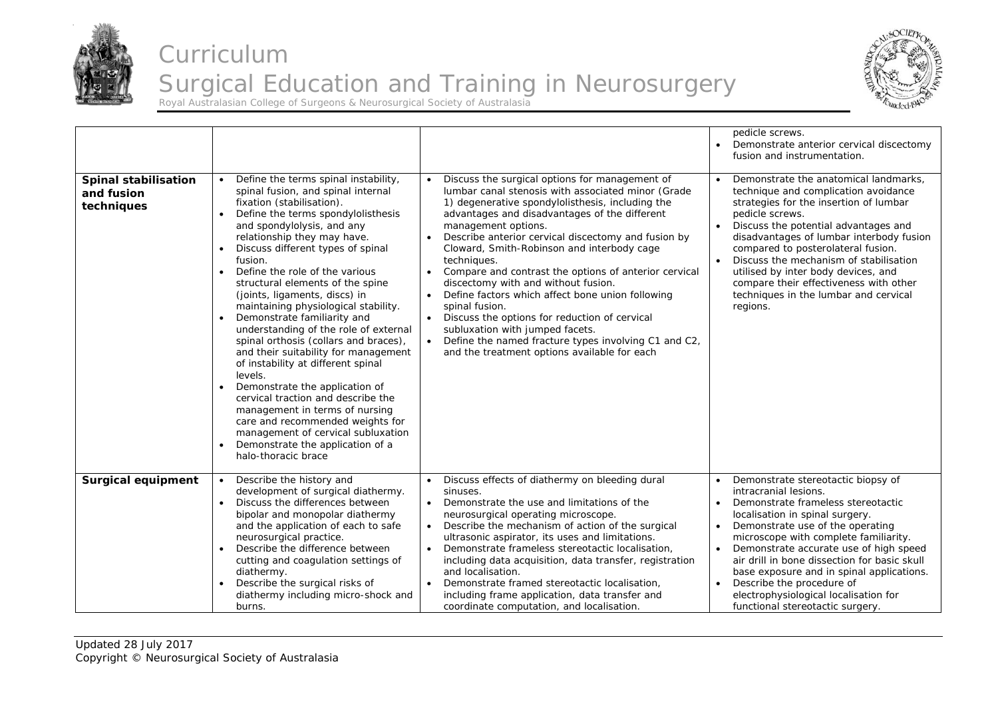



|                                                  |                                                                                                                                                                                                                                                                                                                                                                                                                                                                                                                                                                                                                                                                                                                                                                                                                                                                                 |                                                                                                                                                                                                                                                                                                                                                                                                                                                                                                                                                                                                                                                                                                                                                                            | pedicle screws.<br>Demonstrate anterior cervical discectomy<br>fusion and instrumentation.                                                                                                                                                                                                                                                                                                                                                                                      |
|--------------------------------------------------|---------------------------------------------------------------------------------------------------------------------------------------------------------------------------------------------------------------------------------------------------------------------------------------------------------------------------------------------------------------------------------------------------------------------------------------------------------------------------------------------------------------------------------------------------------------------------------------------------------------------------------------------------------------------------------------------------------------------------------------------------------------------------------------------------------------------------------------------------------------------------------|----------------------------------------------------------------------------------------------------------------------------------------------------------------------------------------------------------------------------------------------------------------------------------------------------------------------------------------------------------------------------------------------------------------------------------------------------------------------------------------------------------------------------------------------------------------------------------------------------------------------------------------------------------------------------------------------------------------------------------------------------------------------------|---------------------------------------------------------------------------------------------------------------------------------------------------------------------------------------------------------------------------------------------------------------------------------------------------------------------------------------------------------------------------------------------------------------------------------------------------------------------------------|
| Spinal stabilisation<br>and fusion<br>techniques | Define the terms spinal instability,<br>spinal fusion, and spinal internal<br>fixation (stabilisation).<br>Define the terms spondylolisthesis<br>and spondylolysis, and any<br>relationship they may have.<br>Discuss different types of spinal<br>fusion.<br>Define the role of the various<br>$\bullet$<br>structural elements of the spine<br>(joints, ligaments, discs) in<br>maintaining physiological stability.<br>Demonstrate familiarity and<br>understanding of the role of external<br>spinal orthosis (collars and braces),<br>and their suitability for management<br>of instability at different spinal<br>levels.<br>Demonstrate the application of<br>cervical traction and describe the<br>management in terms of nursing<br>care and recommended weights for<br>management of cervical subluxation<br>Demonstrate the application of a<br>halo-thoracic brace | Discuss the surgical options for management of<br>lumbar canal stenosis with associated minor (Grade<br>1) degenerative spondylolisthesis, including the<br>advantages and disadvantages of the different<br>management options.<br>Describe anterior cervical discectomy and fusion by<br>$\bullet$<br>Cloward, Smith-Robinson and interbody cage<br>techniques.<br>Compare and contrast the options of anterior cervical<br>$\bullet$<br>discectomy with and without fusion.<br>Define factors which affect bone union following<br>$\bullet$<br>spinal fusion.<br>Discuss the options for reduction of cervical<br>subluxation with jumped facets.<br>Define the named fracture types involving C1 and C2,<br>$\bullet$<br>and the treatment options available for each | Demonstrate the anatomical landmarks,<br>technique and complication avoidance<br>strategies for the insertion of lumbar<br>pedicle screws.<br>Discuss the potential advantages and<br>disadvantages of lumbar interbody fusion<br>compared to posterolateral fusion.<br>Discuss the mechanism of stabilisation<br>utilised by inter body devices, and<br>compare their effectiveness with other<br>techniques in the lumbar and cervical<br>regions.                            |
| <b>Surgical equipment</b>                        | Describe the history and<br>development of surgical diathermy.<br>Discuss the differences between<br>bipolar and monopolar diathermy<br>and the application of each to safe<br>neurosurgical practice.<br>Describe the difference between<br>cutting and coagulation settings of<br>diathermy.<br>Describe the surgical risks of<br>diathermy including micro-shock and<br>burns.                                                                                                                                                                                                                                                                                                                                                                                                                                                                                               | Discuss effects of diathermy on bleeding dural<br>$\bullet$<br>sinuses.<br>Demonstrate the use and limitations of the<br>$\bullet$<br>neurosurgical operating microscope.<br>Describe the mechanism of action of the surgical<br>ultrasonic aspirator, its uses and limitations.<br>Demonstrate frameless stereotactic localisation,<br>$\bullet$<br>including data acquisition, data transfer, registration<br>and localisation.<br>Demonstrate framed stereotactic localisation,<br>$\bullet$<br>including frame application, data transfer and<br>coordinate computation, and localisation.                                                                                                                                                                             | Demonstrate stereotactic biopsy of<br>intracranial lesions.<br>Demonstrate frameless stereotactic<br>localisation in spinal surgery.<br>Demonstrate use of the operating<br>microscope with complete familiarity.<br>Demonstrate accurate use of high speed<br>air drill in bone dissection for basic skull<br>base exposure and in spinal applications.<br>Describe the procedure of<br>$\bullet$<br>electrophysiological localisation for<br>functional stereotactic surgery. |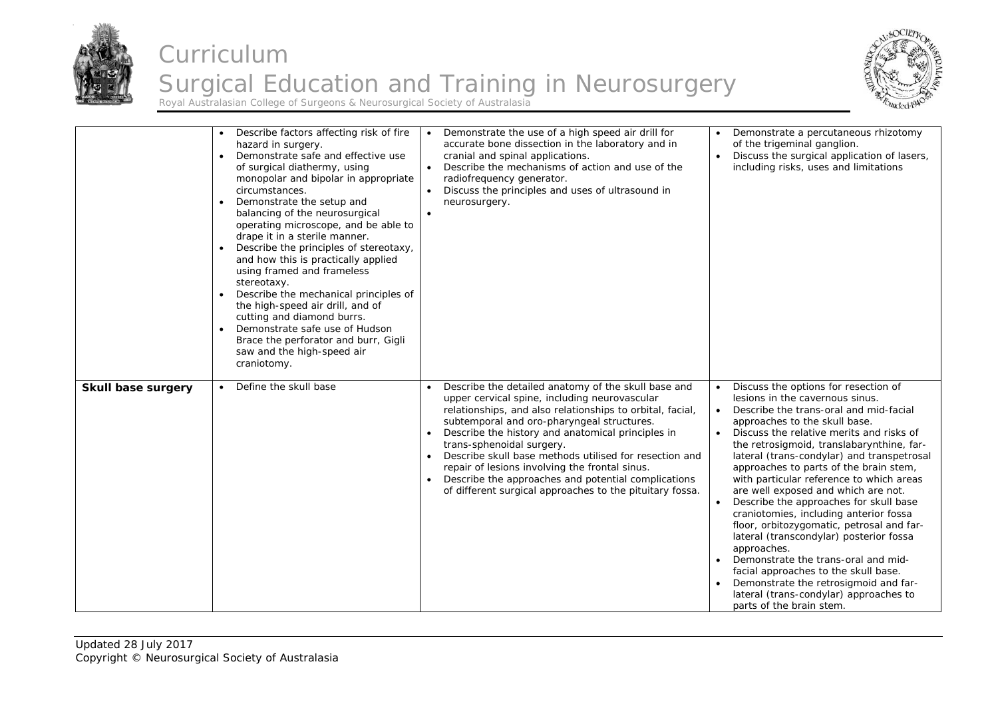



|                    | Describe factors affecting risk of fire<br>hazard in surgery.<br>Demonstrate safe and effective use<br>$\bullet$<br>of surgical diathermy, using<br>monopolar and bipolar in appropriate<br>circumstances.<br>Demonstrate the setup and<br>$\bullet$<br>balancing of the neurosurgical<br>operating microscope, and be able to<br>drape it in a sterile manner.<br>Describe the principles of stereotaxy,<br>$\bullet$<br>and how this is practically applied<br>using framed and frameless<br>stereotaxy.<br>Describe the mechanical principles of<br>$\bullet$<br>the high-speed air drill, and of<br>cutting and diamond burrs.<br>Demonstrate safe use of Hudson<br>Brace the perforator and burr, Gigli<br>saw and the high-speed air<br>craniotomy. | Demonstrate the use of a high speed air drill for<br>accurate bone dissection in the laboratory and in<br>cranial and spinal applications.<br>Describe the mechanisms of action and use of the<br>$\bullet$<br>radiofrequency generator.<br>Discuss the principles and uses of ultrasound in<br>neurosurgery.<br>$\bullet$                                                                                                                                                                                                                                 | Demonstrate a percutaneous rhizotomy<br>of the trigeminal ganglion.<br>Discuss the surgical application of lasers,<br>including risks, uses and limitations                                                                                                                                                                                                                                                                                                                                                                                                                                                                                                                                                                                                                                                     |
|--------------------|-----------------------------------------------------------------------------------------------------------------------------------------------------------------------------------------------------------------------------------------------------------------------------------------------------------------------------------------------------------------------------------------------------------------------------------------------------------------------------------------------------------------------------------------------------------------------------------------------------------------------------------------------------------------------------------------------------------------------------------------------------------|------------------------------------------------------------------------------------------------------------------------------------------------------------------------------------------------------------------------------------------------------------------------------------------------------------------------------------------------------------------------------------------------------------------------------------------------------------------------------------------------------------------------------------------------------------|-----------------------------------------------------------------------------------------------------------------------------------------------------------------------------------------------------------------------------------------------------------------------------------------------------------------------------------------------------------------------------------------------------------------------------------------------------------------------------------------------------------------------------------------------------------------------------------------------------------------------------------------------------------------------------------------------------------------------------------------------------------------------------------------------------------------|
| Skull base surgery | Define the skull base<br>$\bullet$                                                                                                                                                                                                                                                                                                                                                                                                                                                                                                                                                                                                                                                                                                                        | Describe the detailed anatomy of the skull base and<br>$\bullet$<br>upper cervical spine, including neurovascular<br>relationships, and also relationships to orbital, facial,<br>subtemporal and oro-pharyngeal structures.<br>Describe the history and anatomical principles in<br>$\bullet$<br>trans-sphenoidal surgery.<br>Describe skull base methods utilised for resection and<br>repair of lesions involving the frontal sinus.<br>Describe the approaches and potential complications<br>of different surgical approaches to the pituitary fossa. | Discuss the options for resection of<br>lesions in the cavernous sinus.<br>Describe the trans-oral and mid-facial<br>approaches to the skull base.<br>Discuss the relative merits and risks of<br>the retrosigmoid, translabarynthine, far-<br>lateral (trans-condylar) and transpetrosal<br>approaches to parts of the brain stem,<br>with particular reference to which areas<br>are well exposed and which are not.<br>Describe the approaches for skull base<br>craniotomies, including anterior fossa<br>floor, orbitozygomatic, petrosal and far-<br>lateral (transcondylar) posterior fossa<br>approaches.<br>Demonstrate the trans-oral and mid-<br>facial approaches to the skull base.<br>Demonstrate the retrosigmoid and far-<br>lateral (trans-condylar) approaches to<br>parts of the brain stem. |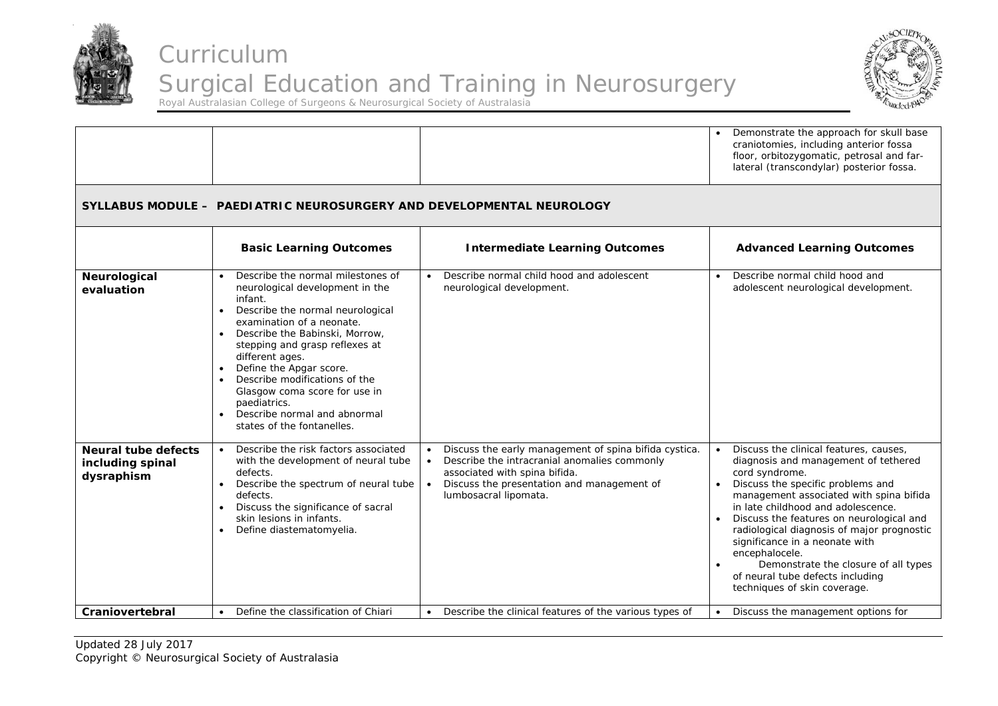



|                                                              |                                                                                                                                                                                                                                                                                                                                                                                                                                                           |                                                                                                                                                                                                                                         | Demonstrate the approach for skull base<br>craniotomies, including anterior fossa<br>floor, orbitozygomatic, petrosal and far-<br>lateral (transcondylar) posterior fossa.                                                                                                                                                                                                                                                                                                       |
|--------------------------------------------------------------|-----------------------------------------------------------------------------------------------------------------------------------------------------------------------------------------------------------------------------------------------------------------------------------------------------------------------------------------------------------------------------------------------------------------------------------------------------------|-----------------------------------------------------------------------------------------------------------------------------------------------------------------------------------------------------------------------------------------|----------------------------------------------------------------------------------------------------------------------------------------------------------------------------------------------------------------------------------------------------------------------------------------------------------------------------------------------------------------------------------------------------------------------------------------------------------------------------------|
|                                                              | SYLLABUS MODULE - PAEDIATRIC NEUROSURGERY AND DEVELOPMENTAL NEUROLOGY                                                                                                                                                                                                                                                                                                                                                                                     |                                                                                                                                                                                                                                         |                                                                                                                                                                                                                                                                                                                                                                                                                                                                                  |
|                                                              | <b>Basic Learning Outcomes</b>                                                                                                                                                                                                                                                                                                                                                                                                                            | <b>Intermediate Learning Outcomes</b>                                                                                                                                                                                                   | <b>Advanced Learning Outcomes</b>                                                                                                                                                                                                                                                                                                                                                                                                                                                |
| Neurological<br>evaluation                                   | Describe the normal milestones of<br>$\bullet$<br>neurological development in the<br>infant.<br>Describe the normal neurological<br>examination of a neonate.<br>Describe the Babinski, Morrow,<br>$\bullet$<br>stepping and grasp reflexes at<br>different ages.<br>Define the Apgar score.<br>Describe modifications of the<br>$\bullet$<br>Glasgow coma score for use in<br>paediatrics.<br>Describe normal and abnormal<br>states of the fontanelles. | Describe normal child hood and adolescent<br>$\bullet$<br>neurological development.                                                                                                                                                     | Describe normal child hood and<br>$\bullet$<br>adolescent neurological development.                                                                                                                                                                                                                                                                                                                                                                                              |
| <b>Neural tube defects</b><br>including spinal<br>dysraphism | Describe the risk factors associated<br>$\bullet$<br>with the development of neural tube<br>defects.<br>Describe the spectrum of neural tube<br>defects.<br>Discuss the significance of sacral<br>skin lesions in infants.<br>Define diastematomyelia.                                                                                                                                                                                                    | Discuss the early management of spina bifida cystica.<br>$\bullet$<br>Describe the intracranial anomalies commonly<br>$\bullet$<br>associated with spina bifida.<br>Discuss the presentation and management of<br>lumbosacral lipomata. | Discuss the clinical features, causes,<br>diagnosis and management of tethered<br>cord syndrome.<br>Discuss the specific problems and<br>management associated with spina bifida<br>in late childhood and adolescence.<br>Discuss the features on neurological and<br>radiological diagnosis of major prognostic<br>significance in a neonate with<br>encephalocele.<br>Demonstrate the closure of all types<br>of neural tube defects including<br>techniques of skin coverage. |
| Craniovertebral                                              | Define the classification of Chiari                                                                                                                                                                                                                                                                                                                                                                                                                       | Describe the clinical features of the various types of                                                                                                                                                                                  | Discuss the management options for                                                                                                                                                                                                                                                                                                                                                                                                                                               |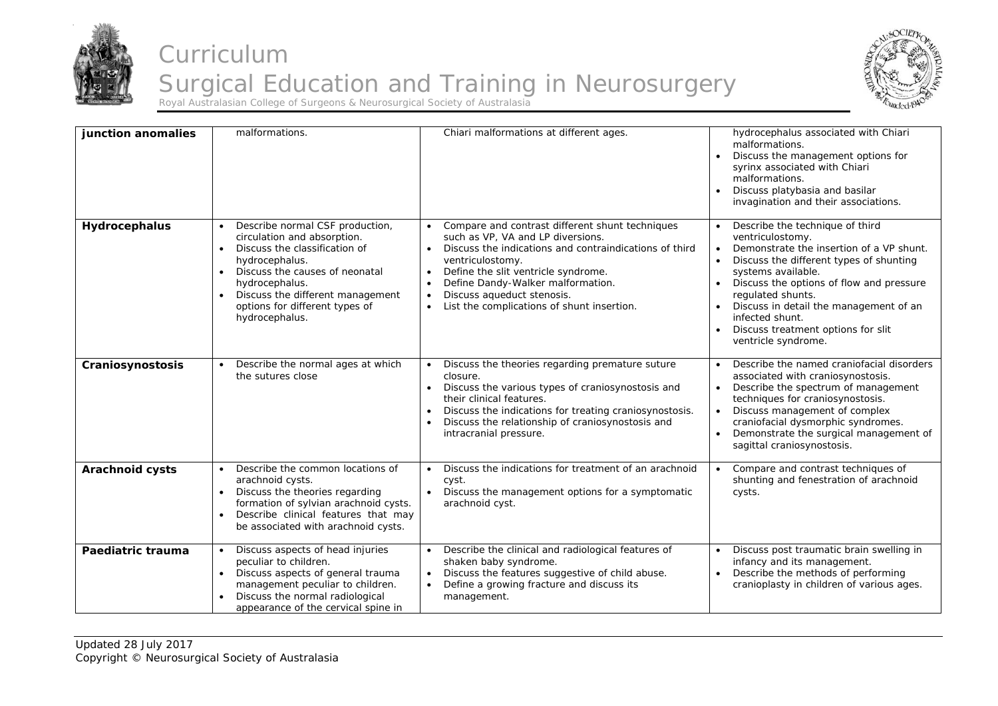



| junction anomalies     | malformations.                                                                                                                                                                                                                                                                                                    | Chiari malformations at different ages.                                                                                                                                                                                                                                                                                                                                                     | hydrocephalus associated with Chiari<br>malformations.<br>Discuss the management options for<br>syrinx associated with Chiari<br>malformations.<br>Discuss platybasia and basilar<br>$\bullet$<br>invagination and their associations.                                                                                                                                                |
|------------------------|-------------------------------------------------------------------------------------------------------------------------------------------------------------------------------------------------------------------------------------------------------------------------------------------------------------------|---------------------------------------------------------------------------------------------------------------------------------------------------------------------------------------------------------------------------------------------------------------------------------------------------------------------------------------------------------------------------------------------|---------------------------------------------------------------------------------------------------------------------------------------------------------------------------------------------------------------------------------------------------------------------------------------------------------------------------------------------------------------------------------------|
| Hydrocephalus          | Describe normal CSF production,<br>$\bullet$<br>circulation and absorption.<br>Discuss the classification of<br>$\bullet$<br>hydrocephalus.<br>Discuss the causes of neonatal<br>$\bullet$<br>hydrocephalus.<br>Discuss the different management<br>$\bullet$<br>options for different types of<br>hydrocephalus. | Compare and contrast different shunt techniques<br>such as VP, VA and LP diversions.<br>Discuss the indications and contraindications of third<br>$\bullet$<br>ventriculostomy.<br>Define the slit ventricle syndrome.<br>$\bullet$<br>Define Dandy-Walker malformation.<br>$\bullet$<br>Discuss aqueduct stenosis.<br>$\bullet$<br>List the complications of shunt insertion.<br>$\bullet$ | Describe the technique of third<br>ventriculostomy.<br>Demonstrate the insertion of a VP shunt.<br>$\bullet$<br>Discuss the different types of shunting<br>systems available.<br>Discuss the options of flow and pressure<br>regulated shunts.<br>Discuss in detail the management of an<br>infected shunt.<br>Discuss treatment options for slit<br>$\bullet$<br>ventricle syndrome. |
| Craniosynostosis       | Describe the normal ages at which<br>the sutures close                                                                                                                                                                                                                                                            | Discuss the theories regarding premature suture<br>closure.<br>Discuss the various types of craniosynostosis and<br>their clinical features.<br>Discuss the indications for treating craniosynostosis.<br>Discuss the relationship of craniosynostosis and<br>intracranial pressure.                                                                                                        | Describe the named craniofacial disorders<br>associated with craniosynostosis.<br>Describe the spectrum of management<br>techniques for craniosynostosis.<br>Discuss management of complex<br>craniofacial dysmorphic syndromes.<br>Demonstrate the surgical management of<br>sagittal craniosynostosis.                                                                              |
| <b>Arachnoid cysts</b> | Describe the common locations of<br>arachnoid cysts.<br>Discuss the theories regarding<br>$\bullet$<br>formation of sylvian arachnoid cysts.<br>Describe clinical features that may<br>$\bullet$<br>be associated with arachnoid cysts.                                                                           | Discuss the indications for treatment of an arachnoid<br>cyst.<br>Discuss the management options for a symptomatic<br>arachnoid cyst.                                                                                                                                                                                                                                                       | Compare and contrast techniques of<br>shunting and fenestration of arachnoid<br>cysts.                                                                                                                                                                                                                                                                                                |
| Paediatric trauma      | Discuss aspects of head injuries<br>$\bullet$<br>peculiar to children.<br>Discuss aspects of general trauma<br>$\bullet$<br>management peculiar to children.<br>Discuss the normal radiological<br>appearance of the cervical spine in                                                                            | Describe the clinical and radiological features of<br>$\bullet$<br>shaken baby syndrome.<br>Discuss the features suggestive of child abuse.<br>$\bullet$<br>Define a growing fracture and discuss its<br>$\bullet$<br>management.                                                                                                                                                           | Discuss post traumatic brain swelling in<br>infancy and its management.<br>Describe the methods of performing<br>cranioplasty in children of various ages.                                                                                                                                                                                                                            |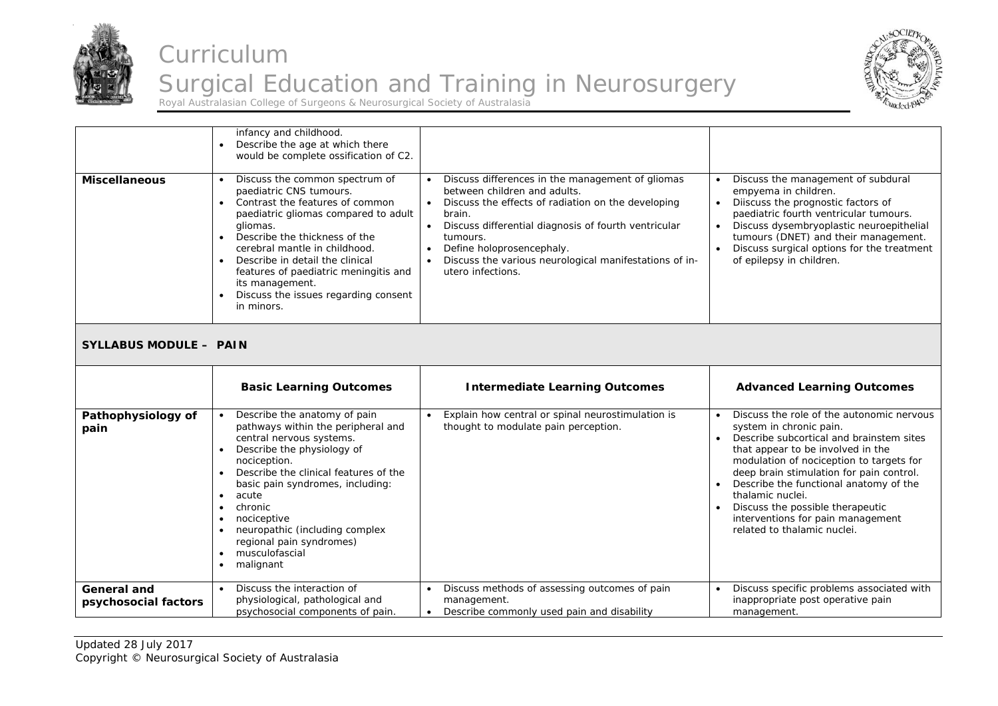



| <b>Miscellaneous</b>                       | infancy and childhood.<br>Describe the age at which there<br>would be complete ossification of C2.<br>Discuss the common spectrum of<br>paediatric CNS tumours.<br>Contrast the features of common<br>$\bullet$<br>paediatric gliomas compared to adult<br>gliomas.<br>Describe the thickness of the<br>$\bullet$<br>cerebral mantle in childhood.<br>Describe in detail the clinical<br>$\bullet$<br>features of paediatric meningitis and<br>its management.<br>Discuss the issues regarding consent<br>$\bullet$<br>in minors. | Discuss differences in the management of gliomas<br>between children and adults.<br>Discuss the effects of radiation on the developing<br>$\bullet$<br>brain.<br>Discuss differential diagnosis of fourth ventricular<br>tumours.<br>Define holoprosencephaly.<br>Discuss the various neurological manifestations of in-<br>utero infections. | Discuss the management of subdural<br>empyema in children.<br>Diiscuss the prognostic factors of<br>paediatric fourth ventricular tumours.<br>Discuss dysembryoplastic neuroepithelial<br>tumours (DNET) and their management.<br>Discuss surgical options for the treatment<br>of epilepsy in children.                                                                                                            |
|--------------------------------------------|-----------------------------------------------------------------------------------------------------------------------------------------------------------------------------------------------------------------------------------------------------------------------------------------------------------------------------------------------------------------------------------------------------------------------------------------------------------------------------------------------------------------------------------|-----------------------------------------------------------------------------------------------------------------------------------------------------------------------------------------------------------------------------------------------------------------------------------------------------------------------------------------------|---------------------------------------------------------------------------------------------------------------------------------------------------------------------------------------------------------------------------------------------------------------------------------------------------------------------------------------------------------------------------------------------------------------------|
| <b>SYLLABUS MODULE - PAIN</b>              |                                                                                                                                                                                                                                                                                                                                                                                                                                                                                                                                   |                                                                                                                                                                                                                                                                                                                                               |                                                                                                                                                                                                                                                                                                                                                                                                                     |
|                                            | <b>Basic Learning Outcomes</b>                                                                                                                                                                                                                                                                                                                                                                                                                                                                                                    | <b>Intermediate Learning Outcomes</b>                                                                                                                                                                                                                                                                                                         | <b>Advanced Learning Outcomes</b>                                                                                                                                                                                                                                                                                                                                                                                   |
| Pathophysiology of<br>pain                 | Describe the anatomy of pain<br>pathways within the peripheral and<br>central nervous systems.<br>Describe the physiology of<br>$\bullet$<br>nociception.<br>Describe the clinical features of the<br>$\bullet$<br>basic pain syndromes, including:<br>acute<br>$\bullet$<br>chronic<br>$\bullet$<br>nociceptive<br>$\bullet$<br>neuropathic (including complex<br>regional pain syndromes)<br>musculofascial<br>$\bullet$<br>malignant<br>$\bullet$                                                                              | Explain how central or spinal neurostimulation is<br>thought to modulate pain perception.                                                                                                                                                                                                                                                     | Discuss the role of the autonomic nervous<br>system in chronic pain.<br>Describe subcortical and brainstem sites<br>that appear to be involved in the<br>modulation of nociception to targets for<br>deep brain stimulation for pain control.<br>Describe the functional anatomy of the<br>thalamic nuclei.<br>Discuss the possible therapeutic<br>interventions for pain management<br>related to thalamic nuclei. |
| <b>General and</b><br>psychosocial factors | Discuss the interaction of<br>$\bullet$<br>physiological, pathological and<br>psychosocial components of pain.                                                                                                                                                                                                                                                                                                                                                                                                                    | Discuss methods of assessing outcomes of pain<br>management.<br>Describe commonly used pain and disability<br>$\bullet$                                                                                                                                                                                                                       | Discuss specific problems associated with<br>inappropriate post operative pain<br>management.                                                                                                                                                                                                                                                                                                                       |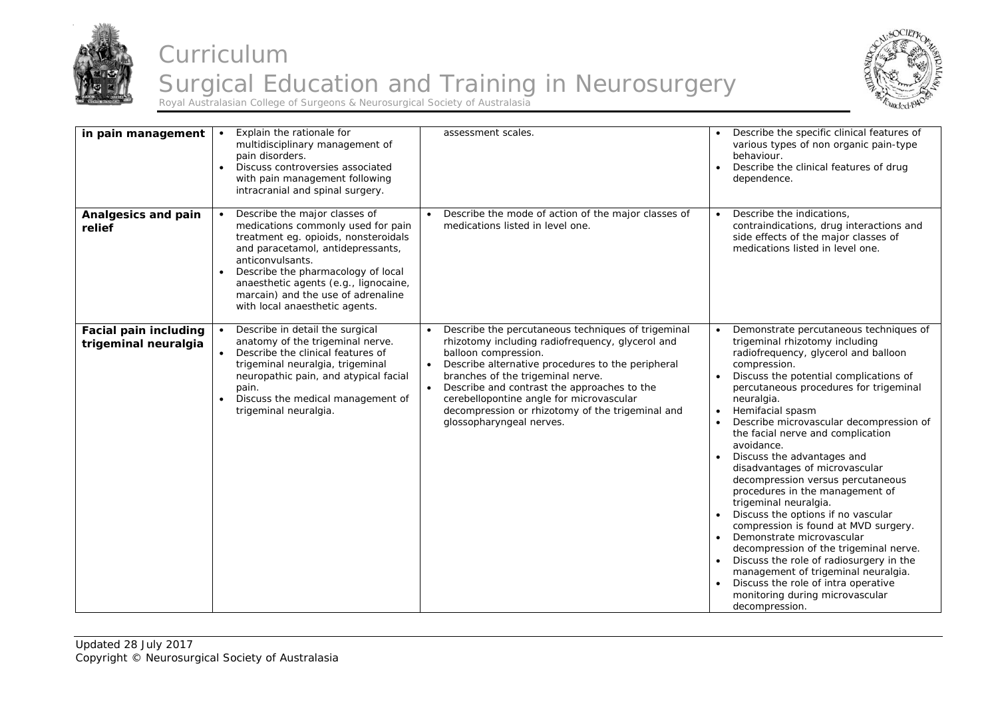



| in pain management                                   | Explain the rationale for<br>multidisciplinary management of<br>pain disorders.<br>Discuss controversies associated<br>$\bullet$<br>with pain management following<br>intracranial and spinal surgery.                                                                                                                                   | assessment scales.                                                                                                                                                                                                                                                                                                                                                                                               | Describe the specific clinical features of<br>various types of non organic pain-type<br>behaviour.<br>Describe the clinical features of drug<br>dependence.                                                                                                                                                                                                                                                                                                                                                                                                                                                                                                                                                                                                                                                                                              |
|------------------------------------------------------|------------------------------------------------------------------------------------------------------------------------------------------------------------------------------------------------------------------------------------------------------------------------------------------------------------------------------------------|------------------------------------------------------------------------------------------------------------------------------------------------------------------------------------------------------------------------------------------------------------------------------------------------------------------------------------------------------------------------------------------------------------------|----------------------------------------------------------------------------------------------------------------------------------------------------------------------------------------------------------------------------------------------------------------------------------------------------------------------------------------------------------------------------------------------------------------------------------------------------------------------------------------------------------------------------------------------------------------------------------------------------------------------------------------------------------------------------------------------------------------------------------------------------------------------------------------------------------------------------------------------------------|
| Analgesics and pain<br>relief                        | Describe the major classes of<br>medications commonly used for pain<br>treatment eg. opioids, nonsteroidals<br>and paracetamol, antidepressants,<br>anticonvulsants.<br>Describe the pharmacology of local<br>$\bullet$<br>anaesthetic agents (e.g., lignocaine,<br>marcain) and the use of adrenaline<br>with local anaesthetic agents. | Describe the mode of action of the major classes of<br>medications listed in level one.                                                                                                                                                                                                                                                                                                                          | Describe the indications,<br>contraindications, drug interactions and<br>side effects of the major classes of<br>medications listed in level one.                                                                                                                                                                                                                                                                                                                                                                                                                                                                                                                                                                                                                                                                                                        |
| <b>Facial pain including</b><br>trigeminal neuralgia | Describe in detail the surgical<br>anatomy of the trigeminal nerve.<br>Describe the clinical features of<br>$\bullet$<br>trigeminal neuralgia, trigeminal<br>neuropathic pain, and atypical facial<br>pain.<br>Discuss the medical management of<br>$\bullet$<br>trigeminal neuralgia.                                                   | Describe the percutaneous techniques of trigeminal<br>rhizotomy including radiofrequency, glycerol and<br>balloon compression.<br>Describe alternative procedures to the peripheral<br>$\bullet$<br>branches of the trigeminal nerve.<br>Describe and contrast the approaches to the<br>cerebellopontine angle for microvascular<br>decompression or rhizotomy of the trigeminal and<br>glossopharyngeal nerves. | Demonstrate percutaneous techniques of<br>trigeminal rhizotomy including<br>radiofrequency, glycerol and balloon<br>compression.<br>Discuss the potential complications of<br>percutaneous procedures for trigeminal<br>neuralgia.<br>Hemifacial spasm<br>Describe microvascular decompression of<br>the facial nerve and complication<br>avoidance.<br>Discuss the advantages and<br>disadvantages of microvascular<br>decompression versus percutaneous<br>procedures in the management of<br>trigeminal neuralgia.<br>Discuss the options if no vascular<br>compression is found at MVD surgery.<br>Demonstrate microvascular<br>decompression of the trigeminal nerve.<br>Discuss the role of radiosurgery in the<br>management of trigeminal neuralgia.<br>Discuss the role of intra operative<br>monitoring during microvascular<br>decompression. |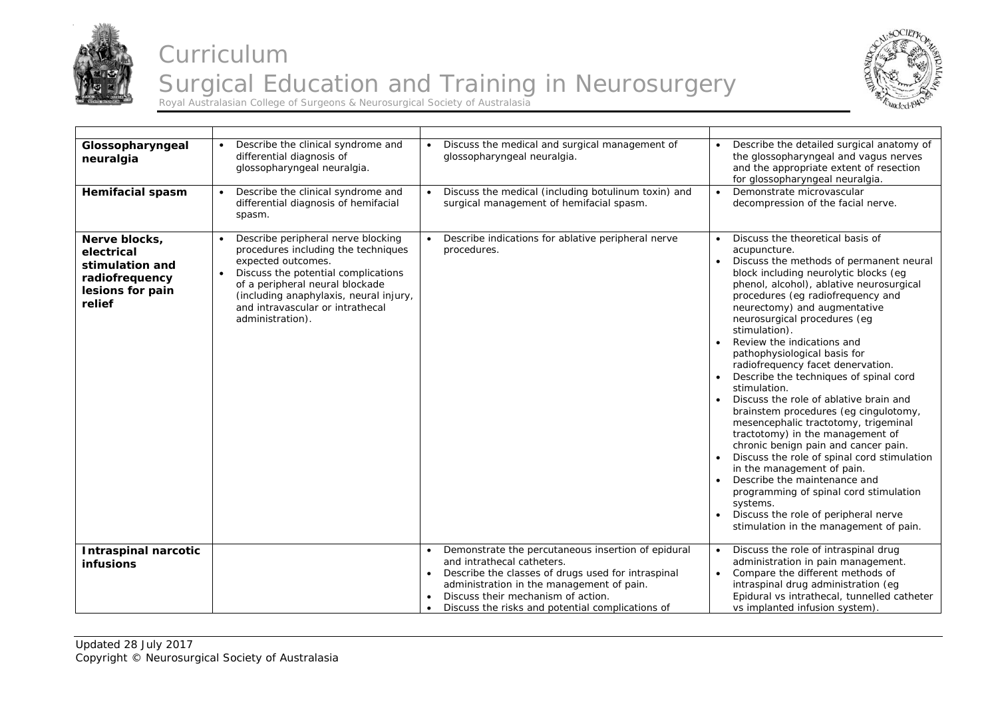



| Glossopharyngeal<br>neuralgia                                                                  | Describe the clinical syndrome and<br>differential diagnosis of<br>glossopharyngeal neuralgia.                                                                                                                                                                              | Discuss the medical and surgical management of<br>glossopharyngeal neuralgia.                                                                                                                                                                                                              | Describe the detailed surgical anatomy of<br>the glossopharyngeal and vagus nerves<br>and the appropriate extent of resection<br>for glossopharyngeal neuralgia.                                                                                                                                                                                                                                                                                                                                                                                                                                                                                                                                                                                                                                                                                                                                                                |
|------------------------------------------------------------------------------------------------|-----------------------------------------------------------------------------------------------------------------------------------------------------------------------------------------------------------------------------------------------------------------------------|--------------------------------------------------------------------------------------------------------------------------------------------------------------------------------------------------------------------------------------------------------------------------------------------|---------------------------------------------------------------------------------------------------------------------------------------------------------------------------------------------------------------------------------------------------------------------------------------------------------------------------------------------------------------------------------------------------------------------------------------------------------------------------------------------------------------------------------------------------------------------------------------------------------------------------------------------------------------------------------------------------------------------------------------------------------------------------------------------------------------------------------------------------------------------------------------------------------------------------------|
| <b>Hemifacial spasm</b>                                                                        | Describe the clinical syndrome and<br>differential diagnosis of hemifacial<br>spasm.                                                                                                                                                                                        | Discuss the medical (including botulinum toxin) and<br>surgical management of hemifacial spasm.                                                                                                                                                                                            | Demonstrate microvascular<br>decompression of the facial nerve.                                                                                                                                                                                                                                                                                                                                                                                                                                                                                                                                                                                                                                                                                                                                                                                                                                                                 |
| Nerve blocks,<br>electrical<br>stimulation and<br>radiofrequency<br>lesions for pain<br>relief | Describe peripheral nerve blocking<br>procedures including the techniques<br>expected outcomes.<br>Discuss the potential complications<br>of a peripheral neural blockade<br>(including anaphylaxis, neural injury,<br>and intravascular or intrathecal<br>administration). | Describe indications for ablative peripheral nerve<br>procedures.                                                                                                                                                                                                                          | Discuss the theoretical basis of<br>acupuncture.<br>Discuss the methods of permanent neural<br>block including neurolytic blocks (eg<br>phenol, alcohol), ablative neurosurgical<br>procedures (eg radiofrequency and<br>neurectomy) and augmentative<br>neurosurgical procedures (eg<br>stimulation).<br>Review the indications and<br>pathophysiological basis for<br>radiofrequency facet denervation.<br>Describe the techniques of spinal cord<br>stimulation.<br>Discuss the role of ablative brain and<br>brainstem procedures (eg cingulotomy,<br>mesencephalic tractotomy, trigeminal<br>tractotomy) in the management of<br>chronic benign pain and cancer pain.<br>Discuss the role of spinal cord stimulation<br>in the management of pain.<br>Describe the maintenance and<br>programming of spinal cord stimulation<br>systems.<br>Discuss the role of peripheral nerve<br>stimulation in the management of pain. |
| <b>Intraspinal narcotic</b><br><b>infusions</b>                                                |                                                                                                                                                                                                                                                                             | Demonstrate the percutaneous insertion of epidural<br>and intrathecal catheters.<br>Describe the classes of drugs used for intraspinal<br>administration in the management of pain.<br>Discuss their mechanism of action.<br>Discuss the risks and potential complications of<br>$\bullet$ | Discuss the role of intraspinal drug<br>$\bullet$<br>administration in pain management.<br>Compare the different methods of<br>intraspinal drug administration (eg<br>Epidural vs intrathecal, tunnelled catheter<br>vs implanted infusion system).                                                                                                                                                                                                                                                                                                                                                                                                                                                                                                                                                                                                                                                                             |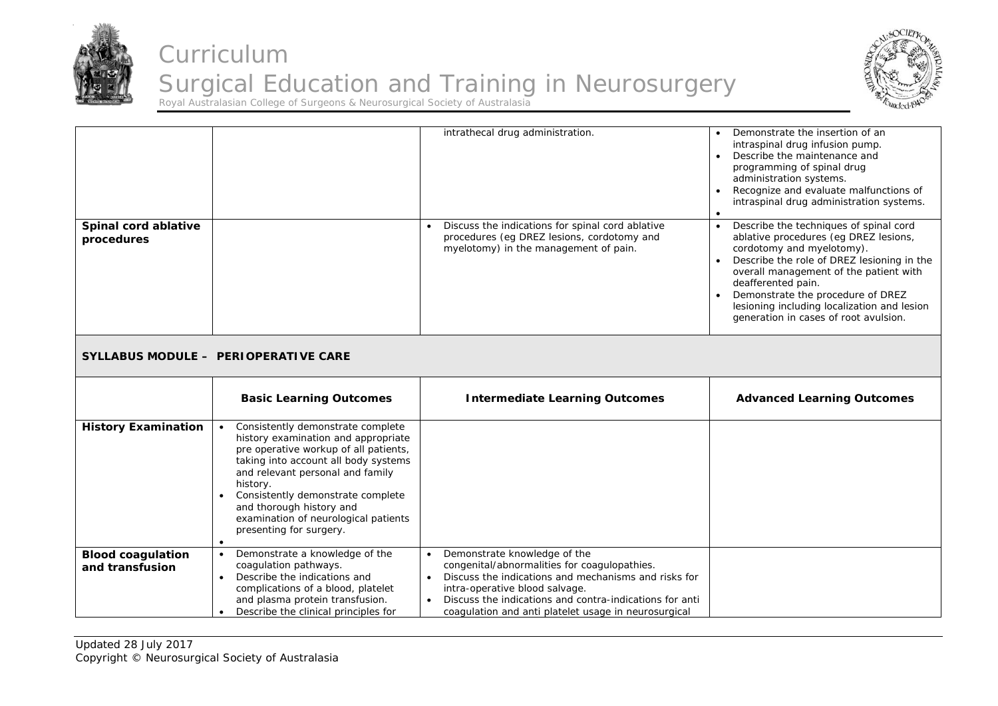



| Spinal cord ablative<br>procedures          |                                                                                                                                                                                                                                                                                                                                                            | intrathecal drug administration.<br>Discuss the indications for spinal cord ablative<br>procedures (eg DREZ lesions, cordotomy and<br>myelotomy) in the management of pain.                                                                                                               | Demonstrate the insertion of an<br>intraspinal drug infusion pump.<br>Describe the maintenance and<br>programming of spinal drug<br>administration systems.<br>Recognize and evaluate malfunctions of<br>intraspinal drug administration systems.<br>Describe the techniques of spinal cord<br>ablative procedures (eg DREZ lesions,<br>cordotomy and myelotomy).<br>Describe the role of DREZ lesioning in the<br>overall management of the patient with<br>deafferented pain.<br>Demonstrate the procedure of DREZ<br>lesioning including localization and lesion<br>generation in cases of root avulsion. |
|---------------------------------------------|------------------------------------------------------------------------------------------------------------------------------------------------------------------------------------------------------------------------------------------------------------------------------------------------------------------------------------------------------------|-------------------------------------------------------------------------------------------------------------------------------------------------------------------------------------------------------------------------------------------------------------------------------------------|--------------------------------------------------------------------------------------------------------------------------------------------------------------------------------------------------------------------------------------------------------------------------------------------------------------------------------------------------------------------------------------------------------------------------------------------------------------------------------------------------------------------------------------------------------------------------------------------------------------|
|                                             | SYLLABUS MODULE - PERIOPERATIVE CARE                                                                                                                                                                                                                                                                                                                       |                                                                                                                                                                                                                                                                                           |                                                                                                                                                                                                                                                                                                                                                                                                                                                                                                                                                                                                              |
|                                             | <b>Basic Learning Outcomes</b>                                                                                                                                                                                                                                                                                                                             | <b>Intermediate Learning Outcomes</b>                                                                                                                                                                                                                                                     | <b>Advanced Learning Outcomes</b>                                                                                                                                                                                                                                                                                                                                                                                                                                                                                                                                                                            |
| <b>History Examination</b>                  | Consistently demonstrate complete<br>history examination and appropriate<br>pre operative workup of all patients,<br>taking into account all body systems<br>and relevant personal and family<br>history.<br>Consistently demonstrate complete<br>and thorough history and<br>examination of neurological patients<br>presenting for surgery.<br>$\bullet$ |                                                                                                                                                                                                                                                                                           |                                                                                                                                                                                                                                                                                                                                                                                                                                                                                                                                                                                                              |
| <b>Blood coagulation</b><br>and transfusion | Demonstrate a knowledge of the<br>$\bullet$<br>coagulation pathways.<br>Describe the indications and<br>$\bullet$<br>complications of a blood, platelet<br>and plasma protein transfusion.<br>Describe the clinical principles for<br>$\bullet$                                                                                                            | Demonstrate knowledge of the<br>congenital/abnormalities for coagulopathies.<br>Discuss the indications and mechanisms and risks for<br>intra-operative blood salvage.<br>Discuss the indications and contra-indications for anti<br>coagulation and anti platelet usage in neurosurgical |                                                                                                                                                                                                                                                                                                                                                                                                                                                                                                                                                                                                              |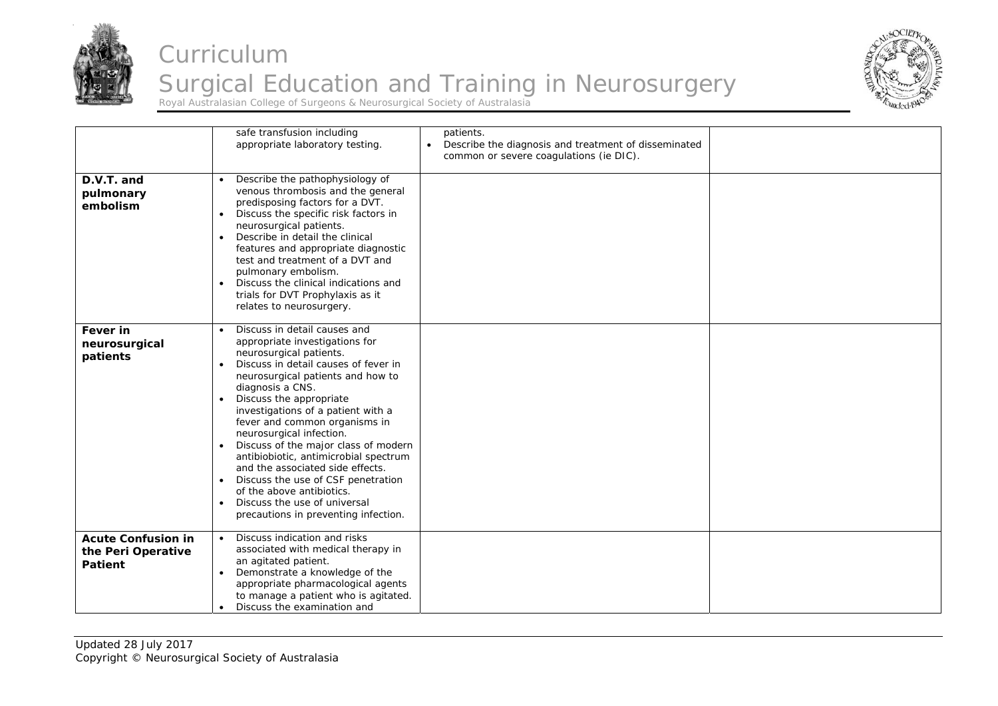



|                                                                   | safe transfusion including<br>appropriate laboratory testing.                                                                                                                                                                                                                                                                                                                                                                                                                                                                                                                                                      | patients.<br>Describe the diagnosis and treatment of disseminated<br>$\bullet$<br>common or severe coagulations (ie DIC). |  |
|-------------------------------------------------------------------|--------------------------------------------------------------------------------------------------------------------------------------------------------------------------------------------------------------------------------------------------------------------------------------------------------------------------------------------------------------------------------------------------------------------------------------------------------------------------------------------------------------------------------------------------------------------------------------------------------------------|---------------------------------------------------------------------------------------------------------------------------|--|
| D.V.T. and<br>pulmonary<br>embolism                               | Describe the pathophysiology of<br>$\bullet$<br>venous thrombosis and the general<br>predisposing factors for a DVT.<br>Discuss the specific risk factors in<br>neurosurgical patients.<br>Describe in detail the clinical<br>features and appropriate diagnostic<br>test and treatment of a DVT and<br>pulmonary embolism.<br>Discuss the clinical indications and<br>$\bullet$<br>trials for DVT Prophylaxis as it<br>relates to neurosurgery.                                                                                                                                                                   |                                                                                                                           |  |
| Fever in<br>neurosurgical<br>patients                             | Discuss in detail causes and<br>appropriate investigations for<br>neurosurgical patients.<br>Discuss in detail causes of fever in<br>$\bullet$<br>neurosurgical patients and how to<br>diagnosis a CNS.<br>Discuss the appropriate<br>investigations of a patient with a<br>fever and common organisms in<br>neurosurgical infection.<br>Discuss of the major class of modern<br>antibiobiotic, antimicrobial spectrum<br>and the associated side effects.<br>Discuss the use of CSF penetration<br>$\bullet$<br>of the above antibiotics.<br>Discuss the use of universal<br>precautions in preventing infection. |                                                                                                                           |  |
| <b>Acute Confusion in</b><br>the Peri Operative<br><b>Patient</b> | Discuss indication and risks<br>associated with medical therapy in<br>an agitated patient.<br>Demonstrate a knowledge of the<br>appropriate pharmacological agents<br>to manage a patient who is agitated.<br>Discuss the examination and                                                                                                                                                                                                                                                                                                                                                                          |                                                                                                                           |  |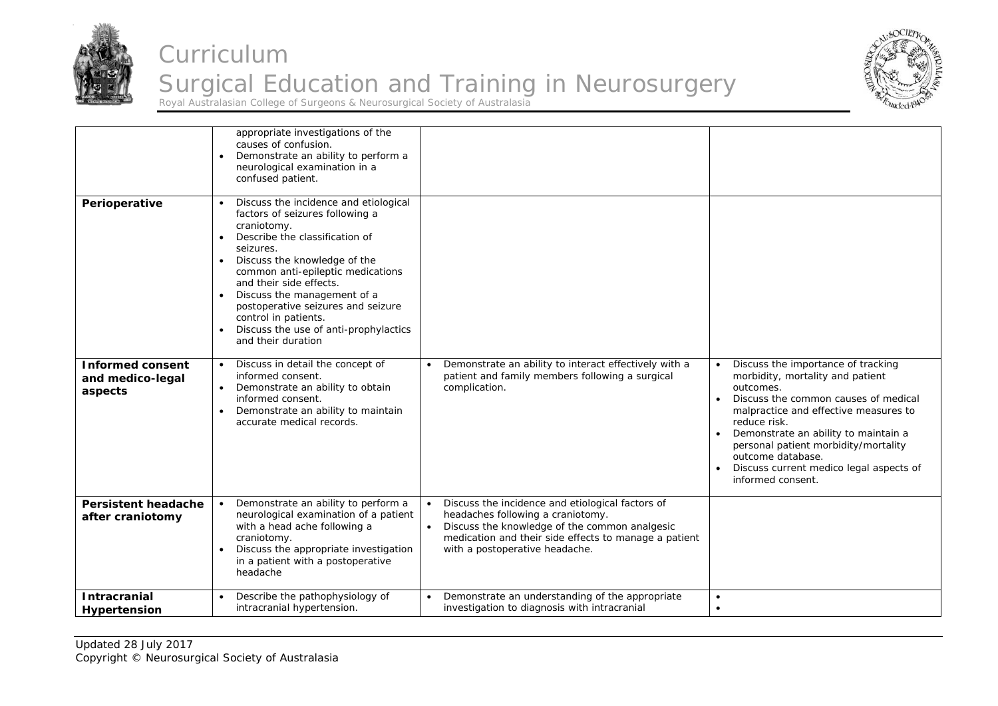



|                                                        | appropriate investigations of the<br>causes of confusion.<br>Demonstrate an ability to perform a<br>neurological examination in a<br>confused patient.                                                                                                                                                                                                                                                                       |                                                                                                                                                                                                                                                             |                                                                                                                                                                                                                                                                                                                                                           |
|--------------------------------------------------------|------------------------------------------------------------------------------------------------------------------------------------------------------------------------------------------------------------------------------------------------------------------------------------------------------------------------------------------------------------------------------------------------------------------------------|-------------------------------------------------------------------------------------------------------------------------------------------------------------------------------------------------------------------------------------------------------------|-----------------------------------------------------------------------------------------------------------------------------------------------------------------------------------------------------------------------------------------------------------------------------------------------------------------------------------------------------------|
| Perioperative                                          | Discuss the incidence and etiological<br>factors of seizures following a<br>craniotomy.<br>Describe the classification of<br>$\bullet$<br>seizures.<br>Discuss the knowledge of the<br>$\bullet$<br>common anti-epileptic medications<br>and their side effects.<br>Discuss the management of a<br>postoperative seizures and seizure<br>control in patients.<br>Discuss the use of anti-prophylactics<br>and their duration |                                                                                                                                                                                                                                                             |                                                                                                                                                                                                                                                                                                                                                           |
| <b>Informed consent</b><br>and medico-legal<br>aspects | Discuss in detail the concept of<br>$\bullet$<br>informed consent.<br>Demonstrate an ability to obtain<br>informed consent.<br>Demonstrate an ability to maintain<br>$\bullet$<br>accurate medical records.                                                                                                                                                                                                                  | Demonstrate an ability to interact effectively with a<br>patient and family members following a surgical<br>complication.                                                                                                                                   | Discuss the importance of tracking<br>morbidity, mortality and patient<br>outcomes.<br>Discuss the common causes of medical<br>malpractice and effective measures to<br>reduce risk.<br>Demonstrate an ability to maintain a<br>personal patient morbidity/mortality<br>outcome database.<br>Discuss current medico legal aspects of<br>informed consent. |
| <b>Persistent headache</b><br>after craniotomy         | Demonstrate an ability to perform a<br>neurological examination of a patient<br>with a head ache following a<br>craniotomy.<br>Discuss the appropriate investigation<br>in a patient with a postoperative<br>headache                                                                                                                                                                                                        | Discuss the incidence and etiological factors of<br>$\bullet$<br>headaches following a craniotomy.<br>Discuss the knowledge of the common analgesic<br>$\bullet$<br>medication and their side effects to manage a patient<br>with a postoperative headache. |                                                                                                                                                                                                                                                                                                                                                           |
| <b>Intracranial</b><br>Hypertension                    | Describe the pathophysiology of<br>intracranial hypertension.                                                                                                                                                                                                                                                                                                                                                                | Demonstrate an understanding of the appropriate<br>investigation to diagnosis with intracranial                                                                                                                                                             | $\bullet$<br>$\bullet$                                                                                                                                                                                                                                                                                                                                    |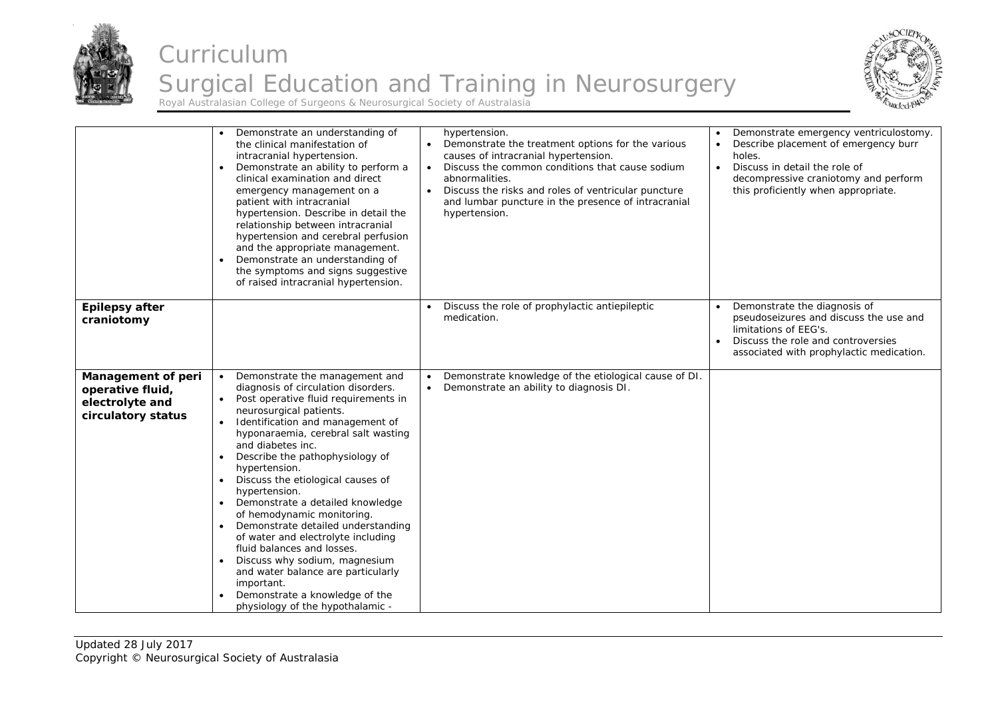



|                                                                                 | Demonstrate an understanding of<br>the clinical manifestation of<br>intracranial hypertension.<br>Demonstrate an ability to perform a<br>clinical examination and direct<br>emergency management on a<br>patient with intracranial<br>hypertension. Describe in detail the<br>relationship between intracranial<br>hypertension and cerebral perfusion<br>and the appropriate management.<br>Demonstrate an understanding of<br>the symptoms and signs suggestive<br>of raised intracranial hypertension.                                                                                                                                                                                              | hypertension.<br>Demonstrate the treatment options for the various<br>$\bullet$<br>causes of intracranial hypertension.<br>Discuss the common conditions that cause sodium<br>$\bullet$<br>abnormalities.<br>Discuss the risks and roles of ventricular puncture<br>$\bullet$<br>and lumbar puncture in the presence of intracranial<br>hypertension. | Demonstrate emergency ventriculostomy.<br>Describe placement of emergency burr<br>holes.<br>Discuss in detail the role of<br>$\bullet$<br>decompressive craniotomy and perform<br>this proficiently when appropriate. |
|---------------------------------------------------------------------------------|--------------------------------------------------------------------------------------------------------------------------------------------------------------------------------------------------------------------------------------------------------------------------------------------------------------------------------------------------------------------------------------------------------------------------------------------------------------------------------------------------------------------------------------------------------------------------------------------------------------------------------------------------------------------------------------------------------|-------------------------------------------------------------------------------------------------------------------------------------------------------------------------------------------------------------------------------------------------------------------------------------------------------------------------------------------------------|-----------------------------------------------------------------------------------------------------------------------------------------------------------------------------------------------------------------------|
| Epilepsy after<br>craniotomy                                                    |                                                                                                                                                                                                                                                                                                                                                                                                                                                                                                                                                                                                                                                                                                        | Discuss the role of prophylactic antiepileptic<br>medication.                                                                                                                                                                                                                                                                                         | Demonstrate the diagnosis of<br>pseudoseizures and discuss the use and<br>limitations of EEG's.<br>Discuss the role and controversies<br>associated with prophylactic medication.                                     |
| Management of peri<br>operative fluid,<br>electrolyte and<br>circulatory status | Demonstrate the management and<br>diagnosis of circulation disorders.<br>Post operative fluid requirements in<br>neurosurgical patients.<br>Identification and management of<br>hyponaraemia, cerebral salt wasting<br>and diabetes inc.<br>Describe the pathophysiology of<br>hypertension.<br>Discuss the etiological causes of<br>$\bullet$<br>hypertension.<br>Demonstrate a detailed knowledge<br>of hemodynamic monitoring.<br>Demonstrate detailed understanding<br>of water and electrolyte including<br>fluid balances and losses.<br>Discuss why sodium, magnesium<br>and water balance are particularly<br>important.<br>Demonstrate a knowledge of the<br>physiology of the hypothalamic - | Demonstrate knowledge of the etiological cause of DI.<br>$\bullet$<br>Demonstrate an ability to diagnosis DI.<br>$\bullet$                                                                                                                                                                                                                            |                                                                                                                                                                                                                       |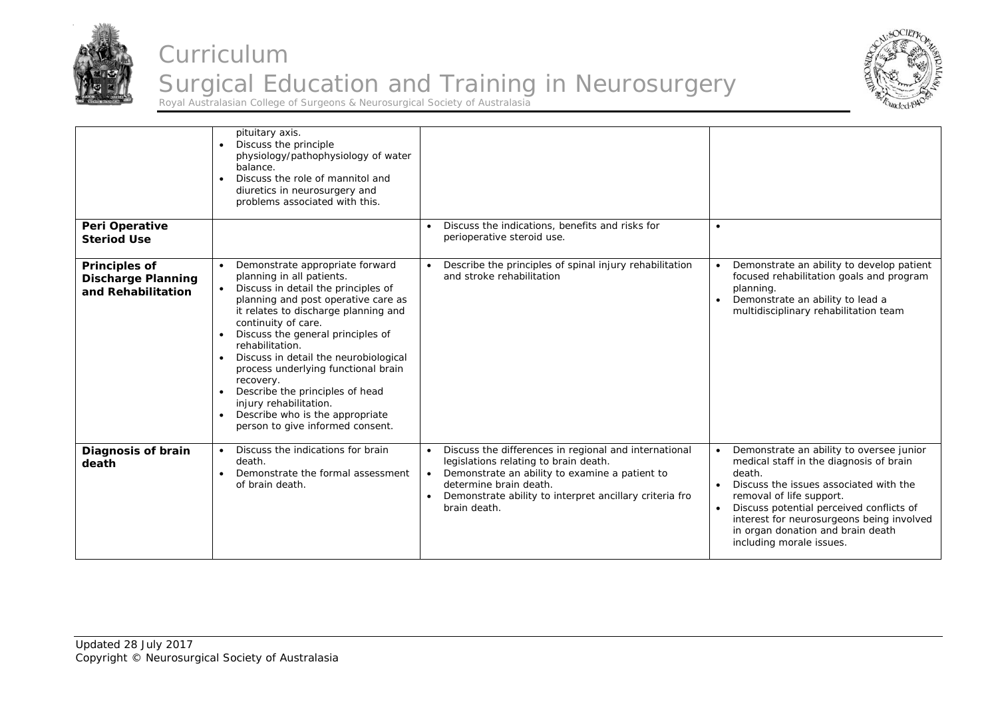



|                                                                         | pituitary axis.<br>Discuss the principle<br>$\bullet$<br>physiology/pathophysiology of water<br>balance.<br>Discuss the role of mannitol and<br>diuretics in neurosurgery and<br>problems associated with this.                                                                                                                                                                                                                                                                                                 |                                                                                                                                                                                                                                                                                 |                                                                                                                                                                                                                                                                                                                               |
|-------------------------------------------------------------------------|-----------------------------------------------------------------------------------------------------------------------------------------------------------------------------------------------------------------------------------------------------------------------------------------------------------------------------------------------------------------------------------------------------------------------------------------------------------------------------------------------------------------|---------------------------------------------------------------------------------------------------------------------------------------------------------------------------------------------------------------------------------------------------------------------------------|-------------------------------------------------------------------------------------------------------------------------------------------------------------------------------------------------------------------------------------------------------------------------------------------------------------------------------|
| Peri Operative<br><b>Steriod Use</b>                                    |                                                                                                                                                                                                                                                                                                                                                                                                                                                                                                                 | Discuss the indications, benefits and risks for<br>$\bullet$<br>perioperative steroid use.                                                                                                                                                                                      | $\bullet$                                                                                                                                                                                                                                                                                                                     |
| <b>Principles of</b><br><b>Discharge Planning</b><br>and Rehabilitation | Demonstrate appropriate forward<br>planning in all patients.<br>Discuss in detail the principles of<br>$\bullet$<br>planning and post operative care as<br>it relates to discharge planning and<br>continuity of care.<br>Discuss the general principles of<br>rehabilitation.<br>Discuss in detail the neurobiological<br>process underlying functional brain<br>recovery.<br>Describe the principles of head<br>injury rehabilitation.<br>Describe who is the appropriate<br>person to give informed consent. | Describe the principles of spinal injury rehabilitation<br>and stroke rehabilitation                                                                                                                                                                                            | Demonstrate an ability to develop patient<br>focused rehabilitation goals and program<br>planning.<br>Demonstrate an ability to lead a<br>multidisciplinary rehabilitation team                                                                                                                                               |
| Diagnosis of brain<br>death                                             | Discuss the indications for brain<br>death.<br>Demonstrate the formal assessment<br>of brain death.                                                                                                                                                                                                                                                                                                                                                                                                             | Discuss the differences in regional and international<br>legislations relating to brain death.<br>Demonstrate an ability to examine a patient to<br>$\bullet$<br>determine brain death.<br>Demonstrate ability to interpret ancillary criteria fro<br>$\bullet$<br>brain death. | Demonstrate an ability to oversee junior<br>medical staff in the diagnosis of brain<br>death.<br>Discuss the issues associated with the<br>removal of life support.<br>Discuss potential perceived conflicts of<br>interest for neurosurgeons being involved<br>in organ donation and brain death<br>including morale issues. |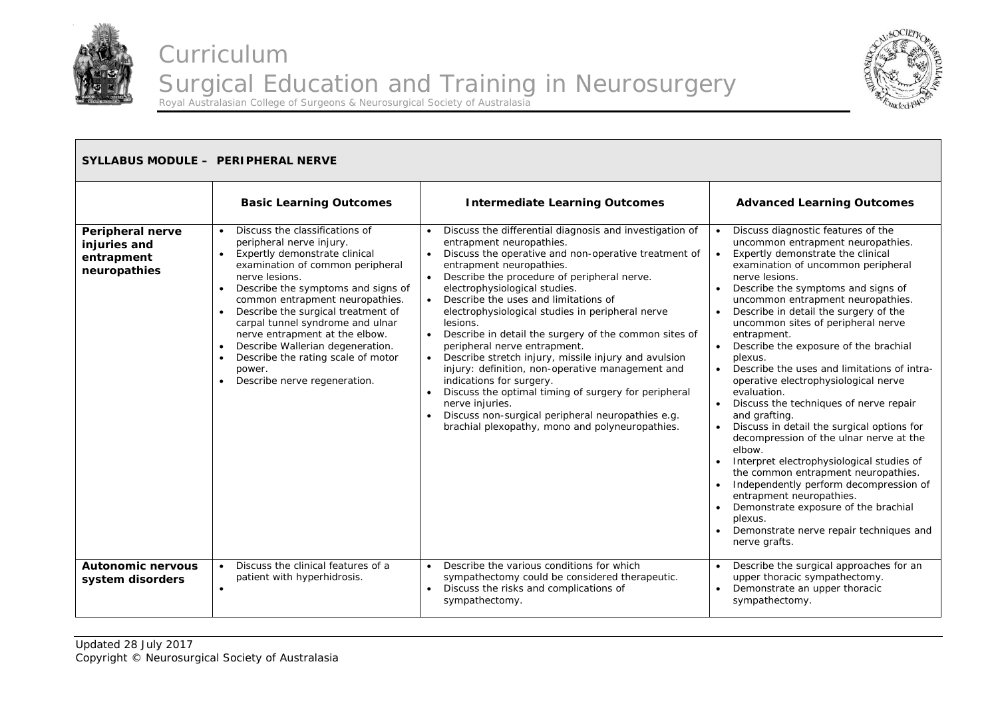



| SYLLABUS MODULE - PERIPHERAL NERVE                             |                                                                                                                                                                                                                                                                                                                                                                                                                                                                                                   |                                                                                                                                                                                                                                                                                                                                                                                                                                                                                                                                                                                                                                                                                                                                                                                                                            |                                                                                                                                                                                                                                                                                                                                                                                                                                                                                                                                                                                                                                                                                                                                                                                                                                                                                                                                                             |
|----------------------------------------------------------------|---------------------------------------------------------------------------------------------------------------------------------------------------------------------------------------------------------------------------------------------------------------------------------------------------------------------------------------------------------------------------------------------------------------------------------------------------------------------------------------------------|----------------------------------------------------------------------------------------------------------------------------------------------------------------------------------------------------------------------------------------------------------------------------------------------------------------------------------------------------------------------------------------------------------------------------------------------------------------------------------------------------------------------------------------------------------------------------------------------------------------------------------------------------------------------------------------------------------------------------------------------------------------------------------------------------------------------------|-------------------------------------------------------------------------------------------------------------------------------------------------------------------------------------------------------------------------------------------------------------------------------------------------------------------------------------------------------------------------------------------------------------------------------------------------------------------------------------------------------------------------------------------------------------------------------------------------------------------------------------------------------------------------------------------------------------------------------------------------------------------------------------------------------------------------------------------------------------------------------------------------------------------------------------------------------------|
|                                                                | <b>Basic Learning Outcomes</b>                                                                                                                                                                                                                                                                                                                                                                                                                                                                    | <b>Intermediate Learning Outcomes</b>                                                                                                                                                                                                                                                                                                                                                                                                                                                                                                                                                                                                                                                                                                                                                                                      | <b>Advanced Learning Outcomes</b>                                                                                                                                                                                                                                                                                                                                                                                                                                                                                                                                                                                                                                                                                                                                                                                                                                                                                                                           |
| Peripheral nerve<br>injuries and<br>entrapment<br>neuropathies | Discuss the classifications of<br>peripheral nerve injury.<br>Expertly demonstrate clinical<br>$\bullet$<br>examination of common peripheral<br>nerve lesions.<br>Describe the symptoms and signs of<br>$\bullet$<br>common entrapment neuropathies.<br>Describe the surgical treatment of<br>carpal tunnel syndrome and ulnar<br>nerve entrapment at the elbow.<br>Describe Wallerian degeneration.<br>$\bullet$<br>Describe the rating scale of motor<br>power.<br>Describe nerve regeneration. | Discuss the differential diagnosis and investigation of<br>entrapment neuropathies.<br>Discuss the operative and non-operative treatment of<br>$\bullet$<br>entrapment neuropathies.<br>Describe the procedure of peripheral nerve.<br>electrophysiological studies.<br>Describe the uses and limitations of<br>$\bullet$<br>electrophysiological studies in peripheral nerve<br>lesions.<br>Describe in detail the surgery of the common sites of<br>peripheral nerve entrapment.<br>Describe stretch injury, missile injury and avulsion<br>$\bullet$<br>injury: definition, non-operative management and<br>indications for surgery.<br>Discuss the optimal timing of surgery for peripheral<br>nerve injuries.<br>Discuss non-surgical peripheral neuropathies e.g.<br>brachial plexopathy, mono and polyneuropathies. | Discuss diagnostic features of the<br>uncommon entrapment neuropathies.<br>Expertly demonstrate the clinical<br>examination of uncommon peripheral<br>nerve lesions.<br>Describe the symptoms and signs of<br>uncommon entrapment neuropathies.<br>Describe in detail the surgery of the<br>uncommon sites of peripheral nerve<br>entrapment.<br>Describe the exposure of the brachial<br>plexus.<br>Describe the uses and limitations of intra-<br>operative electrophysiological nerve<br>evaluation.<br>Discuss the techniques of nerve repair<br>$\bullet$<br>and grafting.<br>Discuss in detail the surgical options for<br>decompression of the ulnar nerve at the<br>elbow.<br>Interpret electrophysiological studies of<br>the common entrapment neuropathies.<br>Independently perform decompression of<br>entrapment neuropathies.<br>Demonstrate exposure of the brachial<br>plexus.<br>Demonstrate nerve repair techniques and<br>nerve grafts. |
| <b>Autonomic nervous</b><br>system disorders                   | Discuss the clinical features of a<br>patient with hyperhidrosis.<br>٠                                                                                                                                                                                                                                                                                                                                                                                                                            | Describe the various conditions for which<br>sympathectomy could be considered therapeutic.<br>Discuss the risks and complications of<br>$\bullet$<br>sympathectomy.                                                                                                                                                                                                                                                                                                                                                                                                                                                                                                                                                                                                                                                       | Describe the surgical approaches for an<br>upper thoracic sympathectomy.<br>Demonstrate an upper thoracic<br>$\bullet$<br>sympathectomy.                                                                                                                                                                                                                                                                                                                                                                                                                                                                                                                                                                                                                                                                                                                                                                                                                    |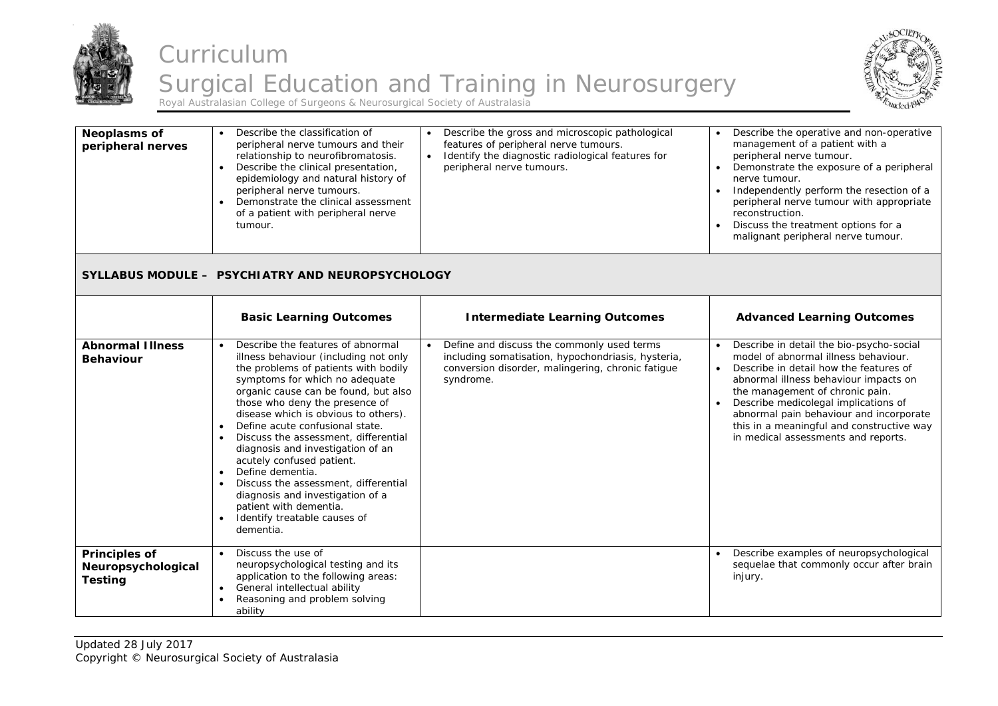



| Neoplasms of<br>peripheral nerves                            | Describe the classification of<br>peripheral nerve tumours and their<br>relationship to neurofibromatosis.<br>Describe the clinical presentation,<br>$\bullet$<br>epidemiology and natural history of<br>peripheral nerve tumours.<br>Demonstrate the clinical assessment<br>$\bullet$<br>of a patient with peripheral nerve<br>tumour.                                                                                                                                                                                                                                                                                                                     | Describe the gross and microscopic pathological<br>features of peripheral nerve tumours.<br>Identify the diagnostic radiological features for<br>$\bullet$<br>peripheral nerve tumours. | Describe the operative and non-operative<br>management of a patient with a<br>peripheral nerve tumour.<br>Demonstrate the exposure of a peripheral<br>nerve tumour.<br>Independently perform the resection of a<br>$\bullet$<br>peripheral nerve tumour with appropriate<br>reconstruction.<br>Discuss the treatment options for a<br>$\bullet$<br>malignant peripheral nerve tumour.      |
|--------------------------------------------------------------|-------------------------------------------------------------------------------------------------------------------------------------------------------------------------------------------------------------------------------------------------------------------------------------------------------------------------------------------------------------------------------------------------------------------------------------------------------------------------------------------------------------------------------------------------------------------------------------------------------------------------------------------------------------|-----------------------------------------------------------------------------------------------------------------------------------------------------------------------------------------|--------------------------------------------------------------------------------------------------------------------------------------------------------------------------------------------------------------------------------------------------------------------------------------------------------------------------------------------------------------------------------------------|
|                                                              | <b>SYLLABUS MODULE - PSYCHIATRY AND NEUROPSYCHOLOGY</b>                                                                                                                                                                                                                                                                                                                                                                                                                                                                                                                                                                                                     |                                                                                                                                                                                         |                                                                                                                                                                                                                                                                                                                                                                                            |
|                                                              | <b>Basic Learning Outcomes</b>                                                                                                                                                                                                                                                                                                                                                                                                                                                                                                                                                                                                                              | <b>Intermediate Learning Outcomes</b>                                                                                                                                                   | <b>Advanced Learning Outcomes</b>                                                                                                                                                                                                                                                                                                                                                          |
| <b>Abnormal Illness</b><br><b>Behaviour</b>                  | Describe the features of abnormal<br>illness behaviour (including not only<br>the problems of patients with bodily<br>symptoms for which no adequate<br>organic cause can be found, but also<br>those who deny the presence of<br>disease which is obvious to others).<br>Define acute confusional state.<br>$\bullet$<br>Discuss the assessment, differential<br>$\bullet$<br>diagnosis and investigation of an<br>acutely confused patient.<br>Define dementia.<br>$\bullet$<br>Discuss the assessment, differential<br>$\bullet$<br>diagnosis and investigation of a<br>patient with dementia.<br>Identify treatable causes of<br>$\bullet$<br>dementia. | Define and discuss the commonly used terms<br>including somatisation, hypochondriasis, hysteria,<br>conversion disorder, malingering, chronic fatigue<br>syndrome.                      | Describe in detail the bio-psycho-social<br>model of abnormal illness behaviour.<br>Describe in detail how the features of<br>$\bullet$<br>abnormal illness behaviour impacts on<br>the management of chronic pain.<br>Describe medicolegal implications of<br>abnormal pain behaviour and incorporate<br>this in a meaningful and constructive way<br>in medical assessments and reports. |
| <b>Principles of</b><br>Neuropsychological<br><b>Testing</b> | Discuss the use of<br>neuropsychological testing and its<br>application to the following areas:<br>General intellectual ability<br>$\bullet$<br>Reasoning and problem solving<br>ability                                                                                                                                                                                                                                                                                                                                                                                                                                                                    |                                                                                                                                                                                         | Describe examples of neuropsychological<br>sequelae that commonly occur after brain<br>injury.                                                                                                                                                                                                                                                                                             |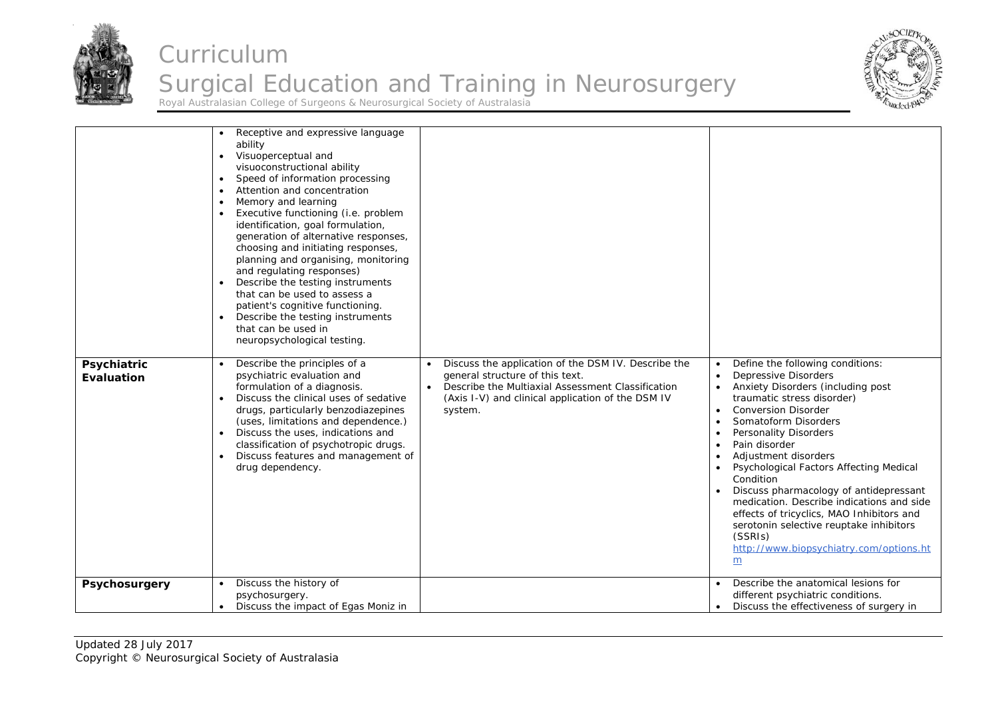



|                           | Receptive and expressive language<br>ability<br>Visuoperceptual and<br>$\bullet$<br>visuoconstructional ability<br>Speed of information processing<br>$\bullet$<br>Attention and concentration<br>Memory and learning<br>Executive functioning (i.e. problem<br>identification, goal formulation,<br>generation of alternative responses,<br>choosing and initiating responses,<br>planning and organising, monitoring<br>and regulating responses)<br>Describe the testing instruments<br>$\bullet$<br>that can be used to assess a<br>patient's cognitive functioning.<br>Describe the testing instruments<br>that can be used in<br>neuropsychological testing. |                                                                                                                                                                                                                          |                                                                                                                                                                                                                                                                                                                                                                                                                                                                                                                                                                                                            |
|---------------------------|--------------------------------------------------------------------------------------------------------------------------------------------------------------------------------------------------------------------------------------------------------------------------------------------------------------------------------------------------------------------------------------------------------------------------------------------------------------------------------------------------------------------------------------------------------------------------------------------------------------------------------------------------------------------|--------------------------------------------------------------------------------------------------------------------------------------------------------------------------------------------------------------------------|------------------------------------------------------------------------------------------------------------------------------------------------------------------------------------------------------------------------------------------------------------------------------------------------------------------------------------------------------------------------------------------------------------------------------------------------------------------------------------------------------------------------------------------------------------------------------------------------------------|
| Psychiatric<br>Evaluation | Describe the principles of a<br>psychiatric evaluation and<br>formulation of a diagnosis.<br>Discuss the clinical uses of sedative<br>drugs, particularly benzodiazepines<br>(uses, limitations and dependence.)<br>Discuss the uses, indications and<br>$\bullet$<br>classification of psychotropic drugs.<br>Discuss features and management of<br>drug dependency.                                                                                                                                                                                                                                                                                              | Discuss the application of the DSM IV. Describe the<br>$\bullet$<br>general structure of this text.<br>Describe the Multiaxial Assessment Classification<br>(Axis I-V) and clinical application of the DSM IV<br>system. | Define the following conditions:<br><b>Depressive Disorders</b><br>$\bullet$<br>Anxiety Disorders (including post<br>traumatic stress disorder)<br><b>Conversion Disorder</b><br>$\bullet$<br>Somatoform Disorders<br><b>Personality Disorders</b><br>$\bullet$<br>Pain disorder<br>Adjustment disorders<br>Psychological Factors Affecting Medical<br>Condition<br>Discuss pharmacology of antidepressant<br>medication. Describe indications and side<br>effects of tricyclics, MAO Inhibitors and<br>serotonin selective reuptake inhibitors<br>(SSRIs)<br>http://www.biopsychiatry.com/options.ht<br>m |
| <b>Psychosurgery</b>      | Discuss the history of<br>psychosurgery.<br>Discuss the impact of Egas Moniz in                                                                                                                                                                                                                                                                                                                                                                                                                                                                                                                                                                                    |                                                                                                                                                                                                                          | Describe the anatomical lesions for<br>different psychiatric conditions.<br>Discuss the effectiveness of surgery in                                                                                                                                                                                                                                                                                                                                                                                                                                                                                        |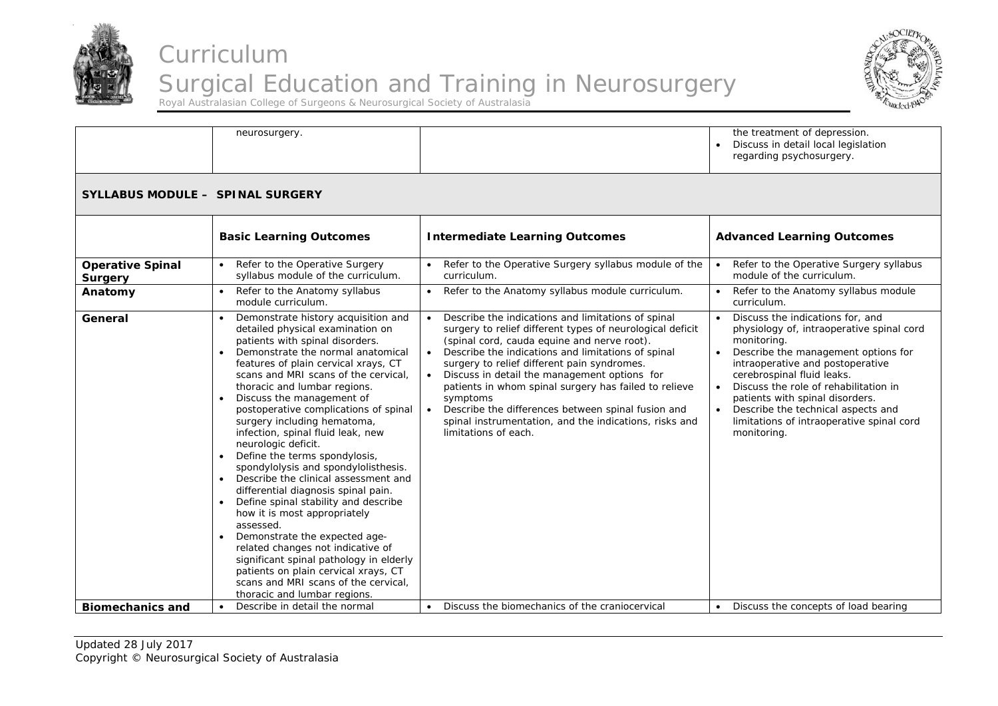



neurosurgery. The treatment of depression. . Discuss in detail local legislation regarding psychosurgery. **SYLLABUS MODULE – SPINAL SURGERY Basic Learning Outcomes Communist Club Communist Learning Outcomes Advanced Learning Outcomes Operative Spinal Surgery**   $\bullet$  Refer to the Operative Surgery syllabus module of the curriculum. . Refer to the Operative Surgery syllabus module of the curriculum. . Refer to the Operative Surgery syllabus module of the curriculum. **Anatomy e** Refer to the Anatomy syllabus module curriculum. ۰ Refer to the Anatomy syllabus module curriculum.  $\|\cdot\|$  Refer to the Anatomy syllabus module curriculum. **General CENER I** Demonstrate history acquisition and detailed physical examination on patients with spinal disorders.  $\bullet$  Demonstrate the normal anatomical features of plain cervical xrays, CT scans and MRI scans of the cervical, thoracic and lumbar regions. Discuss the management of postoperative complications of spinal surgery including hematoma, infection, spinal fluid leak, new neurologic deficit.  $\bullet$  Define the terms spondylosis, spondylolysis and spondylolisthesis.  $\bullet$  Describe the clinical assessment and differential diagnosis spinal pain. • Define spinal stability and describe how it is most appropriately assessed. ۰ Demonstrate the expected agerelated changes not indicative of significant spinal pathology in elderly patients on plain cervical xrays, CT scans and MRI scans of the cervical, thoracic and lumbar regions. . Describe the indications and limitations of spinal surgery to relief different types of neurological deficit (spinal cord, cauda equine and nerve root).  $\bullet$  Describe the indications and limitations of spinal surgery to relief different pain syndromes. . Discuss in detail the management options for patients in whom spinal surgery has failed to relieve symptoms  $\bullet$  Describe the differences between spinal fusion and spinal instrumentation, and the indications, risks and limitations of each. . Discuss the indications for, and physiology of, intraoperative spinal cord monitoring.  $\bullet$  Describe the management options for intraoperative and postoperative cerebrospinal fluid leaks. ۰ Discuss the role of rehabilitation in patients with spinal disorders. Describe the technical aspects and limitations of intraoperative spinal cord monitoring. **Biomechanics and**  Describe in detail the normal **Discuss** the biomechanics of the craniocervical **Discuss the concepts of load bearing**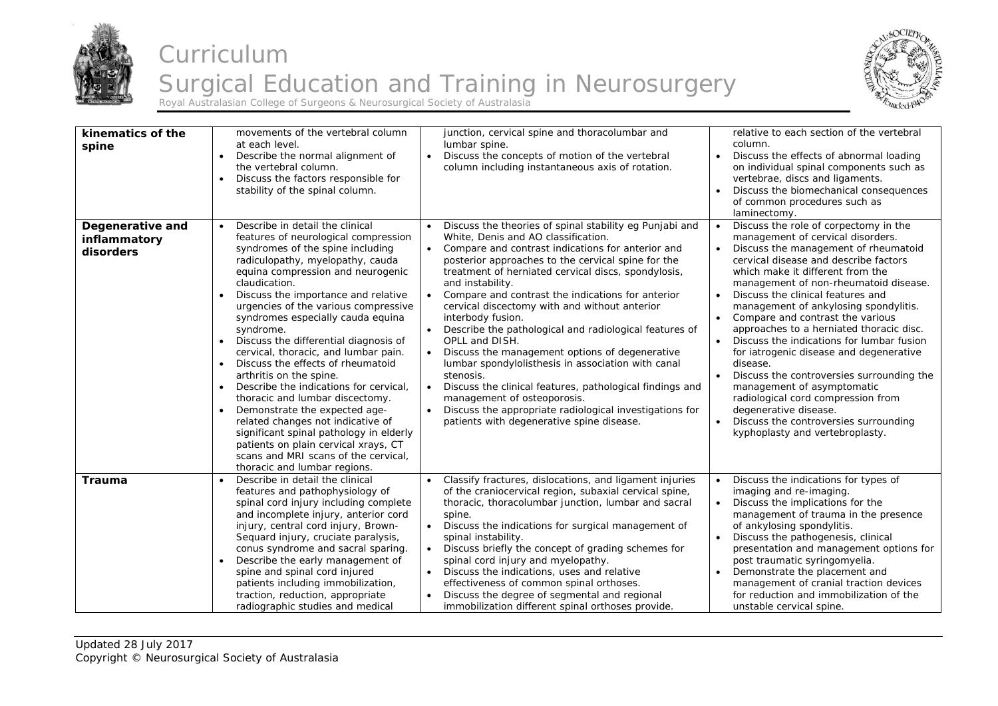



| kinematics of the<br>spine                    | movements of the vertebral column<br>at each level.<br>Describe the normal alignment of<br>$\bullet$<br>the vertebral column.<br>Discuss the factors responsible for<br>stability of the spinal column.                                                                                                                                                                                                                                                                                                                                                                                                                                                                                                                                                                                                            | junction, cervical spine and thoracolumbar and<br>lumbar spine.<br>Discuss the concepts of motion of the vertebral<br>$\bullet$<br>column including instantaneous axis of rotation.                                                                                                                                                                                                                                                                                                                                                                                                                                                                                                                                                                                                                                                                                     | relative to each section of the vertebral<br>column.<br>Discuss the effects of abnormal loading<br>on individual spinal components such as<br>vertebrae, discs and ligaments.<br>Discuss the biomechanical consequences<br>of common procedures such as<br>laminectomy.                                                                                                                                                                                                                                                                                                                                                                                                                                                                                    |
|-----------------------------------------------|--------------------------------------------------------------------------------------------------------------------------------------------------------------------------------------------------------------------------------------------------------------------------------------------------------------------------------------------------------------------------------------------------------------------------------------------------------------------------------------------------------------------------------------------------------------------------------------------------------------------------------------------------------------------------------------------------------------------------------------------------------------------------------------------------------------------|-------------------------------------------------------------------------------------------------------------------------------------------------------------------------------------------------------------------------------------------------------------------------------------------------------------------------------------------------------------------------------------------------------------------------------------------------------------------------------------------------------------------------------------------------------------------------------------------------------------------------------------------------------------------------------------------------------------------------------------------------------------------------------------------------------------------------------------------------------------------------|------------------------------------------------------------------------------------------------------------------------------------------------------------------------------------------------------------------------------------------------------------------------------------------------------------------------------------------------------------------------------------------------------------------------------------------------------------------------------------------------------------------------------------------------------------------------------------------------------------------------------------------------------------------------------------------------------------------------------------------------------------|
| Degenerative and<br>inflammatory<br>disorders | Describe in detail the clinical<br>$\bullet$<br>features of neurological compression<br>syndromes of the spine including<br>radiculopathy, myelopathy, cauda<br>equina compression and neurogenic<br>claudication.<br>Discuss the importance and relative<br>urgencies of the various compressive<br>syndromes especially cauda equina<br>syndrome.<br>Discuss the differential diagnosis of<br>cervical, thoracic, and lumbar pain.<br>Discuss the effects of rheumatoid<br>arthritis on the spine.<br>Describe the indications for cervical,<br>thoracic and lumbar discectomy.<br>Demonstrate the expected age-<br>related changes not indicative of<br>significant spinal pathology in elderly<br>patients on plain cervical xrays, CT<br>scans and MRI scans of the cervical,<br>thoracic and lumbar regions. | Discuss the theories of spinal stability eg Punjabi and<br>$\bullet$<br>White, Denis and AO classification.<br>Compare and contrast indications for anterior and<br>$\bullet$<br>posterior approaches to the cervical spine for the<br>treatment of herniated cervical discs, spondylosis,<br>and instability.<br>Compare and contrast the indications for anterior<br>$\bullet$<br>cervical discectomy with and without anterior<br>interbody fusion.<br>Describe the pathological and radiological features of<br>OPLL and DISH.<br>Discuss the management options of degenerative<br>$\bullet$<br>lumbar spondylolisthesis in association with canal<br>stenosis.<br>Discuss the clinical features, pathological findings and<br>management of osteoporosis.<br>Discuss the appropriate radiological investigations for<br>patients with degenerative spine disease. | Discuss the role of corpectomy in the<br>$\bullet$<br>management of cervical disorders.<br>Discuss the management of rheumatoid<br>cervical disease and describe factors<br>which make it different from the<br>management of non-rheumatoid disease.<br>Discuss the clinical features and<br>$\bullet$<br>management of ankylosing spondylitis.<br>Compare and contrast the various<br>approaches to a herniated thoracic disc.<br>Discuss the indications for lumbar fusion<br>for iatrogenic disease and degenerative<br>disease.<br>Discuss the controversies surrounding the<br>management of asymptomatic<br>radiological cord compression from<br>degenerative disease.<br>Discuss the controversies surrounding<br>kyphoplasty and vertebroplasty. |
| <b>Trauma</b>                                 | Describe in detail the clinical<br>$\bullet$<br>features and pathophysiology of<br>spinal cord injury including complete<br>and incomplete injury, anterior cord<br>injury, central cord injury, Brown-<br>Sequard injury, cruciate paralysis,<br>conus syndrome and sacral sparing.<br>Describe the early management of<br>spine and spinal cord injured<br>patients including immobilization,<br>traction, reduction, appropriate<br>radiographic studies and medical                                                                                                                                                                                                                                                                                                                                            | Classify fractures, dislocations, and ligament injuries<br>of the craniocervical region, subaxial cervical spine,<br>thoracic, thoracolumbar junction, lumbar and sacral<br>spine.<br>Discuss the indications for surgical management of<br>spinal instability.<br>Discuss briefly the concept of grading schemes for<br>spinal cord injury and myelopathy.<br>Discuss the indications, uses and relative<br>effectiveness of common spinal orthoses.<br>Discuss the degree of segmental and regional<br>immobilization different spinal orthoses provide.                                                                                                                                                                                                                                                                                                              | Discuss the indications for types of<br>imaging and re-imaging.<br>Discuss the implications for the<br>management of trauma in the presence<br>of ankylosing spondylitis.<br>Discuss the pathogenesis, clinical<br>presentation and management options for<br>post traumatic syringomyelia.<br>Demonstrate the placement and<br>management of cranial traction devices<br>for reduction and immobilization of the<br>unstable cervical spine.                                                                                                                                                                                                                                                                                                              |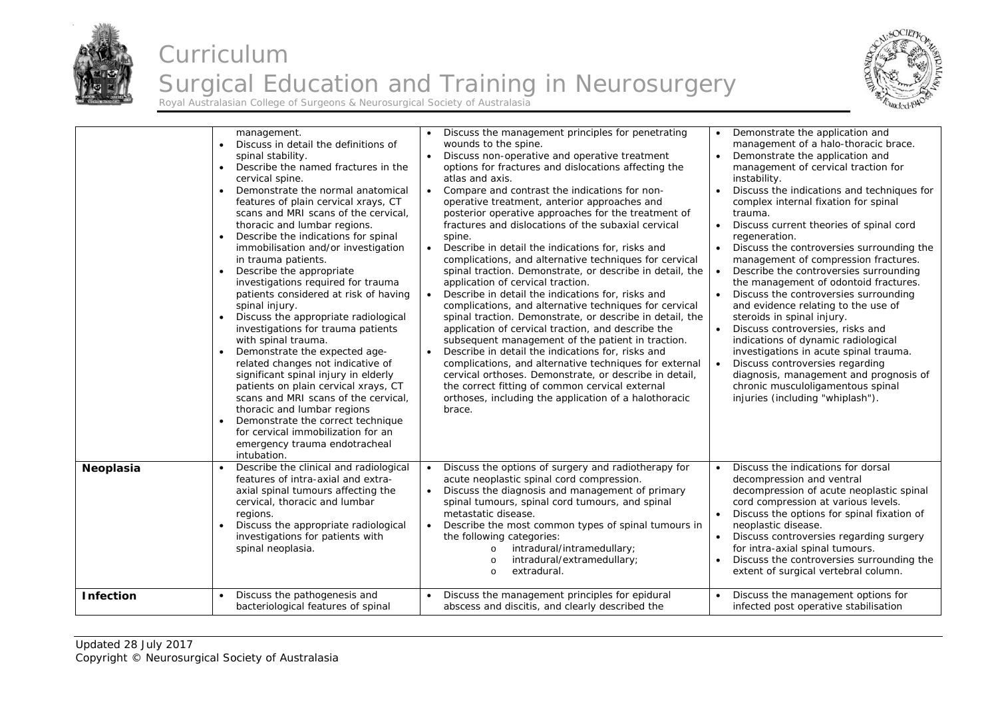



|                  | management.<br>Discuss in detail the definitions of<br>spinal stability.<br>Describe the named fractures in the<br>$\bullet$<br>cervical spine.<br>Demonstrate the normal anatomical<br>$\bullet$<br>features of plain cervical xrays, CT<br>scans and MRI scans of the cervical,<br>thoracic and lumbar regions.<br>Describe the indications for spinal<br>$\bullet$<br>immobilisation and/or investigation<br>in trauma patients.<br>Describe the appropriate<br>$\bullet$<br>investigations required for trauma<br>patients considered at risk of having<br>spinal injury.<br>Discuss the appropriate radiological<br>investigations for trauma patients<br>with spinal trauma.<br>Demonstrate the expected age-<br>$\bullet$<br>related changes not indicative of<br>significant spinal injury in elderly<br>patients on plain cervical xrays, CT<br>scans and MRI scans of the cervical,<br>thoracic and lumbar regions<br>Demonstrate the correct technique<br>$\bullet$<br>for cervical immobilization for an<br>emergency trauma endotracheal<br>intubation. | Discuss the management principles for penetrating<br>$\bullet$<br>wounds to the spine.<br>Discuss non-operative and operative treatment<br>$\bullet$<br>options for fractures and dislocations affecting the<br>atlas and axis.<br>Compare and contrast the indications for non-<br>$\bullet$<br>operative treatment, anterior approaches and<br>posterior operative approaches for the treatment of<br>fractures and dislocations of the subaxial cervical<br>spine.<br>$\bullet$<br>Describe in detail the indications for, risks and<br>complications, and alternative techniques for cervical<br>spinal traction. Demonstrate, or describe in detail, the<br>application of cervical traction.<br>Describe in detail the indications for, risks and<br>complications, and alternative techniques for cervical<br>spinal traction. Demonstrate, or describe in detail, the<br>application of cervical traction, and describe the<br>subsequent management of the patient in traction.<br>Describe in detail the indications for, risks and<br>$\bullet$<br>complications, and alternative techniques for external<br>cervical orthoses. Demonstrate, or describe in detail,<br>the correct fitting of common cervical external<br>orthoses, including the application of a halothoracic<br>brace. | Demonstrate the application and<br>management of a halo-thoracic brace.<br>Demonstrate the application and<br>$\bullet$<br>management of cervical traction for<br>instability.<br>Discuss the indications and techniques for<br>complex internal fixation for spinal<br>trauma.<br>Discuss current theories of spinal cord<br>$\bullet$<br>regeneration.<br>Discuss the controversies surrounding the<br>management of compression fractures.<br>Describe the controversies surrounding<br>the management of odontoid fractures.<br>Discuss the controversies surrounding<br>and evidence relating to the use of<br>steroids in spinal injury.<br>Discuss controversies, risks and<br>$\bullet$<br>indications of dynamic radiological<br>investigations in acute spinal trauma.<br>Discuss controversies regarding<br>$\bullet$<br>diagnosis, management and prognosis of<br>chronic musculoligamentous spinal<br>injuries (including "whiplash"). |
|------------------|----------------------------------------------------------------------------------------------------------------------------------------------------------------------------------------------------------------------------------------------------------------------------------------------------------------------------------------------------------------------------------------------------------------------------------------------------------------------------------------------------------------------------------------------------------------------------------------------------------------------------------------------------------------------------------------------------------------------------------------------------------------------------------------------------------------------------------------------------------------------------------------------------------------------------------------------------------------------------------------------------------------------------------------------------------------------|------------------------------------------------------------------------------------------------------------------------------------------------------------------------------------------------------------------------------------------------------------------------------------------------------------------------------------------------------------------------------------------------------------------------------------------------------------------------------------------------------------------------------------------------------------------------------------------------------------------------------------------------------------------------------------------------------------------------------------------------------------------------------------------------------------------------------------------------------------------------------------------------------------------------------------------------------------------------------------------------------------------------------------------------------------------------------------------------------------------------------------------------------------------------------------------------------------------------------------------------------------------------------------------------------|-----------------------------------------------------------------------------------------------------------------------------------------------------------------------------------------------------------------------------------------------------------------------------------------------------------------------------------------------------------------------------------------------------------------------------------------------------------------------------------------------------------------------------------------------------------------------------------------------------------------------------------------------------------------------------------------------------------------------------------------------------------------------------------------------------------------------------------------------------------------------------------------------------------------------------------------------------|
| Neoplasia        | Describe the clinical and radiological<br>features of intra-axial and extra-<br>axial spinal tumours affecting the<br>cervical, thoracic and lumbar<br>regions.<br>Discuss the appropriate radiological<br>investigations for patients with<br>spinal neoplasia.                                                                                                                                                                                                                                                                                                                                                                                                                                                                                                                                                                                                                                                                                                                                                                                                     | Discuss the options of surgery and radiotherapy for<br>acute neoplastic spinal cord compression.<br>Discuss the diagnosis and management of primary<br>spinal tumours, spinal cord tumours, and spinal<br>metastatic disease.<br>Describe the most common types of spinal tumours in<br>$\bullet$<br>the following categories:<br>intradural/intramedullary;<br>$\circ$<br>intradural/extramedullary;<br>$\circ$<br>extradural.<br>$\Omega$                                                                                                                                                                                                                                                                                                                                                                                                                                                                                                                                                                                                                                                                                                                                                                                                                                                          | Discuss the indications for dorsal<br>$\bullet$<br>decompression and ventral<br>decompression of acute neoplastic spinal<br>cord compression at various levels.<br>Discuss the options for spinal fixation of<br>neoplastic disease.<br>Discuss controversies regarding surgery<br>for intra-axial spinal tumours.<br>Discuss the controversies surrounding the<br>extent of surgical vertebral column.                                                                                                                                                                                                                                                                                                                                                                                                                                                                                                                                             |
| <b>Infection</b> | Discuss the pathogenesis and<br>bacteriological features of spinal                                                                                                                                                                                                                                                                                                                                                                                                                                                                                                                                                                                                                                                                                                                                                                                                                                                                                                                                                                                                   | Discuss the management principles for epidural<br>$\bullet$<br>abscess and discitis, and clearly described the                                                                                                                                                                                                                                                                                                                                                                                                                                                                                                                                                                                                                                                                                                                                                                                                                                                                                                                                                                                                                                                                                                                                                                                       | Discuss the management options for<br>infected post operative stabilisation                                                                                                                                                                                                                                                                                                                                                                                                                                                                                                                                                                                                                                                                                                                                                                                                                                                                         |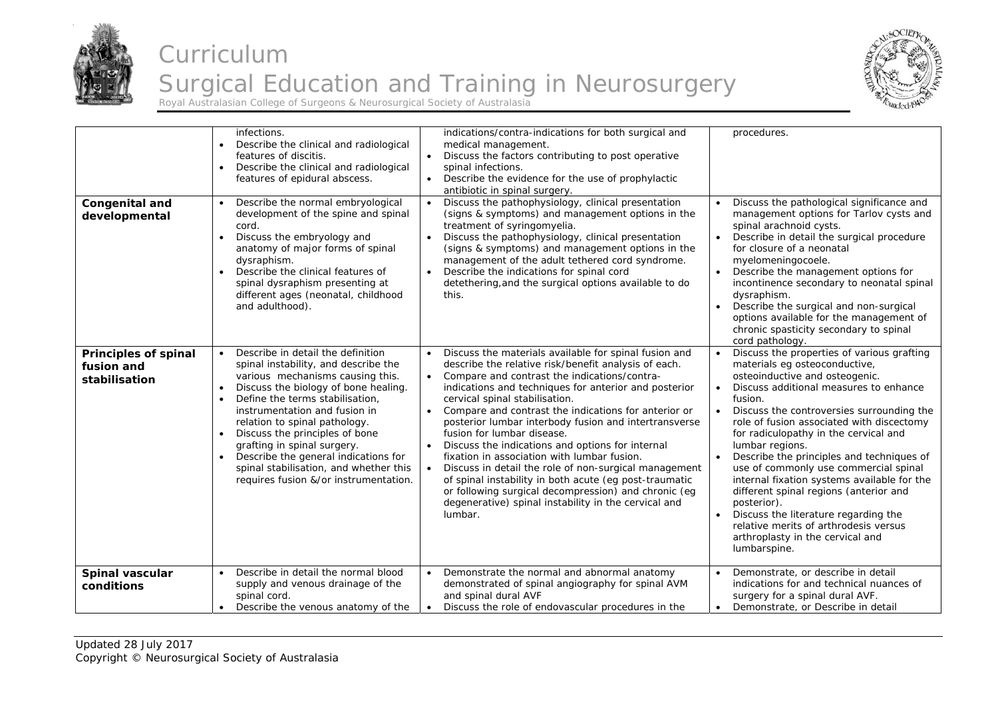



| Congenital and<br>developmental                            | infections.<br>Describe the clinical and radiological<br>features of discitis.<br>Describe the clinical and radiological<br>$\bullet$<br>features of epidural abscess.<br>Describe the normal embryological<br>development of the spine and spinal<br>cord.<br>Discuss the embryology and<br>$\bullet$<br>anatomy of major forms of spinal<br>dysraphism.<br>Describe the clinical features of<br>$\bullet$<br>spinal dysraphism presenting at<br>different ages (neonatal, childhood<br>and adulthood).   | indications/contra-indications for both surgical and<br>medical management.<br>Discuss the factors contributing to post operative<br>$\bullet$<br>spinal infections.<br>• Describe the evidence for the use of prophylactic<br>antibiotic in spinal surgery.<br>Discuss the pathophysiology, clinical presentation<br>$\bullet$<br>(signs & symptoms) and management options in the<br>treatment of syringomyelia.<br>Discuss the pathophysiology, clinical presentation<br>$\bullet$<br>(signs & symptoms) and management options in the<br>management of the adult tethered cord syndrome.<br>Describe the indications for spinal cord<br>$\bullet$<br>detethering, and the surgical options available to do<br>this.                                                              | procedures.<br>Discuss the pathological significance and<br>management options for Tarlov cysts and<br>spinal arachnoid cysts.<br>Describe in detail the surgical procedure<br>for closure of a neonatal<br>myelomeningocoele.<br>Describe the management options for<br>incontinence secondary to neonatal spinal<br>dysraphism.<br>Describe the surgical and non-surgical<br>options available for the management of<br>chronic spasticity secondary to spinal<br>cord pathology.                                                                                                                                                                         |
|------------------------------------------------------------|------------------------------------------------------------------------------------------------------------------------------------------------------------------------------------------------------------------------------------------------------------------------------------------------------------------------------------------------------------------------------------------------------------------------------------------------------------------------------------------------------------|--------------------------------------------------------------------------------------------------------------------------------------------------------------------------------------------------------------------------------------------------------------------------------------------------------------------------------------------------------------------------------------------------------------------------------------------------------------------------------------------------------------------------------------------------------------------------------------------------------------------------------------------------------------------------------------------------------------------------------------------------------------------------------------|-------------------------------------------------------------------------------------------------------------------------------------------------------------------------------------------------------------------------------------------------------------------------------------------------------------------------------------------------------------------------------------------------------------------------------------------------------------------------------------------------------------------------------------------------------------------------------------------------------------------------------------------------------------|
| <b>Principles of spinal</b><br>fusion and<br>stabilisation | Describe in detail the definition<br>spinal instability, and describe the<br>various mechanisms causing this.<br>Discuss the biology of bone healing.<br>$\bullet$<br>Define the terms stabilisation,<br>$\bullet$<br>instrumentation and fusion in<br>relation to spinal pathology.<br>Discuss the principles of bone<br>$\bullet$<br>grafting in spinal surgery.<br>Describe the general indications for<br>$\bullet$<br>spinal stabilisation, and whether this<br>requires fusion &/or instrumentation. | Discuss the materials available for spinal fusion and<br>describe the relative risk/benefit analysis of each.<br>• Compare and contrast the indications/contra-<br>indications and techniques for anterior and posterior<br>cervical spinal stabilisation.<br>Compare and contrast the indications for anterior or<br>$\bullet$<br>posterior lumbar interbody fusion and intertransverse<br>fusion for lumbar disease.<br>Discuss the indications and options for internal<br>$\bullet$<br>fixation in association with lumbar fusion.<br>Discuss in detail the role of non-surgical management<br>of spinal instability in both acute (eg post-traumatic<br>or following surgical decompression) and chronic (eg<br>degenerative) spinal instability in the cervical and<br>lumbar. | Discuss the properties of various grafting<br>materials eg osteoconductive,<br>osteoinductive and osteogenic.<br>Discuss additional measures to enhance<br>fusion.<br>Discuss the controversies surrounding the<br>role of fusion associated with discectomy<br>for radiculopathy in the cervical and<br>lumbar regions.<br>Describe the principles and techniques of<br>use of commonly use commercial spinal<br>internal fixation systems available for the<br>different spinal regions (anterior and<br>posterior).<br>Discuss the literature regarding the<br>relative merits of arthrodesis versus<br>arthroplasty in the cervical and<br>lumbarspine. |
| Spinal vascular<br>conditions                              | Describe in detail the normal blood<br>supply and venous drainage of the<br>spinal cord.<br>Describe the venous anatomy of the                                                                                                                                                                                                                                                                                                                                                                             | Demonstrate the normal and abnormal anatomy<br>$\bullet$<br>demonstrated of spinal angiography for spinal AVM<br>and spinal dural AVF<br>Discuss the role of endovascular procedures in the                                                                                                                                                                                                                                                                                                                                                                                                                                                                                                                                                                                          | Demonstrate, or describe in detail<br>indications for and technical nuances of<br>surgery for a spinal dural AVF.<br>Demonstrate, or Describe in detail<br>$\bullet$                                                                                                                                                                                                                                                                                                                                                                                                                                                                                        |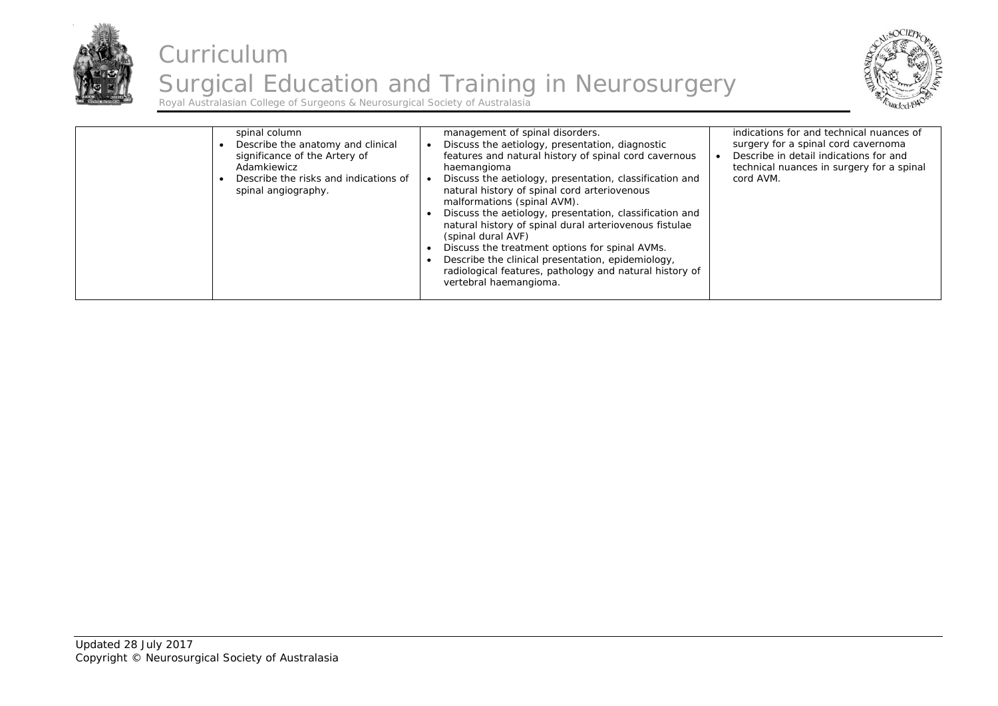



| spinal column<br>Describe the anatomy and clinical<br>significance of the Artery of<br>Adamkiewicz<br>Describe the risks and indications of<br>spinal angiography. | management of spinal disorders.<br>Discuss the aetiology, presentation, diagnostic<br>features and natural history of spinal cord cavernous<br>haemangioma<br>Discuss the aetiology, presentation, classification and<br>natural history of spinal cord arteriovenous<br>malformations (spinal AVM).<br>Discuss the aetiology, presentation, classification and<br>natural history of spinal dural arteriovenous fistulae<br>(spinal dural AVF)<br>Discuss the treatment options for spinal AVMs.<br>Describe the clinical presentation, epidemiology,<br>radiological features, pathology and natural history of<br>vertebral haemangioma. | indications for and technical nuances of<br>surgery for a spinal cord cavernoma<br>Describe in detail indications for and<br>technical nuances in surgery for a spinal<br>cord AVM. |
|--------------------------------------------------------------------------------------------------------------------------------------------------------------------|---------------------------------------------------------------------------------------------------------------------------------------------------------------------------------------------------------------------------------------------------------------------------------------------------------------------------------------------------------------------------------------------------------------------------------------------------------------------------------------------------------------------------------------------------------------------------------------------------------------------------------------------|-------------------------------------------------------------------------------------------------------------------------------------------------------------------------------------|
|--------------------------------------------------------------------------------------------------------------------------------------------------------------------|---------------------------------------------------------------------------------------------------------------------------------------------------------------------------------------------------------------------------------------------------------------------------------------------------------------------------------------------------------------------------------------------------------------------------------------------------------------------------------------------------------------------------------------------------------------------------------------------------------------------------------------------|-------------------------------------------------------------------------------------------------------------------------------------------------------------------------------------|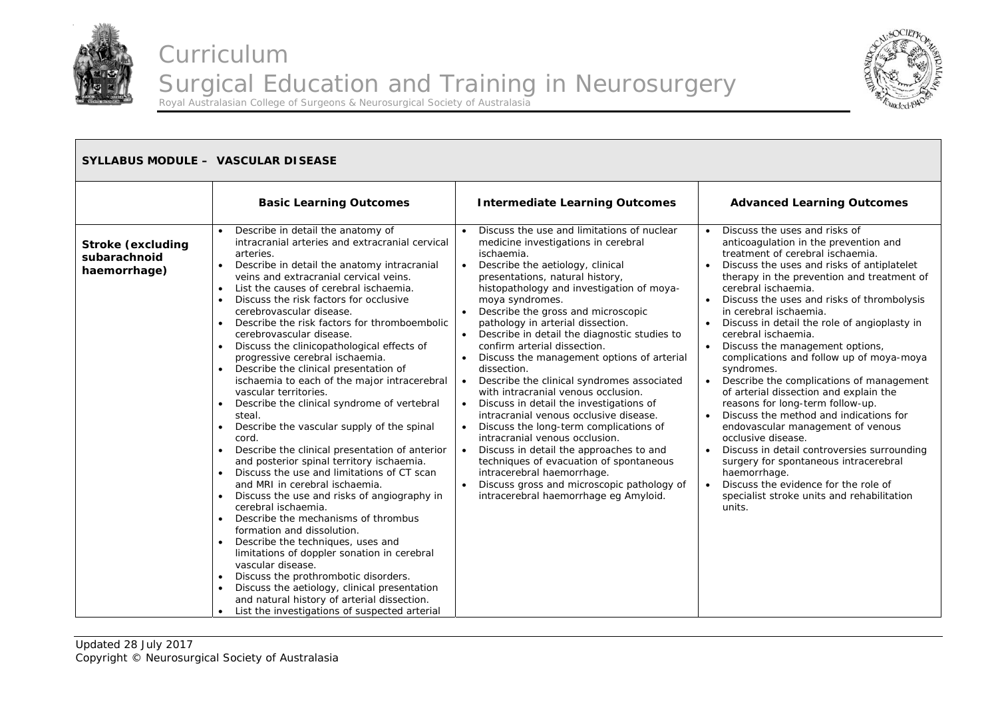



| <b>SYLLABUS MODULE - VASCULAR DISEASE</b>                |                                                                                                                                                                                                                                                                                                                                                                                                                                                                                                                                                                                                                                                                                                                                                                                                                                                                                                                                                                                                                                                                                                                                                                                                                                                                                                                                                                                                                                                           |                                                                                                                                                                                                                                                                                                                                                                                                                                                                                                                                                                                                                                                                                                                                                                                                                                                                                                                                 |                                                                                                                                                                                                                                                                                                                                                                                                                                                                                                                                                                                                                                                                                                                                                                                                                                                                                                                                                                                                |
|----------------------------------------------------------|-----------------------------------------------------------------------------------------------------------------------------------------------------------------------------------------------------------------------------------------------------------------------------------------------------------------------------------------------------------------------------------------------------------------------------------------------------------------------------------------------------------------------------------------------------------------------------------------------------------------------------------------------------------------------------------------------------------------------------------------------------------------------------------------------------------------------------------------------------------------------------------------------------------------------------------------------------------------------------------------------------------------------------------------------------------------------------------------------------------------------------------------------------------------------------------------------------------------------------------------------------------------------------------------------------------------------------------------------------------------------------------------------------------------------------------------------------------|---------------------------------------------------------------------------------------------------------------------------------------------------------------------------------------------------------------------------------------------------------------------------------------------------------------------------------------------------------------------------------------------------------------------------------------------------------------------------------------------------------------------------------------------------------------------------------------------------------------------------------------------------------------------------------------------------------------------------------------------------------------------------------------------------------------------------------------------------------------------------------------------------------------------------------|------------------------------------------------------------------------------------------------------------------------------------------------------------------------------------------------------------------------------------------------------------------------------------------------------------------------------------------------------------------------------------------------------------------------------------------------------------------------------------------------------------------------------------------------------------------------------------------------------------------------------------------------------------------------------------------------------------------------------------------------------------------------------------------------------------------------------------------------------------------------------------------------------------------------------------------------------------------------------------------------|
|                                                          | <b>Basic Learning Outcomes</b>                                                                                                                                                                                                                                                                                                                                                                                                                                                                                                                                                                                                                                                                                                                                                                                                                                                                                                                                                                                                                                                                                                                                                                                                                                                                                                                                                                                                                            | <b>Intermediate Learning Outcomes</b>                                                                                                                                                                                                                                                                                                                                                                                                                                                                                                                                                                                                                                                                                                                                                                                                                                                                                           | <b>Advanced Learning Outcomes</b>                                                                                                                                                                                                                                                                                                                                                                                                                                                                                                                                                                                                                                                                                                                                                                                                                                                                                                                                                              |
| <b>Stroke (excluding</b><br>subarachnoid<br>haemorrhage) | Describe in detail the anatomy of<br>intracranial arteries and extracranial cervical<br>arteries.<br>Describe in detail the anatomy intracranial<br>$\bullet$<br>veins and extracranial cervical veins.<br>List the causes of cerebral ischaemia.<br>$\bullet$<br>Discuss the risk factors for occlusive<br>cerebrovascular disease.<br>Describe the risk factors for thromboembolic<br>$\bullet$<br>cerebrovascular disease.<br>Discuss the clinicopathological effects of<br>$\bullet$<br>progressive cerebral ischaemia.<br>Describe the clinical presentation of<br>ischaemia to each of the major intracerebral<br>vascular territories.<br>Describe the clinical syndrome of vertebral<br>$\bullet$<br>steal.<br>Describe the vascular supply of the spinal<br>$\bullet$<br>cord.<br>Describe the clinical presentation of anterior<br>and posterior spinal territory ischaemia.<br>Discuss the use and limitations of CT scan<br>and MRI in cerebral ischaemia.<br>Discuss the use and risks of angiography in<br>cerebral ischaemia.<br>Describe the mechanisms of thrombus<br>$\bullet$<br>formation and dissolution.<br>Describe the techniques, uses and<br>limitations of doppler sonation in cerebral<br>vascular disease.<br>Discuss the prothrombotic disorders.<br>$\bullet$<br>Discuss the aetiology, clinical presentation<br>and natural history of arterial dissection.<br>List the investigations of suspected arterial<br>$\bullet$ | Discuss the use and limitations of nuclear<br>medicine investigations in cerebral<br>ischaemia.<br>Describe the aetiology, clinical<br>presentations, natural history,<br>histopathology and investigation of moya-<br>moya syndromes.<br>Describe the gross and microscopic<br>pathology in arterial dissection.<br>Describe in detail the diagnostic studies to<br>confirm arterial dissection.<br>Discuss the management options of arterial<br>dissection.<br>Describe the clinical syndromes associated<br>with intracranial venous occlusion.<br>Discuss in detail the investigations of<br>intracranial venous occlusive disease.<br>Discuss the long-term complications of<br>intracranial venous occlusion.<br>Discuss in detail the approaches to and<br>techniques of evacuation of spontaneous<br>intracerebral haemorrhage.<br>Discuss gross and microscopic pathology of<br>intracerebral haemorrhage eg Amyloid. | Discuss the uses and risks of<br>$\bullet$<br>anticoagulation in the prevention and<br>treatment of cerebral ischaemia.<br>Discuss the uses and risks of antiplatelet<br>$\bullet$<br>therapy in the prevention and treatment of<br>cerebral ischaemia.<br>Discuss the uses and risks of thrombolysis<br>in cerebral ischaemia.<br>Discuss in detail the role of angioplasty in<br>$\bullet$<br>cerebral ischaemia.<br>Discuss the management options,<br>complications and follow up of moya-moya<br>syndromes.<br>Describe the complications of management<br>$\bullet$<br>of arterial dissection and explain the<br>reasons for long-term follow-up.<br>Discuss the method and indications for<br>endovascular management of venous<br>occlusive disease.<br>Discuss in detail controversies surrounding<br>$\bullet$<br>surgery for spontaneous intracerebral<br>haemorrhage.<br>Discuss the evidence for the role of<br>$\bullet$<br>specialist stroke units and rehabilitation<br>units. |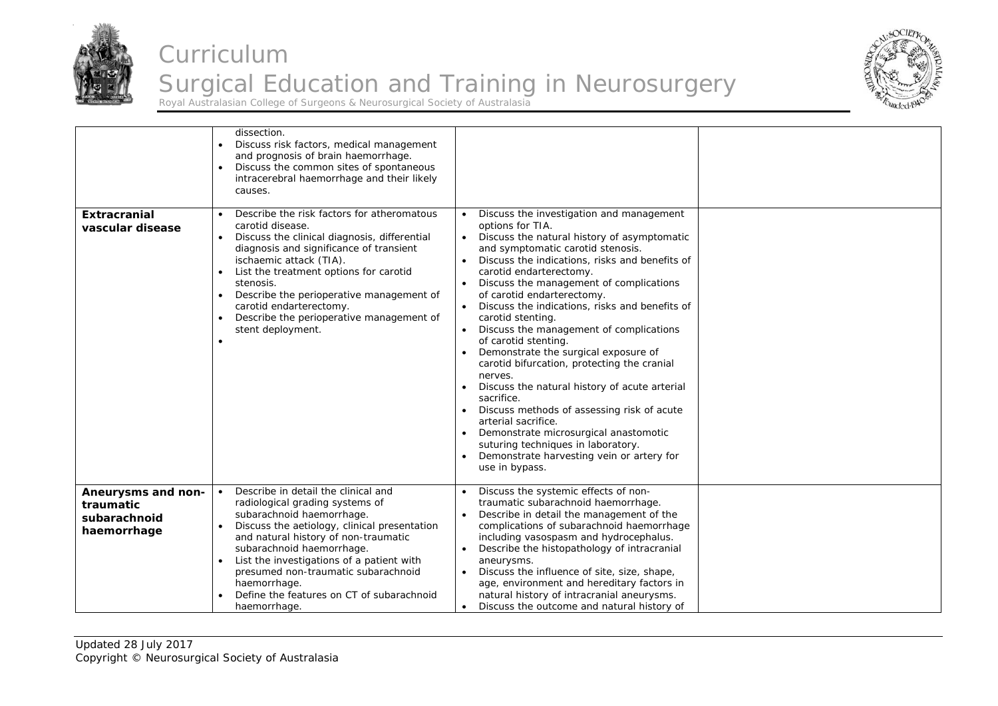



| <b>Extracranial</b><br>vascular disease                        | dissection.<br>Discuss risk factors, medical management<br>and prognosis of brain haemorrhage.<br>Discuss the common sites of spontaneous<br>intracerebral haemorrhage and their likely<br>causes.<br>Describe the risk factors for atheromatous<br>carotid disease.<br>Discuss the clinical diagnosis, differential<br>$\bullet$<br>diagnosis and significance of transient<br>ischaemic attack (TIA).<br>List the treatment options for carotid<br>stenosis.<br>Describe the perioperative management of<br>$\bullet$<br>carotid endarterectomy.<br>Describe the perioperative management of<br>stent deployment.<br>$\bullet$ | Discuss the investigation and management<br>options for TIA.<br>Discuss the natural history of asymptomatic<br>$\bullet$<br>and symptomatic carotid stenosis.<br>Discuss the indications, risks and benefits of<br>carotid endarterectomy.<br>Discuss the management of complications<br>of carotid endarterectomy.<br>Discuss the indications, risks and benefits of<br>carotid stenting.<br>Discuss the management of complications<br>of carotid stenting.<br>Demonstrate the surgical exposure of<br>carotid bifurcation, protecting the cranial<br>nerves.<br>Discuss the natural history of acute arterial<br>sacrifice.<br>Discuss methods of assessing risk of acute<br>arterial sacrifice.<br>Demonstrate microsurgical anastomotic<br>suturing techniques in laboratory.<br>Demonstrate harvesting vein or artery for<br>use in bypass. |  |
|----------------------------------------------------------------|----------------------------------------------------------------------------------------------------------------------------------------------------------------------------------------------------------------------------------------------------------------------------------------------------------------------------------------------------------------------------------------------------------------------------------------------------------------------------------------------------------------------------------------------------------------------------------------------------------------------------------|---------------------------------------------------------------------------------------------------------------------------------------------------------------------------------------------------------------------------------------------------------------------------------------------------------------------------------------------------------------------------------------------------------------------------------------------------------------------------------------------------------------------------------------------------------------------------------------------------------------------------------------------------------------------------------------------------------------------------------------------------------------------------------------------------------------------------------------------------|--|
| Aneurysms and non-<br>traumatic<br>subarachnoid<br>haemorrhage | Describe in detail the clinical and<br>radiological grading systems of<br>subarachnoid haemorrhage.<br>Discuss the aetiology, clinical presentation<br>and natural history of non-traumatic<br>subarachnoid haemorrhage.<br>List the investigations of a patient with<br>$\bullet$<br>presumed non-traumatic subarachnoid<br>haemorrhage.<br>Define the features on CT of subarachnoid<br>haemorrhage.                                                                                                                                                                                                                           | Discuss the systemic effects of non-<br>traumatic subarachnoid haemorrhage.<br>Describe in detail the management of the<br>complications of subarachnoid haemorrhage<br>including vasospasm and hydrocephalus.<br>Describe the histopathology of intracranial<br>aneurysms.<br>Discuss the influence of site, size, shape,<br>age, environment and hereditary factors in<br>natural history of intracranial aneurysms.<br>Discuss the outcome and natural history of                                                                                                                                                                                                                                                                                                                                                                              |  |